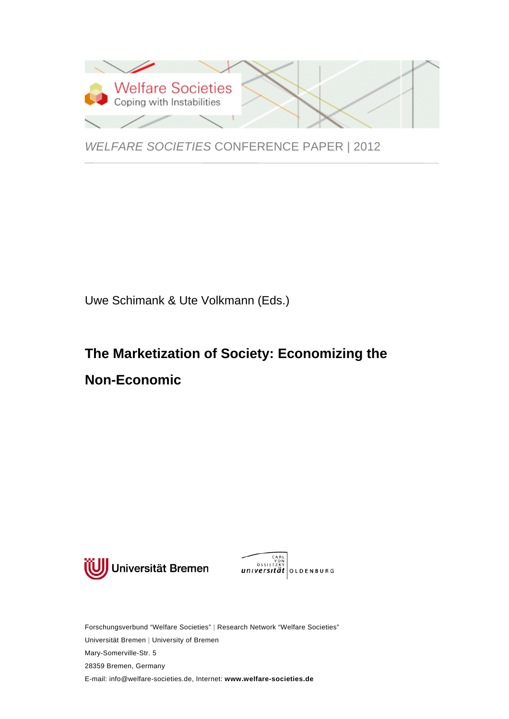

*WELFARE SOCIETIES* CONFERENCE PAPER | 2012

Uwe Schimank & Ute Volkmann (Eds.)

# **The Marketization of Society: Economizing the**

**Non-Economic** 





Forschungsverbund "Welfare Societies" | Research Network "Welfare Societies" Universität Bremen | University of Bremen Mary-Somerville-Str. 5 28359 Bremen, Germany

E-mail: info@welfare-societies.de, Internet: **www.welfare-societies.de**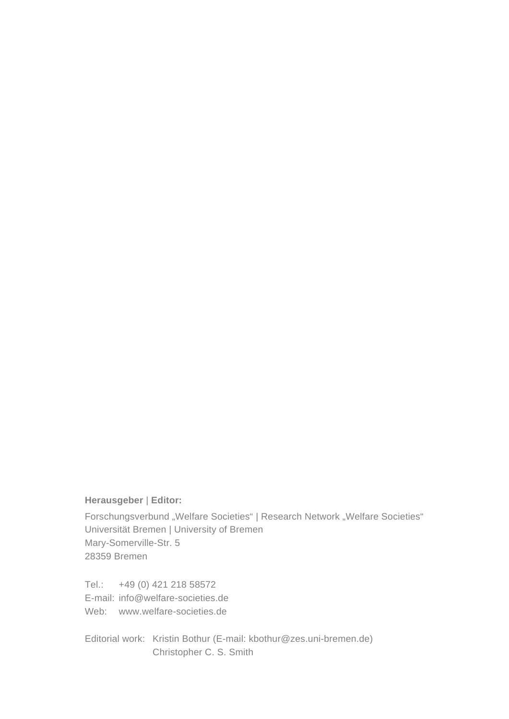## **Herausgeber** | **Editor:**

Forschungsverbund "Welfare Societies" | Research Network "Welfare Societies" Universität Bremen | University of Bremen Mary-Somerville-Str. 5 28359 Bremen

Tel.: +49 (0) 421 218 58572 E-mail: info@welfare-societies.de Web: www.welfare-societies.de

Editorial work: Kristin Bothur (E-mail: kbothur@zes.uni-bremen.de) Christopher C. S. Smith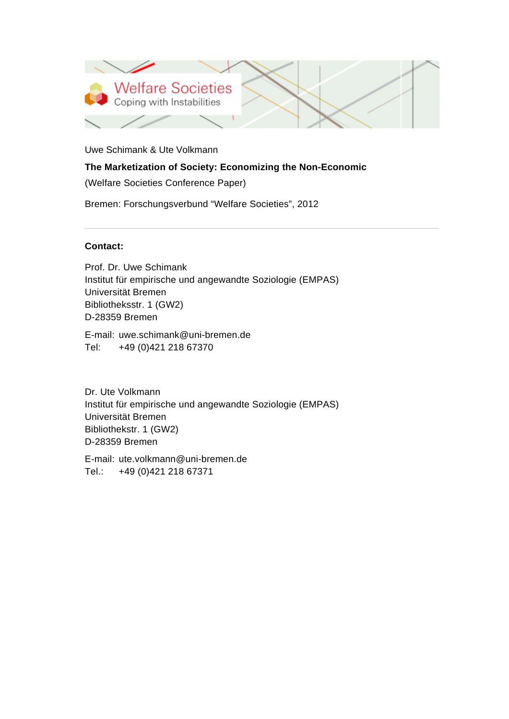

Uwe Schimank & Ute Volkmann

## **The Marketization of Society: Economizing the Non-Economic**

(Welfare Societies Conference Paper)

Bremen: Forschungsverbund "Welfare Societies", 2012

## **Contact:**

Prof. Dr. Uwe Schimank Institut für empirische und angewandte Soziologie (EMPAS) Universität Bremen Bibliotheksstr. 1 (GW2) D-28359 Bremen

E-mail: uwe.schimank@uni-bremen.de Tel: +49 (0)421 218 67370

Dr. Ute Volkmann Institut für empirische und angewandte Soziologie (EMPAS) Universität Bremen Bibliothekstr. 1 (GW2) D-28359 Bremen

E-mail: ute.volkmann@uni-bremen.de Tel.: +49 (0)421 218 67371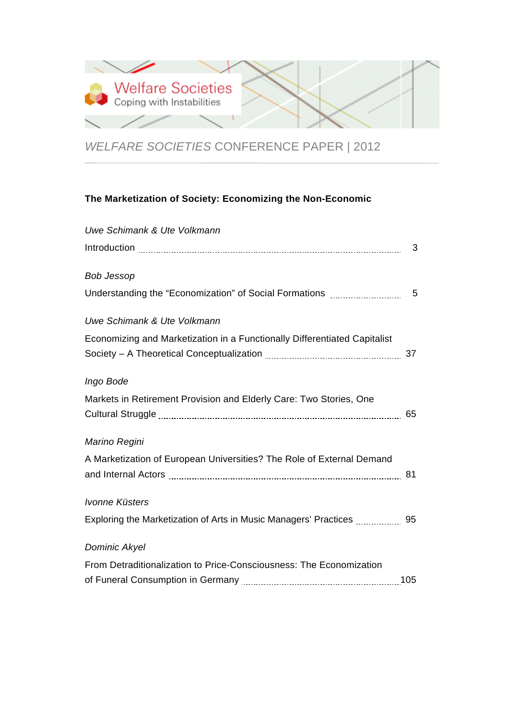

# *WELFARE SOCIETIES* CONFERENCE PAPER | 2012

## **The Marketization of Society: Economizing the Non-Economic**

| Uwe Schimank & Ute Volkmann                                               |   |
|---------------------------------------------------------------------------|---|
|                                                                           | 3 |
| <b>Bob Jessop</b>                                                         |   |
|                                                                           |   |
| Uwe Schimank & Ute Volkmann                                               |   |
| Economizing and Marketization in a Functionally Differentiated Capitalist |   |
| Ingo Bode                                                                 |   |
| Markets in Retirement Provision and Elderly Care: Two Stories, One        |   |
|                                                                           |   |
| Marino Regini                                                             |   |
| A Marketization of European Universities? The Role of External Demand     |   |
| <b>Ivonne Küsters</b>                                                     |   |
|                                                                           |   |
| <b>Dominic Akyel</b>                                                      |   |
| From Detraditionalization to Price-Consciousness: The Economization       |   |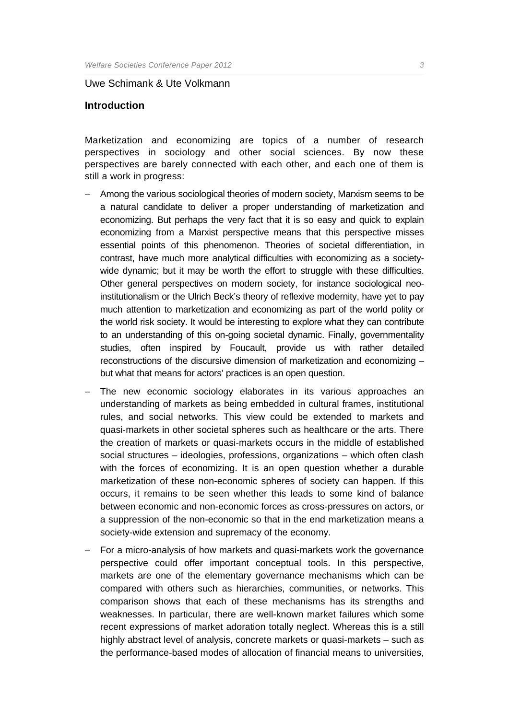#### Uwe Schimank & Ute Volkmann

#### **Introduction**

Marketization and economizing are topics of a number of research perspectives in sociology and other social sciences. By now these perspectives are barely connected with each other, and each one of them is still a work in progress:

- Among the various sociological theories of modern society, Marxism seems to be a natural candidate to deliver a proper understanding of marketization and economizing. But perhaps the very fact that it is so easy and quick to explain economizing from a Marxist perspective means that this perspective misses essential points of this phenomenon. Theories of societal differentiation, in contrast, have much more analytical difficulties with economizing as a societywide dynamic; but it may be worth the effort to struggle with these difficulties. Other general perspectives on modern society, for instance sociological neoinstitutionalism or the Ulrich Beck's theory of reflexive modernity, have yet to pay much attention to marketization and economizing as part of the world polity or the world risk society. It would be interesting to explore what they can contribute to an understanding of this on-going societal dynamic. Finally, governmentality studies, often inspired by Foucault, provide us with rather detailed reconstructions of the discursive dimension of marketization and economizing – but what that means for actors' practices is an open question.
- The new economic sociology elaborates in its various approaches an understanding of markets as being embedded in cultural frames, institutional rules, and social networks. This view could be extended to markets and quasi-markets in other societal spheres such as healthcare or the arts. There the creation of markets or quasi-markets occurs in the middle of established social structures – ideologies, professions, organizations – which often clash with the forces of economizing. It is an open question whether a durable marketization of these non-economic spheres of society can happen. If this occurs, it remains to be seen whether this leads to some kind of balance between economic and non-economic forces as cross-pressures on actors, or a suppression of the non-economic so that in the end marketization means a society-wide extension and supremacy of the economy.
- For a micro-analysis of how markets and quasi-markets work the governance perspective could offer important conceptual tools. In this perspective, markets are one of the elementary governance mechanisms which can be compared with others such as hierarchies, communities, or networks. This comparison shows that each of these mechanisms has its strengths and weaknesses. In particular, there are well-known market failures which some recent expressions of market adoration totally neglect. Whereas this is a still highly abstract level of analysis, concrete markets or quasi-markets – such as the performance-based modes of allocation of financial means to universities,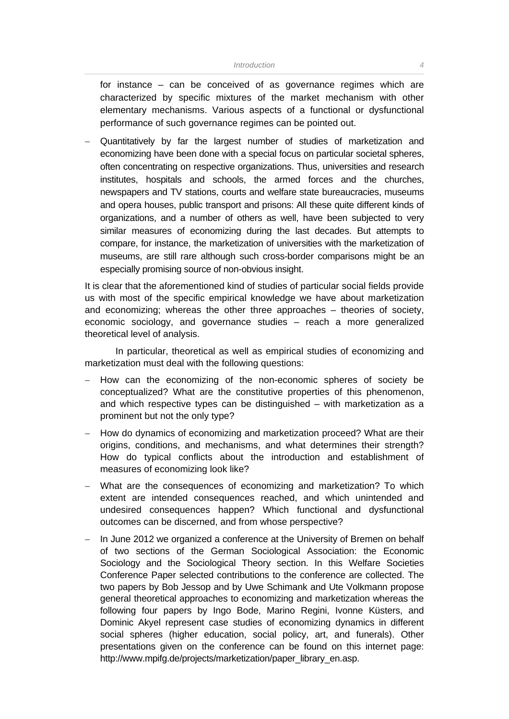for instance – can be conceived of as governance regimes which are characterized by specific mixtures of the market mechanism with other elementary mechanisms. Various aspects of a functional or dysfunctional performance of such governance regimes can be pointed out.

 Quantitatively by far the largest number of studies of marketization and economizing have been done with a special focus on particular societal spheres, often concentrating on respective organizations. Thus, universities and research institutes, hospitals and schools, the armed forces and the churches, newspapers and TV stations, courts and welfare state bureaucracies, museums and opera houses, public transport and prisons: All these quite different kinds of organizations, and a number of others as well, have been subjected to very similar measures of economizing during the last decades. But attempts to compare, for instance, the marketization of universities with the marketization of museums, are still rare although such cross-border comparisons might be an especially promising source of non-obvious insight.

It is clear that the aforementioned kind of studies of particular social fields provide us with most of the specific empirical knowledge we have about marketization and economizing; whereas the other three approaches – theories of society, economic sociology, and governance studies – reach a more generalized theoretical level of analysis.

In particular, theoretical as well as empirical studies of economizing and marketization must deal with the following questions:

- How can the economizing of the non-economic spheres of society be conceptualized? What are the constitutive properties of this phenomenon, and which respective types can be distinguished – with marketization as a prominent but not the only type?
- How do dynamics of economizing and marketization proceed? What are their origins, conditions, and mechanisms, and what determines their strength? How do typical conflicts about the introduction and establishment of measures of economizing look like?
- What are the consequences of economizing and marketization? To which extent are intended consequences reached, and which unintended and undesired consequences happen? Which functional and dysfunctional outcomes can be discerned, and from whose perspective?
- In June 2012 we organized a conference at the University of Bremen on behalf of two sections of the German Sociological Association: the Economic Sociology and the Sociological Theory section. In this Welfare Societies Conference Paper selected contributions to the conference are collected. The two papers by Bob Jessop and by Uwe Schimank and Ute Volkmann propose general theoretical approaches to economizing and marketization whereas the following four papers by Ingo Bode, Marino Regini, Ivonne Küsters, and Dominic Akyel represent case studies of economizing dynamics in different social spheres (higher education, social policy, art, and funerals). Other presentations given on the conference can be found on this internet page: http://www.mpifg.de/projects/marketization/paper\_library\_en.asp.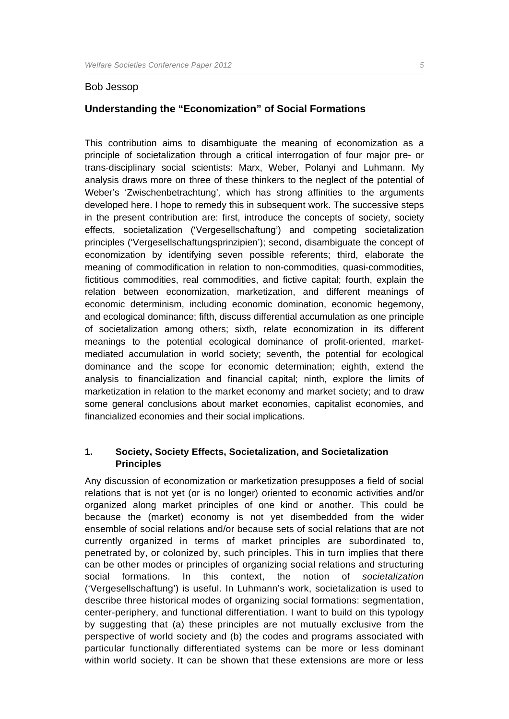<u> Andreas Andreas Andreas Andreas Andreas Andreas Andreas Andreas Andreas Andreas Andreas Andreas Andreas Andr</u>

#### Bob Jessop

## **Understanding the "Economization" of Social Formations**

This contribution aims to disambiguate the meaning of economization as a principle of societalization through a critical interrogation of four major pre- or trans-disciplinary social scientists: Marx, Weber, Polanyi and Luhmann. My analysis draws more on three of these thinkers to the neglect of the potential of Weber's 'Zwischenbetrachtung'*,* which has strong affinities to the arguments developed here. I hope to remedy this in subsequent work. The successive steps in the present contribution are: first, introduce the concepts of society, society effects, societalization ('Vergesellschaftung') and competing societalization principles ('Vergesellschaftungsprinzipien'); second, disambiguate the concept of economization by identifying seven possible referents; third, elaborate the meaning of commodification in relation to non-commodities, quasi-commodities, fictitious commodities, real commodities, and fictive capital; fourth, explain the relation between economization, marketization, and different meanings of economic determinism, including economic domination, economic hegemony, and ecological dominance; fifth, discuss differential accumulation as one principle of societalization among others; sixth, relate economization in its different meanings to the potential ecological dominance of profit-oriented, marketmediated accumulation in world society; seventh, the potential for ecological dominance and the scope for economic determination; eighth, extend the analysis to financialization and financial capital; ninth, explore the limits of marketization in relation to the market economy and market society; and to draw some general conclusions about market economies, capitalist economies, and financialized economies and their social implications.

## **1. Society, Society Effects, Societalization, and Societalization Principles**

Any discussion of economization or marketization presupposes a field of social relations that is not yet (or is no longer) oriented to economic activities and/or organized along market principles of one kind or another. This could be because the (market) economy is not yet disembedded from the wider ensemble of social relations and/or because sets of social relations that are not currently organized in terms of market principles are subordinated to, penetrated by, or colonized by, such principles. This in turn implies that there can be other modes or principles of organizing social relations and structuring social formations. In this context, the notion of *societalization* ('Vergesellschaftung') is useful. In Luhmann's work, societalization is used to describe three historical modes of organizing social formations: segmentation, center-periphery, and functional differentiation. I want to build on this typology by suggesting that (a) these principles are not mutually exclusive from the perspective of world society and (b) the codes and programs associated with particular functionally differentiated systems can be more or less dominant within world society. It can be shown that these extensions are more or less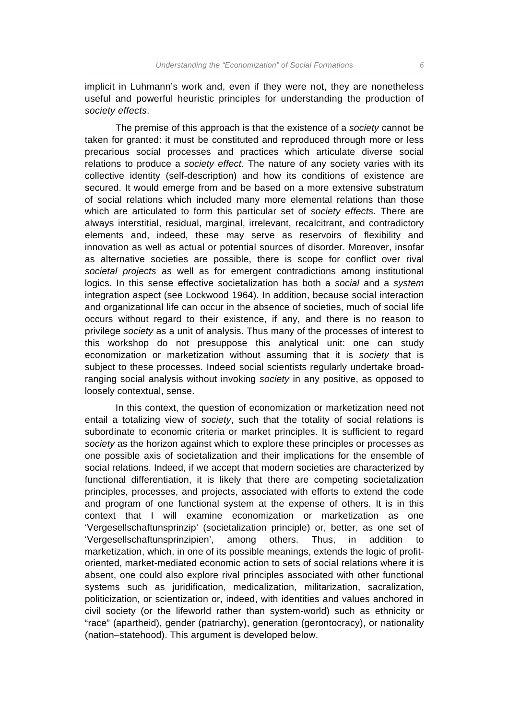implicit in Luhmann's work and, even if they were not, they are nonetheless useful and powerful heuristic principles for understanding the production of *society effects*.

The premise of this approach is that the existence of a *society* cannot be taken for granted: it must be constituted and reproduced through more or less precarious social processes and practices which articulate diverse social relations to produce a *society effect*. The nature of any society varies with its collective identity (self-description) and how its conditions of existence are secured. It would emerge from and be based on a more extensive substratum of social relations which included many more elemental relations than those which are articulated to form this particular set of *society effects*. There are always interstitial, residual, marginal, irrelevant, recalcitrant, and contradictory elements and, indeed, these may serve as reservoirs of flexibility and innovation as well as actual or potential sources of disorder. Moreover, insofar as alternative societies are possible, there is scope for conflict over rival *societal projects* as well as for emergent contradictions among institutional logics. In this sense effective societalization has both a *social* and a *system* integration aspect (see Lockwood 1964). In addition, because social interaction and organizational life can occur in the absence of societies, much of social life occurs without regard to their existence, if any, and there is no reason to privilege *society* as a unit of analysis. Thus many of the processes of interest to this workshop do not presuppose this analytical unit: one can study economization or marketization without assuming that it is *society* that is subject to these processes. Indeed social scientists regularly undertake broadranging social analysis without invoking *society* in any positive, as opposed to loosely contextual, sense.

In this context, the question of economization or marketization need not entail a totalizing view of *society*, such that the totality of social relations is subordinate to economic criteria or market principles. It is sufficient to regard *society* as the horizon against which to explore these principles or processes as one possible axis of societalization and their implications for the ensemble of social relations. Indeed, if we accept that modern societies are characterized by functional differentiation, it is likely that there are competing societalization principles, processes, and projects, associated with efforts to extend the code and program of one functional system at the expense of others. It is in this context that I will examine economization or marketization as one 'Vergesellschaftunsprinzip' (societalization principle) or, better, as one set of 'Vergesellschaftunsprinzipien', among others. Thus, in addition to marketization, which, in one of its possible meanings, extends the logic of profitoriented, market-mediated economic action to sets of social relations where it is absent, one could also explore rival principles associated with other functional systems such as juridification, medicalization, militarization, sacralization, politicization, or scientization or, indeed, with identities and values anchored in civil society (or the lifeworld rather than system-world) such as ethnicity or "race" (apartheid), gender (patriarchy), generation (gerontocracy), or nationality (nation–statehood). This argument is developed below.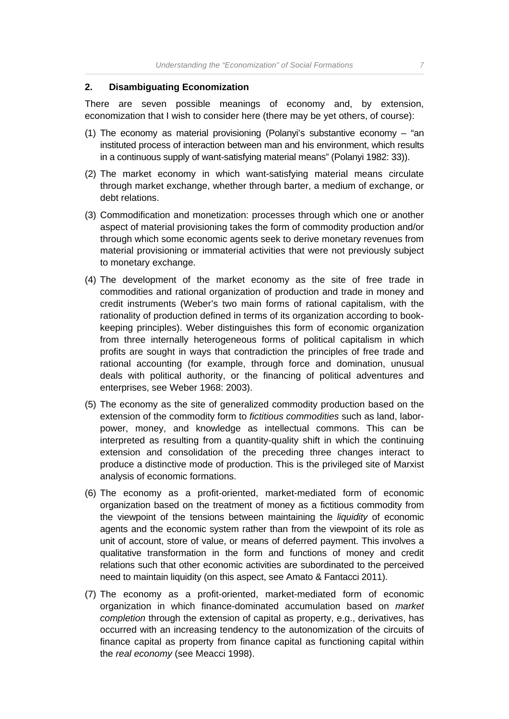#### **2. Disambiguating Economization**

There are seven possible meanings of economy and, by extension, economization that I wish to consider here (there may be yet others, of course):

- (1) The economy as material provisioning (Polanyi's substantive economy "an instituted process of interaction between man and his environment, which results in a continuous supply of want-satisfying material means" (Polanyi 1982: 33)).
- (2) The market economy in which want-satisfying material means circulate through market exchange, whether through barter, a medium of exchange, or debt relations.
- (3) Commodification and monetization: processes through which one or another aspect of material provisioning takes the form of commodity production and/or through which some economic agents seek to derive monetary revenues from material provisioning or immaterial activities that were not previously subject to monetary exchange.
- (4) The development of the market economy as the site of free trade in commodities and rational organization of production and trade in money and credit instruments (Weber's two main forms of rational capitalism, with the rationality of production defined in terms of its organization according to bookkeeping principles). Weber distinguishes this form of economic organization from three internally heterogeneous forms of political capitalism in which profits are sought in ways that contradiction the principles of free trade and rational accounting (for example, through force and domination, unusual deals with political authority, or the financing of political adventures and enterprises, see Weber 1968: 2003).
- (5) The economy as the site of generalized commodity production based on the extension of the commodity form to *fictitious commodities* such as land, laborpower, money, and knowledge as intellectual commons. This can be interpreted as resulting from a quantity-quality shift in which the continuing extension and consolidation of the preceding three changes interact to produce a distinctive mode of production. This is the privileged site of Marxist analysis of economic formations.
- (6) The economy as a profit-oriented, market-mediated form of economic organization based on the treatment of money as a fictitious commodity from the viewpoint of the tensions between maintaining the *liquidity* of economic agents and the economic system rather than from the viewpoint of its role as unit of account, store of value, or means of deferred payment. This involves a qualitative transformation in the form and functions of money and credit relations such that other economic activities are subordinated to the perceived need to maintain liquidity (on this aspect, see Amato & Fantacci 2011).
- (7) The economy as a profit-oriented, market-mediated form of economic organization in which finance-dominated accumulation based on *market completion* through the extension of capital as property, e.g., derivatives, has occurred with an increasing tendency to the autonomization of the circuits of finance capital as property from finance capital as functioning capital within the *real economy* (see Meacci 1998).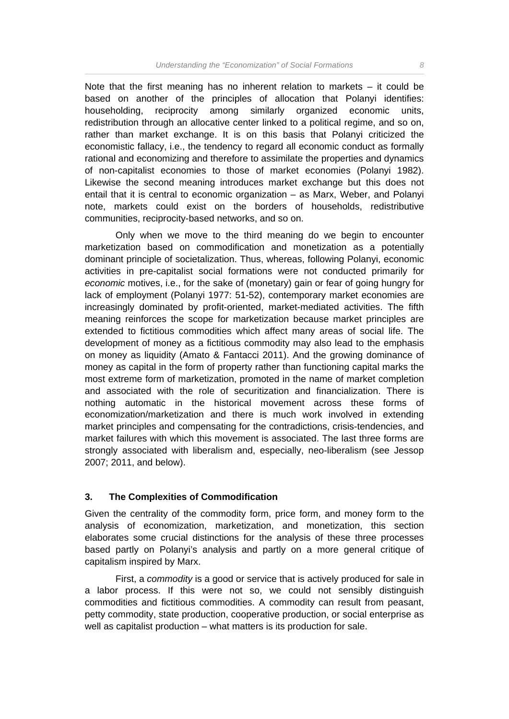Note that the first meaning has no inherent relation to markets  $-$  it could be based on another of the principles of allocation that Polanyi identifies: householding, reciprocity among similarly organized economic units, redistribution through an allocative center linked to a political regime, and so on, rather than market exchange. It is on this basis that Polanyi criticized the economistic fallacy, i.e., the tendency to regard all economic conduct as formally rational and economizing and therefore to assimilate the properties and dynamics of non-capitalist economies to those of market economies (Polanyi 1982). Likewise the second meaning introduces market exchange but this does not entail that it is central to economic organization – as Marx, Weber, and Polanyi note, markets could exist on the borders of households, redistributive communities, reciprocity-based networks, and so on.

Only when we move to the third meaning do we begin to encounter marketization based on commodification and monetization as a potentially dominant principle of societalization. Thus, whereas, following Polanyi, economic activities in pre-capitalist social formations were not conducted primarily for *economic* motives, i.e., for the sake of (monetary) gain or fear of going hungry for lack of employment (Polanyi 1977: 51-52), contemporary market economies are increasingly dominated by profit-oriented, market-mediated activities. The fifth meaning reinforces the scope for marketization because market principles are extended to fictitious commodities which affect many areas of social life. The development of money as a fictitious commodity may also lead to the emphasis on money as liquidity (Amato & Fantacci 2011). And the growing dominance of money as capital in the form of property rather than functioning capital marks the most extreme form of marketization, promoted in the name of market completion and associated with the role of securitization and financialization. There is nothing automatic in the historical movement across these forms of economization/marketization and there is much work involved in extending market principles and compensating for the contradictions, crisis-tendencies, and market failures with which this movement is associated. The last three forms are strongly associated with liberalism and, especially, neo-liberalism (see Jessop 2007; 2011, and below).

## **3. The Complexities of Commodification**

Given the centrality of the commodity form, price form, and money form to the analysis of economization, marketization, and monetization, this section elaborates some crucial distinctions for the analysis of these three processes based partly on Polanyi's analysis and partly on a more general critique of capitalism inspired by Marx.

First, a *commodity* is a good or service that is actively produced for sale in a labor process. If this were not so, we could not sensibly distinguish commodities and fictitious commodities. A commodity can result from peasant, petty commodity, state production, cooperative production, or social enterprise as well as capitalist production – what matters is its production for sale.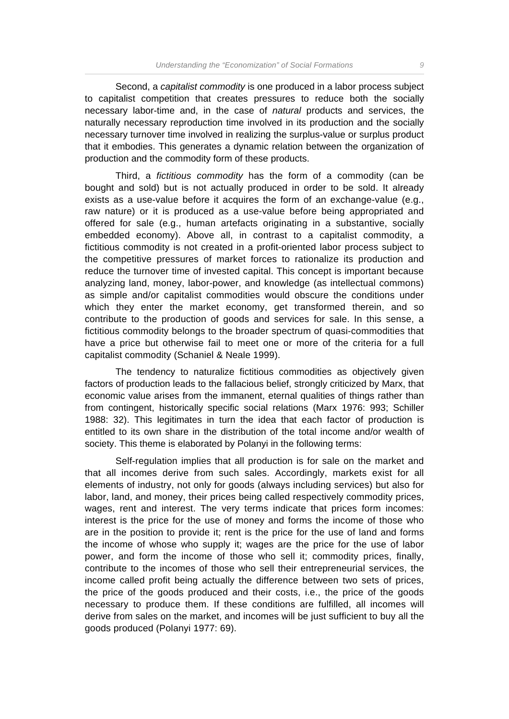Second, a *capitalist commodity* is one produced in a labor process subject to capitalist competition that creates pressures to reduce both the socially necessary labor-time and, in the case of *natural* products and services, the naturally necessary reproduction time involved in its production and the socially necessary turnover time involved in realizing the surplus-value or surplus product that it embodies. This generates a dynamic relation between the organization of production and the commodity form of these products.

Third, a *fictitious commodity* has the form of a commodity (can be bought and sold) but is not actually produced in order to be sold. It already exists as a use-value before it acquires the form of an exchange-value (e.g., raw nature) or it is produced as a use-value before being appropriated and offered for sale (e.g., human artefacts originating in a substantive, socially embedded economy). Above all, in contrast to a capitalist commodity, a fictitious commodity is not created in a profit-oriented labor process subject to the competitive pressures of market forces to rationalize its production and reduce the turnover time of invested capital. This concept is important because analyzing land, money, labor-power, and knowledge (as intellectual commons) as simple and/or capitalist commodities would obscure the conditions under which they enter the market economy, get transformed therein, and so contribute to the production of goods and services for sale. In this sense, a fictitious commodity belongs to the broader spectrum of quasi-commodities that have a price but otherwise fail to meet one or more of the criteria for a full capitalist commodity (Schaniel & Neale 1999).

The tendency to naturalize fictitious commodities as objectively given factors of production leads to the fallacious belief, strongly criticized by Marx, that economic value arises from the immanent, eternal qualities of things rather than from contingent, historically specific social relations (Marx 1976: 993; Schiller 1988: 32). This legitimates in turn the idea that each factor of production is entitled to its own share in the distribution of the total income and/or wealth of society. This theme is elaborated by Polanyi in the following terms:

Self-regulation implies that all production is for sale on the market and that all incomes derive from such sales. Accordingly, markets exist for all elements of industry, not only for goods (always including services) but also for labor, land, and money, their prices being called respectively commodity prices, wages, rent and interest. The very terms indicate that prices form incomes: interest is the price for the use of money and forms the income of those who are in the position to provide it; rent is the price for the use of land and forms the income of whose who supply it; wages are the price for the use of labor power, and form the income of those who sell it; commodity prices, finally, contribute to the incomes of those who sell their entrepreneurial services, the income called profit being actually the difference between two sets of prices, the price of the goods produced and their costs, i.e., the price of the goods necessary to produce them. If these conditions are fulfilled, all incomes will derive from sales on the market, and incomes will be just sufficient to buy all the goods produced (Polanyi 1977: 69).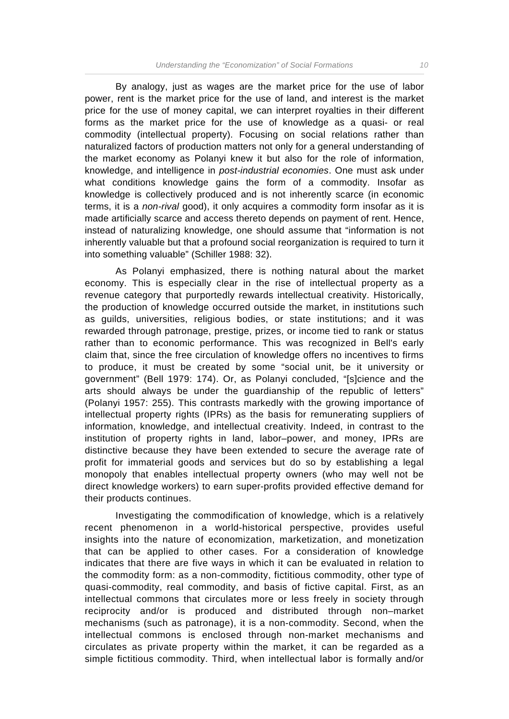By analogy, just as wages are the market price for the use of labor power, rent is the market price for the use of land, and interest is the market price for the use of money capital, we can interpret royalties in their different forms as the market price for the use of knowledge as a quasi- or real commodity (intellectual property). Focusing on social relations rather than naturalized factors of production matters not only for a general understanding of the market economy as Polanyi knew it but also for the role of information, knowledge, and intelligence in *post-industrial economies*. One must ask under what conditions knowledge gains the form of a commodity. Insofar as knowledge is collectively produced and is not inherently scarce (in economic terms, it is a *non-rival* good), it only acquires a commodity form insofar as it is made artificially scarce and access thereto depends on payment of rent. Hence, instead of naturalizing knowledge, one should assume that "information is not inherently valuable but that a profound social reorganization is required to turn it into something valuable" (Schiller 1988: 32).

As Polanyi emphasized, there is nothing natural about the market economy. This is especially clear in the rise of intellectual property as a revenue category that purportedly rewards intellectual creativity. Historically, the production of knowledge occurred outside the market, in institutions such as guilds, universities, religious bodies, or state institutions; and it was rewarded through patronage, prestige, prizes, or income tied to rank or status rather than to economic performance. This was recognized in Bell's early claim that, since the free circulation of knowledge offers no incentives to firms to produce, it must be created by some "social unit, be it university or government" (Bell 1979: 174). Or, as Polanyi concluded, "[s]cience and the arts should always be under the guardianship of the republic of letters" (Polanyi 1957: 255). This contrasts markedly with the growing importance of intellectual property rights (IPRs) as the basis for remunerating suppliers of information, knowledge, and intellectual creativity. Indeed, in contrast to the institution of property rights in land, labor–power, and money, IPRs are distinctive because they have been extended to secure the average rate of profit for immaterial goods and services but do so by establishing a legal monopoly that enables intellectual property owners (who may well not be direct knowledge workers) to earn super-profits provided effective demand for their products continues.

Investigating the commodification of knowledge, which is a relatively recent phenomenon in a world-historical perspective, provides useful insights into the nature of economization, marketization, and monetization that can be applied to other cases. For a consideration of knowledge indicates that there are five ways in which it can be evaluated in relation to the commodity form: as a non-commodity, fictitious commodity, other type of quasi-commodity, real commodity, and basis of fictive capital. First, as an intellectual commons that circulates more or less freely in society through reciprocity and/or is produced and distributed through non–market mechanisms (such as patronage), it is a non-commodity. Second, when the intellectual commons is enclosed through non-market mechanisms and circulates as private property within the market, it can be regarded as a simple fictitious commodity. Third, when intellectual labor is formally and/or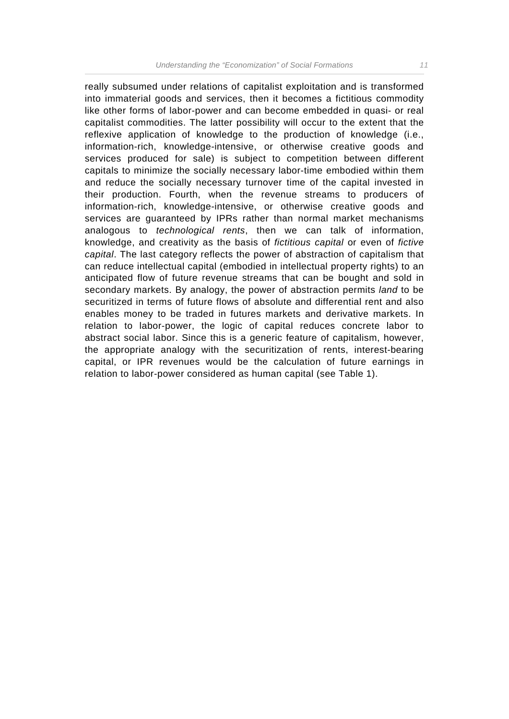really subsumed under relations of capitalist exploitation and is transformed into immaterial goods and services, then it becomes a fictitious commodity like other forms of labor-power and can become embedded in quasi- or real capitalist commodities. The latter possibility will occur to the extent that the reflexive application of knowledge to the production of knowledge (i.e., information-rich, knowledge-intensive, or otherwise creative goods and services produced for sale) is subject to competition between different capitals to minimize the socially necessary labor-time embodied within them and reduce the socially necessary turnover time of the capital invested in their production. Fourth, when the revenue streams to producers of information-rich, knowledge-intensive, or otherwise creative goods and services are guaranteed by IPRs rather than normal market mechanisms analogous to *technological rents*, then we can talk of information, knowledge, and creativity as the basis of *fictitious capital* or even of *fictive capital*. The last category reflects the power of abstraction of capitalism that can reduce intellectual capital (embodied in intellectual property rights) to an anticipated flow of future revenue streams that can be bought and sold in secondary markets. By analogy, the power of abstraction permits *land* to be securitized in terms of future flows of absolute and differential rent and also enables money to be traded in futures markets and derivative markets. In relation to labor-power, the logic of capital reduces concrete labor to abstract social labor. Since this is a generic feature of capitalism, however, the appropriate analogy with the securitization of rents, interest-bearing capital, or IPR revenues would be the calculation of future earnings in relation to labor-power considered as human capital (see Table 1).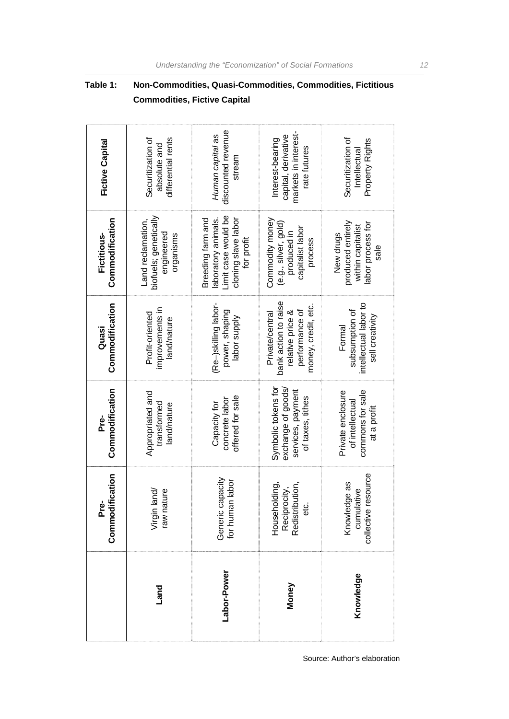|             | Commodification<br>Pre-                                  | Commodification<br>Pre-                                                            | Commodification<br>Quasi                                                                             | Commodification<br>Fictitious-                                                                       | <b>Fictive Capital</b>                                                          |
|-------------|----------------------------------------------------------|------------------------------------------------------------------------------------|------------------------------------------------------------------------------------------------------|------------------------------------------------------------------------------------------------------|---------------------------------------------------------------------------------|
| Land        | Virgin land/<br>raw nature                               | Appropriated and<br>transformed<br>land/nature                                     | improvements in<br>Profit-oriented<br>land/nature                                                    | biofuels; genetically<br>Land reclamation,<br>engineered<br>organisms                                | Securitization of<br>differential rents<br>absolute and                         |
| Labor-Power | apacity<br>labor<br>Generic ca<br>for human              | offered for sale<br>concrete labor<br>Capacity for                                 | (Re-)skilling labor-<br>power, shaping<br>labor supply                                               | Limit case would be<br>Breeding farm and<br>laboratory animals.<br>cloning slave labor<br>for profit | discounted revenue<br>Human capital as<br>stream                                |
| Money       | Householding,<br>Redistribution,<br>Reciprocity,<br>etc. | Symbolic tokens for<br>exchange of goods/<br>services, payment<br>of taxes, tithes | bank action to raise<br>money, credit, etc.<br>performance of<br>relative price &<br>Private/central | Commodity money<br>(e.g., silver, gold)<br>capitalist labor<br>produced in<br>process                | markets in interest-<br>capital, derivative<br>Interest-bearing<br>rate futures |
| Knowledge   | collective resource<br>Knowledge as<br>cumulative        | commons for sale<br>Private enclosure<br>of intellectual<br>at a profit            | intellectual labor to<br>subsumption of<br>sell creativity<br>Formal                                 | produced entirely<br>abor process for<br>within capitalist<br>New drugs<br>sale                      | Securitization of<br>Property Rights<br>Intellectual                            |

**Table 1: Non-Commodities, Quasi-Commodities, Commodities, Fictitious Commodities, Fictive Capital**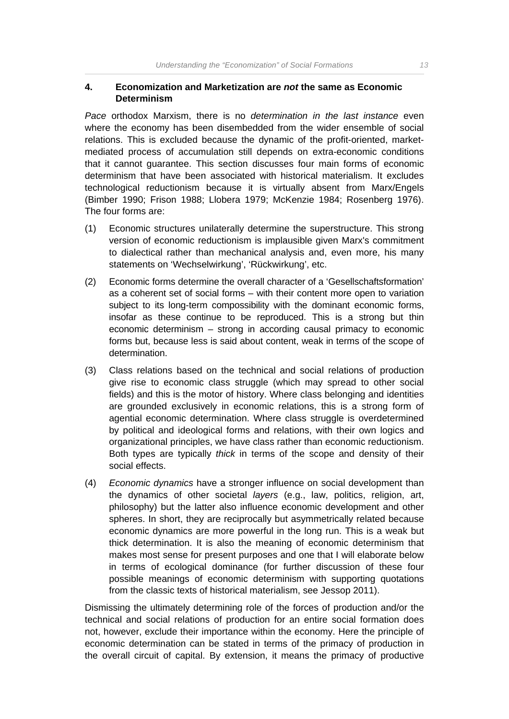## **4. Economization and Marketization are** *not* **the same as Economic Determinism**

*Pace* orthodox Marxism, there is no *determination in the last instance* even where the economy has been disembedded from the wider ensemble of social relations. This is excluded because the dynamic of the profit-oriented, marketmediated process of accumulation still depends on extra-economic conditions that it cannot guarantee. This section discusses four main forms of economic determinism that have been associated with historical materialism. It excludes technological reductionism because it is virtually absent from Marx/Engels (Bimber 1990; Frison 1988; Llobera 1979; McKenzie 1984; Rosenberg 1976). The four forms are:

- (1) Economic structures unilaterally determine the superstructure. This strong version of economic reductionism is implausible given Marx's commitment to dialectical rather than mechanical analysis and, even more, his many statements on 'Wechselwirkung', 'Rückwirkung', etc.
- (2) Economic forms determine the overall character of a 'Gesellschaftsformation' as a coherent set of social forms – with their content more open to variation subject to its long-term compossibility with the dominant economic forms, insofar as these continue to be reproduced. This is a strong but thin economic determinism – strong in according causal primacy to economic forms but, because less is said about content, weak in terms of the scope of determination.
- (3) Class relations based on the technical and social relations of production give rise to economic class struggle (which may spread to other social fields) and this is the motor of history. Where class belonging and identities are grounded exclusively in economic relations, this is a strong form of agential economic determination. Where class struggle is overdetermined by political and ideological forms and relations, with their own logics and organizational principles, we have class rather than economic reductionism. Both types are typically *thick* in terms of the scope and density of their social effects.
- (4) *Economic dynamics* have a stronger influence on social development than the dynamics of other societal *layers* (e.g., law, politics, religion, art, philosophy) but the latter also influence economic development and other spheres. In short, they are reciprocally but asymmetrically related because economic dynamics are more powerful in the long run. This is a weak but thick determination. It is also the meaning of economic determinism that makes most sense for present purposes and one that I will elaborate below in terms of ecological dominance (for further discussion of these four possible meanings of economic determinism with supporting quotations from the classic texts of historical materialism, see Jessop 2011).

Dismissing the ultimately determining role of the forces of production and/or the technical and social relations of production for an entire social formation does not, however, exclude their importance within the economy. Here the principle of economic determination can be stated in terms of the primacy of production in the overall circuit of capital. By extension, it means the primacy of productive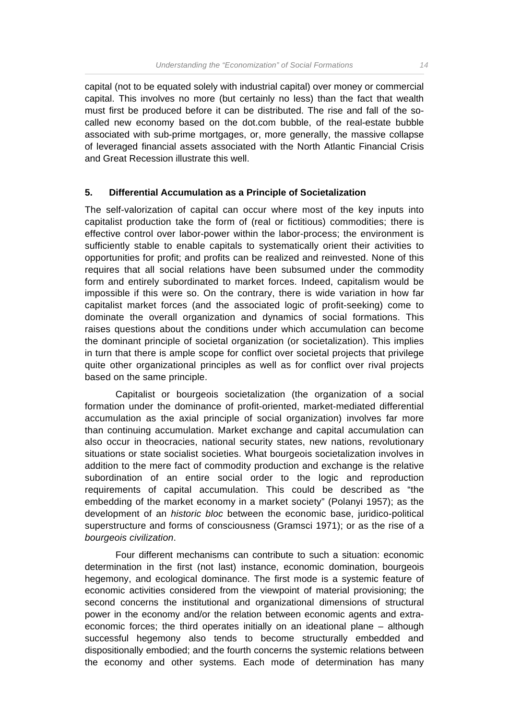capital (not to be equated solely with industrial capital) over money or commercial capital. This involves no more (but certainly no less) than the fact that wealth must first be produced before it can be distributed. The rise and fall of the socalled new economy based on the dot.com bubble, of the real-estate bubble associated with sub-prime mortgages, or, more generally, the massive collapse of leveraged financial assets associated with the North Atlantic Financial Crisis and Great Recession illustrate this well.

#### **5. Differential Accumulation as a Principle of Societalization**

The self-valorization of capital can occur where most of the key inputs into capitalist production take the form of (real or fictitious) commodities; there is effective control over labor-power within the labor-process; the environment is sufficiently stable to enable capitals to systematically orient their activities to opportunities for profit; and profits can be realized and reinvested. None of this requires that all social relations have been subsumed under the commodity form and entirely subordinated to market forces. Indeed, capitalism would be impossible if this were so. On the contrary, there is wide variation in how far capitalist market forces (and the associated logic of profit-seeking) come to dominate the overall organization and dynamics of social formations. This raises questions about the conditions under which accumulation can become the dominant principle of societal organization (or societalization). This implies in turn that there is ample scope for conflict over societal projects that privilege quite other organizational principles as well as for conflict over rival projects based on the same principle.

Capitalist or bourgeois societalization (the organization of a social formation under the dominance of profit-oriented, market-mediated differential accumulation as the axial principle of social organization) involves far more than continuing accumulation. Market exchange and capital accumulation can also occur in theocracies, national security states, new nations, revolutionary situations or state socialist societies. What bourgeois societalization involves in addition to the mere fact of commodity production and exchange is the relative subordination of an entire social order to the logic and reproduction requirements of capital accumulation. This could be described as "the embedding of the market economy in a market society" (Polanyi 1957); as the development of an *historic bloc* between the economic base, juridico-political superstructure and forms of consciousness (Gramsci 1971); or as the rise of a *bourgeois civilization*.

Four different mechanisms can contribute to such a situation: economic determination in the first (not last) instance, economic domination, bourgeois hegemony, and ecological dominance. The first mode is a systemic feature of economic activities considered from the viewpoint of material provisioning; the second concerns the institutional and organizational dimensions of structural power in the economy and/or the relation between economic agents and extraeconomic forces; the third operates initially on an ideational plane – although successful hegemony also tends to become structurally embedded and dispositionally embodied; and the fourth concerns the systemic relations between the economy and other systems. Each mode of determination has many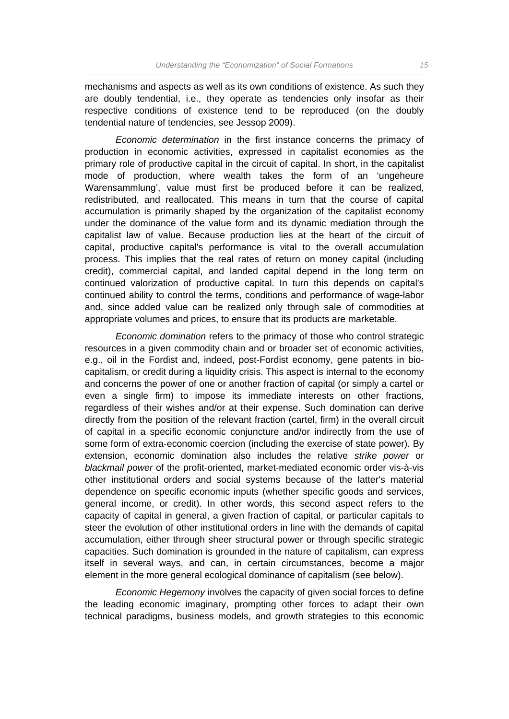mechanisms and aspects as well as its own conditions of existence. As such they are doubly tendential, i.e., they operate as tendencies only insofar as their respective conditions of existence tend to be reproduced (on the doubly tendential nature of tendencies, see Jessop 2009).

*Economic determination* in the first instance concerns the primacy of production in economic activities, expressed in capitalist economies as the primary role of productive capital in the circuit of capital. In short, in the capitalist mode of production, where wealth takes the form of an 'ungeheure Warensammlung', value must first be produced before it can be realized, redistributed, and reallocated. This means in turn that the course of capital accumulation is primarily shaped by the organization of the capitalist economy under the dominance of the value form and its dynamic mediation through the capitalist law of value. Because production lies at the heart of the circuit of capital, productive capital's performance is vital to the overall accumulation process. This implies that the real rates of return on money capital (including credit), commercial capital, and landed capital depend in the long term on continued valorization of productive capital. In turn this depends on capital's continued ability to control the terms, conditions and performance of wage-labor and, since added value can be realized only through sale of commodities at appropriate volumes and prices, to ensure that its products are marketable.

*Economic domination* refers to the primacy of those who control strategic resources in a given commodity chain and or broader set of economic activities, e.g., oil in the Fordist and, indeed, post-Fordist economy, gene patents in biocapitalism, or credit during a liquidity crisis. This aspect is internal to the economy and concerns the power of one or another fraction of capital (or simply a cartel or even a single firm) to impose its immediate interests on other fractions, regardless of their wishes and/or at their expense. Such domination can derive directly from the position of the relevant fraction (cartel, firm) in the overall circuit of capital in a specific economic conjuncture and/or indirectly from the use of some form of extra-economic coercion (including the exercise of state power). By extension, economic domination also includes the relative *strike power* or *blackmail power* of the profit-oriented, market-mediated economic order vis-à-vis other institutional orders and social systems because of the latter's material dependence on specific economic inputs (whether specific goods and services, general income, or credit). In other words, this second aspect refers to the capacity of capital in general, a given fraction of capital, or particular capitals to steer the evolution of other institutional orders in line with the demands of capital accumulation, either through sheer structural power or through specific strategic capacities. Such domination is grounded in the nature of capitalism, can express itself in several ways, and can, in certain circumstances, become a major element in the more general ecological dominance of capitalism (see below).

*Economic Hegemony* involves the capacity of given social forces to define the leading economic imaginary, prompting other forces to adapt their own technical paradigms, business models, and growth strategies to this economic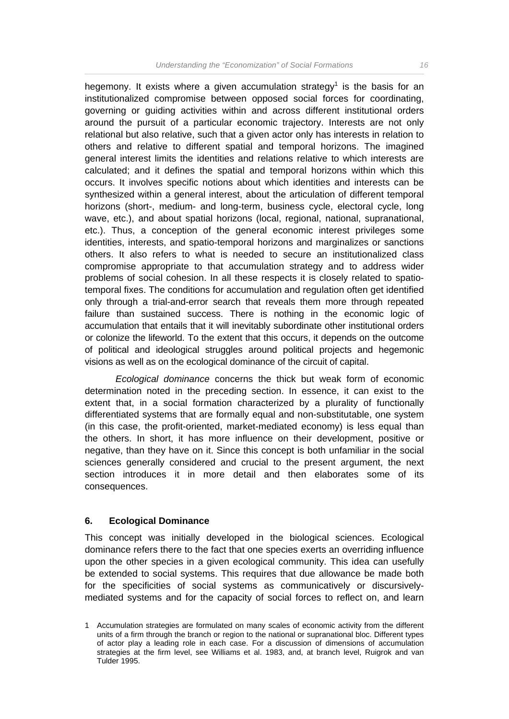hegemony. It exists where a given accumulation strategy<sup>1</sup> is the basis for an institutionalized compromise between opposed social forces for coordinating, governing or guiding activities within and across different institutional orders around the pursuit of a particular economic trajectory. Interests are not only relational but also relative, such that a given actor only has interests in relation to others and relative to different spatial and temporal horizons. The imagined general interest limits the identities and relations relative to which interests are calculated; and it defines the spatial and temporal horizons within which this occurs. It involves specific notions about which identities and interests can be synthesized within a general interest, about the articulation of different temporal horizons (short-, medium- and long-term, business cycle, electoral cycle, long wave, etc.), and about spatial horizons (local, regional, national, supranational, etc.). Thus, a conception of the general economic interest privileges some identities, interests, and spatio-temporal horizons and marginalizes or sanctions others. It also refers to what is needed to secure an institutionalized class compromise appropriate to that accumulation strategy and to address wider problems of social cohesion. In all these respects it is closely related to spatiotemporal fixes. The conditions for accumulation and regulation often get identified only through a trial-and-error search that reveals them more through repeated failure than sustained success. There is nothing in the economic logic of accumulation that entails that it will inevitably subordinate other institutional orders or colonize the lifeworld. To the extent that this occurs, it depends on the outcome of political and ideological struggles around political projects and hegemonic visions as well as on the ecological dominance of the circuit of capital.

*Ecological dominance* concerns the thick but weak form of economic determination noted in the preceding section. In essence, it can exist to the extent that, in a social formation characterized by a plurality of functionally differentiated systems that are formally equal and non-substitutable, one system (in this case, the profit-oriented, market-mediated economy) is less equal than the others. In short, it has more influence on their development, positive or negative, than they have on it. Since this concept is both unfamiliar in the social sciences generally considered and crucial to the present argument, the next section introduces it in more detail and then elaborates some of its consequences.

#### **6. Ecological Dominance**

This concept was initially developed in the biological sciences. Ecological dominance refers there to the fact that one species exerts an overriding influence upon the other species in a given ecological community. This idea can usefully be extended to social systems. This requires that due allowance be made both for the specificities of social systems as communicatively or discursivelymediated systems and for the capacity of social forces to reflect on, and learn

<sup>1</sup> Accumulation strategies are formulated on many scales of economic activity from the different units of a firm through the branch or region to the national or supranational bloc. Different types of actor play a leading role in each case. For a discussion of dimensions of accumulation strategies at the firm level, see Williams et al. 1983, and, at branch level, Ruigrok and van Tulder 1995.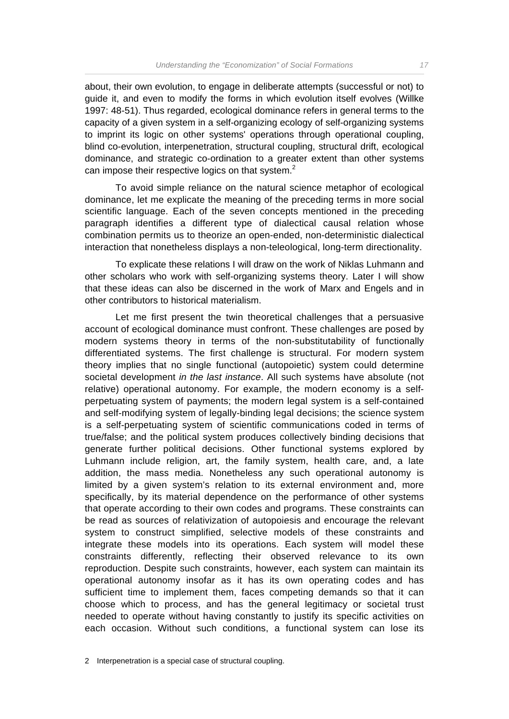about, their own evolution, to engage in deliberate attempts (successful or not) to guide it, and even to modify the forms in which evolution itself evolves (Willke 1997: 48-51). Thus regarded, ecological dominance refers in general terms to the capacity of a given system in a self-organizing ecology of self-organizing systems to imprint its logic on other systems' operations through operational coupling, blind co-evolution, interpenetration, structural coupling, structural drift, ecological dominance, and strategic co-ordination to a greater extent than other systems can impose their respective logics on that system. $<sup>2</sup>$ </sup>

To avoid simple reliance on the natural science metaphor of ecological dominance, let me explicate the meaning of the preceding terms in more social scientific language. Each of the seven concepts mentioned in the preceding paragraph identifies a different type of dialectical causal relation whose combination permits us to theorize an open-ended, non-deterministic dialectical interaction that nonetheless displays a non-teleological, long-term directionality.

To explicate these relations I will draw on the work of Niklas Luhmann and other scholars who work with self-organizing systems theory. Later I will show that these ideas can also be discerned in the work of Marx and Engels and in other contributors to historical materialism.

Let me first present the twin theoretical challenges that a persuasive account of ecological dominance must confront. These challenges are posed by modern systems theory in terms of the non-substitutability of functionally differentiated systems. The first challenge is structural. For modern system theory implies that no single functional (autopoietic) system could determine societal development *in the last instance*. All such systems have absolute (not relative) operational autonomy. For example, the modern economy is a selfperpetuating system of payments; the modern legal system is a self-contained and self-modifying system of legally-binding legal decisions; the science system is a self-perpetuating system of scientific communications coded in terms of true/false; and the political system produces collectively binding decisions that generate further political decisions. Other functional systems explored by Luhmann include religion, art, the family system, health care, and, a late addition, the mass media. Nonetheless any such operational autonomy is limited by a given system's relation to its external environment and, more specifically, by its material dependence on the performance of other systems that operate according to their own codes and programs. These constraints can be read as sources of relativization of autopoiesis and encourage the relevant system to construct simplified, selective models of these constraints and integrate these models into its operations. Each system will model these constraints differently, reflecting their observed relevance to its own reproduction. Despite such constraints, however, each system can maintain its operational autonomy insofar as it has its own operating codes and has sufficient time to implement them, faces competing demands so that it can choose which to process, and has the general legitimacy or societal trust needed to operate without having constantly to justify its specific activities on each occasion. Without such conditions, a functional system can lose its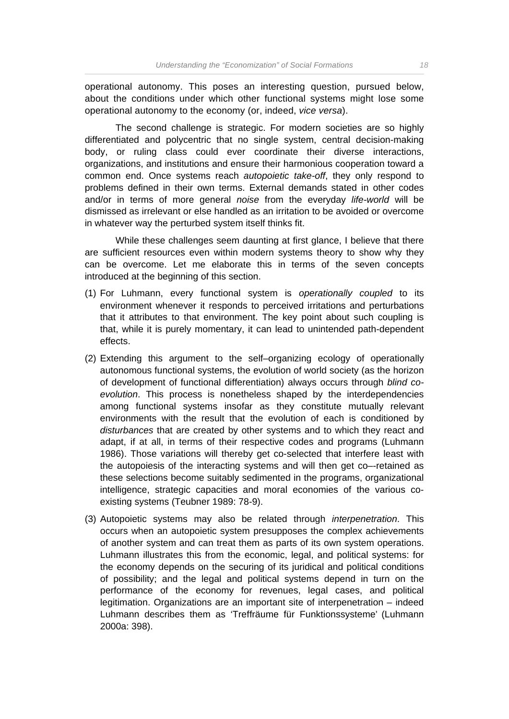operational autonomy. This poses an interesting question, pursued below, about the conditions under which other functional systems might lose some operational autonomy to the economy (or, indeed, *vice versa*).

The second challenge is strategic. For modern societies are so highly differentiated and polycentric that no single system, central decision-making body, or ruling class could ever coordinate their diverse interactions, organizations, and institutions and ensure their harmonious cooperation toward a common end. Once systems reach *autopoietic take-off*, they only respond to problems defined in their own terms. External demands stated in other codes and/or in terms of more general *noise* from the everyday *life-world* will be dismissed as irrelevant or else handled as an irritation to be avoided or overcome in whatever way the perturbed system itself thinks fit.

While these challenges seem daunting at first glance, I believe that there are sufficient resources even within modern systems theory to show why they can be overcome. Let me elaborate this in terms of the seven concepts introduced at the beginning of this section.

- (1) For Luhmann, every functional system is *operationally coupled* to its environment whenever it responds to perceived irritations and perturbations that it attributes to that environment. The key point about such coupling is that, while it is purely momentary, it can lead to unintended path-dependent effects.
- (2) Extending this argument to the self–organizing ecology of operationally autonomous functional systems, the evolution of world society (as the horizon of development of functional differentiation) always occurs through *blind coevolution*. This process is nonetheless shaped by the interdependencies among functional systems insofar as they constitute mutually relevant environments with the result that the evolution of each is conditioned by *disturbances* that are created by other systems and to which they react and adapt, if at all, in terms of their respective codes and programs (Luhmann 1986). Those variations will thereby get co-selected that interfere least with the autopoiesis of the interacting systems and will then get co–-retained as these selections become suitably sedimented in the programs, organizational intelligence, strategic capacities and moral economies of the various coexisting systems (Teubner 1989: 78-9).
- (3) Autopoietic systems may also be related through *interpenetration*. This occurs when an autopoietic system presupposes the complex achievements of another system and can treat them as parts of its own system operations. Luhmann illustrates this from the economic, legal, and political systems: for the economy depends on the securing of its juridical and political conditions of possibility; and the legal and political systems depend in turn on the performance of the economy for revenues, legal cases, and political legitimation. Organizations are an important site of interpenetration – indeed Luhmann describes them as 'Treffräume für Funktionssysteme' (Luhmann 2000a: 398).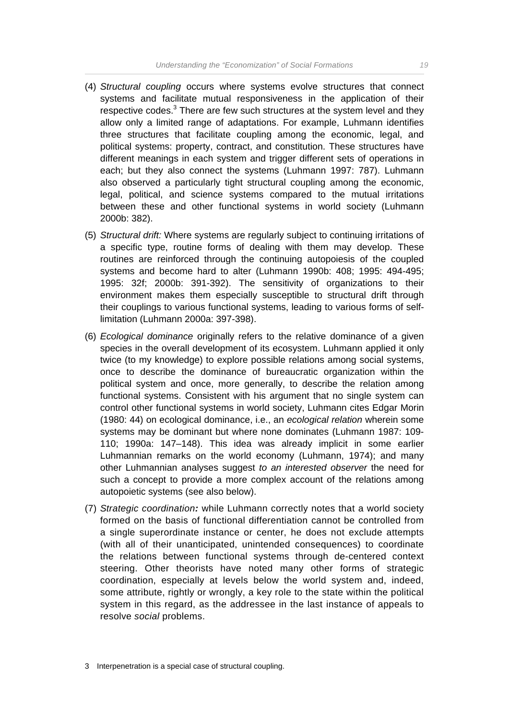- (4) *Structural coupling* occurs where systems evolve structures that connect systems and facilitate mutual responsiveness in the application of their respective codes. $3$  There are few such structures at the system level and they allow only a limited range of adaptations. For example, Luhmann identifies three structures that facilitate coupling among the economic, legal, and political systems: property, contract, and constitution. These structures have different meanings in each system and trigger different sets of operations in each; but they also connect the systems (Luhmann 1997: 787). Luhmann also observed a particularly tight structural coupling among the economic, legal, political, and science systems compared to the mutual irritations between these and other functional systems in world society (Luhmann 2000b: 382).
- (5) *Structural drift:* Where systems are regularly subject to continuing irritations of a specific type, routine forms of dealing with them may develop. These routines are reinforced through the continuing autopoiesis of the coupled systems and become hard to alter (Luhmann 1990b: 408; 1995: 494-495; 1995: 32f; 2000b: 391-392). The sensitivity of organizations to their environment makes them especially susceptible to structural drift through their couplings to various functional systems, leading to various forms of selflimitation (Luhmann 2000a: 397-398).
- (6) *Ecological dominance* originally refers to the relative dominance of a given species in the overall development of its ecosystem. Luhmann applied it only twice (to my knowledge) to explore possible relations among social systems, once to describe the dominance of bureaucratic organization within the political system and once, more generally, to describe the relation among functional systems. Consistent with his argument that no single system can control other functional systems in world society, Luhmann cites Edgar Morin (1980: 44) on ecological dominance, i.e., an *ecological relation* wherein some systems may be dominant but where none dominates (Luhmann 1987: 109- 110; 1990a: 147–148). This idea was already implicit in some earlier Luhmannian remarks on the world economy (Luhmann, 1974); and many other Luhmannian analyses suggest *to an interested observer* the need for such a concept to provide a more complex account of the relations among autopoietic systems (see also below).
- (7) *Strategic coordination:* while Luhmann correctly notes that a world society formed on the basis of functional differentiation cannot be controlled from a single superordinate instance or center, he does not exclude attempts (with all of their unanticipated, unintended consequences) to coordinate the relations between functional systems through de-centered context steering. Other theorists have noted many other forms of strategic coordination, especially at levels below the world system and, indeed, some attribute, rightly or wrongly, a key role to the state within the political system in this regard, as the addressee in the last instance of appeals to resolve *social* problems.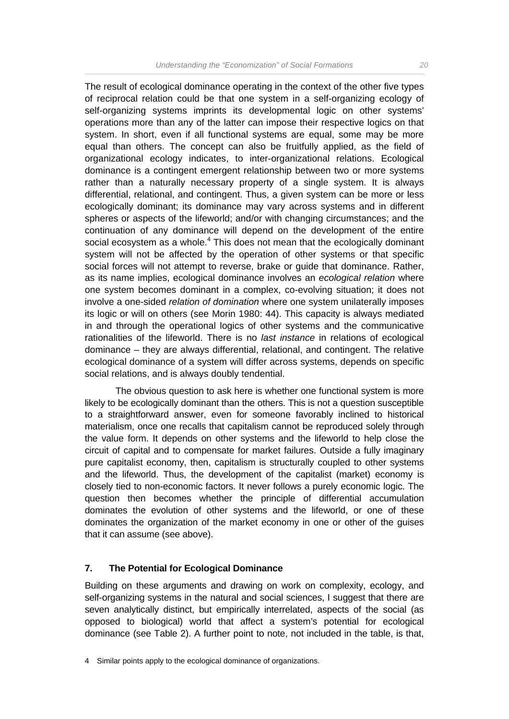The result of ecological dominance operating in the context of the other five types of reciprocal relation could be that one system in a self-organizing ecology of self-organizing systems imprints its developmental logic on other systems' operations more than any of the latter can impose their respective logics on that system. In short, even if all functional systems are equal, some may be more equal than others. The concept can also be fruitfully applied, as the field of organizational ecology indicates, to inter-organizational relations. Ecological dominance is a contingent emergent relationship between two or more systems rather than a naturally necessary property of a single system. It is always differential, relational, and contingent. Thus, a given system can be more or less ecologically dominant; its dominance may vary across systems and in different spheres or aspects of the lifeworld; and/or with changing circumstances; and the continuation of any dominance will depend on the development of the entire social ecosystem as a whole. $4$  This does not mean that the ecologically dominant system will not be affected by the operation of other systems or that specific social forces will not attempt to reverse, brake or guide that dominance. Rather, as its name implies, ecological dominance involves an *ecological relation* where one system becomes dominant in a complex, co-evolving situation; it does not involve a one-sided *relation of domination* where one system unilaterally imposes its logic or will on others (see Morin 1980: 44). This capacity is always mediated in and through the operational logics of other systems and the communicative rationalities of the lifeworld. There is no *last instance* in relations of ecological dominance – they are always differential, relational, and contingent. The relative ecological dominance of a system will differ across systems, depends on specific social relations, and is always doubly tendential.

The obvious question to ask here is whether one functional system is more likely to be ecologically dominant than the others. This is not a question susceptible to a straightforward answer, even for someone favorably inclined to historical materialism, once one recalls that capitalism cannot be reproduced solely through the value form. It depends on other systems and the lifeworld to help close the circuit of capital and to compensate for market failures. Outside a fully imaginary pure capitalist economy, then, capitalism is structurally coupled to other systems and the lifeworld. Thus, the development of the capitalist (market) economy is closely tied to non-economic factors. It never follows a purely economic logic. The question then becomes whether the principle of differential accumulation dominates the evolution of other systems and the lifeworld, or one of these dominates the organization of the market economy in one or other of the guises that it can assume (see above).

#### **7. The Potential for Ecological Dominance**

Building on these arguments and drawing on work on complexity, ecology, and self-organizing systems in the natural and social sciences, I suggest that there are seven analytically distinct, but empirically interrelated, aspects of the social (as opposed to biological) world that affect a system's potential for ecological dominance (see Table 2). A further point to note, not included in the table, is that,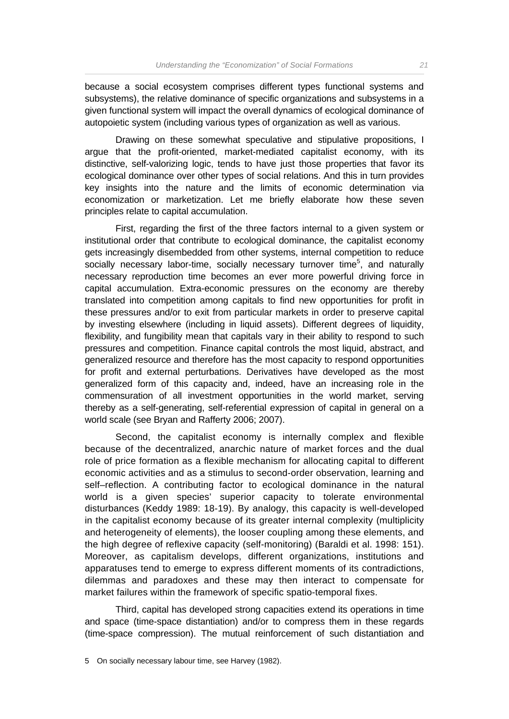because a social ecosystem comprises different types functional systems and subsystems), the relative dominance of specific organizations and subsystems in a given functional system will impact the overall dynamics of ecological dominance of autopoietic system (including various types of organization as well as various.

Drawing on these somewhat speculative and stipulative propositions, I argue that the profit-oriented, market-mediated capitalist economy, with its distinctive, self-valorizing logic, tends to have just those properties that favor its ecological dominance over other types of social relations. And this in turn provides key insights into the nature and the limits of economic determination via economization or marketization. Let me briefly elaborate how these seven principles relate to capital accumulation.

First, regarding the first of the three factors internal to a given system or institutional order that contribute to ecological dominance, the capitalist economy gets increasingly disembedded from other systems, internal competition to reduce socially necessary labor-time, socially necessary turnover time<sup>5</sup>, and naturally necessary reproduction time becomes an ever more powerful driving force in capital accumulation. Extra-economic pressures on the economy are thereby translated into competition among capitals to find new opportunities for profit in these pressures and/or to exit from particular markets in order to preserve capital by investing elsewhere (including in liquid assets). Different degrees of liquidity, flexibility, and fungibility mean that capitals vary in their ability to respond to such pressures and competition. Finance capital controls the most liquid, abstract, and generalized resource and therefore has the most capacity to respond opportunities for profit and external perturbations. Derivatives have developed as the most generalized form of this capacity and, indeed, have an increasing role in the commensuration of all investment opportunities in the world market, serving thereby as a self-generating, self-referential expression of capital in general on a world scale (see Bryan and Rafferty 2006; 2007).

Second, the capitalist economy is internally complex and flexible because of the decentralized, anarchic nature of market forces and the dual role of price formation as a flexible mechanism for allocating capital to different economic activities and as a stimulus to second-order observation, learning and self–reflection. A contributing factor to ecological dominance in the natural world is a given species' superior capacity to tolerate environmental disturbances (Keddy 1989: 18-19). By analogy, this capacity is well-developed in the capitalist economy because of its greater internal complexity (multiplicity and heterogeneity of elements), the looser coupling among these elements, and the high degree of reflexive capacity (self-monitoring) (Baraldi et al. 1998: 151). Moreover, as capitalism develops, different organizations, institutions and apparatuses tend to emerge to express different moments of its contradictions, dilemmas and paradoxes and these may then interact to compensate for market failures within the framework of specific spatio-temporal fixes.

Third, capital has developed strong capacities extend its operations in time and space (time-space distantiation) and/or to compress them in these regards (time-space compression). The mutual reinforcement of such distantiation and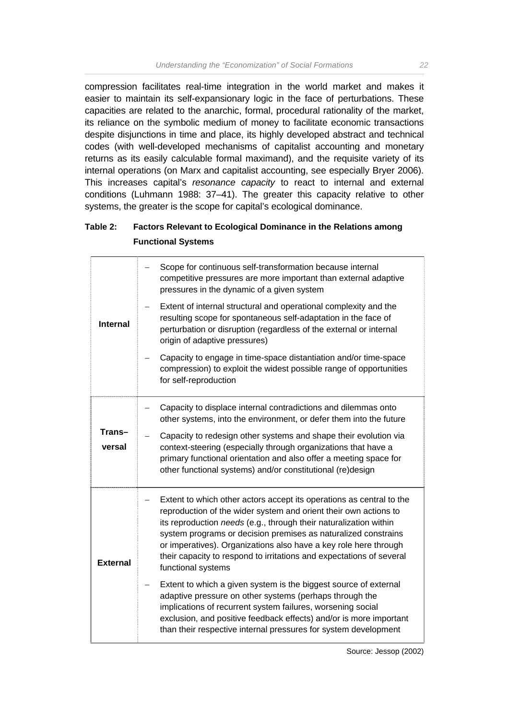compression facilitates real-time integration in the world market and makes it easier to maintain its self-expansionary logic in the face of perturbations. These capacities are related to the anarchic, formal, procedural rationality of the market, its reliance on the symbolic medium of money to facilitate economic transactions despite disjunctions in time and place, its highly developed abstract and technical codes (with well-developed mechanisms of capitalist accounting and monetary returns as its easily calculable formal maximand), and the requisite variety of its internal operations (on Marx and capitalist accounting, see especially Bryer 2006). This increases capital's *resonance capacity* to react to internal and external conditions (Luhmann 1988: 37–41). The greater this capacity relative to other systems, the greater is the scope for capital's ecological dominance.

## **Table 2: Factors Relevant to Ecological Dominance in the Relations among Functional Systems**

| <b>Internal</b>  | Scope for continuous self-transformation because internal<br>competitive pressures are more important than external adaptive<br>pressures in the dynamic of a given system<br>Extent of internal structural and operational complexity and the<br>resulting scope for spontaneous self-adaptation in the face of<br>perturbation or disruption (regardless of the external or internal<br>origin of adaptive pressures)<br>Capacity to engage in time-space distantiation and/or time-space<br>compression) to exploit the widest possible range of opportunities<br>for self-reproduction |
|------------------|--------------------------------------------------------------------------------------------------------------------------------------------------------------------------------------------------------------------------------------------------------------------------------------------------------------------------------------------------------------------------------------------------------------------------------------------------------------------------------------------------------------------------------------------------------------------------------------------|
| Trans–<br>versal | Capacity to displace internal contradictions and dilemmas onto<br>other systems, into the environment, or defer them into the future<br>Capacity to redesign other systems and shape their evolution via<br>context-steering (especially through organizations that have a<br>primary functional orientation and also offer a meeting space for<br>other functional systems) and/or constitutional (re)design                                                                                                                                                                              |
| External         | Extent to which other actors accept its operations as central to the<br>reproduction of the wider system and orient their own actions to<br>its reproduction needs (e.g., through their naturalization within<br>system programs or decision premises as naturalized constrains<br>or imperatives). Organizations also have a key role here through<br>their capacity to respond to irritations and expectations of several<br>functional systems                                                                                                                                          |
|                  | Extent to which a given system is the biggest source of external<br>adaptive pressure on other systems (perhaps through the<br>implications of recurrent system failures, worsening social<br>exclusion, and positive feedback effects) and/or is more important<br>than their respective internal pressures for system development                                                                                                                                                                                                                                                        |

Source: Jessop (2002)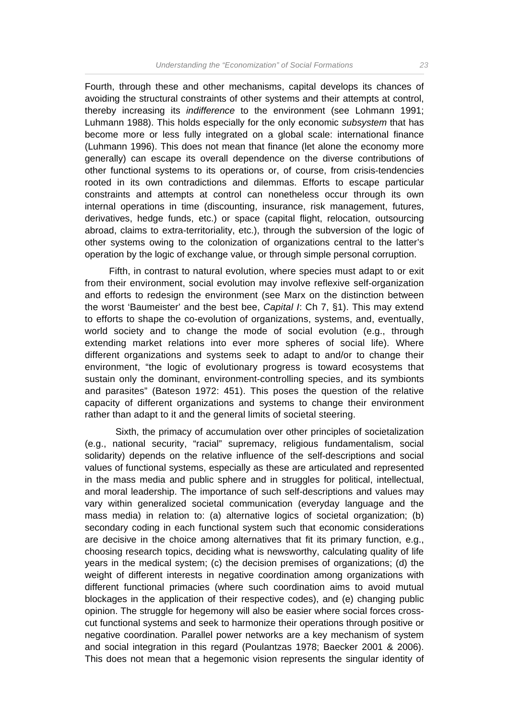Fourth, through these and other mechanisms, capital develops its chances of avoiding the structural constraints of other systems and their attempts at control, thereby increasing its *indifference* to the environment (see Lohmann 1991; Luhmann 1988). This holds especially for the only economic *subsystem* that has become more or less fully integrated on a global scale: international finance (Luhmann 1996). This does not mean that finance (let alone the economy more generally) can escape its overall dependence on the diverse contributions of other functional systems to its operations or, of course, from crisis-tendencies rooted in its own contradictions and dilemmas. Efforts to escape particular constraints and attempts at control can nonetheless occur through its own internal operations in time (discounting, insurance, risk management, futures, derivatives, hedge funds, etc.) or space (capital flight, relocation, outsourcing abroad, claims to extra-territoriality, etc.), through the subversion of the logic of other systems owing to the colonization of organizations central to the latter's operation by the logic of exchange value, or through simple personal corruption.

Fifth, in contrast to natural evolution, where species must adapt to or exit from their environment, social evolution may involve reflexive self-organization and efforts to redesign the environment (see Marx on the distinction between the worst 'Baumeister' and the best bee, *Capital I*: Ch 7, §1). This may extend to efforts to shape the co-evolution of organizations, systems, and, eventually, world society and to change the mode of social evolution (e.g., through extending market relations into ever more spheres of social life). Where different organizations and systems seek to adapt to and/or to change their environment, "the logic of evolutionary progress is toward ecosystems that sustain only the dominant, environment-controlling species, and its symbionts and parasites" (Bateson 1972: 451). This poses the question of the relative capacity of different organizations and systems to change their environment rather than adapt to it and the general limits of societal steering.

Sixth, the primacy of accumulation over other principles of societalization (e.g., national security, "racial" supremacy, religious fundamentalism, social solidarity) depends on the relative influence of the self-descriptions and social values of functional systems, especially as these are articulated and represented in the mass media and public sphere and in struggles for political, intellectual, and moral leadership. The importance of such self-descriptions and values may vary within generalized societal communication (everyday language and the mass media) in relation to: (a) alternative logics of societal organization; (b) secondary coding in each functional system such that economic considerations are decisive in the choice among alternatives that fit its primary function, e.g., choosing research topics, deciding what is newsworthy, calculating quality of life years in the medical system; (c) the decision premises of organizations; (d) the weight of different interests in negative coordination among organizations with different functional primacies (where such coordination aims to avoid mutual blockages in the application of their respective codes), and (e) changing public opinion. The struggle for hegemony will also be easier where social forces crosscut functional systems and seek to harmonize their operations through positive or negative coordination. Parallel power networks are a key mechanism of system and social integration in this regard (Poulantzas 1978; Baecker 2001 & 2006). This does not mean that a hegemonic vision represents the singular identity of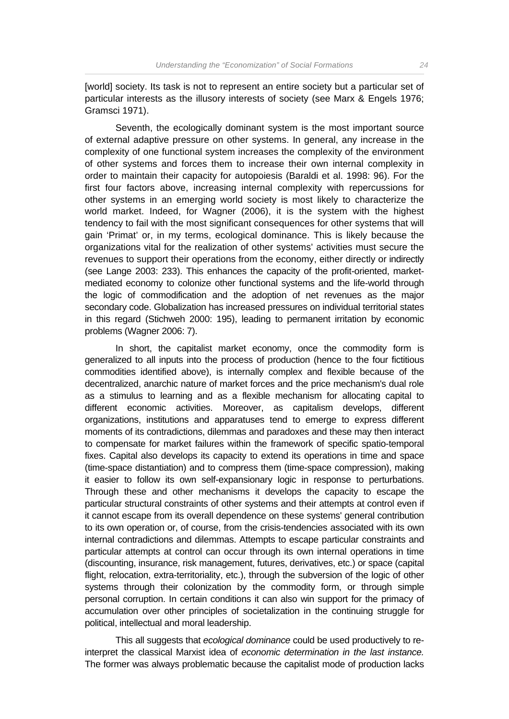[world] society. Its task is not to represent an entire society but a particular set of particular interests as the illusory interests of society (see Marx & Engels 1976; Gramsci 1971).

Seventh, the ecologically dominant system is the most important source of external adaptive pressure on other systems. In general, any increase in the complexity of one functional system increases the complexity of the environment of other systems and forces them to increase their own internal complexity in order to maintain their capacity for autopoiesis (Baraldi et al. 1998: 96). For the first four factors above, increasing internal complexity with repercussions for other systems in an emerging world society is most likely to characterize the world market. Indeed, for Wagner (2006), it is the system with the highest tendency to fail with the most significant consequences for other systems that will gain 'Primat' or, in my terms, ecological dominance. This is likely because the organizations vital for the realization of other systems' activities must secure the revenues to support their operations from the economy, either directly or indirectly (see Lange 2003: 233). This enhances the capacity of the profit-oriented, marketmediated economy to colonize other functional systems and the life-world through the logic of commodification and the adoption of net revenues as the major secondary code. Globalization has increased pressures on individual territorial states in this regard (Stichweh 2000: 195), leading to permanent irritation by economic problems (Wagner 2006: 7).

In short, the capitalist market economy, once the commodity form is generalized to all inputs into the process of production (hence to the four fictitious commodities identified above), is internally complex and flexible because of the decentralized, anarchic nature of market forces and the price mechanism's dual role as a stimulus to learning and as a flexible mechanism for allocating capital to different economic activities. Moreover, as capitalism develops, different organizations, institutions and apparatuses tend to emerge to express different moments of its contradictions, dilemmas and paradoxes and these may then interact to compensate for market failures within the framework of specific spatio-temporal fixes. Capital also develops its capacity to extend its operations in time and space (time-space distantiation) and to compress them (time-space compression), making it easier to follow its own self-expansionary logic in response to perturbations. Through these and other mechanisms it develops the capacity to escape the particular structural constraints of other systems and their attempts at control even if it cannot escape from its overall dependence on these systems' general contribution to its own operation or, of course, from the crisis-tendencies associated with its own internal contradictions and dilemmas. Attempts to escape particular constraints and particular attempts at control can occur through its own internal operations in time (discounting, insurance, risk management, futures, derivatives, etc.) or space (capital flight, relocation, extra-territoriality, etc.), through the subversion of the logic of other systems through their colonization by the commodity form, or through simple personal corruption. In certain conditions it can also win support for the primacy of accumulation over other principles of societalization in the continuing struggle for political, intellectual and moral leadership.

This all suggests that *ecological dominance* could be used productively to reinterpret the classical Marxist idea of *economic determination in the last instance.* The former was always problematic because the capitalist mode of production lacks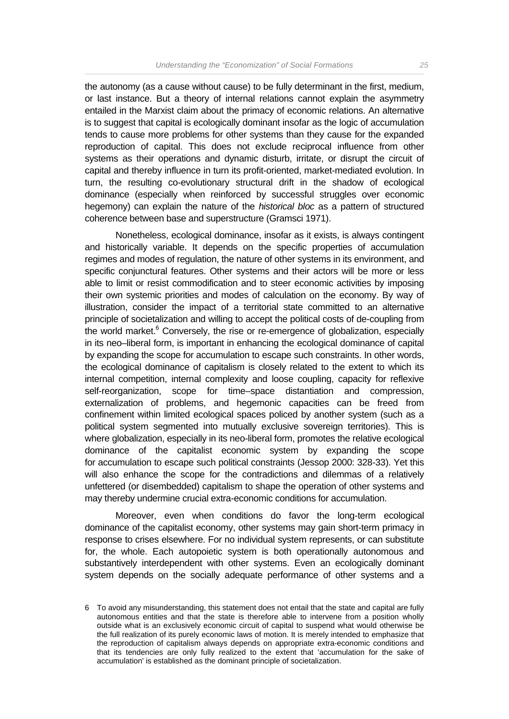the autonomy (as a cause without cause) to be fully determinant in the first, medium, or last instance. But a theory of internal relations cannot explain the asymmetry entailed in the Marxist claim about the primacy of economic relations. An alternative is to suggest that capital is ecologically dominant insofar as the logic of accumulation tends to cause more problems for other systems than they cause for the expanded reproduction of capital. This does not exclude reciprocal influence from other systems as their operations and dynamic disturb, irritate, or disrupt the circuit of capital and thereby influence in turn its profit-oriented, market-mediated evolution. In turn, the resulting co-evolutionary structural drift in the shadow of ecological dominance (especially when reinforced by successful struggles over economic hegemony) can explain the nature of the *historical bloc* as a pattern of structured coherence between base and superstructure (Gramsci 1971).

Nonetheless, ecological dominance, insofar as it exists, is always contingent and historically variable. It depends on the specific properties of accumulation regimes and modes of regulation, the nature of other systems in its environment, and specific conjunctural features. Other systems and their actors will be more or less able to limit or resist commodification and to steer economic activities by imposing their own systemic priorities and modes of calculation on the economy. By way of illustration, consider the impact of a territorial state committed to an alternative principle of societalization and willing to accept the political costs of de-coupling from the world market.<sup>6</sup> Conversely, the rise or re-emergence of globalization, especially in its neo–liberal form, is important in enhancing the ecological dominance of capital by expanding the scope for accumulation to escape such constraints. In other words, the ecological dominance of capitalism is closely related to the extent to which its internal competition, internal complexity and loose coupling, capacity for reflexive self-reorganization, scope for time–space distantiation and compression, externalization of problems, and hegemonic capacities can be freed from confinement within limited ecological spaces policed by another system (such as a political system segmented into mutually exclusive sovereign territories). This is where globalization, especially in its neo-liberal form, promotes the relative ecological dominance of the capitalist economic system by expanding the scope for accumulation to escape such political constraints (Jessop 2000: 328-33). Yet this will also enhance the scope for the contradictions and dilemmas of a relatively unfettered (or disembedded) capitalism to shape the operation of other systems and may thereby undermine crucial extra-economic conditions for accumulation.

Moreover, even when conditions do favor the long-term ecological dominance of the capitalist economy, other systems may gain short-term primacy in response to crises elsewhere. For no individual system represents, or can substitute for, the whole. Each autopoietic system is both operationally autonomous and substantively interdependent with other systems. Even an ecologically dominant system depends on the socially adequate performance of other systems and a

<sup>6</sup> To avoid any misunderstanding, this statement does not entail that the state and capital are fully autonomous entities and that the state is therefore able to intervene from a position wholly outside what is an exclusively economic circuit of capital to suspend what would otherwise be the full realization of its purely economic laws of motion. It is merely intended to emphasize that the reproduction of capitalism always depends on appropriate extra-economic conditions and that its tendencies are only fully realized to the extent that 'accumulation for the sake of accumulation' is established as the dominant principle of societalization.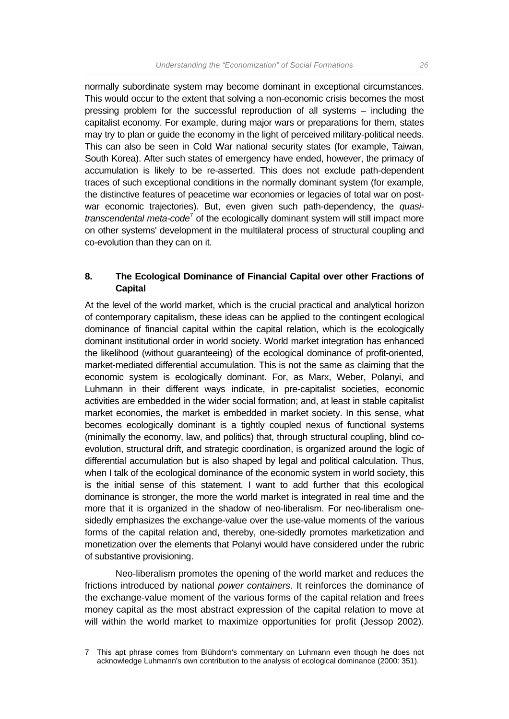normally subordinate system may become dominant in exceptional circumstances. This would occur to the extent that solving a non-economic crisis becomes the most pressing problem for the successful reproduction of all systems – including the capitalist economy. For example, during major wars or preparations for them, states may try to plan or guide the economy in the light of perceived military-political needs. This can also be seen in Cold War national security states (for example, Taiwan, South Korea). After such states of emergency have ended, however, the primacy of accumulation is likely to be re-asserted. This does not exclude path-dependent traces of such exceptional conditions in the normally dominant system (for example, the distinctive features of peacetime war economies or legacies of total war on postwar economic trajectories). But, even given such path-dependency, the *quasi*transcendental meta-code<sup>7</sup> of the ecologically dominant system will still impact more on other systems' development in the multilateral process of structural coupling and co-evolution than they can on it.

## **8. The Ecological Dominance of Financial Capital over other Fractions of Capital**

At the level of the world market, which is the crucial practical and analytical horizon of contemporary capitalism, these ideas can be applied to the contingent ecological dominance of financial capital within the capital relation, which is the ecologically dominant institutional order in world society. World market integration has enhanced the likelihood (without guaranteeing) of the ecological dominance of profit-oriented, market-mediated differential accumulation. This is not the same as claiming that the economic system is ecologically dominant. For, as Marx, Weber, Polanyi, and Luhmann in their different ways indicate, in pre-capitalist societies, economic activities are embedded in the wider social formation; and, at least in stable capitalist market economies, the market is embedded in market society. In this sense, what becomes ecologically dominant is a tightly coupled nexus of functional systems (minimally the economy, law, and politics) that, through structural coupling, blind coevolution, structural drift, and strategic coordination, is organized around the logic of differential accumulation but is also shaped by legal and political calculation. Thus, when I talk of the ecological dominance of the economic system in world society, this is the initial sense of this statement. I want to add further that this ecological dominance is stronger, the more the world market is integrated in real time and the more that it is organized in the shadow of neo-liberalism. For neo-liberalism onesidedly emphasizes the exchange-value over the use-value moments of the various forms of the capital relation and, thereby, one-sidedly promotes marketization and monetization over the elements that Polanyi would have considered under the rubric of substantive provisioning.

Neo-liberalism promotes the opening of the world market and reduces the frictions introduced by national *power containers*. It reinforces the dominance of the exchange-value moment of the various forms of the capital relation and frees money capital as the most abstract expression of the capital relation to move at will within the world market to maximize opportunities for profit (Jessop 2002).

<sup>7</sup> This apt phrase comes from Blühdorn's commentary on Luhmann even though he does not acknowledge Luhmann's own contribution to the analysis of ecological dominance (2000: 351).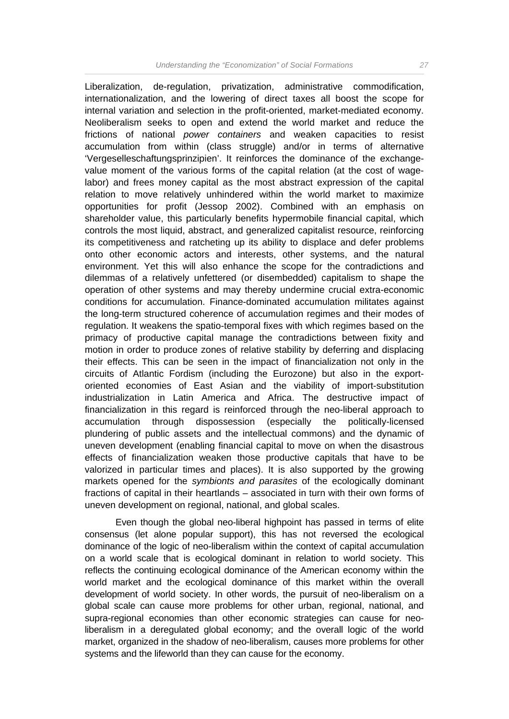Liberalization, de-regulation, privatization, administrative commodification, internationalization, and the lowering of direct taxes all boost the scope for internal variation and selection in the profit-oriented, market-mediated economy. Neoliberalism seeks to open and extend the world market and reduce the frictions of national *power containers* and weaken capacities to resist accumulation from within (class struggle) and/or in terms of alternative 'Vergeselleschaftungsprinzipien'. It reinforces the dominance of the exchangevalue moment of the various forms of the capital relation (at the cost of wagelabor) and frees money capital as the most abstract expression of the capital relation to move relatively unhindered within the world market to maximize opportunities for profit (Jessop 2002). Combined with an emphasis on shareholder value, this particularly benefits hypermobile financial capital, which controls the most liquid, abstract, and generalized capitalist resource, reinforcing its competitiveness and ratcheting up its ability to displace and defer problems onto other economic actors and interests, other systems, and the natural environment. Yet this will also enhance the scope for the contradictions and dilemmas of a relatively unfettered (or disembedded) capitalism to shape the operation of other systems and may thereby undermine crucial extra-economic conditions for accumulation. Finance-dominated accumulation militates against the long-term structured coherence of accumulation regimes and their modes of regulation. It weakens the spatio-temporal fixes with which regimes based on the primacy of productive capital manage the contradictions between fixity and motion in order to produce zones of relative stability by deferring and displacing their effects. This can be seen in the impact of financialization not only in the circuits of Atlantic Fordism (including the Eurozone) but also in the exportoriented economies of East Asian and the viability of import-substitution industrialization in Latin America and Africa. The destructive impact of financialization in this regard is reinforced through the neo-liberal approach to accumulation through dispossession (especially the politically-licensed plundering of public assets and the intellectual commons) and the dynamic of uneven development (enabling financial capital to move on when the disastrous effects of financialization weaken those productive capitals that have to be valorized in particular times and places). It is also supported by the growing markets opened for the *symbionts and parasites* of the ecologically dominant fractions of capital in their heartlands – associated in turn with their own forms of uneven development on regional, national, and global scales.

Even though the global neo-liberal highpoint has passed in terms of elite consensus (let alone popular support), this has not reversed the ecological dominance of the logic of neo-liberalism within the context of capital accumulation on a world scale that is ecological dominant in relation to world society. This reflects the continuing ecological dominance of the American economy within the world market and the ecological dominance of this market within the overall development of world society. In other words, the pursuit of neo-liberalism on a global scale can cause more problems for other urban, regional, national, and supra-regional economies than other economic strategies can cause for neoliberalism in a deregulated global economy; and the overall logic of the world market, organized in the shadow of neo-liberalism, causes more problems for other systems and the lifeworld than they can cause for the economy.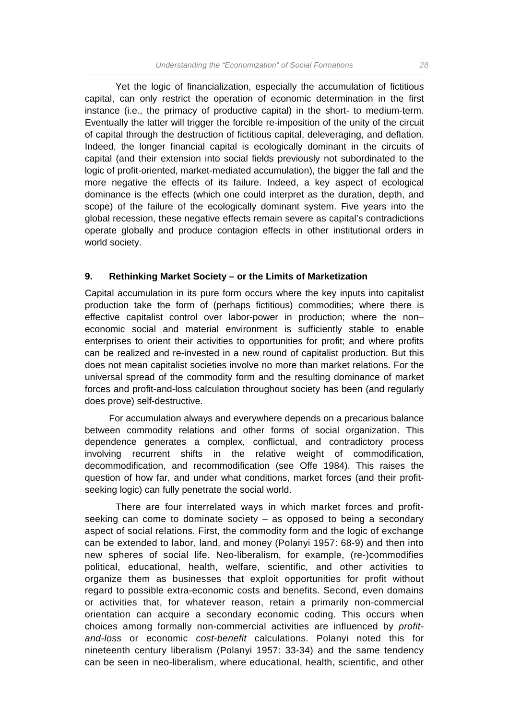Yet the logic of financialization, especially the accumulation of fictitious capital, can only restrict the operation of economic determination in the first instance (i.e., the primacy of productive capital) in the short- to medium-term. Eventually the latter will trigger the forcible re-imposition of the unity of the circuit of capital through the destruction of fictitious capital, deleveraging, and deflation. Indeed, the longer financial capital is ecologically dominant in the circuits of capital (and their extension into social fields previously not subordinated to the logic of profit-oriented, market-mediated accumulation), the bigger the fall and the more negative the effects of its failure. Indeed, a key aspect of ecological dominance is the effects (which one could interpret as the duration, depth, and scope) of the failure of the ecologically dominant system. Five years into the global recession, these negative effects remain severe as capital's contradictions operate globally and produce contagion effects in other institutional orders in world society.

## **9. Rethinking Market Society – or the Limits of Marketization**

Capital accumulation in its pure form occurs where the key inputs into capitalist production take the form of (perhaps fictitious) commodities; where there is effective capitalist control over labor-power in production; where the non– economic social and material environment is sufficiently stable to enable enterprises to orient their activities to opportunities for profit; and where profits can be realized and re-invested in a new round of capitalist production. But this does not mean capitalist societies involve no more than market relations. For the universal spread of the commodity form and the resulting dominance of market forces and profit-and-loss calculation throughout society has been (and regularly does prove) self-destructive.

 For accumulation always and everywhere depends on a precarious balance between commodity relations and other forms of social organization. This dependence generates a complex, conflictual, and contradictory process involving recurrent shifts in the relative weight of commodification, decommodification, and recommodification (see Offe 1984). This raises the question of how far, and under what conditions, market forces (and their profitseeking logic) can fully penetrate the social world.

There are four interrelated ways in which market forces and profitseeking can come to dominate society – as opposed to being a secondary aspect of social relations. First, the commodity form and the logic of exchange can be extended to labor, land, and money (Polanyi 1957: 68-9) and then into new spheres of social life. Neo-liberalism, for example, (re-)commodifies political, educational, health, welfare, scientific, and other activities to organize them as businesses that exploit opportunities for profit without regard to possible extra-economic costs and benefits. Second, even domains or activities that, for whatever reason, retain a primarily non-commercial orientation can acquire a secondary economic coding. This occurs when choices among formally non-commercial activities are influenced by *profitand-loss* or economic *cost-benefit* calculations. Polanyi noted this for nineteenth century liberalism (Polanyi 1957: 33-34) and the same tendency can be seen in neo-liberalism, where educational, health, scientific, and other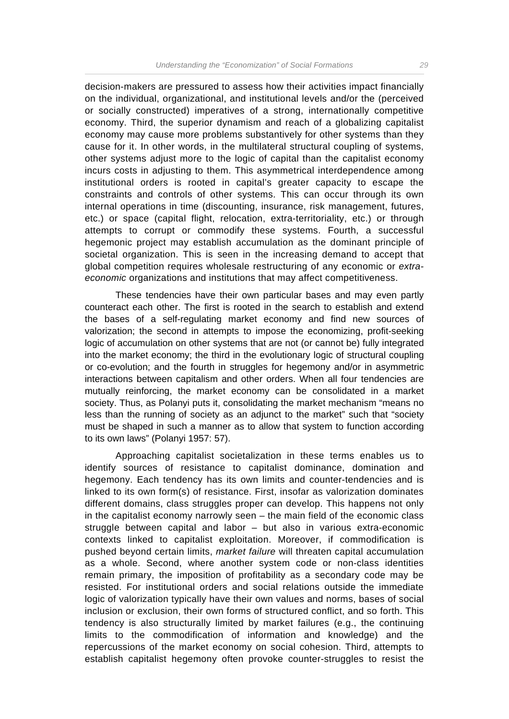decision-makers are pressured to assess how their activities impact financially on the individual, organizational, and institutional levels and/or the (perceived or socially constructed) imperatives of a strong, internationally competitive economy. Third, the superior dynamism and reach of a globalizing capitalist economy may cause more problems substantively for other systems than they cause for it. In other words, in the multilateral structural coupling of systems, other systems adjust more to the logic of capital than the capitalist economy incurs costs in adjusting to them. This asymmetrical interdependence among institutional orders is rooted in capital's greater capacity to escape the constraints and controls of other systems. This can occur through its own internal operations in time (discounting, insurance, risk management, futures, etc.) or space (capital flight, relocation, extra-territoriality, etc.) or through attempts to corrupt or commodify these systems. Fourth, a successful hegemonic project may establish accumulation as the dominant principle of societal organization. This is seen in the increasing demand to accept that global competition requires wholesale restructuring of any economic or *extraeconomic* organizations and institutions that may affect competitiveness.

These tendencies have their own particular bases and may even partly counteract each other. The first is rooted in the search to establish and extend the bases of a self-regulating market economy and find new sources of valorization; the second in attempts to impose the economizing, profit-seeking logic of accumulation on other systems that are not (or cannot be) fully integrated into the market economy; the third in the evolutionary logic of structural coupling or co-evolution; and the fourth in struggles for hegemony and/or in asymmetric interactions between capitalism and other orders. When all four tendencies are mutually reinforcing, the market economy can be consolidated in a market society. Thus, as Polanyi puts it, consolidating the market mechanism "means no less than the running of society as an adjunct to the market" such that "society must be shaped in such a manner as to allow that system to function according to its own laws" (Polanyi 1957: 57).

Approaching capitalist societalization in these terms enables us to identify sources of resistance to capitalist dominance, domination and hegemony. Each tendency has its own limits and counter-tendencies and is linked to its own form(s) of resistance. First, insofar as valorization dominates different domains, class struggles proper can develop. This happens not only in the capitalist economy narrowly seen – the main field of the economic class struggle between capital and labor – but also in various extra-economic contexts linked to capitalist exploitation. Moreover, if commodification is pushed beyond certain limits, *market failure* will threaten capital accumulation as a whole. Second, where another system code or non-class identities remain primary, the imposition of profitability as a secondary code may be resisted. For institutional orders and social relations outside the immediate logic of valorization typically have their own values and norms, bases of social inclusion or exclusion, their own forms of structured conflict, and so forth. This tendency is also structurally limited by market failures (e.g., the continuing limits to the commodification of information and knowledge) and the repercussions of the market economy on social cohesion. Third, attempts to establish capitalist hegemony often provoke counter-struggles to resist the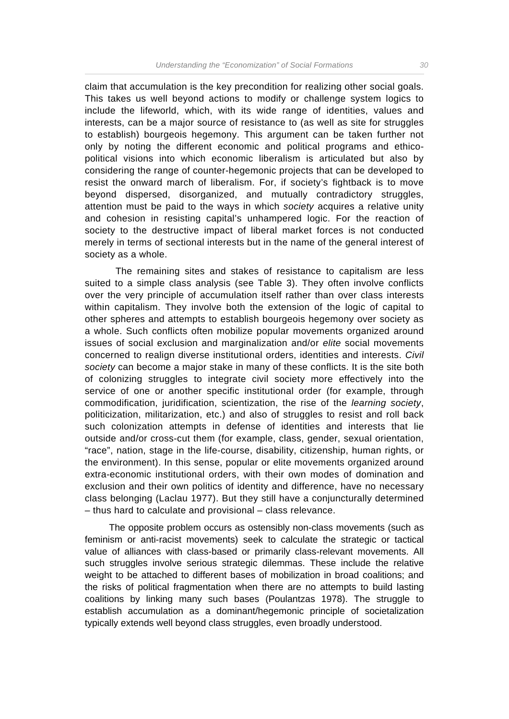claim that accumulation is the key precondition for realizing other social goals. This takes us well beyond actions to modify or challenge system logics to include the lifeworld, which, with its wide range of identities, values and interests, can be a major source of resistance to (as well as site for struggles to establish) bourgeois hegemony. This argument can be taken further not only by noting the different economic and political programs and ethicopolitical visions into which economic liberalism is articulated but also by considering the range of counter-hegemonic projects that can be developed to resist the onward march of liberalism. For, if society's fightback is to move beyond dispersed, disorganized, and mutually contradictory struggles, attention must be paid to the ways in which *society* acquires a relative unity and cohesion in resisting capital's unhampered logic. For the reaction of society to the destructive impact of liberal market forces is not conducted merely in terms of sectional interests but in the name of the general interest of society as a whole.

The remaining sites and stakes of resistance to capitalism are less suited to a simple class analysis (see Table 3). They often involve conflicts over the very principle of accumulation itself rather than over class interests within capitalism. They involve both the extension of the logic of capital to other spheres and attempts to establish bourgeois hegemony over society as a whole. Such conflicts often mobilize popular movements organized around issues of social exclusion and marginalization and/or *elite* social movements concerned to realign diverse institutional orders, identities and interests. *Civil society* can become a major stake in many of these conflicts. It is the site both of colonizing struggles to integrate civil society more effectively into the service of one or another specific institutional order (for example, through commodification, juridification, scientization, the rise of the *learning society*, politicization, militarization, etc.) and also of struggles to resist and roll back such colonization attempts in defense of identities and interests that lie outside and/or cross-cut them (for example, class, gender, sexual orientation, "race", nation, stage in the life-course, disability, citizenship, human rights, or the environment). In this sense, popular or elite movements organized around extra-economic institutional orders, with their own modes of domination and exclusion and their own politics of identity and difference, have no necessary class belonging (Laclau 1977). But they still have a conjuncturally determined – thus hard to calculate and provisional – class relevance.

The opposite problem occurs as ostensibly non-class movements (such as feminism or anti-racist movements) seek to calculate the strategic or tactical value of alliances with class-based or primarily class-relevant movements. All such struggles involve serious strategic dilemmas. These include the relative weight to be attached to different bases of mobilization in broad coalitions; and the risks of political fragmentation when there are no attempts to build lasting coalitions by linking many such bases (Poulantzas 1978). The struggle to establish accumulation as a dominant/hegemonic principle of societalization typically extends well beyond class struggles, even broadly understood.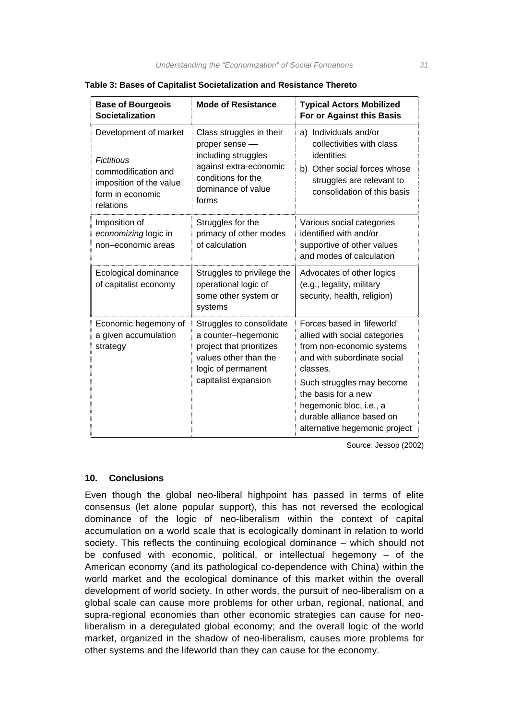| <b>Base of Bourgeois</b><br><b>Societalization</b>                                                                            | <b>Mode of Resistance</b>                                                                                                                          | <b>Typical Actors Mobilized</b><br>For or Against this Basis                                                                                                                                                                                                                      |  |
|-------------------------------------------------------------------------------------------------------------------------------|----------------------------------------------------------------------------------------------------------------------------------------------------|-----------------------------------------------------------------------------------------------------------------------------------------------------------------------------------------------------------------------------------------------------------------------------------|--|
| Development of market<br><b>Fictitious</b><br>commodification and<br>imposition of the value<br>form in economic<br>relations | Class struggles in their<br>proper sense -<br>including struggles<br>against extra-economic<br>conditions for the<br>dominance of value<br>forms   | a) Individuals and/or<br>collectivities with class<br>identities<br>b) Other social forces whose<br>struggles are relevant to<br>consolidation of this basis                                                                                                                      |  |
| Imposition of<br>economizing logic in<br>non-economic areas                                                                   | Struggles for the<br>primacy of other modes<br>of calculation                                                                                      | Various social categories<br>identified with and/or<br>supportive of other values<br>and modes of calculation                                                                                                                                                                     |  |
| Ecological dominance<br>of capitalist economy                                                                                 | Struggles to privilege the<br>operational logic of<br>some other system or<br>systems                                                              | Advocates of other logics<br>(e.g., legality, military<br>security, health, religion)                                                                                                                                                                                             |  |
| Economic hegemony of<br>a given accumulation<br>strategy                                                                      | Struggles to consolidate<br>a counter-hegemonic<br>project that prioritizes<br>values other than the<br>logic of permanent<br>capitalist expansion | Forces based in 'lifeworld'<br>allied with social categories<br>from non-economic systems<br>and with subordinate social<br>classes.<br>Such struggles may become<br>the basis for a new<br>hegemonic bloc, i.e., a<br>durable alliance based on<br>alternative hegemonic project |  |

|  |  |  |  |  | Table 3: Bases of Capitalist Societalization and Resistance Thereto |  |
|--|--|--|--|--|---------------------------------------------------------------------|--|
|--|--|--|--|--|---------------------------------------------------------------------|--|

Source: Jessop (2002)

#### **10. Conclusions**

Even though the global neo-liberal highpoint has passed in terms of elite consensus (let alone popular support), this has not reversed the ecological dominance of the logic of neo-liberalism within the context of capital accumulation on a world scale that is ecologically dominant in relation to world society. This reflects the continuing ecological dominance – which should not be confused with economic, political, or intellectual hegemony – of the American economy (and its pathological co-dependence with China) within the world market and the ecological dominance of this market within the overall development of world society. In other words, the pursuit of neo-liberalism on a global scale can cause more problems for other urban, regional, national, and supra-regional economies than other economic strategies can cause for neoliberalism in a deregulated global economy; and the overall logic of the world market, organized in the shadow of neo-liberalism, causes more problems for other systems and the lifeworld than they can cause for the economy.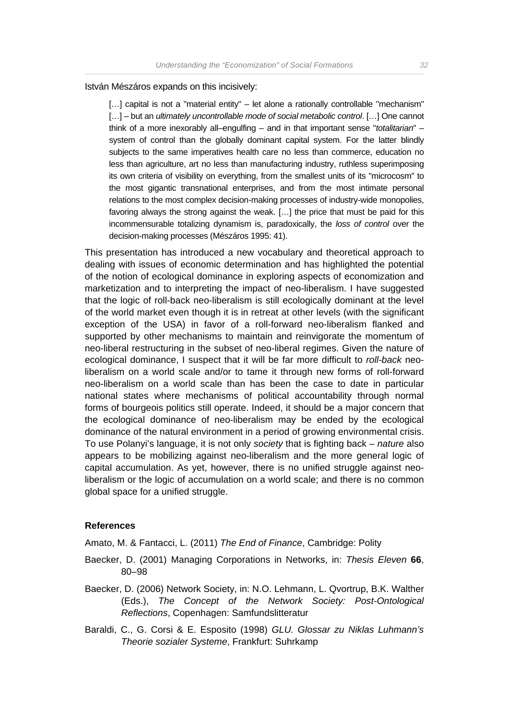István Mészáros expands on this incisively:

[...] capital is not a "material entity" – let alone a rationally controllable "mechanism" […] – but an *ultimately uncontrollable mode of social metabolic control*. […] One cannot think of a more inexorably all–engulfing – and in that important sense "*totalitarian*" – system of control than the globally dominant capital system. For the latter blindly subjects to the same imperatives health care no less than commerce, education no less than agriculture, art no less than manufacturing industry, ruthless superimposing its own criteria of visibility on everything, from the smallest units of its "microcosm" to the most gigantic transnational enterprises, and from the most intimate personal relations to the most complex decision-making processes of industry-wide monopolies, favoring always the strong against the weak. […] the price that must be paid for this incommensurable totalizing dynamism is, paradoxically, the *loss of control* over the decision-making processes (Mészáros 1995: 41).

This presentation has introduced a new vocabulary and theoretical approach to dealing with issues of economic determination and has highlighted the potential of the notion of ecological dominance in exploring aspects of economization and marketization and to interpreting the impact of neo-liberalism. I have suggested that the logic of roll-back neo-liberalism is still ecologically dominant at the level of the world market even though it is in retreat at other levels (with the significant exception of the USA) in favor of a roll-forward neo-liberalism flanked and supported by other mechanisms to maintain and reinvigorate the momentum of neo-liberal restructuring in the subset of neo-liberal regimes. Given the nature of ecological dominance, I suspect that it will be far more difficult to *roll-back* neoliberalism on a world scale and/or to tame it through new forms of roll-forward neo-liberalism on a world scale than has been the case to date in particular national states where mechanisms of political accountability through normal forms of bourgeois politics still operate. Indeed, it should be a major concern that the ecological dominance of neo-liberalism may be ended by the ecological dominance of the natural environment in a period of growing environmental crisis. To use Polanyi's language, it is not only *society* that is fighting back – *nature* also appears to be mobilizing against neo-liberalism and the more general logic of capital accumulation. As yet, however, there is no unified struggle against neoliberalism or the logic of accumulation on a world scale; and there is no common global space for a unified struggle.

#### **References**

Amato, M. & Fantacci, L. (2011) *The End of Finance*, Cambridge: Polity

- Baecker, D. (2001) Managing Corporations in Networks, in: *Thesis Eleven* **66**, 80–98
- Baecker, D. (2006) Network Society, in: N.O. Lehmann, L. Qvortrup, B.K. Walther (Eds.), *The Concept of the Network Society: Post-Ontological Reflections*, Copenhagen: Samfundslitteratur
- Baraldi, C., G. Corsi & E. Esposito (1998) *GLU. Glossar zu Niklas Luhmann's Theorie sozialer Systeme*, Frankfurt: Suhrkamp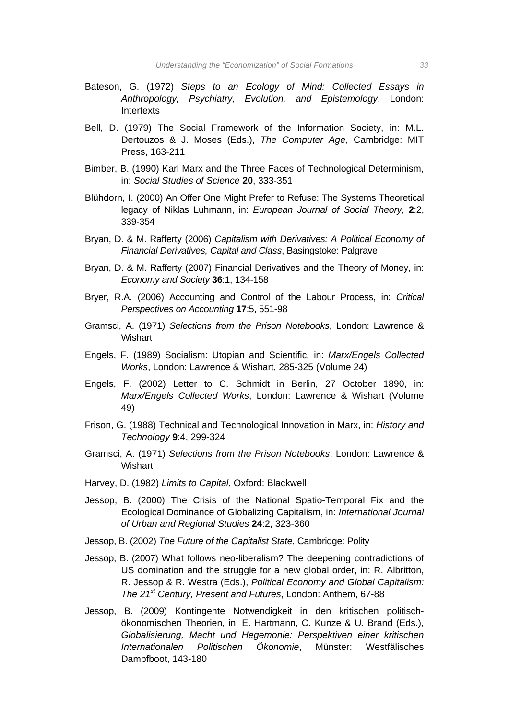- Bateson, G. (1972) *Steps to an Ecology of Mind: Collected Essays in Anthropology, Psychiatry, Evolution, and Epistemology*, London: **Intertexts**
- Bell, D. (1979) The Social Framework of the Information Society, in: M.L. Dertouzos & J. Moses (Eds.), *The Computer Age*, Cambridge: MIT Press, 163-211
- Bimber, B. (1990) Karl Marx and the Three Faces of Technological Determinism, in: *Social Studies of Science* **20**, 333-351
- Blühdorn, I. (2000) An Offer One Might Prefer to Refuse: The Systems Theoretical legacy of Niklas Luhmann, in: *European Journal of Social Theory*, **2**:2, 339-354
- Bryan, D. & M. Rafferty (2006) *Capitalism with Derivatives: A Political Economy of Financial Derivatives, Capital and Class*, Basingstoke: Palgrave
- Bryan, D. & M. Rafferty (2007) Financial Derivatives and the Theory of Money, in: *Economy and Society* **36**:1, 134-158
- Bryer, R.A. (2006) Accounting and Control of the Labour Process, in: *Critical Perspectives on Accounting* **17**:5, 551-98
- Gramsci, A. (1971) *Selections from the Prison Notebooks*, London: Lawrence & **Wishart**
- Engels, F. (1989) Socialism: Utopian and Scientific*,* in: *Marx/Engels Collected Works*, London: Lawrence & Wishart, 285-325 (Volume 24)
- Engels, F. (2002) Letter to C. Schmidt in Berlin, 27 October 1890, in: *Marx/Engels Collected Works*, London: Lawrence & Wishart (Volume 49)
- Frison, G. (1988) Technical and Technological Innovation in Marx, in: *History and Technology* **9**:4, 299-324
- Gramsci, A. (1971) *Selections from the Prison Notebooks*, London: Lawrence & **Wishart**
- Harvey, D. (1982) *Limits to Capital*, Oxford: Blackwell
- Jessop, B. (2000) The Crisis of the National Spatio-Temporal Fix and the Ecological Dominance of Globalizing Capitalism, in: *International Journal of Urban and Regional Studies* **24**:2, 323-360
- Jessop, B. (2002) *The Future of the Capitalist State*, Cambridge: Polity
- Jessop, B. (2007) What follows neo-liberalism? The deepening contradictions of US domination and the struggle for a new global order, in: R. Albritton, R. Jessop & R. Westra (Eds.), *Political Economy and Global Capitalism: The 21st Century, Present and Futures*, London: Anthem, 67-88
- Jessop, B. (2009) Kontingente Notwendigkeit in den kritischen politischökonomischen Theorien, in: E. Hartmann, C. Kunze & U. Brand (Eds.), *Globalisierung, Macht und Hegemonie: Perspektiven einer kritischen Internationalen Politischen Ökonomie*, Münster: Westfälisches Dampfboot, 143-180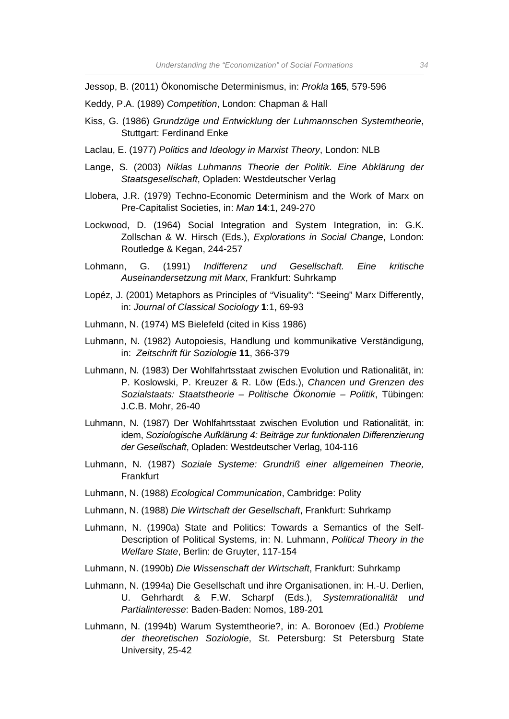Jessop, B. (2011) Ökonomische Determinismus, in: *Prokla* **165**, 579-596

- Keddy, P.A. (1989) *Competition*, London: Chapman & Hall
- Kiss, G. (1986) *Grundzüge und Entwicklung der Luhmannschen Systemtheorie*, Stuttgart: Ferdinand Enke
- Laclau, E. (1977) *Politics and Ideology in Marxist Theory*, London: NLB
- Lange, S. (2003) *Niklas Luhmanns Theorie der Politik. Eine Abklärung der Staatsgesellschaft*, Opladen: Westdeutscher Verlag
- Llobera, J.R. (1979) Techno-Economic Determinism and the Work of Marx on Pre-Capitalist Societies, in: *Man* **14**:1, 249-270
- Lockwood, D. (1964) Social Integration and System Integration, in: G.K. Zollschan & W. Hirsch (Eds.), *Explorations in Social Change*, London: Routledge & Kegan, 244-257
- Lohmann, G. (1991) *Indifferenz und Gesellschaft. Eine kritische Auseinandersetzung mit Marx*, Frankfurt: Suhrkamp
- Lopéz, J. (2001) Metaphors as Principles of "Visuality": "Seeing" Marx Differently, in: *Journal of Classical Sociology* **1**:1, 69-93
- Luhmann, N. (1974) MS Bielefeld (cited in Kiss 1986)
- Luhmann, N. (1982) Autopoiesis, Handlung und kommunikative Verständigung, in: *Zeitschrift für Soziologie* **11**, 366-379
- Luhmann, N. (1983) Der Wohlfahrtsstaat zwischen Evolution und Rationalität, in: P. Koslowski, P. Kreuzer & R. Löw (Eds.), *Chancen und Grenzen des Sozialstaats: Staatstheorie – Politische Ökonomie – Politik*, Tübingen: J.C.B. Mohr, 26-40
- Luhmann, N. (1987) Der Wohlfahrtsstaat zwischen Evolution und Rationalität, in: idem, *Soziologische Aufklärung 4: Beiträge zur funktionalen Differenzierung der Gesellschaft*, Opladen: Westdeutscher Verlag, 104-116
- Luhmann, N. (1987) *Soziale Systeme: Grundriß einer allgemeinen Theorie,*  **Frankfurt**
- Luhmann, N. (1988) *Ecological Communication*, Cambridge: Polity
- Luhmann, N. (1988) *Die Wirtschaft der Gesellschaft*, Frankfurt: Suhrkamp
- Luhmann, N. (1990a) State and Politics: Towards a Semantics of the Self-Description of Political Systems, in: N. Luhmann, *Political Theory in the Welfare State*, Berlin: de Gruyter, 117-154
- Luhmann, N. (1990b) *Die Wissenschaft der Wirtschaft*, Frankfurt: Suhrkamp
- Luhmann, N. (1994a) Die Gesellschaft und ihre Organisationen, in: H.-U. Derlien, U. Gehrhardt & F.W. Scharpf (Eds.), *Systemrationalität und Partialinteresse*: Baden-Baden: Nomos, 189-201
- Luhmann, N. (1994b) Warum Systemtheorie?, in: A. Boronoev (Ed.) *Probleme der theoretischen Soziologie*, St. Petersburg: St Petersburg State University, 25-42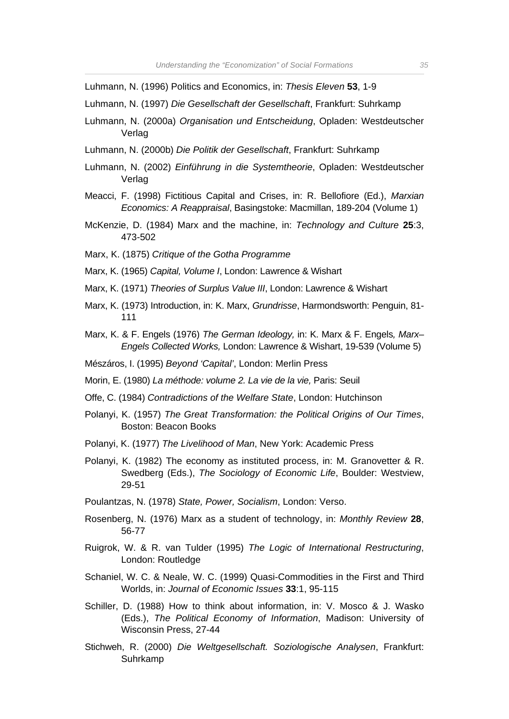Luhmann, N. (1996) Politics and Economics, in: *Thesis Eleven* **53**, 1-9

- Luhmann, N. (1997) *Die Gesellschaft der Gesellschaft*, Frankfurt: Suhrkamp
- Luhmann, N. (2000a) *Organisation und Entscheidung*, Opladen: Westdeutscher Verlag
- Luhmann, N. (2000b) *Die Politik der Gesellschaft*, Frankfurt: Suhrkamp
- Luhmann, N. (2002) *Einführung in die Systemtheorie*, Opladen: Westdeutscher Verlag
- Meacci, F. (1998) Fictitious Capital and Crises, in: R. Bellofiore (Ed.), *Marxian Economics: A Reappraisal*, Basingstoke: Macmillan, 189-204 (Volume 1)
- McKenzie, D. (1984) Marx and the machine, in: *Technology and Culture* **25**:3, 473-502
- Marx, K. (1875) *Critique of the Gotha Programme*
- Marx, K. (1965) *Capital, Volume I*, London: Lawrence & Wishart
- Marx, K. (1971) *Theories of Surplus Value III*, London: Lawrence & Wishart
- Marx, K. (1973) Introduction, in: K. Marx, *Grundrisse*, Harmondsworth: Penguin, 81- 111
- Marx, K. & F. Engels (1976) *The German Ideology,* in: K. Marx & F. Engels*, Marx– Engels Collected Works,* London: Lawrence & Wishart, 19-539 (Volume 5)
- Mészáros, I. (1995) *Beyond 'Capital'*, London: Merlin Press
- Morin, E. (1980) *La méthode: volume 2. La vie de la vie,* Paris: Seuil
- Offe, C. (1984) *Contradictions of the Welfare State*, London: Hutchinson
- Polanyi, K. (1957) *The Great Transformation: the Political Origins of Our Times*, Boston: Beacon Books
- Polanyi, K. (1977) *The Livelihood of Man*, New York: Academic Press
- Polanyi, K. (1982) The economy as instituted process, in: M. Granovetter & R. Swedberg (Eds.), *The Sociology of Economic Life*, Boulder: Westview, 29-51
- Poulantzas, N. (1978) *State, Power, Socialism*, London: Verso.
- Rosenberg, N. (1976) Marx as a student of technology, in: *Monthly Review* **28**, 56-77
- Ruigrok, W. & R. van Tulder (1995) *The Logic of International Restructuring*, London: Routledge
- Schaniel, W. C. & Neale, W. C. (1999) Quasi-Commodities in the First and Third Worlds, in: *Journal of Economic Issues* **33**:1, 95-115
- Schiller, D. (1988) How to think about information, in: V. Mosco & J. Wasko (Eds.), *The Political Economy of Information*, Madison: University of Wisconsin Press, 27-44
- Stichweh, R. (2000) *Die Weltgesellschaft. Soziologische Analysen*, Frankfurt: Suhrkamp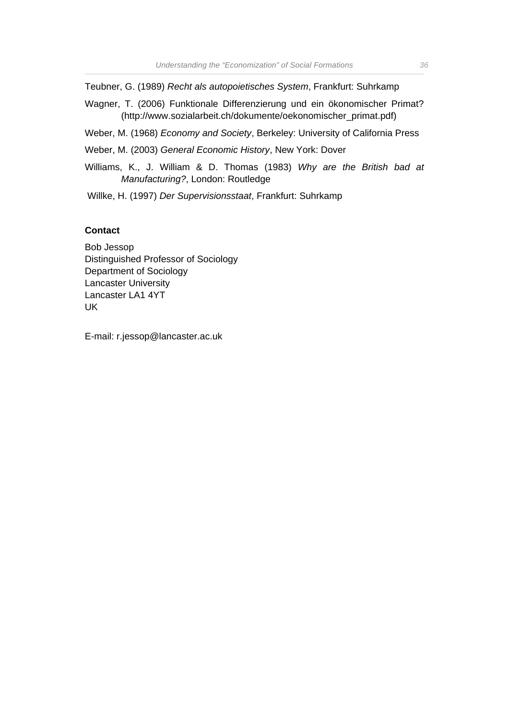Teubner, G. (1989) *Recht als autopoietisches System*, Frankfurt: Suhrkamp

- Wagner, T. (2006) Funktionale Differenzierung und ein ökonomischer Primat? (http://www.sozialarbeit.ch/dokumente/oekonomischer\_primat.pdf)
- Weber, M. (1968) *Economy and Society*, Berkeley: University of California Press
- Weber, M. (2003) *General Economic History*, New York: Dover
- Williams, K., J. William & D. Thomas (1983) *Why are the British bad at Manufacturing?*, London: Routledge

Willke, H. (1997) *Der Supervisionsstaat*, Frankfurt: Suhrkamp

# **Contact**

Bob Jessop Distinguished Professor of Sociology Department of Sociology Lancaster University Lancaster LA1 4YT UK

E-mail: r.jessop@lancaster.ac.uk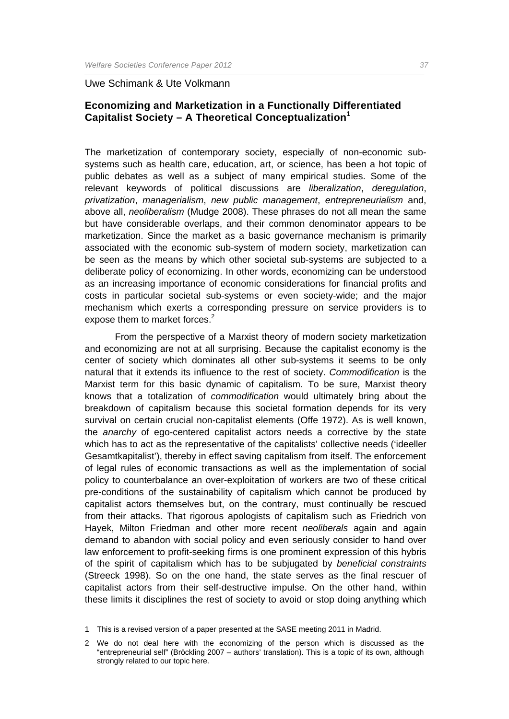#### Uwe Schimank & Ute Volkmann

# **Economizing and Marketization in a Functionally Differentiated Capitalist Society – A Theoretical Conceptualization<sup>1</sup>**

The marketization of contemporary society, especially of non-economic subsystems such as health care, education, art, or science, has been a hot topic of public debates as well as a subject of many empirical studies. Some of the relevant keywords of political discussions are *liberalization*, *deregulation*, *privatization*, *managerialism*, *new public management*, *entrepreneurialism* and, above all, *neoliberalism* (Mudge 2008). These phrases do not all mean the same but have considerable overlaps, and their common denominator appears to be marketization. Since the market as a basic governance mechanism is primarily associated with the economic sub-system of modern society, marketization can be seen as the means by which other societal sub-systems are subjected to a deliberate policy of economizing. In other words, economizing can be understood as an increasing importance of economic considerations for financial profits and costs in particular societal sub-systems or even society-wide; and the major mechanism which exerts a corresponding pressure on service providers is to expose them to market forces.<sup>2</sup>

From the perspective of a Marxist theory of modern society marketization and economizing are not at all surprising. Because the capitalist economy is the center of society which dominates all other sub-systems it seems to be only natural that it extends its influence to the rest of society. *Commodification* is the Marxist term for this basic dynamic of capitalism. To be sure, Marxist theory knows that a totalization of *commodification* would ultimately bring about the breakdown of capitalism because this societal formation depends for its very survival on certain crucial non-capitalist elements (Offe 1972). As is well known, the *anarchy* of ego-centered capitalist actors needs a corrective by the state which has to act as the representative of the capitalists' collective needs ('ideeller Gesamtkapitalist'), thereby in effect saving capitalism from itself. The enforcement of legal rules of economic transactions as well as the implementation of social policy to counterbalance an over-exploitation of workers are two of these critical pre-conditions of the sustainability of capitalism which cannot be produced by capitalist actors themselves but, on the contrary, must continually be rescued from their attacks. That rigorous apologists of capitalism such as Friedrich von Hayek, Milton Friedman and other more recent *neoliberals* again and again demand to abandon with social policy and even seriously consider to hand over law enforcement to profit-seeking firms is one prominent expression of this hybris of the spirit of capitalism which has to be subjugated by *beneficial constraints* (Streeck 1998). So on the one hand, the state serves as the final rescuer of capitalist actors from their self-destructive impulse. On the other hand, within these limits it disciplines the rest of society to avoid or stop doing anything which

<sup>1</sup> This is a revised version of a paper presented at the SASE meeting 2011 in Madrid.

<sup>2</sup> We do not deal here with the economizing of the person which is discussed as the "entrepreneurial self" (Bröckling 2007 – authors' translation). This is a topic of its own, although strongly related to our topic here.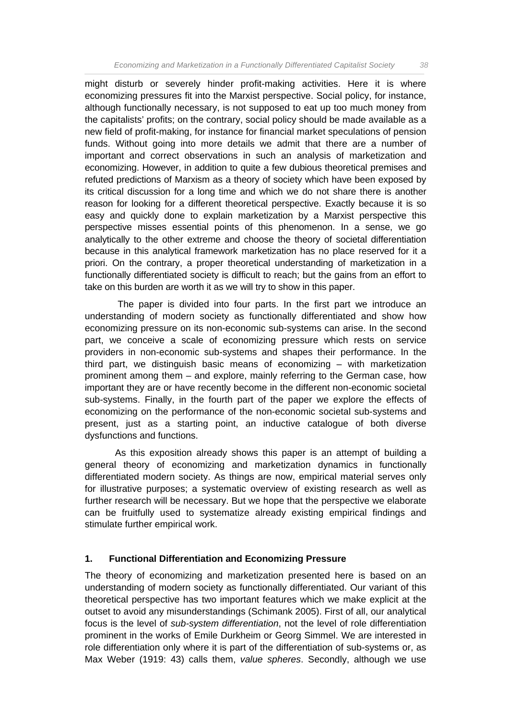might disturb or severely hinder profit-making activities. Here it is where economizing pressures fit into the Marxist perspective. Social policy, for instance, although functionally necessary, is not supposed to eat up too much money from the capitalists' profits; on the contrary, social policy should be made available as a new field of profit-making, for instance for financial market speculations of pension funds. Without going into more details we admit that there are a number of important and correct observations in such an analysis of marketization and economizing. However, in addition to quite a few dubious theoretical premises and refuted predictions of Marxism as a theory of society which have been exposed by its critical discussion for a long time and which we do not share there is another reason for looking for a different theoretical perspective. Exactly because it is so easy and quickly done to explain marketization by a Marxist perspective this perspective misses essential points of this phenomenon. In a sense, we go analytically to the other extreme and choose the theory of societal differentiation because in this analytical framework marketization has no place reserved for it a priori. On the contrary, a proper theoretical understanding of marketization in a functionally differentiated society is difficult to reach; but the gains from an effort to take on this burden are worth it as we will try to show in this paper.

 The paper is divided into four parts. In the first part we introduce an understanding of modern society as functionally differentiated and show how economizing pressure on its non-economic sub-systems can arise. In the second part, we conceive a scale of economizing pressure which rests on service providers in non-economic sub-systems and shapes their performance. In the third part, we distinguish basic means of economizing – with marketization prominent among them – and explore, mainly referring to the German case, how important they are or have recently become in the different non-economic societal sub-systems. Finally, in the fourth part of the paper we explore the effects of economizing on the performance of the non-economic societal sub-systems and present, just as a starting point, an inductive catalogue of both diverse dysfunctions and functions.

As this exposition already shows this paper is an attempt of building a general theory of economizing and marketization dynamics in functionally differentiated modern society. As things are now, empirical material serves only for illustrative purposes; a systematic overview of existing research as well as further research will be necessary. But we hope that the perspective we elaborate can be fruitfully used to systematize already existing empirical findings and stimulate further empirical work.

#### **1. Functional Differentiation and Economizing Pressure**

The theory of economizing and marketization presented here is based on an understanding of modern society as functionally differentiated. Our variant of this theoretical perspective has two important features which we make explicit at the outset to avoid any misunderstandings (Schimank 2005). First of all, our analytical focus is the level of *sub-system differentiation*, not the level of role differentiation prominent in the works of Emile Durkheim or Georg Simmel. We are interested in role differentiation only where it is part of the differentiation of sub-systems or, as Max Weber (1919: 43) calls them, *value spheres*. Secondly, although we use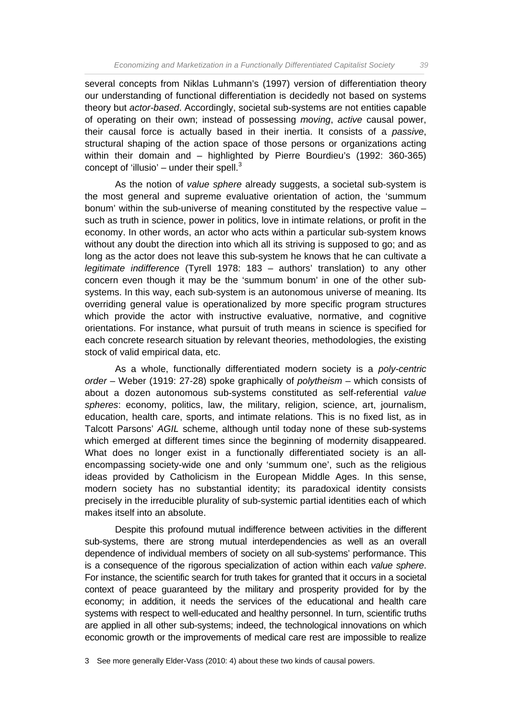several concepts from Niklas Luhmann's (1997) version of differentiation theory our understanding of functional differentiation is decidedly not based on systems theory but *actor-based*. Accordingly, societal sub-systems are not entities capable of operating on their own; instead of possessing *moving*, *active* causal power, their causal force is actually based in their inertia. It consists of a *passive*, structural shaping of the action space of those persons or organizations acting within their domain and – highlighted by Pierre Bourdieu's (1992: 360-365) concept of 'illusio' – under their spell. $3$ 

As the notion of *value sphere* already suggests, a societal sub-system is the most general and supreme evaluative orientation of action, the 'summum bonum' within the sub-universe of meaning constituted by the respective value – such as truth in science, power in politics, love in intimate relations, or profit in the economy. In other words, an actor who acts within a particular sub-system knows without any doubt the direction into which all its striving is supposed to go; and as long as the actor does not leave this sub-system he knows that he can cultivate a *legitimate indifference* (Tyrell 1978: 183 – authors' translation) to any other concern even though it may be the 'summum bonum' in one of the other subsystems. In this way, each sub-system is an autonomous universe of meaning. Its overriding general value is operationalized by more specific program structures which provide the actor with instructive evaluative, normative, and cognitive orientations. For instance, what pursuit of truth means in science is specified for each concrete research situation by relevant theories, methodologies, the existing stock of valid empirical data, etc.

As a whole, functionally differentiated modern society is a *poly-centric order* – Weber (1919: 27-28) spoke graphically of *polytheism* – which consists of about a dozen autonomous sub-systems constituted as self-referential *value spheres*: economy, politics, law, the military, religion, science, art, journalism, education, health care, sports, and intimate relations. This is no fixed list, as in Talcott Parsons' *AGIL* scheme, although until today none of these sub-systems which emerged at different times since the beginning of modernity disappeared. What does no longer exist in a functionally differentiated society is an allencompassing society-wide one and only 'summum one', such as the religious ideas provided by Catholicism in the European Middle Ages. In this sense, modern society has no substantial identity; its paradoxical identity consists precisely in the irreducible plurality of sub-systemic partial identities each of which makes itself into an absolute.

Despite this profound mutual indifference between activities in the different sub-systems, there are strong mutual interdependencies as well as an overall dependence of individual members of society on all sub-systems' performance. This is a consequence of the rigorous specialization of action within each *value sphere*. For instance, the scientific search for truth takes for granted that it occurs in a societal context of peace guaranteed by the military and prosperity provided for by the economy; in addition, it needs the services of the educational and health care systems with respect to well-educated and healthy personnel. In turn, scientific truths are applied in all other sub-systems; indeed, the technological innovations on which economic growth or the improvements of medical care rest are impossible to realize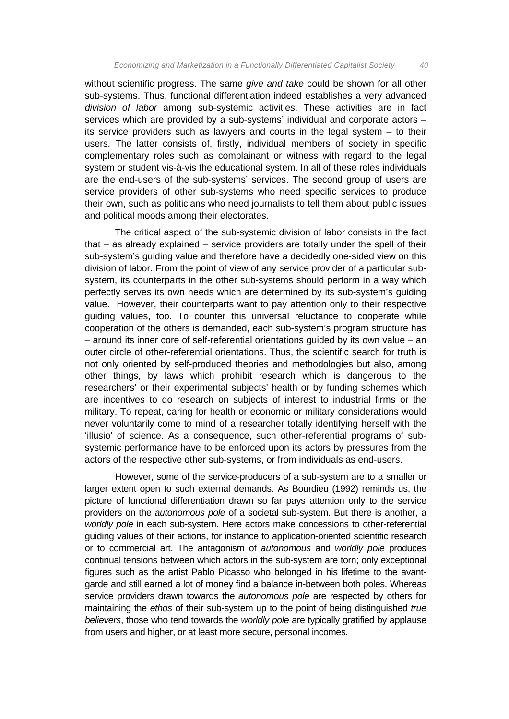without scientific progress. The same *give and take* could be shown for all other sub-systems. Thus, functional differentiation indeed establishes a very advanced *division of labor* among sub-systemic activities. These activities are in fact services which are provided by a sub-systems' individual and corporate actors – its service providers such as lawyers and courts in the legal system – to their users. The latter consists of, firstly, individual members of society in specific complementary roles such as complainant or witness with regard to the legal system or student vis-à-vis the educational system. In all of these roles individuals are the end-users of the sub-systems' services. The second group of users are service providers of other sub-systems who need specific services to produce their own, such as politicians who need journalists to tell them about public issues and political moods among their electorates.

The critical aspect of the sub-systemic division of labor consists in the fact that – as already explained – service providers are totally under the spell of their sub-system's guiding value and therefore have a decidedly one-sided view on this division of labor. From the point of view of any service provider of a particular subsystem, its counterparts in the other sub-systems should perform in a way which perfectly serves its own needs which are determined by its sub-system's guiding value. However, their counterparts want to pay attention only to their respective guiding values, too. To counter this universal reluctance to cooperate while cooperation of the others is demanded, each sub-system's program structure has – around its inner core of self-referential orientations guided by its own value – an outer circle of other-referential orientations. Thus, the scientific search for truth is not only oriented by self-produced theories and methodologies but also, among other things, by laws which prohibit research which is dangerous to the researchers' or their experimental subjects' health or by funding schemes which are incentives to do research on subjects of interest to industrial firms or the military. To repeat, caring for health or economic or military considerations would never voluntarily come to mind of a researcher totally identifying herself with the 'illusio' of science. As a consequence, such other-referential programs of subsystemic performance have to be enforced upon its actors by pressures from the actors of the respective other sub-systems, or from individuals as end-users.

However, some of the service-producers of a sub-system are to a smaller or larger extent open to such external demands. As Bourdieu (1992) reminds us, the picture of functional differentiation drawn so far pays attention only to the service providers on the *autonomous pole* of a societal sub-system. But there is another, a *worldly pole* in each sub-system. Here actors make concessions to other-referential guiding values of their actions, for instance to application-oriented scientific research or to commercial art. The antagonism of *autonomous* and *worldly pole* produces continual tensions between which actors in the sub-system are torn; only exceptional figures such as the artist Pablo Picasso who belonged in his lifetime to the avantgarde and still earned a lot of money find a balance in-between both poles. Whereas service providers drawn towards the *autonomous pole* are respected by others for maintaining the *ethos* of their sub-system up to the point of being distinguished *true believers*, those who tend towards the *worldly pole* are typically gratified by applause from users and higher, or at least more secure, personal incomes.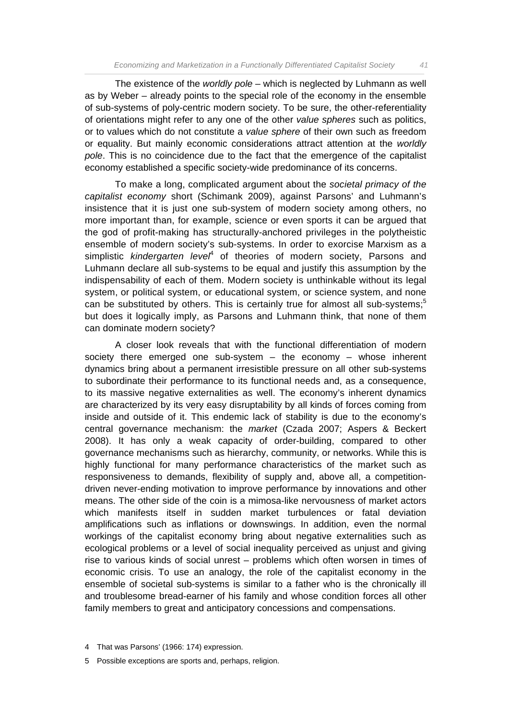The existence of the *worldly pole* – which is neglected by Luhmann as well as by Weber – already points to the special role of the economy in the ensemble of sub-systems of poly-centric modern society. To be sure, the other-referentiality of orientations might refer to any one of the other *value spheres* such as politics, or to values which do not constitute a *value sphere* of their own such as freedom or equality. But mainly economic considerations attract attention at the *worldly pole*. This is no coincidence due to the fact that the emergence of the capitalist economy established a specific society-wide predominance of its concerns.

To make a long, complicated argument about the *societal primacy of the capitalist economy* short (Schimank 2009), against Parsons' and Luhmann's insistence that it is just one sub-system of modern society among others, no more important than, for example, science or even sports it can be argued that the god of profit-making has structurally-anchored privileges in the polytheistic ensemble of modern society's sub-systems. In order to exorcise Marxism as a simplistic *kindergarten level<sup>4</sup>* of theories of modern society, Parsons and Luhmann declare all sub-systems to be equal and justify this assumption by the indispensability of each of them. Modern society is unthinkable without its legal system, or political system, or educational system, or science system, and none can be substituted by others. This is certainly true for almost all sub-systems; $<sup>5</sup>$ </sup> but does it logically imply, as Parsons and Luhmann think, that none of them can dominate modern society?

A closer look reveals that with the functional differentiation of modern society there emerged one sub-system – the economy – whose inherent dynamics bring about a permanent irresistible pressure on all other sub-systems to subordinate their performance to its functional needs and, as a consequence, to its massive negative externalities as well. The economy's inherent dynamics are characterized by its very easy disruptability by all kinds of forces coming from inside and outside of it. This endemic lack of stability is due to the economy's central governance mechanism: the *market* (Czada 2007; Aspers & Beckert 2008). It has only a weak capacity of order-building, compared to other governance mechanisms such as hierarchy, community, or networks. While this is highly functional for many performance characteristics of the market such as responsiveness to demands, flexibility of supply and, above all, a competitiondriven never-ending motivation to improve performance by innovations and other means. The other side of the coin is a mimosa-like nervousness of market actors which manifests itself in sudden market turbulences or fatal deviation amplifications such as inflations or downswings. In addition, even the normal workings of the capitalist economy bring about negative externalities such as ecological problems or a level of social inequality perceived as unjust and giving rise to various kinds of social unrest – problems which often worsen in times of economic crisis. To use an analogy, the role of the capitalist economy in the ensemble of societal sub-systems is similar to a father who is the chronically ill and troublesome bread-earner of his family and whose condition forces all other family members to great and anticipatory concessions and compensations.

<sup>4</sup> That was Parsons' (1966: 174) expression.

<sup>5</sup> Possible exceptions are sports and, perhaps, religion.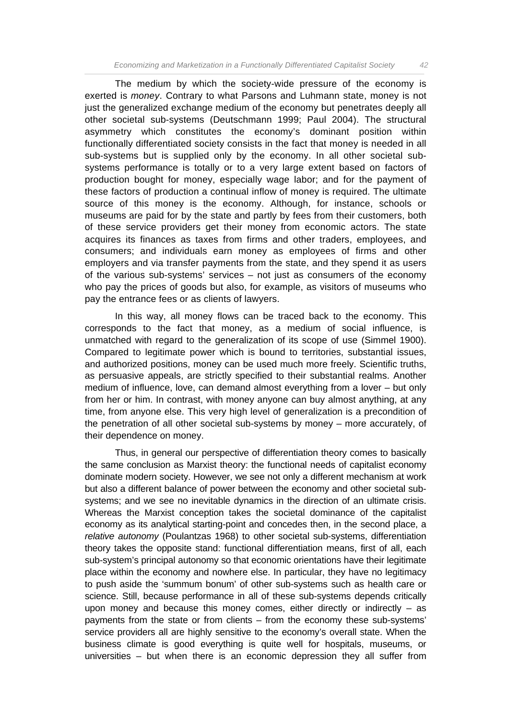The medium by which the society-wide pressure of the economy is exerted is *money*. Contrary to what Parsons and Luhmann state, money is not just the generalized exchange medium of the economy but penetrates deeply all other societal sub-systems (Deutschmann 1999; Paul 2004). The structural asymmetry which constitutes the economy's dominant position within functionally differentiated society consists in the fact that money is needed in all sub-systems but is supplied only by the economy. In all other societal subsystems performance is totally or to a very large extent based on factors of production bought for money, especially wage labor; and for the payment of these factors of production a continual inflow of money is required. The ultimate source of this money is the economy. Although, for instance, schools or museums are paid for by the state and partly by fees from their customers, both of these service providers get their money from economic actors. The state acquires its finances as taxes from firms and other traders, employees, and consumers; and individuals earn money as employees of firms and other employers and via transfer payments from the state, and they spend it as users of the various sub-systems' services – not just as consumers of the economy who pay the prices of goods but also, for example, as visitors of museums who pay the entrance fees or as clients of lawyers.

In this way, all money flows can be traced back to the economy. This corresponds to the fact that money, as a medium of social influence, is unmatched with regard to the generalization of its scope of use (Simmel 1900). Compared to legitimate power which is bound to territories, substantial issues, and authorized positions, money can be used much more freely. Scientific truths, as persuasive appeals, are strictly specified to their substantial realms. Another medium of influence, love, can demand almost everything from a lover – but only from her or him. In contrast, with money anyone can buy almost anything, at any time, from anyone else. This very high level of generalization is a precondition of the penetration of all other societal sub-systems by money – more accurately, of their dependence on money.

Thus, in general our perspective of differentiation theory comes to basically the same conclusion as Marxist theory: the functional needs of capitalist economy dominate modern society. However, we see not only a different mechanism at work but also a different balance of power between the economy and other societal subsystems; and we see no inevitable dynamics in the direction of an ultimate crisis. Whereas the Marxist conception takes the societal dominance of the capitalist economy as its analytical starting-point and concedes then, in the second place, a *relative autonomy* (Poulantzas 1968) to other societal sub-systems, differentiation theory takes the opposite stand: functional differentiation means, first of all, each sub-system's principal autonomy so that economic orientations have their legitimate place within the economy and nowhere else. In particular, they have no legitimacy to push aside the 'summum bonum' of other sub-systems such as health care or science. Still, because performance in all of these sub-systems depends critically upon money and because this money comes, either directly or indirectly  $-$  as payments from the state or from clients – from the economy these sub-systems' service providers all are highly sensitive to the economy's overall state. When the business climate is good everything is quite well for hospitals, museums, or universities – but when there is an economic depression they all suffer from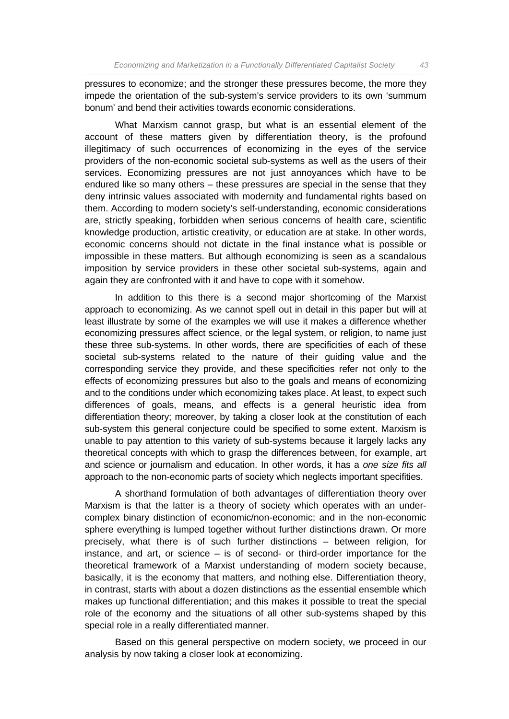pressures to economize; and the stronger these pressures become, the more they impede the orientation of the sub-system's service providers to its own 'summum bonum' and bend their activities towards economic considerations.

What Marxism cannot grasp, but what is an essential element of the account of these matters given by differentiation theory, is the profound illegitimacy of such occurrences of economizing in the eyes of the service providers of the non-economic societal sub-systems as well as the users of their services. Economizing pressures are not just annoyances which have to be endured like so many others – these pressures are special in the sense that they deny intrinsic values associated with modernity and fundamental rights based on them. According to modern society's self-understanding, economic considerations are, strictly speaking, forbidden when serious concerns of health care, scientific knowledge production, artistic creativity, or education are at stake. In other words, economic concerns should not dictate in the final instance what is possible or impossible in these matters. But although economizing is seen as a scandalous imposition by service providers in these other societal sub-systems, again and again they are confronted with it and have to cope with it somehow.

In addition to this there is a second major shortcoming of the Marxist approach to economizing. As we cannot spell out in detail in this paper but will at least illustrate by some of the examples we will use it makes a difference whether economizing pressures affect science, or the legal system, or religion, to name just these three sub-systems. In other words, there are specificities of each of these societal sub-systems related to the nature of their guiding value and the corresponding service they provide, and these specificities refer not only to the effects of economizing pressures but also to the goals and means of economizing and to the conditions under which economizing takes place. At least, to expect such differences of goals, means, and effects is a general heuristic idea from differentiation theory; moreover, by taking a closer look at the constitution of each sub-system this general conjecture could be specified to some extent. Marxism is unable to pay attention to this variety of sub-systems because it largely lacks any theoretical concepts with which to grasp the differences between, for example, art and science or journalism and education. In other words, it has a *one size fits all* approach to the non-economic parts of society which neglects important specifities.

A shorthand formulation of both advantages of differentiation theory over Marxism is that the latter is a theory of society which operates with an undercomplex binary distinction of economic/non-economic; and in the non-economic sphere everything is lumped together without further distinctions drawn. Or more precisely, what there is of such further distinctions – between religion, for instance, and art, or science – is of second- or third-order importance for the theoretical framework of a Marxist understanding of modern society because, basically, it is the economy that matters, and nothing else. Differentiation theory, in contrast, starts with about a dozen distinctions as the essential ensemble which makes up functional differentiation; and this makes it possible to treat the special role of the economy and the situations of all other sub-systems shaped by this special role in a really differentiated manner.

Based on this general perspective on modern society, we proceed in our analysis by now taking a closer look at economizing.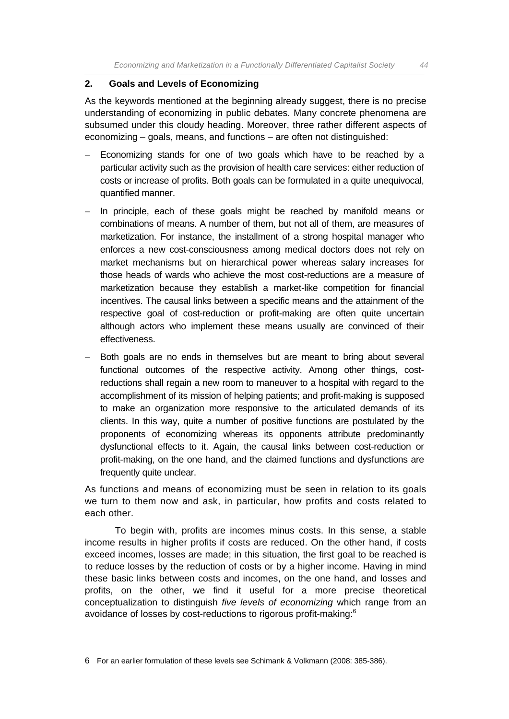# **2. Goals and Levels of Economizing**

As the keywords mentioned at the beginning already suggest, there is no precise understanding of economizing in public debates. Many concrete phenomena are subsumed under this cloudy heading. Moreover, three rather different aspects of economizing – goals, means, and functions – are often not distinguished:

- Economizing stands for one of two goals which have to be reached by a particular activity such as the provision of health care services: either reduction of costs or increase of profits. Both goals can be formulated in a quite unequivocal, quantified manner.
- In principle, each of these goals might be reached by manifold means or combinations of means. A number of them, but not all of them, are measures of marketization. For instance, the installment of a strong hospital manager who enforces a new cost-consciousness among medical doctors does not rely on market mechanisms but on hierarchical power whereas salary increases for those heads of wards who achieve the most cost-reductions are a measure of marketization because they establish a market-like competition for financial incentives. The causal links between a specific means and the attainment of the respective goal of cost-reduction or profit-making are often quite uncertain although actors who implement these means usually are convinced of their effectiveness.
- Both goals are no ends in themselves but are meant to bring about several functional outcomes of the respective activity. Among other things, costreductions shall regain a new room to maneuver to a hospital with regard to the accomplishment of its mission of helping patients; and profit-making is supposed to make an organization more responsive to the articulated demands of its clients. In this way, quite a number of positive functions are postulated by the proponents of economizing whereas its opponents attribute predominantly dysfunctional effects to it. Again, the causal links between cost-reduction or profit-making, on the one hand, and the claimed functions and dysfunctions are frequently quite unclear.

As functions and means of economizing must be seen in relation to its goals we turn to them now and ask, in particular, how profits and costs related to each other.

To begin with, profits are incomes minus costs. In this sense, a stable income results in higher profits if costs are reduced. On the other hand, if costs exceed incomes, losses are made; in this situation, the first goal to be reached is to reduce losses by the reduction of costs or by a higher income. Having in mind these basic links between costs and incomes, on the one hand, and losses and profits, on the other, we find it useful for a more precise theoretical conceptualization to distinguish *five levels of economizing* which range from an avoidance of losses by cost-reductions to rigorous profit-making.<sup>6</sup>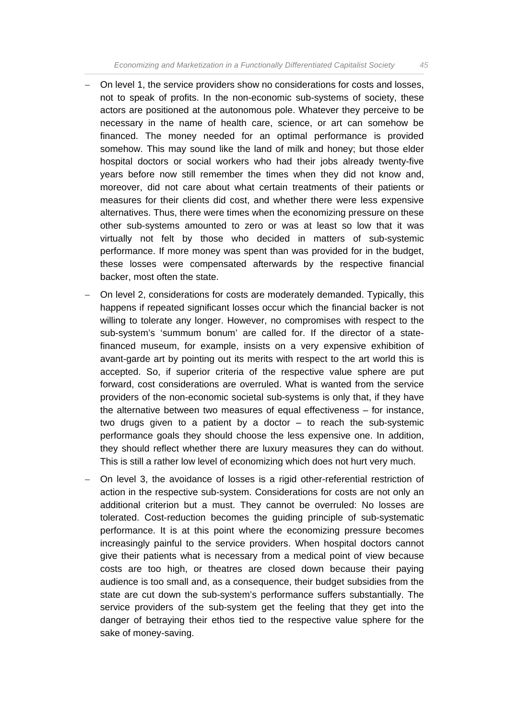- On level 1, the service providers show no considerations for costs and losses, not to speak of profits. In the non-economic sub-systems of society, these actors are positioned at the autonomous pole. Whatever they perceive to be necessary in the name of health care, science, or art can somehow be financed. The money needed for an optimal performance is provided somehow. This may sound like the land of milk and honey; but those elder hospital doctors or social workers who had their jobs already twenty-five years before now still remember the times when they did not know and, moreover, did not care about what certain treatments of their patients or measures for their clients did cost, and whether there were less expensive alternatives. Thus, there were times when the economizing pressure on these other sub-systems amounted to zero or was at least so low that it was virtually not felt by those who decided in matters of sub-systemic performance. If more money was spent than was provided for in the budget, these losses were compensated afterwards by the respective financial backer, most often the state.
- On level 2, considerations for costs are moderately demanded. Typically, this happens if repeated significant losses occur which the financial backer is not willing to tolerate any longer. However, no compromises with respect to the sub-system's 'summum bonum' are called for. If the director of a statefinanced museum, for example, insists on a very expensive exhibition of avant-garde art by pointing out its merits with respect to the art world this is accepted. So, if superior criteria of the respective value sphere are put forward, cost considerations are overruled. What is wanted from the service providers of the non-economic societal sub-systems is only that, if they have the alternative between two measures of equal effectiveness – for instance, two drugs given to a patient by a doctor – to reach the sub-systemic performance goals they should choose the less expensive one. In addition, they should reflect whether there are luxury measures they can do without. This is still a rather low level of economizing which does not hurt very much.
- On level 3, the avoidance of losses is a rigid other-referential restriction of action in the respective sub-system. Considerations for costs are not only an additional criterion but a must. They cannot be overruled: No losses are tolerated. Cost-reduction becomes the guiding principle of sub-systematic performance. It is at this point where the economizing pressure becomes increasingly painful to the service providers. When hospital doctors cannot give their patients what is necessary from a medical point of view because costs are too high, or theatres are closed down because their paying audience is too small and, as a consequence, their budget subsidies from the state are cut down the sub-system's performance suffers substantially. The service providers of the sub-system get the feeling that they get into the danger of betraying their ethos tied to the respective value sphere for the sake of money-saving.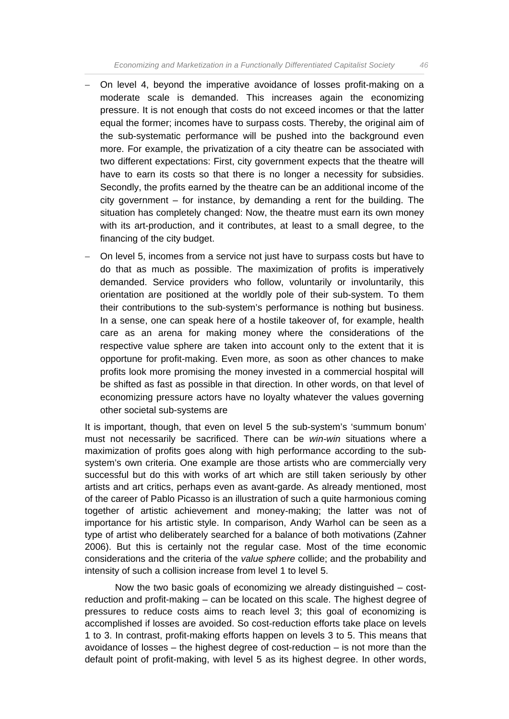- On level 4, beyond the imperative avoidance of losses profit-making on a moderate scale is demanded. This increases again the economizing pressure. It is not enough that costs do not exceed incomes or that the latter equal the former; incomes have to surpass costs. Thereby, the original aim of the sub-systematic performance will be pushed into the background even more. For example, the privatization of a city theatre can be associated with two different expectations: First, city government expects that the theatre will have to earn its costs so that there is no longer a necessity for subsidies. Secondly, the profits earned by the theatre can be an additional income of the city government – for instance, by demanding a rent for the building. The situation has completely changed: Now, the theatre must earn its own money with its art-production, and it contributes, at least to a small degree, to the financing of the city budget.
- On level 5, incomes from a service not just have to surpass costs but have to do that as much as possible. The maximization of profits is imperatively demanded. Service providers who follow, voluntarily or involuntarily, this orientation are positioned at the worldly pole of their sub-system. To them their contributions to the sub-system's performance is nothing but business. In a sense, one can speak here of a hostile takeover of, for example, health care as an arena for making money where the considerations of the respective value sphere are taken into account only to the extent that it is opportune for profit-making. Even more, as soon as other chances to make profits look more promising the money invested in a commercial hospital will be shifted as fast as possible in that direction. In other words, on that level of economizing pressure actors have no loyalty whatever the values governing other societal sub-systems are

It is important, though, that even on level 5 the sub-system's 'summum bonum' must not necessarily be sacrificed. There can be *win-win* situations where a maximization of profits goes along with high performance according to the subsystem's own criteria. One example are those artists who are commercially very successful but do this with works of art which are still taken seriously by other artists and art critics, perhaps even as avant-garde. As already mentioned, most of the career of Pablo Picasso is an illustration of such a quite harmonious coming together of artistic achievement and money-making; the latter was not of importance for his artistic style. In comparison, Andy Warhol can be seen as a type of artist who deliberately searched for a balance of both motivations (Zahner 2006). But this is certainly not the regular case. Most of the time economic considerations and the criteria of the *value sphere* collide; and the probability and intensity of such a collision increase from level 1 to level 5.

Now the two basic goals of economizing we already distinguished – costreduction and profit-making – can be located on this scale. The highest degree of pressures to reduce costs aims to reach level 3; this goal of economizing is accomplished if losses are avoided. So cost-reduction efforts take place on levels 1 to 3. In contrast, profit-making efforts happen on levels 3 to 5. This means that avoidance of losses – the highest degree of cost-reduction – is not more than the default point of profit-making, with level 5 as its highest degree. In other words,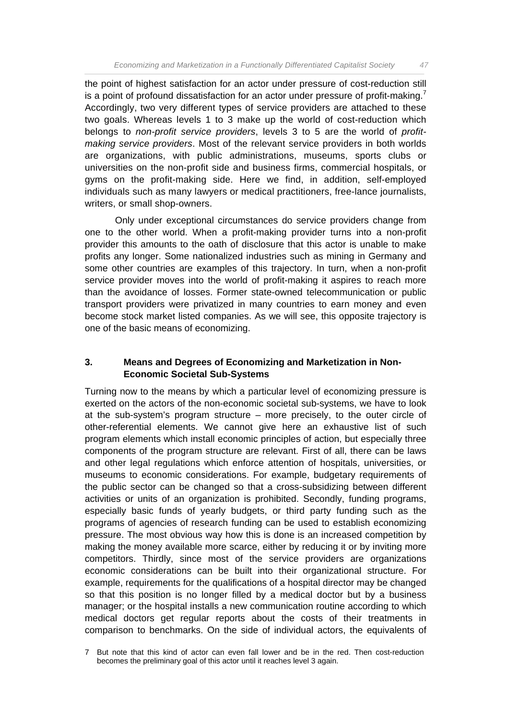the point of highest satisfaction for an actor under pressure of cost-reduction still is a point of profound dissatisfaction for an actor under pressure of profit-making.<sup>7</sup> Accordingly, two very different types of service providers are attached to these two goals. Whereas levels 1 to 3 make up the world of cost-reduction which belongs to *non-profit service providers*, levels 3 to 5 are the world of *profitmaking service providers*. Most of the relevant service providers in both worlds are organizations, with public administrations, museums, sports clubs or universities on the non-profit side and business firms, commercial hospitals, or gyms on the profit-making side. Here we find, in addition, self-employed individuals such as many lawyers or medical practitioners, free-lance journalists, writers, or small shop-owners.

Only under exceptional circumstances do service providers change from one to the other world. When a profit-making provider turns into a non-profit provider this amounts to the oath of disclosure that this actor is unable to make profits any longer. Some nationalized industries such as mining in Germany and some other countries are examples of this trajectory. In turn, when a non-profit service provider moves into the world of profit-making it aspires to reach more than the avoidance of losses. Former state-owned telecommunication or public transport providers were privatized in many countries to earn money and even become stock market listed companies. As we will see, this opposite trajectory is one of the basic means of economizing.

# **3. Means and Degrees of Economizing and Marketization in Non-Economic Societal Sub-Systems**

Turning now to the means by which a particular level of economizing pressure is exerted on the actors of the non-economic societal sub-systems, we have to look at the sub-system's program structure – more precisely, to the outer circle of other-referential elements. We cannot give here an exhaustive list of such program elements which install economic principles of action, but especially three components of the program structure are relevant. First of all, there can be laws and other legal regulations which enforce attention of hospitals, universities, or museums to economic considerations. For example, budgetary requirements of the public sector can be changed so that a cross-subsidizing between different activities or units of an organization is prohibited. Secondly, funding programs, especially basic funds of yearly budgets, or third party funding such as the programs of agencies of research funding can be used to establish economizing pressure. The most obvious way how this is done is an increased competition by making the money available more scarce, either by reducing it or by inviting more competitors. Thirdly, since most of the service providers are organizations economic considerations can be built into their organizational structure. For example, requirements for the qualifications of a hospital director may be changed so that this position is no longer filled by a medical doctor but by a business manager; or the hospital installs a new communication routine according to which medical doctors get regular reports about the costs of their treatments in comparison to benchmarks. On the side of individual actors, the equivalents of

<sup>7</sup> But note that this kind of actor can even fall lower and be in the red. Then cost-reduction becomes the preliminary goal of this actor until it reaches level 3 again.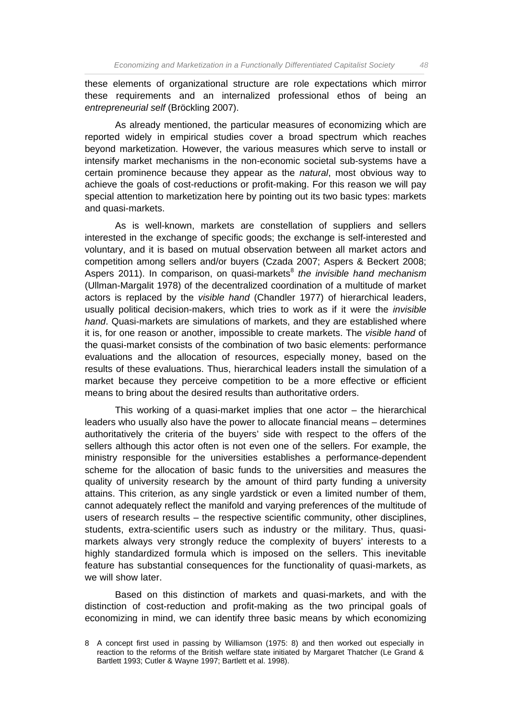these elements of organizational structure are role expectations which mirror these requirements and an internalized professional ethos of being an *entrepreneurial self* (Bröckling 2007).

As already mentioned, the particular measures of economizing which are reported widely in empirical studies cover a broad spectrum which reaches beyond marketization. However, the various measures which serve to install or intensify market mechanisms in the non-economic societal sub-systems have a certain prominence because they appear as the *natural*, most obvious way to achieve the goals of cost-reductions or profit-making. For this reason we will pay special attention to marketization here by pointing out its two basic types: markets and quasi-markets.

As is well-known, markets are constellation of suppliers and sellers interested in the exchange of specific goods; the exchange is self-interested and voluntary, and it is based on mutual observation between all market actors and competition among sellers and/or buyers (Czada 2007; Aspers & Beckert 2008; Aspers 2011). In comparison, on quasi-markets<sup>8</sup> the *invisible hand mechanism* (Ullman-Margalit 1978) of the decentralized coordination of a multitude of market actors is replaced by the *visible hand* (Chandler 1977) of hierarchical leaders, usually political decision-makers, which tries to work as if it were the *invisible hand*. Quasi-markets are simulations of markets, and they are established where it is, for one reason or another, impossible to create markets. The *visible hand* of the quasi-market consists of the combination of two basic elements: performance evaluations and the allocation of resources, especially money, based on the results of these evaluations. Thus, hierarchical leaders install the simulation of a market because they perceive competition to be a more effective or efficient means to bring about the desired results than authoritative orders.

This working of a quasi-market implies that one actor – the hierarchical leaders who usually also have the power to allocate financial means – determines authoritatively the criteria of the buyers' side with respect to the offers of the sellers although this actor often is not even one of the sellers. For example, the ministry responsible for the universities establishes a performance-dependent scheme for the allocation of basic funds to the universities and measures the quality of university research by the amount of third party funding a university attains. This criterion, as any single yardstick or even a limited number of them, cannot adequately reflect the manifold and varying preferences of the multitude of users of research results – the respective scientific community, other disciplines, students, extra-scientific users such as industry or the military. Thus, quasimarkets always very strongly reduce the complexity of buyers' interests to a highly standardized formula which is imposed on the sellers. This inevitable feature has substantial consequences for the functionality of quasi-markets, as we will show later.

Based on this distinction of markets and quasi-markets, and with the distinction of cost-reduction and profit-making as the two principal goals of economizing in mind, we can identify three basic means by which economizing

<sup>8</sup> A concept first used in passing by Williamson (1975: 8) and then worked out especially in reaction to the reforms of the British welfare state initiated by Margaret Thatcher (Le Grand & Bartlett 1993; Cutler & Wayne 1997; Bartlett et al. 1998).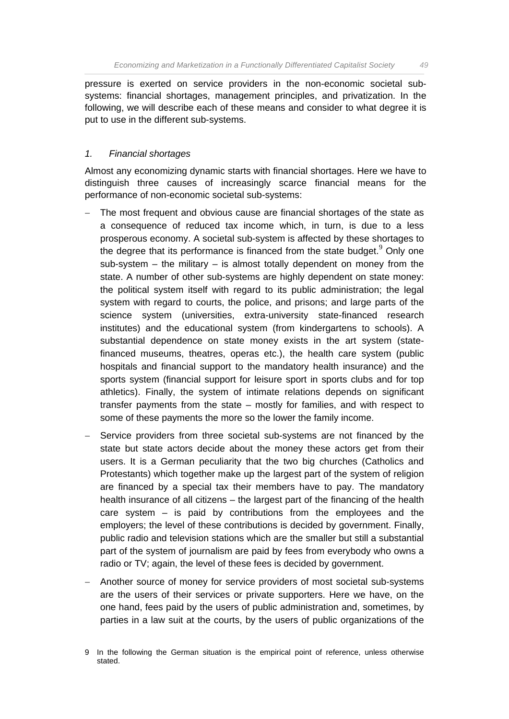pressure is exerted on service providers in the non-economic societal subsystems: financial shortages, management principles, and privatization. In the following, we will describe each of these means and consider to what degree it is put to use in the different sub-systems.

### *1.**Financial shortages*

Almost any economizing dynamic starts with financial shortages. Here we have to distinguish three causes of increasingly scarce financial means for the performance of non-economic societal sub-systems:

- The most frequent and obvious cause are financial shortages of the state as a consequence of reduced tax income which, in turn, is due to a less prosperous economy. A societal sub-system is affected by these shortages to the degree that its performance is financed from the state budget.  $9$  Only one sub-system  $-$  the military  $-$  is almost totally dependent on money from the state. A number of other sub-systems are highly dependent on state money: the political system itself with regard to its public administration; the legal system with regard to courts, the police, and prisons; and large parts of the science system (universities, extra-university state-financed research institutes) and the educational system (from kindergartens to schools). A substantial dependence on state money exists in the art system (statefinanced museums, theatres, operas etc.), the health care system (public hospitals and financial support to the mandatory health insurance) and the sports system (financial support for leisure sport in sports clubs and for top athletics). Finally, the system of intimate relations depends on significant transfer payments from the state – mostly for families, and with respect to some of these payments the more so the lower the family income.
- Service providers from three societal sub-systems are not financed by the state but state actors decide about the money these actors get from their users. It is a German peculiarity that the two big churches (Catholics and Protestants) which together make up the largest part of the system of religion are financed by a special tax their members have to pay. The mandatory health insurance of all citizens – the largest part of the financing of the health care system – is paid by contributions from the employees and the employers; the level of these contributions is decided by government. Finally, public radio and television stations which are the smaller but still a substantial part of the system of journalism are paid by fees from everybody who owns a radio or TV; again, the level of these fees is decided by government.
- Another source of money for service providers of most societal sub-systems are the users of their services or private supporters. Here we have, on the one hand, fees paid by the users of public administration and, sometimes, by parties in a law suit at the courts, by the users of public organizations of the

<sup>9</sup> In the following the German situation is the empirical point of reference, unless otherwise stated.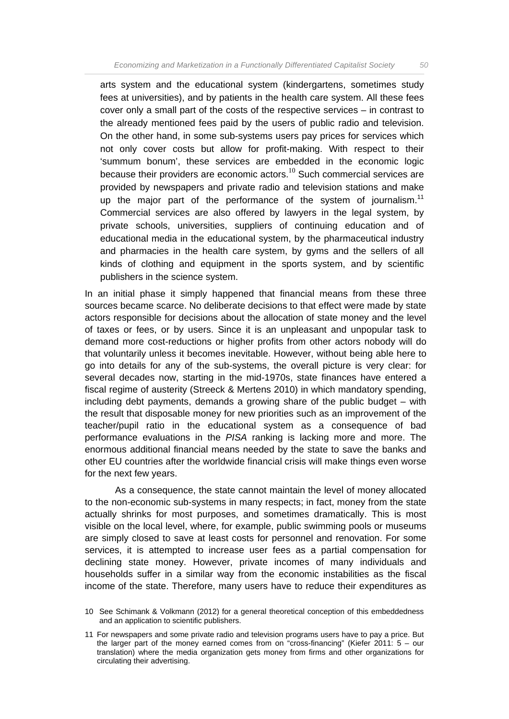arts system and the educational system (kindergartens, sometimes study fees at universities), and by patients in the health care system. All these fees cover only a small part of the costs of the respective services – in contrast to the already mentioned fees paid by the users of public radio and television. On the other hand, in some sub-systems users pay prices for services which not only cover costs but allow for profit-making. With respect to their 'summum bonum', these services are embedded in the economic logic because their providers are economic actors. $10$  Such commercial services are provided by newspapers and private radio and television stations and make up the major part of the performance of the system of journalism.<sup>11</sup> Commercial services are also offered by lawyers in the legal system, by private schools, universities, suppliers of continuing education and of educational media in the educational system, by the pharmaceutical industry and pharmacies in the health care system, by gyms and the sellers of all kinds of clothing and equipment in the sports system, and by scientific publishers in the science system.

In an initial phase it simply happened that financial means from these three sources became scarce. No deliberate decisions to that effect were made by state actors responsible for decisions about the allocation of state money and the level of taxes or fees, or by users. Since it is an unpleasant and unpopular task to demand more cost-reductions or higher profits from other actors nobody will do that voluntarily unless it becomes inevitable. However, without being able here to go into details for any of the sub-systems, the overall picture is very clear: for several decades now, starting in the mid-1970s, state finances have entered a fiscal regime of austerity (Streeck & Mertens 2010) in which mandatory spending, including debt payments, demands a growing share of the public budget – with the result that disposable money for new priorities such as an improvement of the teacher/pupil ratio in the educational system as a consequence of bad performance evaluations in the *PISA* ranking is lacking more and more. The enormous additional financial means needed by the state to save the banks and other EU countries after the worldwide financial crisis will make things even worse for the next few years.

As a consequence, the state cannot maintain the level of money allocated to the non-economic sub-systems in many respects; in fact, money from the state actually shrinks for most purposes, and sometimes dramatically. This is most visible on the local level, where, for example, public swimming pools or museums are simply closed to save at least costs for personnel and renovation. For some services, it is attempted to increase user fees as a partial compensation for declining state money. However, private incomes of many individuals and households suffer in a similar way from the economic instabilities as the fiscal income of the state. Therefore, many users have to reduce their expenditures as

<sup>10</sup> See Schimank & Volkmann (2012) for a general theoretical conception of this embeddedness and an application to scientific publishers.

<sup>11</sup> For newspapers and some private radio and television programs users have to pay a price. But the larger part of the money earned comes from on "cross-financing" (Kiefer 2011: 5 – our translation) where the media organization gets money from firms and other organizations for circulating their advertising.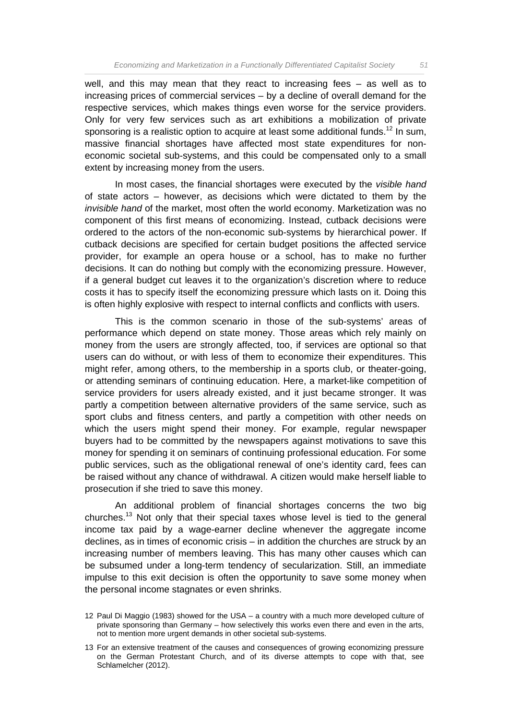well, and this may mean that they react to increasing fees – as well as to increasing prices of commercial services – by a decline of overall demand for the respective services, which makes things even worse for the service providers. Only for very few services such as art exhibitions a mobilization of private sponsoring is a realistic option to acquire at least some additional funds.<sup>12</sup> In sum. massive financial shortages have affected most state expenditures for noneconomic societal sub-systems, and this could be compensated only to a small extent by increasing money from the users.

In most cases, the financial shortages were executed by the *visible hand* of state actors – however, as decisions which were dictated to them by the *invisible hand* of the market, most often the world economy. Marketization was no component of this first means of economizing. Instead, cutback decisions were ordered to the actors of the non-economic sub-systems by hierarchical power. If cutback decisions are specified for certain budget positions the affected service provider, for example an opera house or a school, has to make no further decisions. It can do nothing but comply with the economizing pressure. However, if a general budget cut leaves it to the organization's discretion where to reduce costs it has to specify itself the economizing pressure which lasts on it. Doing this is often highly explosive with respect to internal conflicts and conflicts with users.

This is the common scenario in those of the sub-systems' areas of performance which depend on state money. Those areas which rely mainly on money from the users are strongly affected, too, if services are optional so that users can do without, or with less of them to economize their expenditures. This might refer, among others, to the membership in a sports club, or theater-going, or attending seminars of continuing education. Here, a market-like competition of service providers for users already existed, and it just became stronger. It was partly a competition between alternative providers of the same service, such as sport clubs and fitness centers, and partly a competition with other needs on which the users might spend their money. For example, regular newspaper buyers had to be committed by the newspapers against motivations to save this money for spending it on seminars of continuing professional education. For some public services, such as the obligational renewal of one's identity card, fees can be raised without any chance of withdrawal. A citizen would make herself liable to prosecution if she tried to save this money.

An additional problem of financial shortages concerns the two big churches.<sup>13</sup> Not only that their special taxes whose level is tied to the general income tax paid by a wage-earner decline whenever the aggregate income declines, as in times of economic crisis – in addition the churches are struck by an increasing number of members leaving. This has many other causes which can be subsumed under a long-term tendency of secularization. Still, an immediate impulse to this exit decision is often the opportunity to save some money when the personal income stagnates or even shrinks.

<sup>12</sup> Paul Di Maggio (1983) showed for the USA – a country with a much more developed culture of private sponsoring than Germany – how selectively this works even there and even in the arts, not to mention more urgent demands in other societal sub-systems.

<sup>13</sup> For an extensive treatment of the causes and consequences of growing economizing pressure on the German Protestant Church, and of its diverse attempts to cope with that, see Schlamelcher (2012).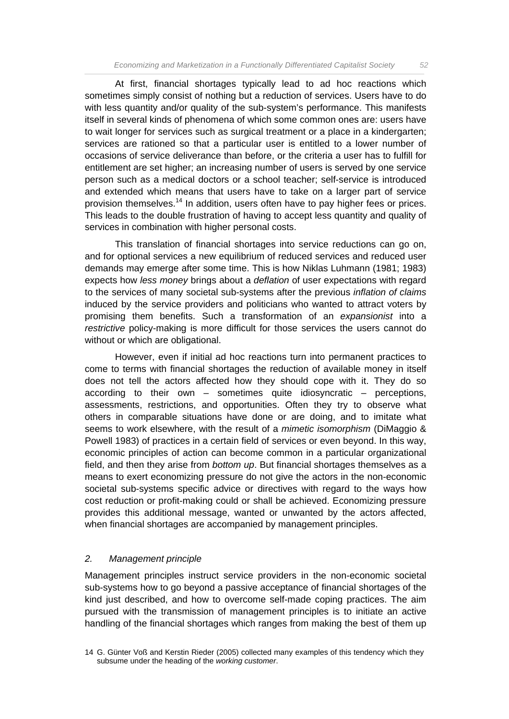At first, financial shortages typically lead to ad hoc reactions which sometimes simply consist of nothing but a reduction of services. Users have to do with less quantity and/or quality of the sub-system's performance. This manifests itself in several kinds of phenomena of which some common ones are: users have to wait longer for services such as surgical treatment or a place in a kindergarten; services are rationed so that a particular user is entitled to a lower number of occasions of service deliverance than before, or the criteria a user has to fulfill for entitlement are set higher; an increasing number of users is served by one service person such as a medical doctors or a school teacher; self-service is introduced and extended which means that users have to take on a larger part of service provision themselves.14 In addition, users often have to pay higher fees or prices. This leads to the double frustration of having to accept less quantity and quality of services in combination with higher personal costs.

This translation of financial shortages into service reductions can go on, and for optional services a new equilibrium of reduced services and reduced user demands may emerge after some time. This is how Niklas Luhmann (1981; 1983) expects how *less money* brings about a *deflation* of user expectations with regard to the services of many societal sub-systems after the previous *inflation of claims* induced by the service providers and politicians who wanted to attract voters by promising them benefits. Such a transformation of an *expansionist* into a *restrictive* policy-making is more difficult for those services the users cannot do without or which are obligational.

However, even if initial ad hoc reactions turn into permanent practices to come to terms with financial shortages the reduction of available money in itself does not tell the actors affected how they should cope with it. They do so according to their own – sometimes quite idiosyncratic – perceptions, assessments, restrictions, and opportunities. Often they try to observe what others in comparable situations have done or are doing, and to imitate what seems to work elsewhere, with the result of a *mimetic isomorphism* (DiMaggio & Powell 1983) of practices in a certain field of services or even beyond. In this way, economic principles of action can become common in a particular organizational field, and then they arise from *bottom up*. But financial shortages themselves as a means to exert economizing pressure do not give the actors in the non-economic societal sub-systems specific advice or directives with regard to the ways how cost reduction or profit-making could or shall be achieved. Economizing pressure provides this additional message, wanted or unwanted by the actors affected, when financial shortages are accompanied by management principles.

### *2.**Management principle*

Management principles instruct service providers in the non-economic societal sub-systems how to go beyond a passive acceptance of financial shortages of the kind just described, and how to overcome self-made coping practices. The aim pursued with the transmission of management principles is to initiate an active handling of the financial shortages which ranges from making the best of them up

<sup>14</sup> G. Günter Voß and Kerstin Rieder (2005) collected many examples of this tendency which they subsume under the heading of the *working customer*.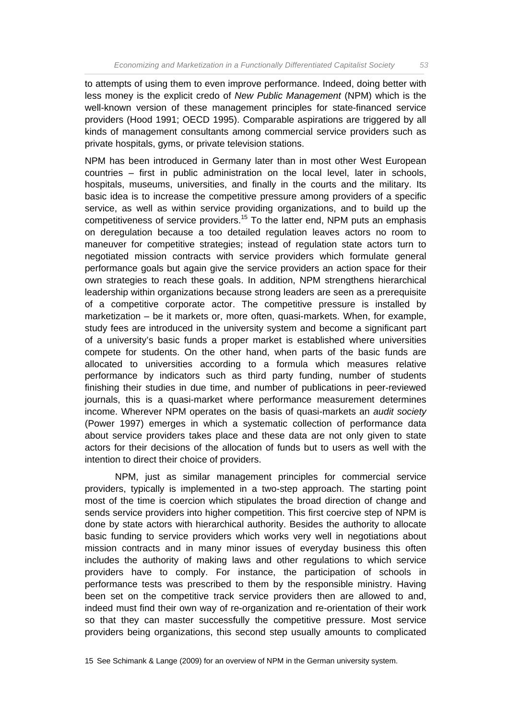to attempts of using them to even improve performance. Indeed, doing better with less money is the explicit credo of *New Public Management* (NPM) which is the well-known version of these management principles for state-financed service providers (Hood 1991; OECD 1995). Comparable aspirations are triggered by all kinds of management consultants among commercial service providers such as private hospitals, gyms, or private television stations.

NPM has been introduced in Germany later than in most other West European countries – first in public administration on the local level, later in schools, hospitals, museums, universities, and finally in the courts and the military. Its basic idea is to increase the competitive pressure among providers of a specific service, as well as within service providing organizations, and to build up the competitiveness of service providers.<sup>15</sup> To the latter end, NPM puts an emphasis on deregulation because a too detailed regulation leaves actors no room to maneuver for competitive strategies; instead of regulation state actors turn to negotiated mission contracts with service providers which formulate general performance goals but again give the service providers an action space for their own strategies to reach these goals. In addition, NPM strengthens hierarchical leadership within organizations because strong leaders are seen as a prerequisite of a competitive corporate actor. The competitive pressure is installed by marketization – be it markets or, more often, quasi-markets. When, for example, study fees are introduced in the university system and become a significant part of a university's basic funds a proper market is established where universities compete for students. On the other hand, when parts of the basic funds are allocated to universities according to a formula which measures relative performance by indicators such as third party funding, number of students finishing their studies in due time, and number of publications in peer-reviewed journals, this is a quasi-market where performance measurement determines income. Wherever NPM operates on the basis of quasi-markets an *audit society* (Power 1997) emerges in which a systematic collection of performance data about service providers takes place and these data are not only given to state actors for their decisions of the allocation of funds but to users as well with the intention to direct their choice of providers.

NPM, just as similar management principles for commercial service providers, typically is implemented in a two-step approach. The starting point most of the time is coercion which stipulates the broad direction of change and sends service providers into higher competition. This first coercive step of NPM is done by state actors with hierarchical authority. Besides the authority to allocate basic funding to service providers which works very well in negotiations about mission contracts and in many minor issues of everyday business this often includes the authority of making laws and other regulations to which service providers have to comply. For instance, the participation of schools in performance tests was prescribed to them by the responsible ministry. Having been set on the competitive track service providers then are allowed to and, indeed must find their own way of re-organization and re-orientation of their work so that they can master successfully the competitive pressure. Most service providers being organizations, this second step usually amounts to complicated

15 See Schimank & Lange (2009) for an overview of NPM in the German university system.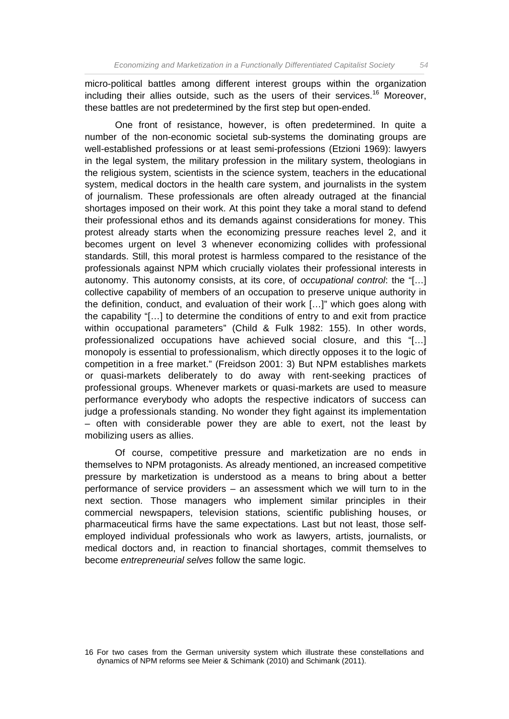micro-political battles among different interest groups within the organization including their allies outside, such as the users of their services.<sup>16</sup> Moreover, these battles are not predetermined by the first step but open-ended.

One front of resistance, however, is often predetermined. In quite a number of the non-economic societal sub-systems the dominating groups are well-established professions or at least semi-professions (Etzioni 1969): lawyers in the legal system, the military profession in the military system, theologians in the religious system, scientists in the science system, teachers in the educational system, medical doctors in the health care system, and journalists in the system of journalism. These professionals are often already outraged at the financial shortages imposed on their work. At this point they take a moral stand to defend their professional ethos and its demands against considerations for money. This protest already starts when the economizing pressure reaches level 2, and it becomes urgent on level 3 whenever economizing collides with professional standards. Still, this moral protest is harmless compared to the resistance of the professionals against NPM which crucially violates their professional interests in autonomy. This autonomy consists, at its core, of *occupational control*: the "[…] collective capability of members of an occupation to preserve unique authority in the definition, conduct, and evaluation of their work […]" which goes along with the capability "[…] to determine the conditions of entry to and exit from practice within occupational parameters" (Child & Fulk 1982: 155). In other words, professionalized occupations have achieved social closure, and this "[…] monopoly is essential to professionalism, which directly opposes it to the logic of competition in a free market." (Freidson 2001: 3) But NPM establishes markets or quasi-markets deliberately to do away with rent-seeking practices of professional groups. Whenever markets or quasi-markets are used to measure performance everybody who adopts the respective indicators of success can judge a professionals standing. No wonder they fight against its implementation – often with considerable power they are able to exert, not the least by mobilizing users as allies.

Of course, competitive pressure and marketization are no ends in themselves to NPM protagonists. As already mentioned, an increased competitive pressure by marketization is understood as a means to bring about a better performance of service providers – an assessment which we will turn to in the next section. Those managers who implement similar principles in their commercial newspapers, television stations, scientific publishing houses, or pharmaceutical firms have the same expectations. Last but not least, those selfemployed individual professionals who work as lawyers, artists, journalists, or medical doctors and, in reaction to financial shortages, commit themselves to become *entrepreneurial selves* follow the same logic.

<sup>16</sup> For two cases from the German university system which illustrate these constellations and dynamics of NPM reforms see Meier & Schimank (2010) and Schimank (2011).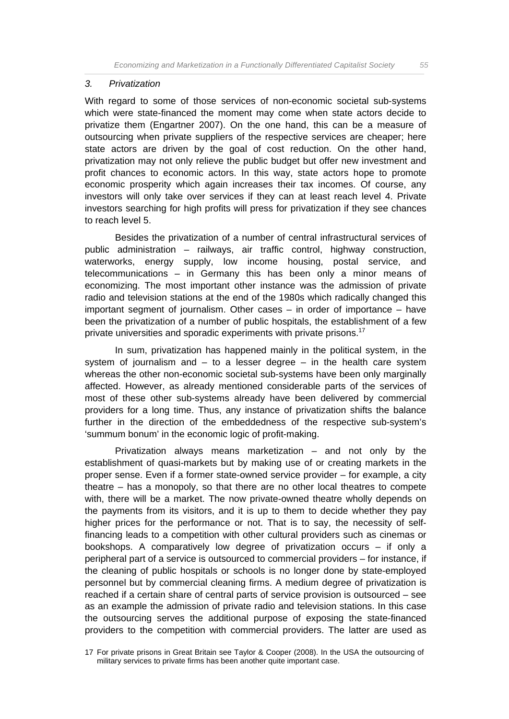#### *3.**Privatization*

With regard to some of those services of non-economic societal sub-systems which were state-financed the moment may come when state actors decide to privatize them (Engartner 2007). On the one hand, this can be a measure of outsourcing when private suppliers of the respective services are cheaper; here state actors are driven by the goal of cost reduction. On the other hand, privatization may not only relieve the public budget but offer new investment and profit chances to economic actors. In this way, state actors hope to promote economic prosperity which again increases their tax incomes. Of course, any investors will only take over services if they can at least reach level 4. Private investors searching for high profits will press for privatization if they see chances to reach level 5.

Besides the privatization of a number of central infrastructural services of public administration – railways, air traffic control, highway construction, waterworks, energy supply, low income housing, postal service, and telecommunications – in Germany this has been only a minor means of economizing. The most important other instance was the admission of private radio and television stations at the end of the 1980s which radically changed this important segment of journalism. Other cases – in order of importance – have been the privatization of a number of public hospitals, the establishment of a few private universities and sporadic experiments with private prisons.<sup>17</sup>

In sum, privatization has happened mainly in the political system, in the system of journalism and  $-$  to a lesser degree  $-$  in the health care system whereas the other non-economic societal sub-systems have been only marginally affected. However, as already mentioned considerable parts of the services of most of these other sub-systems already have been delivered by commercial providers for a long time. Thus, any instance of privatization shifts the balance further in the direction of the embeddedness of the respective sub-system's 'summum bonum' in the economic logic of profit-making.

Privatization always means marketization – and not only by the establishment of quasi-markets but by making use of or creating markets in the proper sense. Even if a former state-owned service provider – for example, a city theatre – has a monopoly, so that there are no other local theatres to compete with, there will be a market. The now private-owned theatre wholly depends on the payments from its visitors, and it is up to them to decide whether they pay higher prices for the performance or not. That is to say, the necessity of selffinancing leads to a competition with other cultural providers such as cinemas or bookshops. A comparatively low degree of privatization occurs – if only a peripheral part of a service is outsourced to commercial providers – for instance, if the cleaning of public hospitals or schools is no longer done by state-employed personnel but by commercial cleaning firms. A medium degree of privatization is reached if a certain share of central parts of service provision is outsourced – see as an example the admission of private radio and television stations. In this case the outsourcing serves the additional purpose of exposing the state-financed providers to the competition with commercial providers. The latter are used as

<sup>17</sup> For private prisons in Great Britain see Taylor & Cooper (2008). In the USA the outsourcing of military services to private firms has been another quite important case.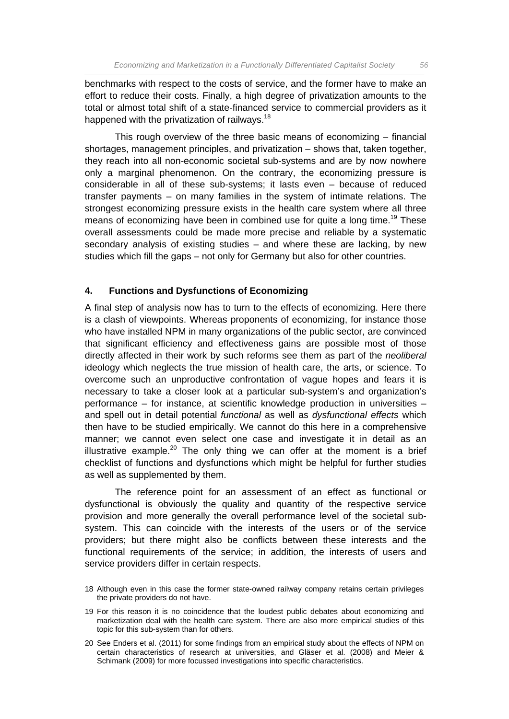benchmarks with respect to the costs of service, and the former have to make an effort to reduce their costs. Finally, a high degree of privatization amounts to the total or almost total shift of a state-financed service to commercial providers as it happened with the privatization of railways.<sup>18</sup>

This rough overview of the three basic means of economizing – financial shortages, management principles, and privatization – shows that, taken together, they reach into all non-economic societal sub-systems and are by now nowhere only a marginal phenomenon. On the contrary, the economizing pressure is considerable in all of these sub-systems; it lasts even – because of reduced transfer payments – on many families in the system of intimate relations. The strongest economizing pressure exists in the health care system where all three means of economizing have been in combined use for quite a long time.<sup>19</sup> These overall assessments could be made more precise and reliable by a systematic secondary analysis of existing studies – and where these are lacking, by new studies which fill the gaps – not only for Germany but also for other countries.

### **4. Functions and Dysfunctions of Economizing**

A final step of analysis now has to turn to the effects of economizing. Here there is a clash of viewpoints. Whereas proponents of economizing, for instance those who have installed NPM in many organizations of the public sector, are convinced that significant efficiency and effectiveness gains are possible most of those directly affected in their work by such reforms see them as part of the *neoliberal* ideology which neglects the true mission of health care, the arts, or science. To overcome such an unproductive confrontation of vague hopes and fears it is necessary to take a closer look at a particular sub-system's and organization's performance – for instance, at scientific knowledge production in universities – and spell out in detail potential *functional* as well as *dysfunctional effects* which then have to be studied empirically. We cannot do this here in a comprehensive manner; we cannot even select one case and investigate it in detail as an illustrative example.<sup>20</sup> The only thing we can offer at the moment is a brief checklist of functions and dysfunctions which might be helpful for further studies as well as supplemented by them.

The reference point for an assessment of an effect as functional or dysfunctional is obviously the quality and quantity of the respective service provision and more generally the overall performance level of the societal subsystem. This can coincide with the interests of the users or of the service providers; but there might also be conflicts between these interests and the functional requirements of the service; in addition, the interests of users and service providers differ in certain respects.

<sup>18</sup> Although even in this case the former state-owned railway company retains certain privileges the private providers do not have.

<sup>19</sup> For this reason it is no coincidence that the loudest public debates about economizing and marketization deal with the health care system. There are also more empirical studies of this topic for this sub-system than for others.

<sup>20</sup> See Enders et al. (2011) for some findings from an empirical study about the effects of NPM on certain characteristics of research at universities, and Gläser et al. (2008) and Meier & Schimank (2009) for more focussed investigations into specific characteristics.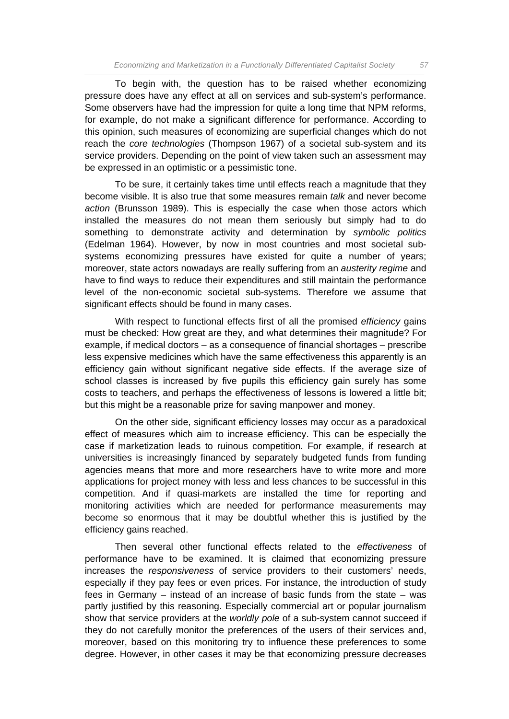To begin with, the question has to be raised whether economizing pressure does have any effect at all on services and sub-system's performance. Some observers have had the impression for quite a long time that NPM reforms, for example, do not make a significant difference for performance. According to this opinion, such measures of economizing are superficial changes which do not reach the *core technologies* (Thompson 1967) of a societal sub-system and its service providers. Depending on the point of view taken such an assessment may be expressed in an optimistic or a pessimistic tone.

To be sure, it certainly takes time until effects reach a magnitude that they become visible. It is also true that some measures remain *talk* and never become *action* (Brunsson 1989). This is especially the case when those actors which installed the measures do not mean them seriously but simply had to do something to demonstrate activity and determination by *symbolic politics*  (Edelman 1964). However, by now in most countries and most societal subsystems economizing pressures have existed for quite a number of years; moreover, state actors nowadays are really suffering from an *austerity regime* and have to find ways to reduce their expenditures and still maintain the performance level of the non-economic societal sub-systems. Therefore we assume that significant effects should be found in many cases.

With respect to functional effects first of all the promised *efficiency* gains must be checked: How great are they, and what determines their magnitude? For example, if medical doctors – as a consequence of financial shortages – prescribe less expensive medicines which have the same effectiveness this apparently is an efficiency gain without significant negative side effects. If the average size of school classes is increased by five pupils this efficiency gain surely has some costs to teachers, and perhaps the effectiveness of lessons is lowered a little bit; but this might be a reasonable prize for saving manpower and money.

On the other side, significant efficiency losses may occur as a paradoxical effect of measures which aim to increase efficiency. This can be especially the case if marketization leads to ruinous competition. For example, if research at universities is increasingly financed by separately budgeted funds from funding agencies means that more and more researchers have to write more and more applications for project money with less and less chances to be successful in this competition. And if quasi-markets are installed the time for reporting and monitoring activities which are needed for performance measurements may become so enormous that it may be doubtful whether this is justified by the efficiency gains reached.

Then several other functional effects related to the *effectiveness* of performance have to be examined. It is claimed that economizing pressure increases the *responsiveness* of service providers to their customers' needs, especially if they pay fees or even prices. For instance, the introduction of study fees in Germany – instead of an increase of basic funds from the state – was partly justified by this reasoning. Especially commercial art or popular journalism show that service providers at the *worldly pole* of a sub-system cannot succeed if they do not carefully monitor the preferences of the users of their services and, moreover, based on this monitoring try to influence these preferences to some degree. However, in other cases it may be that economizing pressure decreases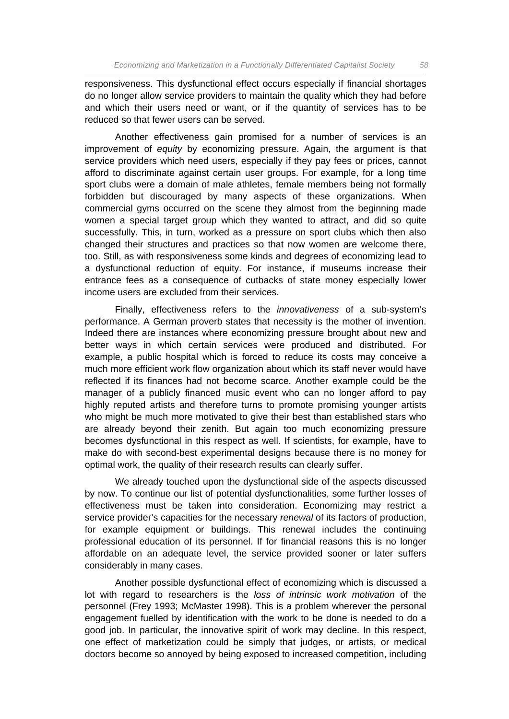responsiveness. This dysfunctional effect occurs especially if financial shortages do no longer allow service providers to maintain the quality which they had before and which their users need or want, or if the quantity of services has to be reduced so that fewer users can be served.

Another effectiveness gain promised for a number of services is an improvement of *equity* by economizing pressure. Again, the argument is that service providers which need users, especially if they pay fees or prices, cannot afford to discriminate against certain user groups. For example, for a long time sport clubs were a domain of male athletes, female members being not formally forbidden but discouraged by many aspects of these organizations. When commercial gyms occurred on the scene they almost from the beginning made women a special target group which they wanted to attract, and did so quite successfully. This, in turn, worked as a pressure on sport clubs which then also changed their structures and practices so that now women are welcome there, too. Still, as with responsiveness some kinds and degrees of economizing lead to a dysfunctional reduction of equity. For instance, if museums increase their entrance fees as a consequence of cutbacks of state money especially lower income users are excluded from their services.

Finally, effectiveness refers to the *innovativeness* of a sub-system's performance. A German proverb states that necessity is the mother of invention. Indeed there are instances where economizing pressure brought about new and better ways in which certain services were produced and distributed. For example, a public hospital which is forced to reduce its costs may conceive a much more efficient work flow organization about which its staff never would have reflected if its finances had not become scarce. Another example could be the manager of a publicly financed music event who can no longer afford to pay highly reputed artists and therefore turns to promote promising younger artists who might be much more motivated to give their best than established stars who are already beyond their zenith. But again too much economizing pressure becomes dysfunctional in this respect as well. If scientists, for example, have to make do with second-best experimental designs because there is no money for optimal work, the quality of their research results can clearly suffer.

We already touched upon the dysfunctional side of the aspects discussed by now. To continue our list of potential dysfunctionalities, some further losses of effectiveness must be taken into consideration. Economizing may restrict a service provider's capacities for the necessary *renewal* of its factors of production, for example equipment or buildings. This renewal includes the continuing professional education of its personnel. If for financial reasons this is no longer affordable on an adequate level, the service provided sooner or later suffers considerably in many cases.

Another possible dysfunctional effect of economizing which is discussed a lot with regard to researchers is the *loss of intrinsic work motivation* of the personnel (Frey 1993; McMaster 1998). This is a problem wherever the personal engagement fuelled by identification with the work to be done is needed to do a good job. In particular, the innovative spirit of work may decline. In this respect, one effect of marketization could be simply that judges, or artists, or medical doctors become so annoyed by being exposed to increased competition, including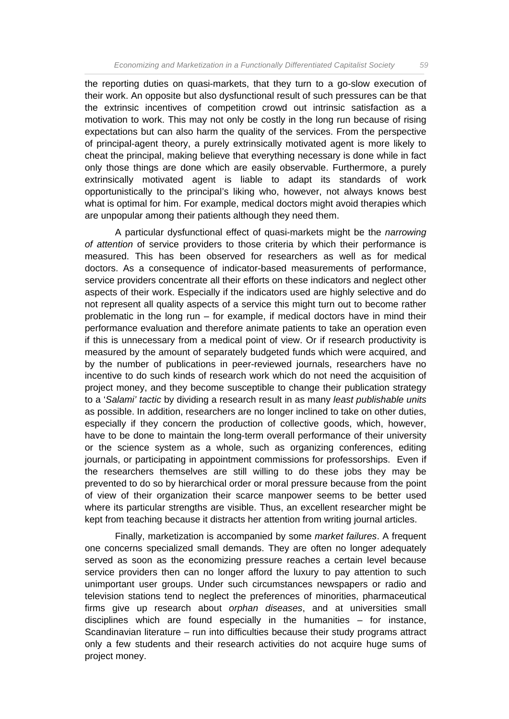the reporting duties on quasi-markets, that they turn to a go-slow execution of their work. An opposite but also dysfunctional result of such pressures can be that the extrinsic incentives of competition crowd out intrinsic satisfaction as a motivation to work. This may not only be costly in the long run because of rising expectations but can also harm the quality of the services. From the perspective of principal-agent theory, a purely extrinsically motivated agent is more likely to cheat the principal, making believe that everything necessary is done while in fact only those things are done which are easily observable. Furthermore, a purely extrinsically motivated agent is liable to adapt its standards of work opportunistically to the principal's liking who, however, not always knows best what is optimal for him. For example, medical doctors might avoid therapies which are unpopular among their patients although they need them.

A particular dysfunctional effect of quasi-markets might be the *narrowing of attention* of service providers to those criteria by which their performance is measured. This has been observed for researchers as well as for medical doctors. As a consequence of indicator-based measurements of performance, service providers concentrate all their efforts on these indicators and neglect other aspects of their work. Especially if the indicators used are highly selective and do not represent all quality aspects of a service this might turn out to become rather problematic in the long run – for example, if medical doctors have in mind their performance evaluation and therefore animate patients to take an operation even if this is unnecessary from a medical point of view. Or if research productivity is measured by the amount of separately budgeted funds which were acquired, and by the number of publications in peer-reviewed journals, researchers have no incentive to do such kinds of research work which do not need the acquisition of project money, and they become susceptible to change their publication strategy to a '*Salami' tactic* by dividing a research result in as many *least publishable units* as possible. In addition, researchers are no longer inclined to take on other duties, especially if they concern the production of collective goods, which, however, have to be done to maintain the long-term overall performance of their university or the science system as a whole, such as organizing conferences, editing journals, or participating in appointment commissions for professorships. Even if the researchers themselves are still willing to do these jobs they may be prevented to do so by hierarchical order or moral pressure because from the point of view of their organization their scarce manpower seems to be better used where its particular strengths are visible. Thus, an excellent researcher might be kept from teaching because it distracts her attention from writing journal articles.

Finally, marketization is accompanied by some *market failures*. A frequent one concerns specialized small demands. They are often no longer adequately served as soon as the economizing pressure reaches a certain level because service providers then can no longer afford the luxury to pay attention to such unimportant user groups. Under such circumstances newspapers or radio and television stations tend to neglect the preferences of minorities, pharmaceutical firms give up research about *orphan diseases*, and at universities small disciplines which are found especially in the humanities – for instance, Scandinavian literature – run into difficulties because their study programs attract only a few students and their research activities do not acquire huge sums of project money.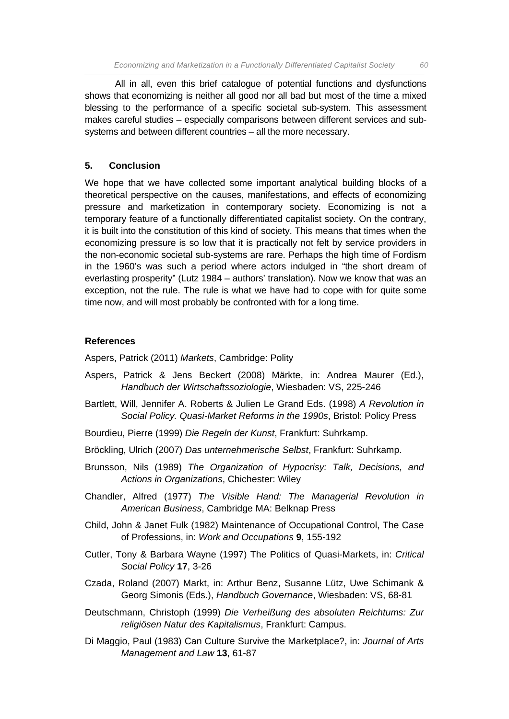All in all, even this brief catalogue of potential functions and dysfunctions shows that economizing is neither all good nor all bad but most of the time a mixed blessing to the performance of a specific societal sub-system. This assessment makes careful studies – especially comparisons between different services and subsystems and between different countries – all the more necessary.

### **5. Conclusion**

We hope that we have collected some important analytical building blocks of a theoretical perspective on the causes, manifestations, and effects of economizing pressure and marketization in contemporary society. Economizing is not a temporary feature of a functionally differentiated capitalist society. On the contrary, it is built into the constitution of this kind of society. This means that times when the economizing pressure is so low that it is practically not felt by service providers in the non-economic societal sub-systems are rare. Perhaps the high time of Fordism in the 1960's was such a period where actors indulged in "the short dream of everlasting prosperity" (Lutz 1984 – authors' translation). Now we know that was an exception, not the rule. The rule is what we have had to cope with for quite some time now, and will most probably be confronted with for a long time.

### **References**

Aspers, Patrick (2011) *Markets*, Cambridge: Polity

- Aspers, Patrick & Jens Beckert (2008) Märkte, in: Andrea Maurer (Ed.), *Handbuch der Wirtschaftssoziologie*, Wiesbaden: VS, 225-246
- Bartlett, Will, Jennifer A. Roberts & Julien Le Grand Eds. (1998) *A Revolution in Social Policy. Quasi-Market Reforms in the 1990s*, Bristol: Policy Press
- Bourdieu, Pierre (1999) *Die Regeln der Kunst*, Frankfurt: Suhrkamp.
- Bröckling, Ulrich (2007) *Das unternehmerische Selbst*, Frankfurt: Suhrkamp.
- Brunsson, Nils (1989) *The Organization of Hypocrisy: Talk, Decisions, and Actions in Organizations*, Chichester: Wiley
- Chandler, Alfred (1977) *The Visible Hand: The Managerial Revolution in American Business*, Cambridge MA: Belknap Press
- Child, John & Janet Fulk (1982) Maintenance of Occupational Control, The Case of Professions, in: *Work and Occupations* **9**, 155-192
- Cutler, Tony & Barbara Wayne (1997) The Politics of Quasi-Markets, in: *Critical Social Policy* **17**, 3-26
- Czada, Roland (2007) Markt, in: Arthur Benz, Susanne Lütz, Uwe Schimank & Georg Simonis (Eds.), *Handbuch Governance*, Wiesbaden: VS, 68-81
- Deutschmann, Christoph (1999) *Die Verheißung des absoluten Reichtums: Zur religiösen Natur des Kapitalismus*, Frankfurt: Campus.
- Di Maggio, Paul (1983) Can Culture Survive the Marketplace?, in: *Journal of Arts Management and Law* **13**, 61-87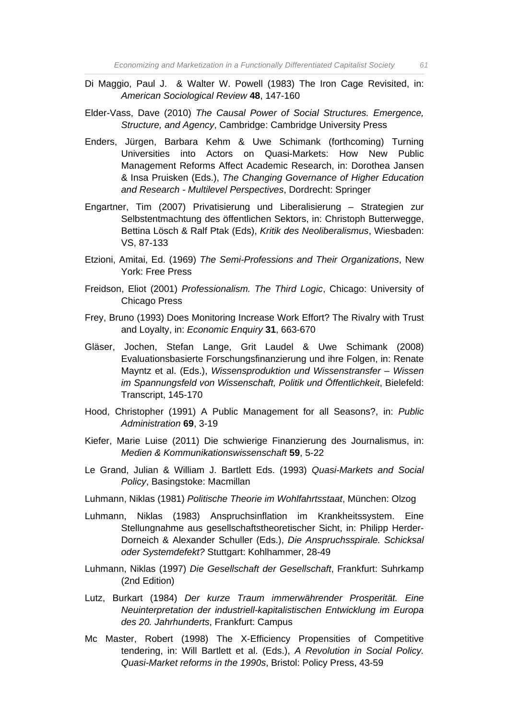- Di Maggio, Paul J. & Walter W. Powell (1983) The Iron Cage Revisited, in: *American Sociological Review* **48**, 147-160
- Elder-Vass, Dave (2010) *The Causal Power of Social Structures. Emergence, Structure, and Agency*, Cambridge: Cambridge University Press
- Enders, Jürgen, Barbara Kehm & Uwe Schimank (forthcoming) Turning Universities into Actors on Quasi-Markets: How New Public Management Reforms Affect Academic Research, in: Dorothea Jansen & Insa Pruisken (Eds.), *The Changing Governance of Higher Education and Research - Multilevel Perspectives*, Dordrecht: Springer
- Engartner, Tim (2007) Privatisierung und Liberalisierung Strategien zur Selbstentmachtung des öffentlichen Sektors, in: Christoph Butterwegge, Bettina Lösch & Ralf Ptak (Eds), *Kritik des Neoliberalismus*, Wiesbaden: VS, 87-133
- Etzioni, Amitai, Ed. (1969) *The Semi-Professions and Their Organizations*, New York: Free Press
- Freidson, Eliot (2001) *Professionalism. The Third Logic*, Chicago: University of Chicago Press
- Frey, Bruno (1993) Does Monitoring Increase Work Effort? The Rivalry with Trust and Loyalty, in: *Economic Enquiry* **31**, 663-670
- Gläser, Jochen, Stefan Lange, Grit Laudel & Uwe Schimank (2008) Evaluationsbasierte Forschungsfinanzierung und ihre Folgen, in: Renate Mayntz et al. (Eds.), *Wissensproduktion und Wissenstransfer – Wissen im Spannungsfeld von Wissenschaft, Politik und Öffentlichkeit*, Bielefeld: Transcript, 145-170
- Hood, Christopher (1991) A Public Management for all Seasons?, in: *Public Administration* **69**, 3-19
- Kiefer, Marie Luise (2011) Die schwierige Finanzierung des Journalismus, in: *Medien & Kommunikationswissenschaft* **59**, 5-22
- Le Grand, Julian & William J. Bartlett Eds. (1993) *Quasi-Markets and Social Policy*, Basingstoke: Macmillan
- Luhmann, Niklas (1981) *Politische Theorie im Wohlfahrtsstaat*, München: Olzog
- Luhmann, Niklas (1983) Anspruchsinflation im Krankheitssystem. Eine Stellungnahme aus gesellschaftstheoretischer Sicht, in: Philipp Herder-Dorneich & Alexander Schuller (Eds.), *Die Anspruchsspirale. Schicksal oder Systemdefekt?* Stuttgart: Kohlhammer, 28-49
- Luhmann, Niklas (1997) *Die Gesellschaft der Gesellschaft*, Frankfurt: Suhrkamp (2nd Edition)
- Lutz, Burkart (1984) *Der kurze Traum immerwährender Prosperität. Eine Neuinterpretation der industriell-kapitalistischen Entwicklung im Europa des 20. Jahrhunderts*, Frankfurt: Campus
- Mc Master, Robert (1998) The X-Efficiency Propensities of Competitive tendering, in: Will Bartlett et al. (Eds.), *A Revolution in Social Policy. Quasi-Market reforms in the 1990s*, Bristol: Policy Press, 43-59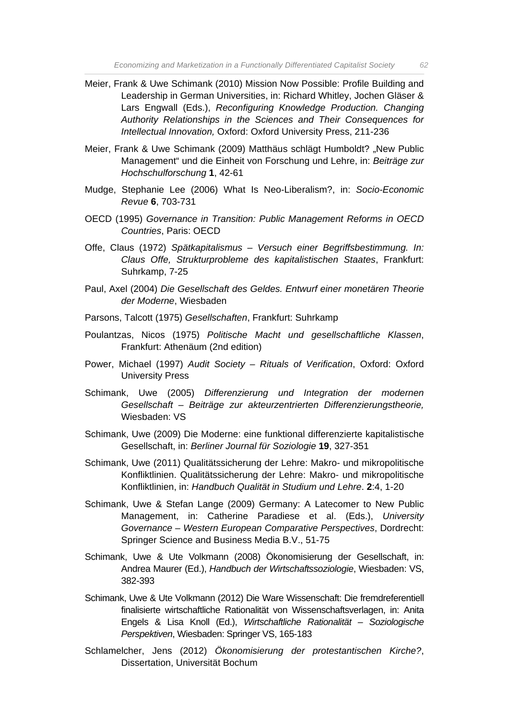- Meier, Frank & Uwe Schimank (2010) Mission Now Possible: Profile Building and Leadership in German Universities, in: Richard Whitley, Jochen Gläser & Lars Engwall (Eds.), *Reconfiguring Knowledge Production. Changing Authority Relationships in the Sciences and Their Consequences for Intellectual Innovation,* Oxford: Oxford University Press, 211-236
- Meier, Frank & Uwe Schimank (2009) Matthäus schlägt Humboldt? "New Public Management" und die Einheit von Forschung und Lehre, in: *Beiträge zur Hochschulforschung* **1**, 42-61
- Mudge, Stephanie Lee (2006) What Is Neo-Liberalism?, in: *Socio-Economic Revue* **6**, 703-731
- OECD (1995) *Governance in Transition: Public Management Reforms in OECD Countries*, Paris: OECD
- Offe, Claus (1972) *Spätkapitalismus Versuch einer Begriffsbestimmung. In: Claus Offe, Strukturprobleme des kapitalistischen Staates*, Frankfurt: Suhrkamp, 7-25
- Paul, Axel (2004) *Die Gesellschaft des Geldes. Entwurf einer monetären Theorie der Moderne*, Wiesbaden
- Parsons, Talcott (1975) *Gesellschaften*, Frankfurt: Suhrkamp
- Poulantzas, Nicos (1975) *Politische Macht und gesellschaftliche Klassen*, Frankfurt: Athenäum (2nd edition)
- Power, Michael (1997) *Audit Society Rituals of Verification*, Oxford: Oxford University Press
- Schimank, Uwe (2005) *Differenzierung und Integration der modernen Gesellschaft – Beiträge zur akteurzentrierten Differenzierungstheorie,* Wiesbaden: VS
- Schimank, Uwe (2009) Die Moderne: eine funktional differenzierte kapitalistische Gesellschaft, in: *Berliner Journal für Soziologie* **19**, 327-351
- Schimank, Uwe (2011) Qualitätssicherung der Lehre: Makro- und mikropolitische Konfliktlinien. Qualitätssicherung der Lehre: Makro- und mikropolitische Konfliktlinien, in: *Handbuch Qualität in Studium und Lehre*. **2**:4, 1-20
- Schimank, Uwe & Stefan Lange (2009) Germany: A Latecomer to New Public Management, in: Catherine Paradiese et al. (Eds.), *University Governance – Western European Comparative Perspectives*, Dordrecht: Springer Science and Business Media B.V., 51-75
- Schimank, Uwe & Ute Volkmann (2008) Ökonomisierung der Gesellschaft, in: Andrea Maurer (Ed.), *Handbuch der Wirtschaftssoziologie*, Wiesbaden: VS, 382-393
- Schimank, Uwe & Ute Volkmann (2012) Die Ware Wissenschaft: Die fremdreferentiell finalisierte wirtschaftliche Rationalität von Wissenschaftsverlagen, in: Anita Engels & Lisa Knoll (Ed.), *Wirtschaftliche Rationalität – Soziologische Perspektiven*, Wiesbaden: Springer VS, 165-183
- Schlamelcher, Jens (2012) *Ökonomisierung der protestantischen Kirche?*, Dissertation, Universität Bochum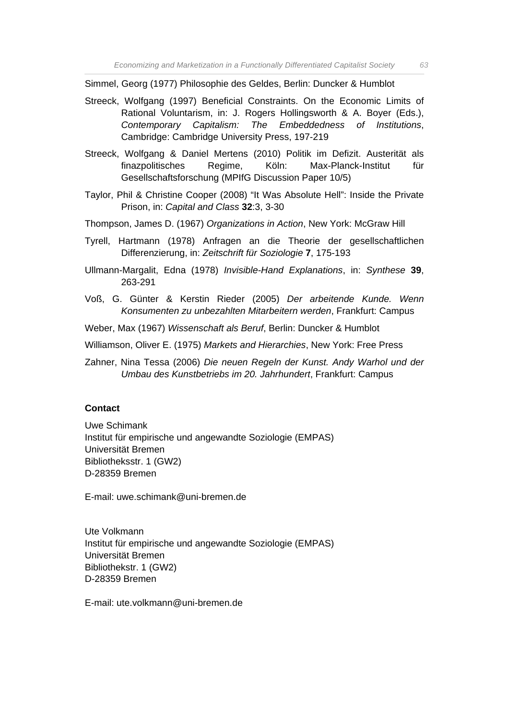Simmel, Georg (1977) Philosophie des Geldes, Berlin: Duncker & Humblot

- Streeck, Wolfgang (1997) Beneficial Constraints. On the Economic Limits of Rational Voluntarism, in: J. Rogers Hollingsworth & A. Boyer (Eds.), *Contemporary Capitalism: The Embeddedness of Institutions*, Cambridge: Cambridge University Press, 197-219
- Streeck, Wolfgang & Daniel Mertens (2010) Politik im Defizit. Austerität als finazpolitisches Regime, Köln: Max-Planck-Institut für Gesellschaftsforschung (MPIfG Discussion Paper 10/5)
- Taylor, Phil & Christine Cooper (2008) "It Was Absolute Hell": Inside the Private Prison, in: *Capital and Class* **32**:3, 3-30
- Thompson, James D. (1967) *Organizations in Action*, New York: McGraw Hill
- Tyrell, Hartmann (1978) Anfragen an die Theorie der gesellschaftlichen Differenzierung, in: *Zeitschrift für Soziologie* **7**, 175-193
- Ullmann-Margalit, Edna (1978) *Invisible-Hand Explanations*, in: *Synthese* **39**, 263-291
- Voß, G. Günter & Kerstin Rieder (2005) *Der arbeitende Kunde. Wenn Konsumenten zu unbezahlten Mitarbeitern werden*, Frankfurt: Campus
- Weber, Max (1967) *Wissenschaft als Beruf*, Berlin: Duncker & Humblot
- Williamson, Oliver E. (1975) *Markets and Hierarchies*, New York: Free Press
- Zahner, Nina Tessa (2006) *Die neuen Regeln der Kunst. Andy Warhol und der Umbau des Kunstbetriebs im 20. Jahrhundert*, Frankfurt: Campus

# **Contact**

Uwe Schimank Institut für empirische und angewandte Soziologie (EMPAS) Universität Bremen Bibliotheksstr. 1 (GW2) D-28359 Bremen

E-mail: uwe.schimank@uni-bremen.de

Ute Volkmann Institut für empirische und angewandte Soziologie (EMPAS) Universität Bremen Bibliothekstr. 1 (GW2) D-28359 Bremen

E-mail: ute.volkmann@uni-bremen.de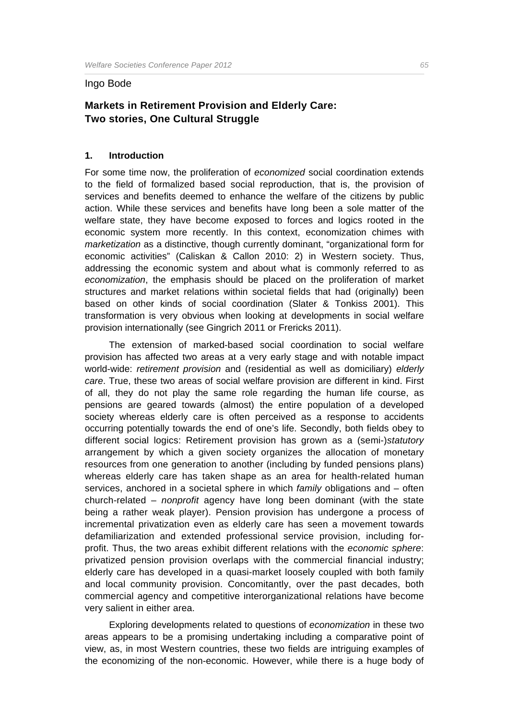#### Ingo Bode

# **Markets in Retirement Provision and Elderly Care: Two stories, One Cultural Struggle**

### **1. Introduction**

For some time now, the proliferation of *economized* social coordination extends to the field of formalized based social reproduction, that is, the provision of services and benefits deemed to enhance the welfare of the citizens by public action. While these services and benefits have long been a sole matter of the welfare state, they have become exposed to forces and logics rooted in the economic system more recently. In this context, economization chimes with *marketization* as a distinctive, though currently dominant, "organizational form for economic activities" (Caliskan & Callon 2010: 2) in Western society. Thus, addressing the economic system and about what is commonly referred to as *economization*, the emphasis should be placed on the proliferation of market structures and market relations within societal fields that had (originally) been based on other kinds of social coordination (Slater & Tonkiss 2001). This transformation is very obvious when looking at developments in social welfare provision internationally (see Gingrich 2011 or Frericks 2011).

The extension of marked-based social coordination to social welfare provision has affected two areas at a very early stage and with notable impact world-wide: *retirement provision* and (residential as well as domiciliary) *elderly care*. True, these two areas of social welfare provision are different in kind. First of all, they do not play the same role regarding the human life course, as pensions are geared towards (almost) the entire population of a developed society whereas elderly care is often perceived as a response to accidents occurring potentially towards the end of one's life. Secondly, both fields obey to different social logics: Retirement provision has grown as a (semi-)*statutory* arrangement by which a given society organizes the allocation of monetary resources from one generation to another (including by funded pensions plans) whereas elderly care has taken shape as an area for health-related human services, anchored in a societal sphere in which *family* obligations and – often church-related – *nonprofit* agency have long been dominant (with the state being a rather weak player). Pension provision has undergone a process of incremental privatization even as elderly care has seen a movement towards defamiliarization and extended professional service provision, including forprofit. Thus, the two areas exhibit different relations with the *economic sphere*: privatized pension provision overlaps with the commercial financial industry; elderly care has developed in a quasi-market loosely coupled with both family and local community provision. Concomitantly, over the past decades, both commercial agency and competitive interorganizational relations have become very salient in either area.

Exploring developments related to questions of *economization* in these two areas appears to be a promising undertaking including a comparative point of view, as, in most Western countries, these two fields are intriguing examples of the economizing of the non-economic. However, while there is a huge body of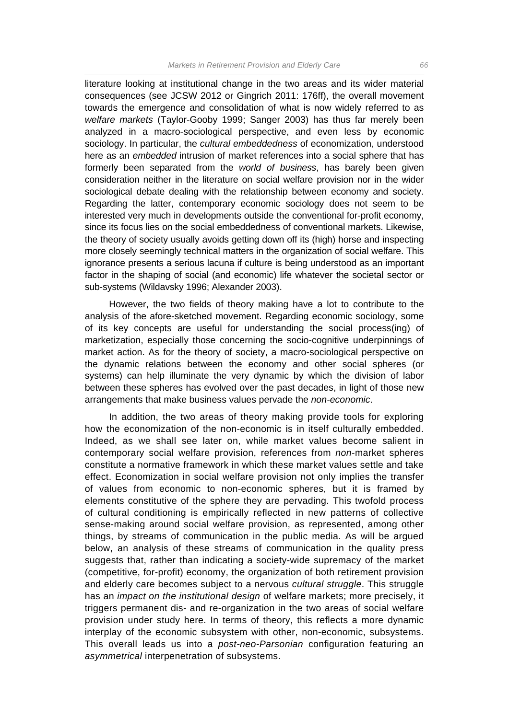literature looking at institutional change in the two areas and its wider material consequences (see JCSW 2012 or Gingrich 2011: 176ff), the overall movement towards the emergence and consolidation of what is now widely referred to as *welfare markets* (Taylor-Gooby 1999; Sanger 2003) has thus far merely been analyzed in a macro-sociological perspective, and even less by economic sociology. In particular, the *cultural embeddedness* of economization, understood here as an *embedded* intrusion of market references into a social sphere that has formerly been separated from the *world of business*, has barely been given consideration neither in the literature on social welfare provision nor in the wider sociological debate dealing with the relationship between economy and society. Regarding the latter, contemporary economic sociology does not seem to be interested very much in developments outside the conventional for-profit economy, since its focus lies on the social embeddedness of conventional markets. Likewise, the theory of society usually avoids getting down off its (high) horse and inspecting more closely seemingly technical matters in the organization of social welfare. This ignorance presents a serious lacuna if culture is being understood as an important factor in the shaping of social (and economic) life whatever the societal sector or sub-systems (Wildavsky 1996; Alexander 2003).

However, the two fields of theory making have a lot to contribute to the analysis of the afore-sketched movement. Regarding economic sociology, some of its key concepts are useful for understanding the social process(ing) of marketization, especially those concerning the socio-cognitive underpinnings of market action. As for the theory of society, a macro-sociological perspective on the dynamic relations between the economy and other social spheres (or systems) can help illuminate the very dynamic by which the division of labor between these spheres has evolved over the past decades, in light of those new arrangements that make business values pervade the *non-economic*.

In addition, the two areas of theory making provide tools for exploring how the economization of the non-economic is in itself culturally embedded. Indeed, as we shall see later on, while market values become salient in contemporary social welfare provision, references from *non*-market spheres constitute a normative framework in which these market values settle and take effect. Economization in social welfare provision not only implies the transfer of values from economic to non-economic spheres, but it is framed by elements constitutive of the sphere they are pervading. This twofold process of cultural conditioning is empirically reflected in new patterns of collective sense-making around social welfare provision, as represented, among other things, by streams of communication in the public media. As will be argued below, an analysis of these streams of communication in the quality press suggests that, rather than indicating a society-wide supremacy of the market (competitive, for-profit) economy, the organization of both retirement provision and elderly care becomes subject to a nervous *cultural struggle*. This struggle has an *impact on the institutional design* of welfare markets; more precisely, it triggers permanent dis- and re-organization in the two areas of social welfare provision under study here. In terms of theory, this reflects a more dynamic interplay of the economic subsystem with other, non-economic, subsystems. This overall leads us into a *post-neo-Parsonian* configuration featuring an *asymmetrical* interpenetration of subsystems.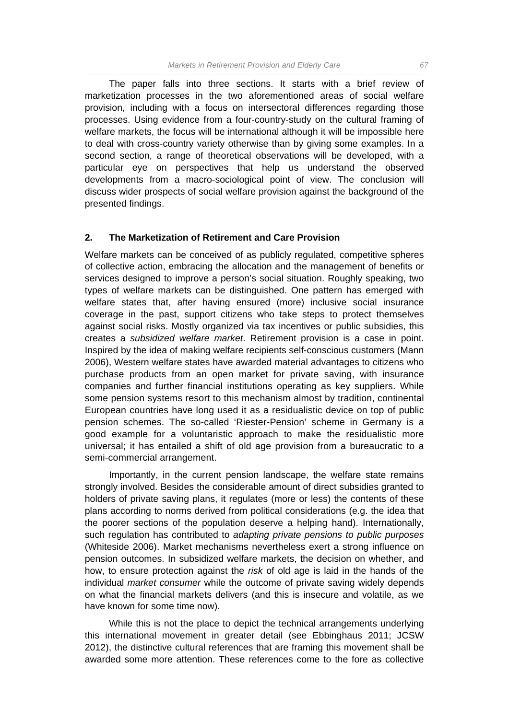The paper falls into three sections. It starts with a brief review of marketization processes in the two aforementioned areas of social welfare provision, including with a focus on intersectoral differences regarding those processes. Using evidence from a four-country-study on the cultural framing of welfare markets, the focus will be international although it will be impossible here to deal with cross-country variety otherwise than by giving some examples. In a second section, a range of theoretical observations will be developed, with a particular eye on perspectives that help us understand the observed developments from a macro-sociological point of view. The conclusion will discuss wider prospects of social welfare provision against the background of the presented findings.

#### **2. The Marketization of Retirement and Care Provision**

Welfare markets can be conceived of as publicly regulated, competitive spheres of collective action, embracing the allocation and the management of benefits or services designed to improve a person's social situation. Roughly speaking, two types of welfare markets can be distinguished. One pattern has emerged with welfare states that, after having ensured (more) inclusive social insurance coverage in the past, support citizens who take steps to protect themselves against social risks. Mostly organized via tax incentives or public subsidies, this creates a *subsidized welfare market*. Retirement provision is a case in point. Inspired by the idea of making welfare recipients self-conscious customers (Mann 2006), Western welfare states have awarded material advantages to citizens who purchase products from an open market for private saving, with insurance companies and further financial institutions operating as key suppliers. While some pension systems resort to this mechanism almost by tradition, continental European countries have long used it as a residualistic device on top of public pension schemes. The so-called 'Riester-Pension' scheme in Germany is a good example for a voluntaristic approach to make the residualistic more universal; it has entailed a shift of old age provision from a bureaucratic to a semi-commercial arrangement.

Importantly, in the current pension landscape, the welfare state remains strongly involved. Besides the considerable amount of direct subsidies granted to holders of private saving plans, it regulates (more or less) the contents of these plans according to norms derived from political considerations (e.g. the idea that the poorer sections of the population deserve a helping hand). Internationally, such regulation has contributed to *adapting private pensions to public purposes*  (Whiteside 2006). Market mechanisms nevertheless exert a strong influence on pension outcomes. In subsidized welfare markets, the decision on whether, and how, to ensure protection against the *risk* of old age is laid in the hands of the individual *market consumer* while the outcome of private saving widely depends on what the financial markets delivers (and this is insecure and volatile, as we have known for some time now).

While this is not the place to depict the technical arrangements underlying this international movement in greater detail (see Ebbinghaus 2011; JCSW 2012), the distinctive cultural references that are framing this movement shall be awarded some more attention. These references come to the fore as collective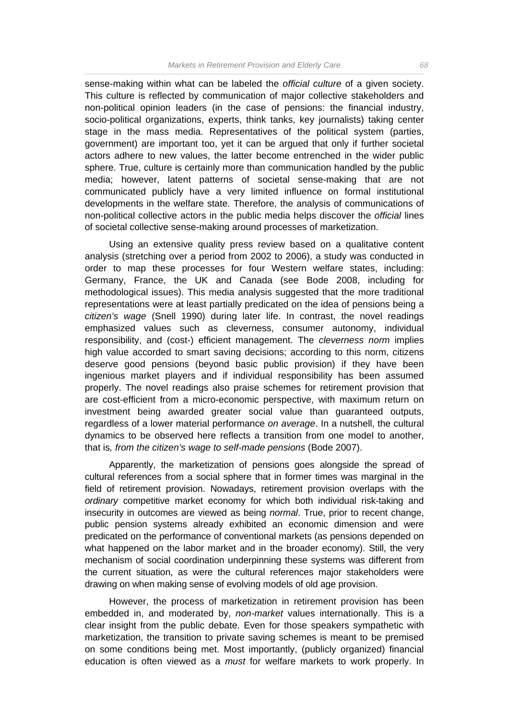sense-making within what can be labeled the *official culture* of a given society. This culture is reflected by communication of major collective stakeholders and non-political opinion leaders (in the case of pensions: the financial industry, socio-political organizations, experts, think tanks, key journalists) taking center stage in the mass media. Representatives of the political system (parties, government) are important too, yet it can be argued that only if further societal actors adhere to new values, the latter become entrenched in the wider public sphere. True, culture is certainly more than communication handled by the public media; however, latent patterns of societal sense-making that are not communicated publicly have a very limited influence on formal institutional developments in the welfare state. Therefore, the analysis of communications of non-political collective actors in the public media helps discover the *official* lines of societal collective sense-making around processes of marketization.

Using an extensive quality press review based on a qualitative content analysis (stretching over a period from 2002 to 2006), a study was conducted in order to map these processes for four Western welfare states, including: Germany, France, the UK and Canada (see Bode 2008, including for methodological issues). This media analysis suggested that the more traditional representations were at least partially predicated on the idea of pensions being a *citizen's wage* (Snell 1990) during later life. In contrast, the novel readings emphasized values such as cleverness, consumer autonomy, individual responsibility, and (cost-) efficient management. The *cleverness norm* implies high value accorded to smart saving decisions; according to this norm, citizens deserve good pensions (beyond basic public provision) if they have been ingenious market players and if individual responsibility has been assumed properly. The novel readings also praise schemes for retirement provision that are cost-efficient from a micro-economic perspective, with maximum return on investment being awarded greater social value than guaranteed outputs, regardless of a lower material performance *on average*. In a nutshell, the cultural dynamics to be observed here reflects a transition from one model to another, that is*, from the citizen's wage to self-made pensions* (Bode 2007).

Apparently, the marketization of pensions goes alongside the spread of cultural references from a social sphere that in former times was marginal in the field of retirement provision. Nowadays, retirement provision overlaps with the *ordinary* competitive market economy for which both individual risk-taking and insecurity in outcomes are viewed as being *normal*. True, prior to recent change, public pension systems already exhibited an economic dimension and were predicated on the performance of conventional markets (as pensions depended on what happened on the labor market and in the broader economy). Still, the very mechanism of social coordination underpinning these systems was different from the current situation, as were the cultural references major stakeholders were drawing on when making sense of evolving models of old age provision.

However, the process of marketization in retirement provision has been embedded in, and moderated by, *non-market* values internationally. This is a clear insight from the public debate. Even for those speakers sympathetic with marketization, the transition to private saving schemes is meant to be premised on some conditions being met. Most importantly, (publicly organized) financial education is often viewed as a *must* for welfare markets to work properly. In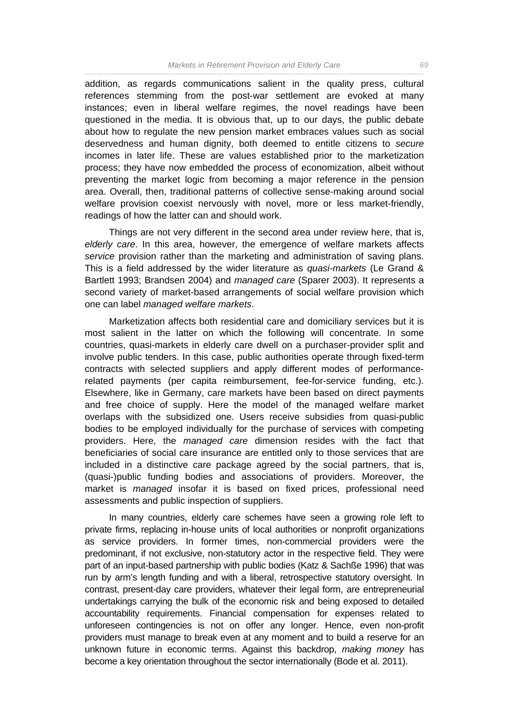addition, as regards communications salient in the quality press, cultural references stemming from the post-war settlement are evoked at many instances; even in liberal welfare regimes, the novel readings have been questioned in the media. It is obvious that, up to our days, the public debate about how to regulate the new pension market embraces values such as social deservedness and human dignity, both deemed to entitle citizens to *secure*  incomes in later life. These are values established prior to the marketization process; they have now embedded the process of economization, albeit without preventing the market logic from becoming a major reference in the pension area. Overall, then, traditional patterns of collective sense-making around social welfare provision coexist nervously with novel, more or less market-friendly, readings of how the latter can and should work.

Things are not very different in the second area under review here, that is, *elderly care*. In this area, however, the emergence of welfare markets affects *service* provision rather than the marketing and administration of saving plans. This is a field addressed by the wider literature as *quasi-markets* (Le Grand & Bartlett 1993; Brandsen 2004) and *managed care* (Sparer 2003). It represents a second variety of market-based arrangements of social welfare provision which one can label *managed welfare markets*.

Marketization affects both residential care and domiciliary services but it is most salient in the latter on which the following will concentrate. In some countries, quasi-markets in elderly care dwell on a purchaser-provider split and involve public tenders. In this case, public authorities operate through fixed-term contracts with selected suppliers and apply different modes of performancerelated payments (per capita reimbursement, fee-for-service funding, etc.). Elsewhere, like in Germany, care markets have been based on direct payments and free choice of supply. Here the model of the managed welfare market overlaps with the subsidized one. Users receive subsidies from quasi-public bodies to be employed individually for the purchase of services with competing providers. Here, the *managed care* dimension resides with the fact that beneficiaries of social care insurance are entitled only to those services that are included in a distinctive care package agreed by the social partners, that is, (quasi-)public funding bodies and associations of providers. Moreover, the market is *managed* insofar it is based on fixed prices, professional need assessments and public inspection of suppliers.

In many countries, elderly care schemes have seen a growing role left to private firms, replacing in-house units of local authorities or nonprofit organizations as service providers. In former times, non-commercial providers were the predominant, if not exclusive, non-statutory actor in the respective field. They were part of an input-based partnership with public bodies (Katz & Sachße 1996) that was run by arm's length funding and with a liberal, retrospective statutory oversight. In contrast, present-day care providers, whatever their legal form, are entrepreneurial undertakings carrying the bulk of the economic risk and being exposed to detailed accountability requirements. Financial compensation for expenses related to unforeseen contingencies is not on offer any longer. Hence, even non-profit providers must manage to break even at any moment and to build a reserve for an unknown future in economic terms. Against this backdrop, *making money* has become a key orientation throughout the sector internationally (Bode et al. 2011).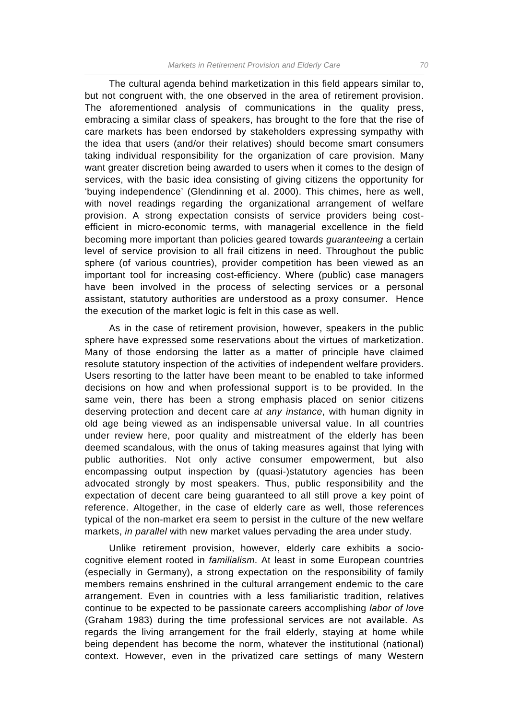The cultural agenda behind marketization in this field appears similar to, but not congruent with, the one observed in the area of retirement provision. The aforementioned analysis of communications in the quality press, embracing a similar class of speakers, has brought to the fore that the rise of care markets has been endorsed by stakeholders expressing sympathy with the idea that users (and/or their relatives) should become smart consumers taking individual responsibility for the organization of care provision. Many want greater discretion being awarded to users when it comes to the design of services, with the basic idea consisting of giving citizens the opportunity for 'buying independence' (Glendinning et al. 2000). This chimes, here as well, with novel readings regarding the organizational arrangement of welfare provision. A strong expectation consists of service providers being costefficient in micro-economic terms, with managerial excellence in the field becoming more important than policies geared towards *guaranteeing* a certain level of service provision to all frail citizens in need. Throughout the public sphere (of various countries), provider competition has been viewed as an important tool for increasing cost-efficiency. Where (public) case managers have been involved in the process of selecting services or a personal assistant, statutory authorities are understood as a proxy consumer. Hence the execution of the market logic is felt in this case as well.

As in the case of retirement provision, however, speakers in the public sphere have expressed some reservations about the virtues of marketization. Many of those endorsing the latter as a matter of principle have claimed resolute statutory inspection of the activities of independent welfare providers. Users resorting to the latter have been meant to be enabled to take informed decisions on how and when professional support is to be provided. In the same vein, there has been a strong emphasis placed on senior citizens deserving protection and decent care *at any instance*, with human dignity in old age being viewed as an indispensable universal value. In all countries under review here, poor quality and mistreatment of the elderly has been deemed scandalous, with the onus of taking measures against that lying with public authorities. Not only active consumer empowerment, but also encompassing output inspection by (quasi-)statutory agencies has been advocated strongly by most speakers. Thus, public responsibility and the expectation of decent care being guaranteed to all still prove a key point of reference. Altogether, in the case of elderly care as well, those references typical of the non-market era seem to persist in the culture of the new welfare markets, *in parallel* with new market values pervading the area under study.

Unlike retirement provision, however, elderly care exhibits a sociocognitive element rooted in *familialism*. At least in some European countries (especially in Germany), a strong expectation on the responsibility of family members remains enshrined in the cultural arrangement endemic to the care arrangement. Even in countries with a less familiaristic tradition, relatives continue to be expected to be passionate careers accomplishing *labor of love* (Graham 1983) during the time professional services are not available. As regards the living arrangement for the frail elderly, staying at home while being dependent has become the norm, whatever the institutional (national) context. However, even in the privatized care settings of many Western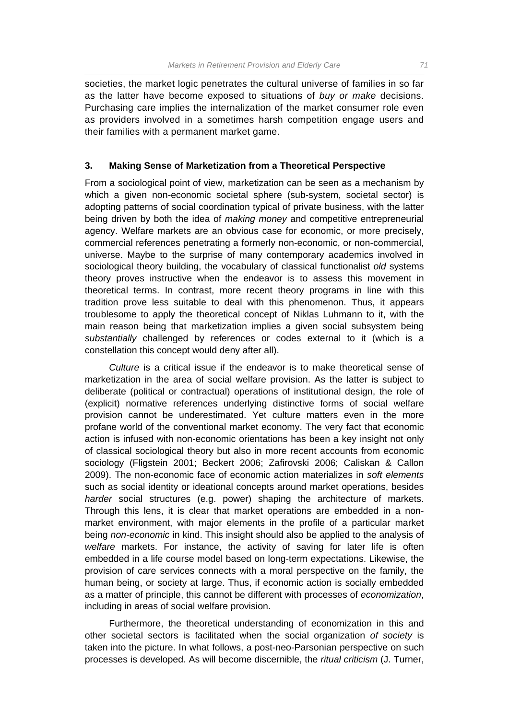societies, the market logic penetrates the cultural universe of families in so far as the latter have become exposed to situations of *buy or make* decisions. Purchasing care implies the internalization of the market consumer role even as providers involved in a sometimes harsh competition engage users and their families with a permanent market game.

### **3. Making Sense of Marketization from a Theoretical Perspective**

From a sociological point of view, marketization can be seen as a mechanism by which a given non-economic societal sphere (sub-system, societal sector) is adopting patterns of social coordination typical of private business, with the latter being driven by both the idea of *making money* and competitive entrepreneurial agency. Welfare markets are an obvious case for economic, or more precisely, commercial references penetrating a formerly non-economic, or non-commercial, universe. Maybe to the surprise of many contemporary academics involved in sociological theory building, the vocabulary of classical functionalist *old* systems theory proves instructive when the endeavor is to assess this movement in theoretical terms. In contrast, more recent theory programs in line with this tradition prove less suitable to deal with this phenomenon. Thus, it appears troublesome to apply the theoretical concept of Niklas Luhmann to it, with the main reason being that marketization implies a given social subsystem being *substantially* challenged by references or codes external to it (which is a constellation this concept would deny after all).

*Culture* is a critical issue if the endeavor is to make theoretical sense of marketization in the area of social welfare provision. As the latter is subject to deliberate (political or contractual) operations of institutional design, the role of (explicit) normative references underlying distinctive forms of social welfare provision cannot be underestimated. Yet culture matters even in the more profane world of the conventional market economy. The very fact that economic action is infused with non-economic orientations has been a key insight not only of classical sociological theory but also in more recent accounts from economic sociology (Fligstein 2001; Beckert 2006; Zafirovski 2006; Caliskan & Callon 2009). The non-economic face of economic action materializes in *soft elements* such as social identity or ideational concepts around market operations, besides *harder* social structures (e.g. power) shaping the architecture of markets. Through this lens, it is clear that market operations are embedded in a nonmarket environment, with major elements in the profile of a particular market being *non-economic* in kind. This insight should also be applied to the analysis of *welfare* markets. For instance, the activity of saving for later life is often embedded in a life course model based on long-term expectations. Likewise, the provision of care services connects with a moral perspective on the family, the human being, or society at large. Thus, if economic action is socially embedded as a matter of principle, this cannot be different with processes of *economization*, including in areas of social welfare provision.

Furthermore, the theoretical understanding of economization in this and other societal sectors is facilitated when the social organization *of society* is taken into the picture. In what follows, a post-neo-Parsonian perspective on such processes is developed. As will become discernible, the *ritual criticism* (J. Turner,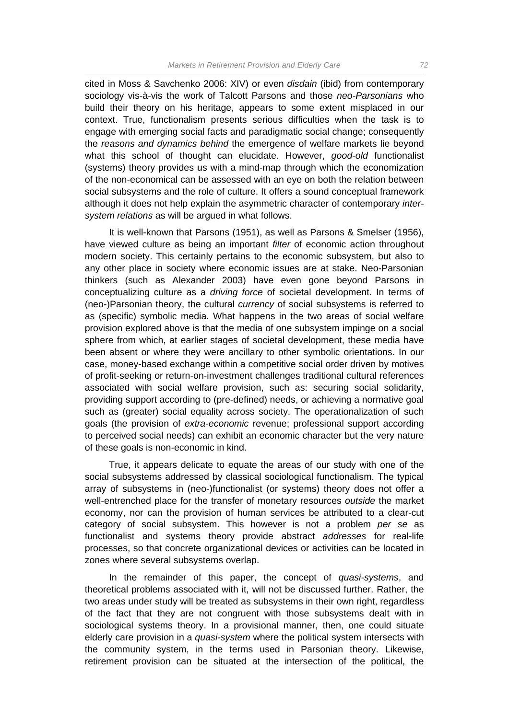cited in Moss & Savchenko 2006: XIV) or even *disdain* (ibid) from contemporary sociology vis-à-vis the work of Talcott Parsons and those *neo-Parsonians* who build their theory on his heritage, appears to some extent misplaced in our context. True, functionalism presents serious difficulties when the task is to engage with emerging social facts and paradigmatic social change; consequently the *reasons and dynamics behind* the emergence of welfare markets lie beyond what this school of thought can elucidate. However, *good-old* functionalist (systems) theory provides us with a mind-map through which the economization of the non-economical can be assessed with an eye on both the relation between social subsystems and the role of culture. It offers a sound conceptual framework although it does not help explain the asymmetric character of contemporary *intersystem relations* as will be argued in what follows.

It is well-known that Parsons (1951), as well as Parsons & Smelser (1956), have viewed culture as being an important *filter* of economic action throughout modern society. This certainly pertains to the economic subsystem, but also to any other place in society where economic issues are at stake. Neo-Parsonian thinkers (such as Alexander 2003) have even gone beyond Parsons in conceptualizing culture as a *driving force* of societal development. In terms of (neo-)Parsonian theory, the cultural *currency* of social subsystems is referred to as (specific) symbolic media. What happens in the two areas of social welfare provision explored above is that the media of one subsystem impinge on a social sphere from which, at earlier stages of societal development, these media have been absent or where they were ancillary to other symbolic orientations. In our case, money-based exchange within a competitive social order driven by motives of profit-seeking or return-on-investment challenges traditional cultural references associated with social welfare provision, such as: securing social solidarity, providing support according to (pre-defined) needs, or achieving a normative goal such as (greater) social equality across society. The operationalization of such goals (the provision of *extra-economic* revenue; professional support according to perceived social needs) can exhibit an economic character but the very nature of these goals is non-economic in kind.

True, it appears delicate to equate the areas of our study with one of the social subsystems addressed by classical sociological functionalism. The typical array of subsystems in (neo-)functionalist (or systems) theory does not offer a well-entrenched place for the transfer of monetary resources *outside* the market economy, nor can the provision of human services be attributed to a clear-cut category of social subsystem. This however is not a problem *per se* as functionalist and systems theory provide abstract *addresses* for real-life processes, so that concrete organizational devices or activities can be located in zones where several subsystems overlap.

In the remainder of this paper, the concept of *quasi-systems*, and theoretical problems associated with it, will not be discussed further. Rather, the two areas under study will be treated as subsystems in their own right, regardless of the fact that they are not congruent with those subsystems dealt with in sociological systems theory. In a provisional manner, then, one could situate elderly care provision in a *quasi-system* where the political system intersects with the community system, in the terms used in Parsonian theory. Likewise, retirement provision can be situated at the intersection of the political, the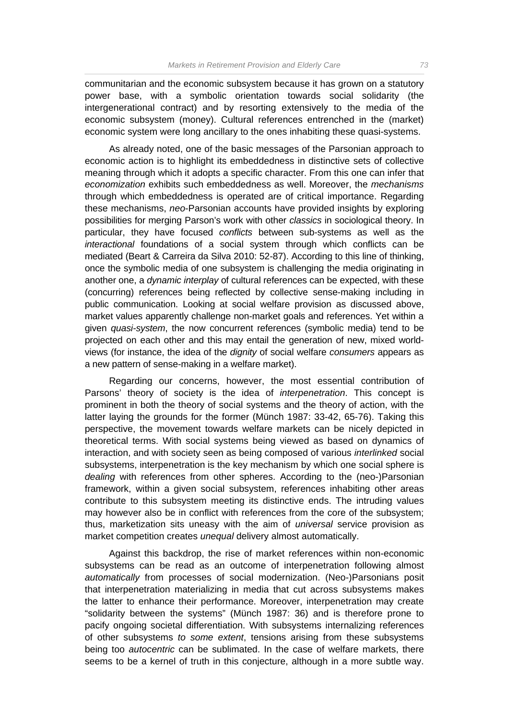communitarian and the economic subsystem because it has grown on a statutory power base, with a symbolic orientation towards social solidarity (the intergenerational contract) and by resorting extensively to the media of the economic subsystem (money). Cultural references entrenched in the (market) economic system were long ancillary to the ones inhabiting these quasi-systems.

As already noted, one of the basic messages of the Parsonian approach to economic action is to highlight its embeddedness in distinctive sets of collective meaning through which it adopts a specific character. From this one can infer that *economization* exhibits such embeddedness as well. Moreover, the *mechanisms* through which embeddedness is operated are of critical importance. Regarding these mechanisms, *neo*-Parsonian accounts have provided insights by exploring possibilities for merging Parson's work with other *classics* in sociological theory. In particular, they have focused *conflicts* between sub-systems as well as the *interactional* foundations of a social system through which conflicts can be mediated (Beart & Carreira da Silva 2010: 52-87). According to this line of thinking, once the symbolic media of one subsystem is challenging the media originating in another one, a *dynamic interplay* of cultural references can be expected, with these (concurring) references being reflected by collective sense-making including in public communication. Looking at social welfare provision as discussed above, market values apparently challenge non-market goals and references. Yet within a given *quasi-system*, the now concurrent references (symbolic media) tend to be projected on each other and this may entail the generation of new, mixed worldviews (for instance, the idea of the *dignity* of social welfare *consumers* appears as a new pattern of sense-making in a welfare market).

Regarding our concerns, however, the most essential contribution of Parsons' theory of society is the idea of *interpenetration*. This concept is prominent in both the theory of social systems and the theory of action, with the latter laying the grounds for the former (Münch 1987: 33-42, 65-76). Taking this perspective, the movement towards welfare markets can be nicely depicted in theoretical terms. With social systems being viewed as based on dynamics of interaction, and with society seen as being composed of various *interlinked* social subsystems, interpenetration is the key mechanism by which one social sphere is *dealing* with references from other spheres. According to the (neo-)Parsonian framework, within a given social subsystem, references inhabiting other areas contribute to this subsystem meeting its distinctive ends. The intruding values may however also be in conflict with references from the core of the subsystem; thus, marketization sits uneasy with the aim of *universal* service provision as market competition creates *unequal* delivery almost automatically.

Against this backdrop, the rise of market references within non-economic subsystems can be read as an outcome of interpenetration following almost *automatically* from processes of social modernization. (Neo-)Parsonians posit that interpenetration materializing in media that cut across subsystems makes the latter to enhance their performance. Moreover, interpenetration may create "solidarity between the systems" (Münch 1987: 36) and is therefore prone to pacify ongoing societal differentiation. With subsystems internalizing references of other subsystems *to some extent*, tensions arising from these subsystems being too *autocentric* can be sublimated. In the case of welfare markets, there seems to be a kernel of truth in this conjecture, although in a more subtle way.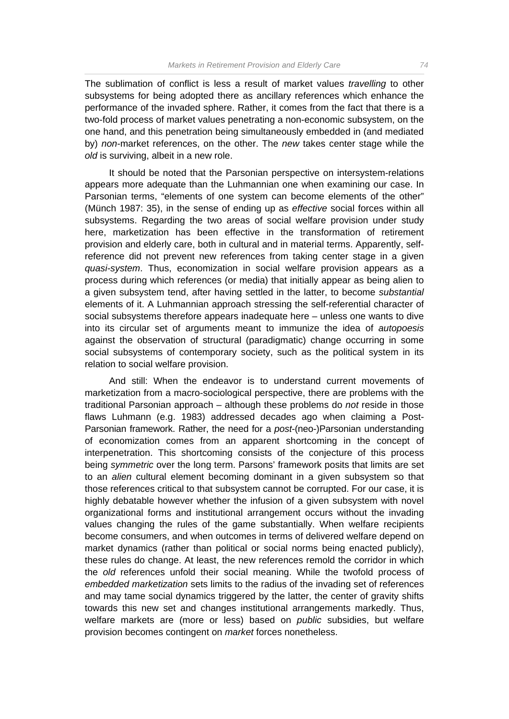The sublimation of conflict is less a result of market values *travelling* to other subsystems for being adopted there as ancillary references which enhance the performance of the invaded sphere. Rather, it comes from the fact that there is a two-fold process of market values penetrating a non-economic subsystem, on the one hand, and this penetration being simultaneously embedded in (and mediated by) *non*-market references, on the other. The *new* takes center stage while the *old* is surviving, albeit in a new role.

It should be noted that the Parsonian perspective on intersystem-relations appears more adequate than the Luhmannian one when examining our case. In Parsonian terms, "elements of one system can become elements of the other" (Münch 1987: 35), in the sense of ending up as *effective* social forces within all subsystems. Regarding the two areas of social welfare provision under study here, marketization has been effective in the transformation of retirement provision and elderly care, both in cultural and in material terms. Apparently, selfreference did not prevent new references from taking center stage in a given *quasi-system*. Thus, economization in social welfare provision appears as a process during which references (or media) that initially appear as being alien to a given subsystem tend, after having settled in the latter, to become *substantial*  elements of it. A Luhmannian approach stressing the self-referential character of social subsystems therefore appears inadequate here – unless one wants to dive into its circular set of arguments meant to immunize the idea of *autopoesis*  against the observation of structural (paradigmatic) change occurring in some social subsystems of contemporary society, such as the political system in its relation to social welfare provision.

And still: When the endeavor is to understand current movements of marketization from a macro-sociological perspective, there are problems with the traditional Parsonian approach – although these problems do *not* reside in those flaws Luhmann (e.g. 1983) addressed decades ago when claiming a Post-Parsonian framework. Rather, the need for a *post*-(neo-)Parsonian understanding of economization comes from an apparent shortcoming in the concept of interpenetration. This shortcoming consists of the conjecture of this process being *symmetric* over the long term. Parsons' framework posits that limits are set to an *alien* cultural element becoming dominant in a given subsystem so that those references critical to that subsystem cannot be corrupted. For our case, it is highly debatable however whether the infusion of a given subsystem with novel organizational forms and institutional arrangement occurs without the invading values changing the rules of the game substantially. When welfare recipients become consumers, and when outcomes in terms of delivered welfare depend on market dynamics (rather than political or social norms being enacted publicly), these rules do change. At least, the new references remold the corridor in which the *old* references unfold their social meaning. While the twofold process of *embedded marketization* sets limits to the radius of the invading set of references and may tame social dynamics triggered by the latter, the center of gravity shifts towards this new set and changes institutional arrangements markedly. Thus, welfare markets are (more or less) based on *public* subsidies, but welfare provision becomes contingent on *market* forces nonetheless.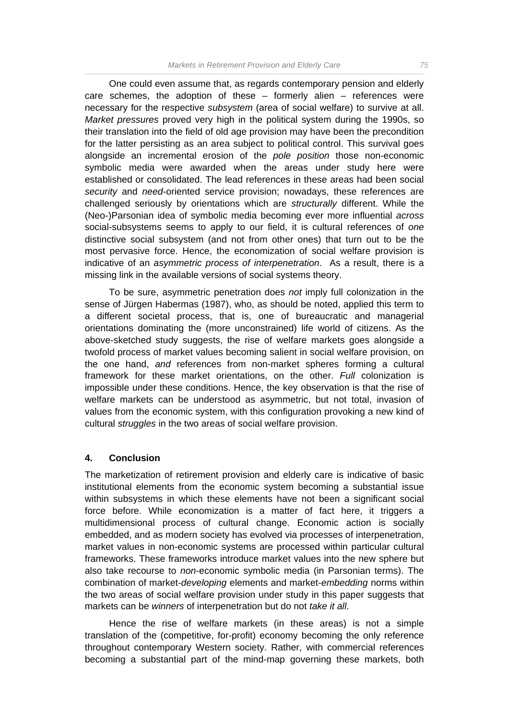One could even assume that, as regards contemporary pension and elderly care schemes, the adoption of these – formerly alien – references were necessary for the respective *subsystem* (area of social welfare) to survive at all. *Market pressures* proved very high in the political system during the 1990s, so their translation into the field of old age provision may have been the precondition for the latter persisting as an area subject to political control. This survival goes alongside an incremental erosion of the *pole position* those non-economic symbolic media were awarded when the areas under study here were established or consolidated. The lead references in these areas had been social *security* and *need*-oriented service provision; nowadays, these references are challenged seriously by orientations which are *structurally* different. While the (Neo-)Parsonian idea of symbolic media becoming ever more influential *across*  social-subsystems seems to apply to our field, it is cultural references of *one*  distinctive social subsystem (and not from other ones) that turn out to be the most pervasive force. Hence, the economization of social welfare provision is indicative of an *asymmetric process of interpenetration*. As a result, there is a missing link in the available versions of social systems theory.

To be sure, asymmetric penetration does *not* imply full colonization in the sense of Jürgen Habermas (1987), who, as should be noted, applied this term to a different societal process, that is, one of bureaucratic and managerial orientations dominating the (more unconstrained) life world of citizens. As the above-sketched study suggests, the rise of welfare markets goes alongside a twofold process of market values becoming salient in social welfare provision, on the one hand, *and* references from non-market spheres forming a cultural framework for these market orientations, on the other. *Full* colonization is impossible under these conditions. Hence, the key observation is that the rise of welfare markets can be understood as asymmetric, but not total, invasion of values from the economic system, with this configuration provoking a new kind of cultural *struggles* in the two areas of social welfare provision.

### **4. Conclusion**

The marketization of retirement provision and elderly care is indicative of basic institutional elements from the economic system becoming a substantial issue within subsystems in which these elements have not been a significant social force before. While economization is a matter of fact here, it triggers a multidimensional process of cultural change. Economic action is socially embedded, and as modern society has evolved via processes of interpenetration, market values in non-economic systems are processed within particular cultural frameworks. These frameworks introduce market values into the new sphere but also take recourse to *non*-economic symbolic media (in Parsonian terms). The combination of market-*developing* elements and market-*embedding* norms within the two areas of social welfare provision under study in this paper suggests that markets can be *winners* of interpenetration but do not *take it all*.

Hence the rise of welfare markets (in these areas) is not a simple translation of the (competitive, for-profit) economy becoming the only reference throughout contemporary Western society. Rather, with commercial references becoming a substantial part of the mind-map governing these markets, both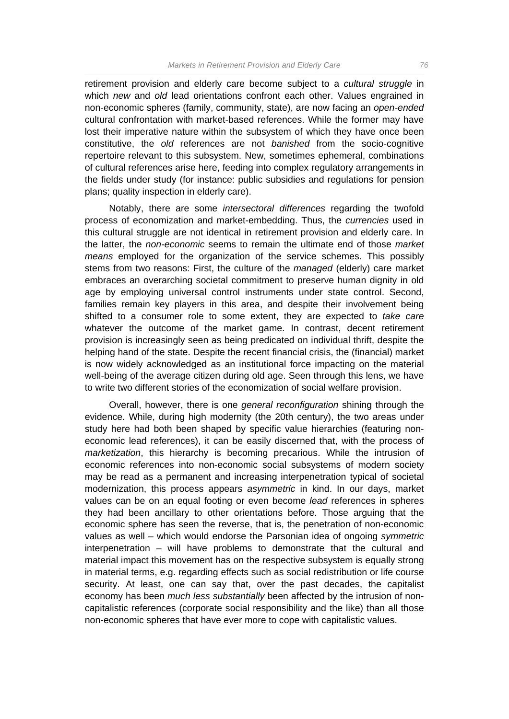retirement provision and elderly care become subject to a *cultural struggle* in which *new* and *old* lead orientations confront each other. Values engrained in non-economic spheres (family, community, state), are now facing an *open-ended* cultural confrontation with market-based references. While the former may have lost their imperative nature within the subsystem of which they have once been constitutive, the *old* references are not *banished* from the socio-cognitive repertoire relevant to this subsystem. New, sometimes ephemeral, combinations of cultural references arise here, feeding into complex regulatory arrangements in the fields under study (for instance: public subsidies and regulations for pension plans; quality inspection in elderly care).

Notably, there are some *intersectoral differences* regarding the twofold process of economization and market-embedding. Thus, the *currencies* used in this cultural struggle are not identical in retirement provision and elderly care. In the latter, the *non-economic* seems to remain the ultimate end of those *market means* employed for the organization of the service schemes. This possibly stems from two reasons: First, the culture of the *managed* (elderly) care market embraces an overarching societal commitment to preserve human dignity in old age by employing universal control instruments under state control. Second, families remain key players in this area, and despite their involvement being shifted to a consumer role to some extent, they are expected to *take care* whatever the outcome of the market game. In contrast, decent retirement provision is increasingly seen as being predicated on individual thrift, despite the helping hand of the state. Despite the recent financial crisis, the (financial) market is now widely acknowledged as an institutional force impacting on the material well-being of the average citizen during old age. Seen through this lens, we have to write two different stories of the economization of social welfare provision.

Overall, however, there is one *general reconfiguration* shining through the evidence. While, during high modernity (the 20th century), the two areas under study here had both been shaped by specific value hierarchies (featuring noneconomic lead references), it can be easily discerned that, with the process of *marketization*, this hierarchy is becoming precarious. While the intrusion of economic references into non-economic social subsystems of modern society may be read as a permanent and increasing interpenetration typical of societal modernization, this process appears *asymmetric* in kind. In our days, market values can be on an equal footing or even become *lead* references in spheres they had been ancillary to other orientations before. Those arguing that the economic sphere has seen the reverse, that is, the penetration of non-economic values as well – which would endorse the Parsonian idea of ongoing *symmetric* interpenetration – will have problems to demonstrate that the cultural and material impact this movement has on the respective subsystem is equally strong in material terms, e.g. regarding effects such as social redistribution or life course security. At least, one can say that, over the past decades, the capitalist economy has been *much less substantially* been affected by the intrusion of noncapitalistic references (corporate social responsibility and the like) than all those non-economic spheres that have ever more to cope with capitalistic values.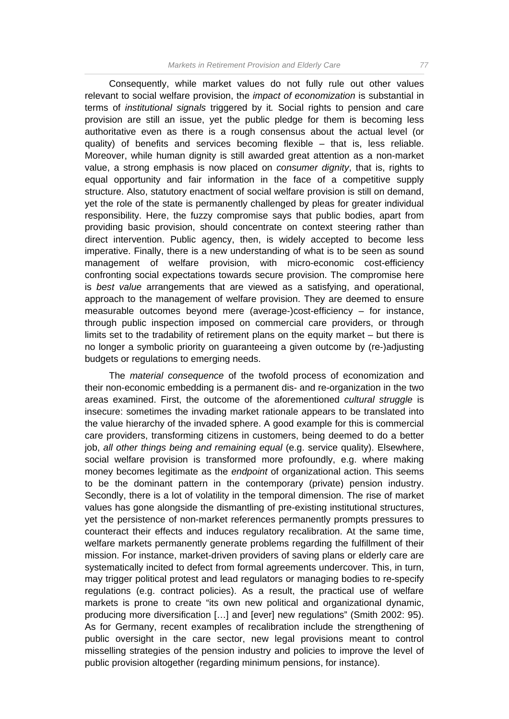Consequently, while market values do not fully rule out other values relevant to social welfare provision, the *impact of economization* is substantial in terms of *institutional signals* triggered by it*.* Social rights to pension and care provision are still an issue, yet the public pledge for them is becoming less authoritative even as there is a rough consensus about the actual level (or quality) of benefits and services becoming flexible – that is, less reliable. Moreover, while human dignity is still awarded great attention as a non-market value, a strong emphasis is now placed on *consumer dignity*, that is, rights to equal opportunity and fair information in the face of a competitive supply structure. Also, statutory enactment of social welfare provision is still on demand, yet the role of the state is permanently challenged by pleas for greater individual responsibility. Here, the fuzzy compromise says that public bodies, apart from providing basic provision, should concentrate on context steering rather than direct intervention. Public agency, then, is widely accepted to become less imperative. Finally, there is a new understanding of what is to be seen as sound management of welfare provision, with micro-economic cost-efficiency confronting social expectations towards secure provision. The compromise here is *best value* arrangements that are viewed as a satisfying, and operational, approach to the management of welfare provision. They are deemed to ensure measurable outcomes beyond mere (average-)cost-efficiency – for instance, through public inspection imposed on commercial care providers, or through limits set to the tradability of retirement plans on the equity market – but there is no longer a symbolic priority on guaranteeing a given outcome by (re-)adjusting budgets or regulations to emerging needs.

The *material consequence* of the twofold process of economization and their non-economic embedding is a permanent dis- and re-organization in the two areas examined. First, the outcome of the aforementioned *cultural struggle* is insecure: sometimes the invading market rationale appears to be translated into the value hierarchy of the invaded sphere. A good example for this is commercial care providers, transforming citizens in customers, being deemed to do a better job, *all other things being and remaining equal* (e.g. service quality). Elsewhere, social welfare provision is transformed more profoundly, e.g. where making money becomes legitimate as the *endpoint* of organizational action. This seems to be the dominant pattern in the contemporary (private) pension industry. Secondly, there is a lot of volatility in the temporal dimension. The rise of market values has gone alongside the dismantling of pre-existing institutional structures, yet the persistence of non-market references permanently prompts pressures to counteract their effects and induces regulatory recalibration. At the same time, welfare markets permanently generate problems regarding the fulfillment of their mission. For instance, market-driven providers of saving plans or elderly care are systematically incited to defect from formal agreements undercover. This, in turn, may trigger political protest and lead regulators or managing bodies to re-specify regulations (e.g. contract policies). As a result, the practical use of welfare markets is prone to create "its own new political and organizational dynamic, producing more diversification […] and [ever] new regulations" (Smith 2002: 95). As for Germany, recent examples of recalibration include the strengthening of public oversight in the care sector, new legal provisions meant to control misselling strategies of the pension industry and policies to improve the level of public provision altogether (regarding minimum pensions, for instance).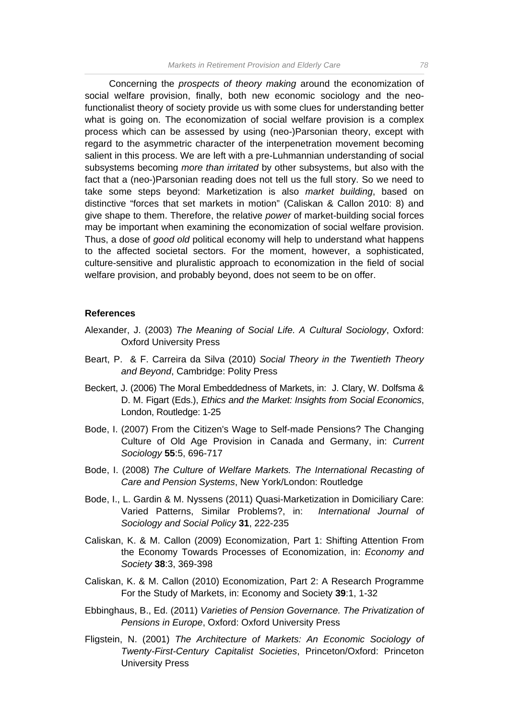Concerning the *prospects of theory making* around the economization of social welfare provision, finally, both new economic sociology and the neofunctionalist theory of society provide us with some clues for understanding better what is going on. The economization of social welfare provision is a complex process which can be assessed by using (neo-)Parsonian theory, except with regard to the asymmetric character of the interpenetration movement becoming salient in this process. We are left with a pre-Luhmannian understanding of social subsystems becoming *more than irritated* by other subsystems, but also with the fact that a (neo-)Parsonian reading does not tell us the full story. So we need to take some steps beyond: Marketization is also *market building*, based on distinctive "forces that set markets in motion" (Caliskan & Callon 2010: 8) and give shape to them. Therefore, the relative *power* of market-building social forces may be important when examining the economization of social welfare provision. Thus, a dose of *good old* political economy will help to understand what happens to the affected societal sectors. For the moment, however, a sophisticated, culture-sensitive and pluralistic approach to economization in the field of social welfare provision, and probably beyond, does not seem to be on offer.

### **References**

- Alexander, J. (2003) *The Meaning of Social Life. A Cultural Sociology*, Oxford: Oxford University Press
- Beart, P. & F. Carreira da Silva (2010) *Social Theory in the Twentieth Theory and Beyond*, Cambridge: Polity Press
- Beckert, J. (2006) The Moral Embeddedness of Markets, in: J. Clary, W. Dolfsma & D. M. Figart (Eds.), *Ethics and the Market: Insights from Social Economics*, London, Routledge: 1-25
- Bode, I. (2007) From the Citizen's Wage to Self-made Pensions? The Changing Culture of Old Age Provision in Canada and Germany, in: *Current Sociology* **55**:5, 696-717
- Bode, I. (2008) *The Culture of Welfare Markets. The International Recasting of Care and Pension Systems*, New York/London: Routledge
- Bode, I., L. Gardin & M. Nyssens (2011) Quasi-Marketization in Domiciliary Care: Varied Patterns, Similar Problems?, in: *International Journal of Sociology and Social Policy* **31**, 222-235
- Caliskan, K. & M. Callon (2009) Economization, Part 1: Shifting Attention From the Economy Towards Processes of Economization, in: *Economy and Society* **38**:3, 369-398
- Caliskan, K. & M. Callon (2010) Economization, Part 2: A Research Programme For the Study of Markets, in: Economy and Society **39**:1, 1-32
- Ebbinghaus, B., Ed. (2011) *Varieties of Pension Governance. The Privatization of Pensions in Europe*, Oxford: Oxford University Press
- Fligstein, N. (2001) *The Architecture of Markets: An Economic Sociology of Twenty-First-Century Capitalist Societies*, Princeton/Oxford: Princeton University Press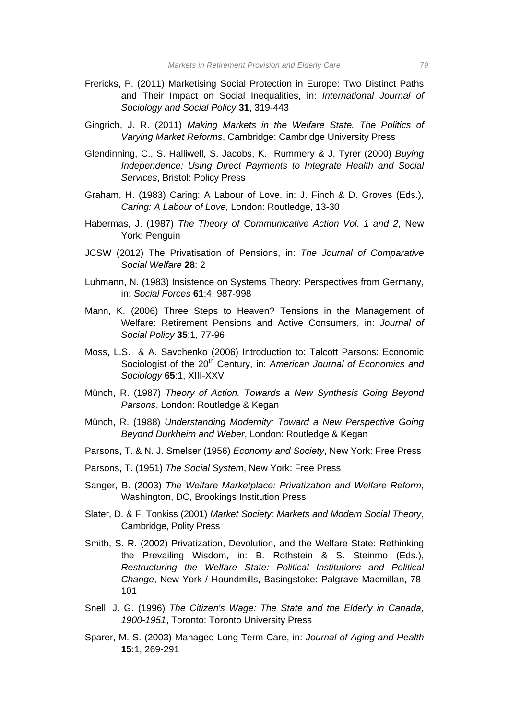- Frericks, P. (2011) Marketising Social Protection in Europe: Two Distinct Paths and Their Impact on Social Inequalities, in: *International Journal of Sociology and Social Policy* **31**, 319-443
- Gingrich, J. R. (2011) *Making Markets in the Welfare State. The Politics of Varying Market Reforms*, Cambridge: Cambridge University Press
- Glendinning, C., S. Halliwell, S. Jacobs, K. Rummery & J. Tyrer (2000) *Buying Independence: Using Direct Payments to Integrate Health and Social Services*, Bristol: Policy Press
- Graham, H. (1983) Caring: A Labour of Love, in: J. Finch & D. Groves (Eds.), *Caring: A Labour of Love*, London: Routledge, 13-30
- Habermas, J. (1987) *The Theory of Communicative Action Vol. 1 and 2*, New York: Penguin
- JCSW (2012) The Privatisation of Pensions, in: *The Journal of Comparative Social Welfare* **28**: 2
- Luhmann, N. (1983) Insistence on Systems Theory: Perspectives from Germany, in: *Social Forces* **61**:4, 987-998
- Mann, K. (2006) Three Steps to Heaven? Tensions in the Management of Welfare: Retirement Pensions and Active Consumers, in: *Journal of Social Policy* **35**:1, 77-96
- Moss, L.S. & A. Savchenko (2006) Introduction to: Talcott Parsons: Economic Sociologist of the 20<sup>th</sup> Century, in: American Journal of Economics and *Sociology* **65**:1, XIII-XXV
- Münch, R. (1987) *Theory of Action. Towards a New Synthesis Going Beyond Parsons*, London: Routledge & Kegan
- Münch, R. (1988) *Understanding Modernity: Toward a New Perspective Going Beyond Durkheim and Weber*, London: Routledge & Kegan
- Parsons, T. & N. J. Smelser (1956) *Economy and Society*, New York: Free Press
- Parsons, T. (1951) *The Social System*, New York: Free Press
- Sanger, B. (2003) *The Welfare Marketplace: Privatization and Welfare Reform*, Washington, DC, Brookings Institution Press
- Slater, D. & F. Tonkiss (2001) *Market Society: Markets and Modern Social Theory*, Cambridge, Polity Press
- Smith, S. R. (2002) Privatization, Devolution, and the Welfare State: Rethinking the Prevailing Wisdom, in: B. Rothstein & S. Steinmo (Eds.), *Restructuring the Welfare State: Political Institutions and Political Change*, New York / Houndmills, Basingstoke: Palgrave Macmillan, 78- 101
- Snell, J. G. (1996) *The Citizen's Wage: The State and the Elderly in Canada, 1900-1951*, Toronto: Toronto University Press
- Sparer, M. S. (2003) Managed Long-Term Care, in: *Journal of Aging and Health* **15**:1, 269-291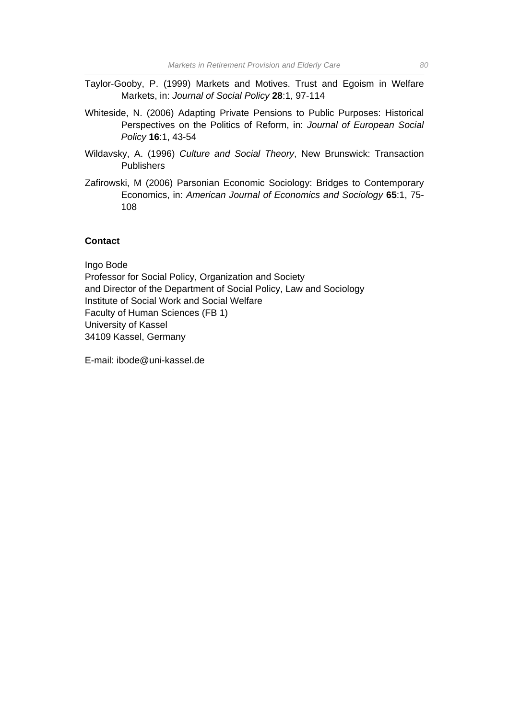- Taylor-Gooby, P. (1999) Markets and Motives. Trust and Egoism in Welfare Markets, in: *Journal of Social Policy* **28**:1, 97-114
- Whiteside, N. (2006) Adapting Private Pensions to Public Purposes: Historical Perspectives on the Politics of Reform, in: *Journal of European Social Policy* **16**:1, 43-54
- Wildavsky, A. (1996) *Culture and Social Theory*, New Brunswick: Transaction Publishers
- Zafirowski, M (2006) Parsonian Economic Sociology: Bridges to Contemporary Economics, in: *American Journal of Economics and Sociology* **65**:1, 75- 108

### **Contact**

Ingo Bode

Professor for Social Policy, Organization and Society and Director of the Department of Social Policy, Law and Sociology Institute of Social Work and Social Welfare Faculty of Human Sciences (FB 1) University of Kassel 34109 Kassel, Germany

E-mail: ibode@uni-kassel.de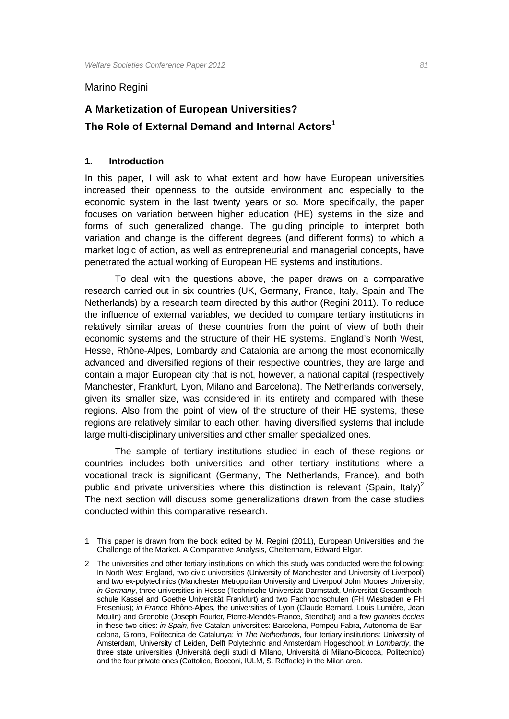# Marino Regini

# **A Marketization of European Universities? The Role of External Demand and Internal Actors<sup>1</sup>**

# **1. Introduction**

In this paper, I will ask to what extent and how have European universities increased their openness to the outside environment and especially to the economic system in the last twenty years or so. More specifically, the paper focuses on variation between higher education (HE) systems in the size and forms of such generalized change. The guiding principle to interpret both variation and change is the different degrees (and different forms) to which a market logic of action, as well as entrepreneurial and managerial concepts, have penetrated the actual working of European HE systems and institutions.

To deal with the questions above, the paper draws on a comparative research carried out in six countries (UK, Germany, France, Italy, Spain and The Netherlands) by a research team directed by this author (Regini 2011). To reduce the influence of external variables, we decided to compare tertiary institutions in relatively similar areas of these countries from the point of view of both their economic systems and the structure of their HE systems. England's North West, Hesse, Rhône-Alpes, Lombardy and Catalonia are among the most economically advanced and diversified regions of their respective countries, they are large and contain a major European city that is not, however, a national capital (respectively Manchester, Frankfurt, Lyon, Milano and Barcelona). The Netherlands conversely, given its smaller size, was considered in its entirety and compared with these regions. Also from the point of view of the structure of their HE systems, these regions are relatively similar to each other, having diversified systems that include large multi-disciplinary universities and other smaller specialized ones.

The sample of tertiary institutions studied in each of these regions or countries includes both universities and other tertiary institutions where a vocational track is significant (Germany, The Netherlands, France), and both public and private universities where this distinction is relevant (Spain, Italy)<sup>2</sup> The next section will discuss some generalizations drawn from the case studies conducted within this comparative research.

<sup>1</sup> This paper is drawn from the book edited by M. Regini (2011), European Universities and the Challenge of the Market. A Comparative Analysis, Cheltenham, Edward Elgar.

<sup>2</sup> The universities and other tertiary institutions on which this study was conducted were the following: In North West England, two civic universities (University of Manchester and University of Liverpool) and two ex-polytechnics (Manchester Metropolitan University and Liverpool John Moores University; *in Germany*, three universities in Hesse (Technische Universität Darmstadt, Universität Gesamthochschule Kassel and Goethe Universität Frankfurt) and two Fachhochschulen (FH Wiesbaden e FH Fresenius); *in France* Rhône-Alpes, the universities of Lyon (Claude Bernard, Louis Lumière, Jean Moulin) and Grenoble (Joseph Fourier, Pierre-Mendès-France, Stendhal) and a few *grandes écoles* in these two cities: *in Spain*, five Catalan universities: Barcelona, Pompeu Fabra, Autonoma de Barcelona, Girona, Politecnica de Catalunya; *in The Netherlands*, four tertiary institutions: University of Amsterdam, University of Leiden, Delft Polytechnic and Amsterdam Hogeschool; *in Lombardy*, the three state universities (Università degli studi di Milano, Università di Milano-Bicocca, Politecnico) and the four private ones (Cattolica, Bocconi, IULM, S. Raffaele) in the Milan area.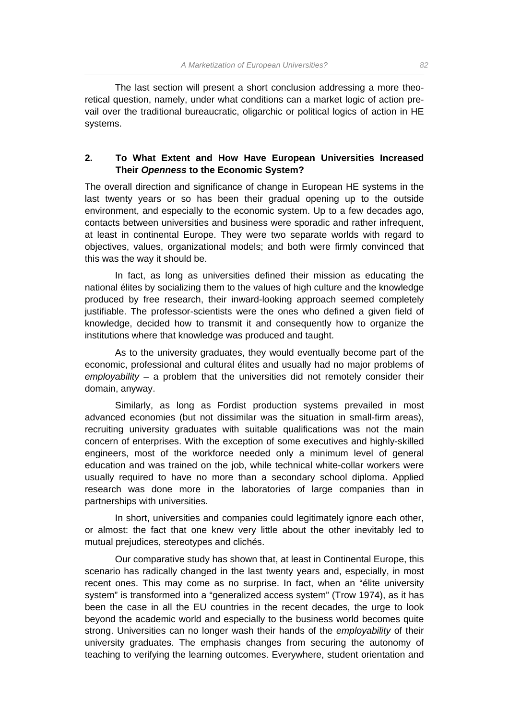The last section will present a short conclusion addressing a more theoretical question, namely, under what conditions can a market logic of action prevail over the traditional bureaucratic, oligarchic or political logics of action in HE systems.

# **2. To What Extent and How Have European Universities Increased Their** *Openness* **to the Economic System?**

The overall direction and significance of change in European HE systems in the last twenty years or so has been their gradual opening up to the outside environment, and especially to the economic system. Up to a few decades ago, contacts between universities and business were sporadic and rather infrequent, at least in continental Europe. They were two separate worlds with regard to objectives, values, organizational models; and both were firmly convinced that this was the way it should be.

In fact, as long as universities defined their mission as educating the national élites by socializing them to the values of high culture and the knowledge produced by free research, their inward-looking approach seemed completely justifiable. The professor-scientists were the ones who defined a given field of knowledge, decided how to transmit it and consequently how to organize the institutions where that knowledge was produced and taught.

As to the university graduates, they would eventually become part of the economic, professional and cultural élites and usually had no major problems of *employability* – a problem that the universities did not remotely consider their domain, anyway.

Similarly, as long as Fordist production systems prevailed in most advanced economies (but not dissimilar was the situation in small-firm areas), recruiting university graduates with suitable qualifications was not the main concern of enterprises. With the exception of some executives and highly-skilled engineers, most of the workforce needed only a minimum level of general education and was trained on the job, while technical white-collar workers were usually required to have no more than a secondary school diploma. Applied research was done more in the laboratories of large companies than in partnerships with universities.

In short, universities and companies could legitimately ignore each other, or almost: the fact that one knew very little about the other inevitably led to mutual prejudices, stereotypes and clichés.

Our comparative study has shown that, at least in Continental Europe, this scenario has radically changed in the last twenty years and, especially, in most recent ones. This may come as no surprise. In fact, when an "élite university system" is transformed into a "generalized access system" (Trow 1974), as it has been the case in all the EU countries in the recent decades, the urge to look beyond the academic world and especially to the business world becomes quite strong. Universities can no longer wash their hands of the *employability* of their university graduates. The emphasis changes from securing the autonomy of teaching to verifying the learning outcomes. Everywhere, student orientation and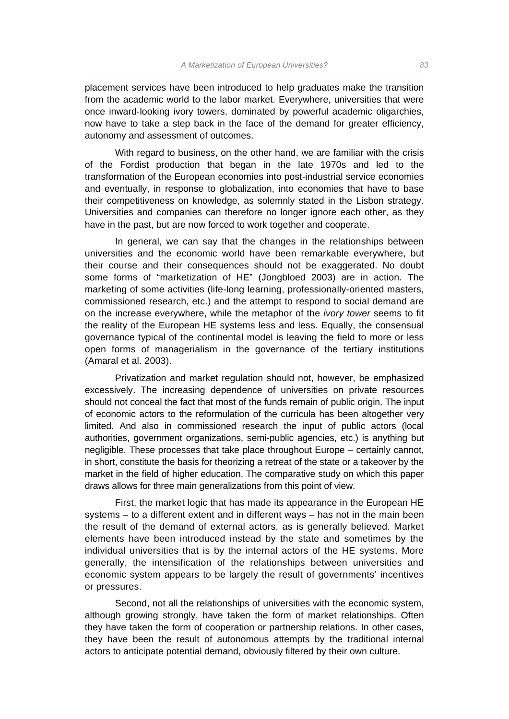placement services have been introduced to help graduates make the transition from the academic world to the labor market. Everywhere, universities that were once inward-looking ivory towers, dominated by powerful academic oligarchies, now have to take a step back in the face of the demand for greater efficiency, autonomy and assessment of outcomes.

With regard to business, on the other hand, we are familiar with the crisis of the Fordist production that began in the late 1970s and led to the transformation of the European economies into post-industrial service economies and eventually, in response to globalization, into economies that have to base their competitiveness on knowledge, as solemnly stated in the Lisbon strategy. Universities and companies can therefore no longer ignore each other, as they have in the past, but are now forced to work together and cooperate.

In general, we can say that the changes in the relationships between universities and the economic world have been remarkable everywhere, but their course and their consequences should not be exaggerated. No doubt some forms of "marketization of HE" (Jongbloed 2003) are in action. The marketing of some activities (life-long learning, professionally-oriented masters, commissioned research, etc.) and the attempt to respond to social demand are on the increase everywhere, while the metaphor of the *ivory tower* seems to fit the reality of the European HE systems less and less. Equally, the consensual governance typical of the continental model is leaving the field to more or less open forms of managerialism in the governance of the tertiary institutions (Amaral et al. 2003).

Privatization and market regulation should not, however, be emphasized excessively. The increasing dependence of universities on private resources should not conceal the fact that most of the funds remain of public origin. The input of economic actors to the reformulation of the curricula has been altogether very limited. And also in commissioned research the input of public actors (local authorities, government organizations, semi-public agencies, etc.) is anything but negligible. These processes that take place throughout Europe – certainly cannot, in short, constitute the basis for theorizing a retreat of the state or a takeover by the market in the field of higher education. The comparative study on which this paper draws allows for three main generalizations from this point of view.

First, the market logic that has made its appearance in the European HE systems – to a different extent and in different ways – has not in the main been the result of the demand of external actors, as is generally believed. Market elements have been introduced instead by the state and sometimes by the individual universities that is by the internal actors of the HE systems. More generally, the intensification of the relationships between universities and economic system appears to be largely the result of governments' incentives or pressures.

Second, not all the relationships of universities with the economic system, although growing strongly, have taken the form of market relationships. Often they have taken the form of cooperation or partnership relations. In other cases, they have been the result of autonomous attempts by the traditional internal actors to anticipate potential demand, obviously filtered by their own culture.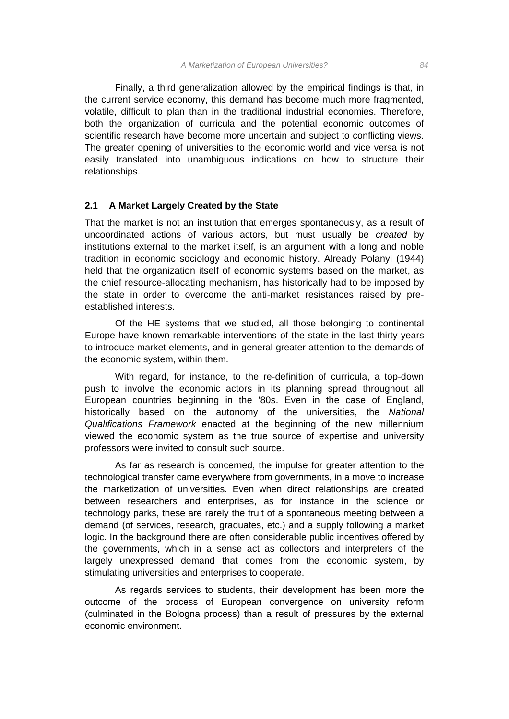Finally, a third generalization allowed by the empirical findings is that, in the current service economy, this demand has become much more fragmented, volatile, difficult to plan than in the traditional industrial economies. Therefore, both the organization of curricula and the potential economic outcomes of scientific research have become more uncertain and subject to conflicting views. The greater opening of universities to the economic world and vice versa is not easily translated into unambiguous indications on how to structure their relationships.

### **2.1 A Market Largely Created by the State**

That the market is not an institution that emerges spontaneously, as a result of uncoordinated actions of various actors, but must usually be *created* by institutions external to the market itself, is an argument with a long and noble tradition in economic sociology and economic history. Already Polanyi (1944) held that the organization itself of economic systems based on the market, as the chief resource-allocating mechanism, has historically had to be imposed by the state in order to overcome the anti-market resistances raised by preestablished interests.

Of the HE systems that we studied, all those belonging to continental Europe have known remarkable interventions of the state in the last thirty years to introduce market elements, and in general greater attention to the demands of the economic system, within them.

With regard, for instance, to the re-definition of curricula, a top-down push to involve the economic actors in its planning spread throughout all European countries beginning in the '80s. Even in the case of England, historically based on the autonomy of the universities, the *National Qualifications Framework* enacted at the beginning of the new millennium viewed the economic system as the true source of expertise and university professors were invited to consult such source.

As far as research is concerned, the impulse for greater attention to the technological transfer came everywhere from governments, in a move to increase the marketization of universities. Even when direct relationships are created between researchers and enterprises, as for instance in the science or technology parks, these are rarely the fruit of a spontaneous meeting between a demand (of services, research, graduates, etc.) and a supply following a market logic. In the background there are often considerable public incentives offered by the governments, which in a sense act as collectors and interpreters of the largely unexpressed demand that comes from the economic system, by stimulating universities and enterprises to cooperate.

As regards services to students, their development has been more the outcome of the process of European convergence on university reform (culminated in the Bologna process) than a result of pressures by the external economic environment.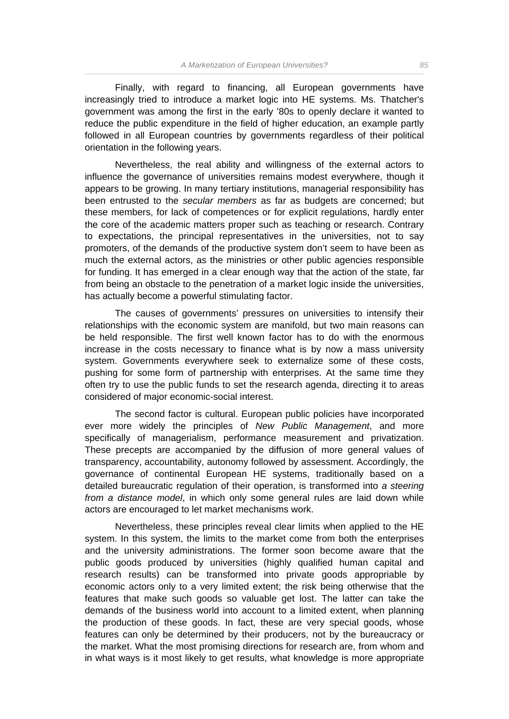Finally, with regard to financing, all European governments have increasingly tried to introduce a market logic into HE systems. Ms. Thatcher's government was among the first in the early '80s to openly declare it wanted to reduce the public expenditure in the field of higher education, an example partly followed in all European countries by governments regardless of their political orientation in the following years.

Nevertheless, the real ability and willingness of the external actors to influence the governance of universities remains modest everywhere, though it appears to be growing. In many tertiary institutions, managerial responsibility has been entrusted to the *secular members* as far as budgets are concerned; but these members, for lack of competences or for explicit regulations, hardly enter the core of the academic matters proper such as teaching or research. Contrary to expectations, the principal representatives in the universities, not to say promoters, of the demands of the productive system don't seem to have been as much the external actors, as the ministries or other public agencies responsible for funding. It has emerged in a clear enough way that the action of the state, far from being an obstacle to the penetration of a market logic inside the universities, has actually become a powerful stimulating factor.

The causes of governments' pressures on universities to intensify their relationships with the economic system are manifold, but two main reasons can be held responsible. The first well known factor has to do with the enormous increase in the costs necessary to finance what is by now a mass university system. Governments everywhere seek to externalize some of these costs, pushing for some form of partnership with enterprises. At the same time they often try to use the public funds to set the research agenda, directing it to areas considered of major economic-social interest.

The second factor is cultural. European public policies have incorporated ever more widely the principles of *New Public Management*, and more specifically of managerialism, performance measurement and privatization. These precepts are accompanied by the diffusion of more general values of transparency, accountability, autonomy followed by assessment. Accordingly, the governance of continental European HE systems, traditionally based on a detailed bureaucratic regulation of their operation, is transformed into *a steering from a distance model*, in which only some general rules are laid down while actors are encouraged to let market mechanisms work.

Nevertheless, these principles reveal clear limits when applied to the HE system. In this system, the limits to the market come from both the enterprises and the university administrations. The former soon become aware that the public goods produced by universities (highly qualified human capital and research results) can be transformed into private goods appropriable by economic actors only to a very limited extent; the risk being otherwise that the features that make such goods so valuable get lost. The latter can take the demands of the business world into account to a limited extent, when planning the production of these goods. In fact, these are very special goods, whose features can only be determined by their producers, not by the bureaucracy or the market. What the most promising directions for research are, from whom and in what ways is it most likely to get results, what knowledge is more appropriate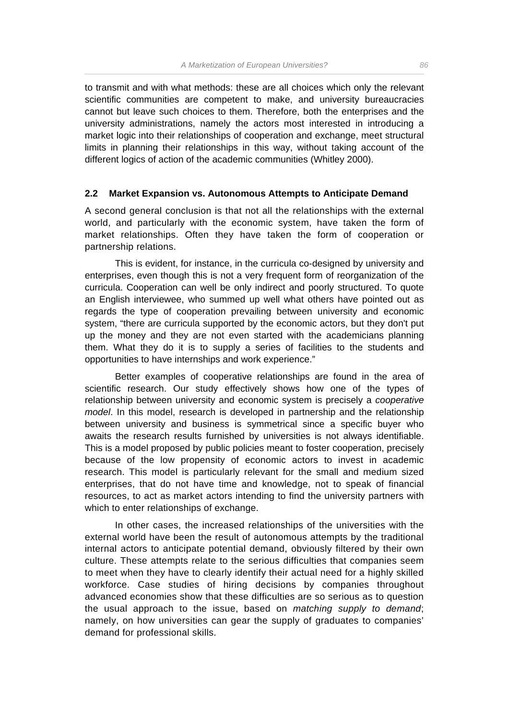to transmit and with what methods: these are all choices which only the relevant scientific communities are competent to make, and university bureaucracies cannot but leave such choices to them. Therefore, both the enterprises and the university administrations, namely the actors most interested in introducing a market logic into their relationships of cooperation and exchange, meet structural limits in planning their relationships in this way, without taking account of the different logics of action of the academic communities (Whitley 2000).

### **2.2 Market Expansion vs. Autonomous Attempts to Anticipate Demand**

A second general conclusion is that not all the relationships with the external world, and particularly with the economic system, have taken the form of market relationships. Often they have taken the form of cooperation or partnership relations.

This is evident, for instance, in the curricula co-designed by university and enterprises, even though this is not a very frequent form of reorganization of the curricula. Cooperation can well be only indirect and poorly structured. To quote an English interviewee, who summed up well what others have pointed out as regards the type of cooperation prevailing between university and economic system, "there are curricula supported by the economic actors, but they don't put up the money and they are not even started with the academicians planning them. What they do it is to supply a series of facilities to the students and opportunities to have internships and work experience."

Better examples of cooperative relationships are found in the area of scientific research. Our study effectively shows how one of the types of relationship between university and economic system is precisely a *cooperative model*. In this model, research is developed in partnership and the relationship between university and business is symmetrical since a specific buyer who awaits the research results furnished by universities is not always identifiable. This is a model proposed by public policies meant to foster cooperation, precisely because of the low propensity of economic actors to invest in academic research. This model is particularly relevant for the small and medium sized enterprises, that do not have time and knowledge, not to speak of financial resources, to act as market actors intending to find the university partners with which to enter relationships of exchange.

In other cases, the increased relationships of the universities with the external world have been the result of autonomous attempts by the traditional internal actors to anticipate potential demand, obviously filtered by their own culture. These attempts relate to the serious difficulties that companies seem to meet when they have to clearly identify their actual need for a highly skilled workforce. Case studies of hiring decisions by companies throughout advanced economies show that these difficulties are so serious as to question the usual approach to the issue, based on *matching supply to demand*; namely, on how universities can gear the supply of graduates to companies' demand for professional skills.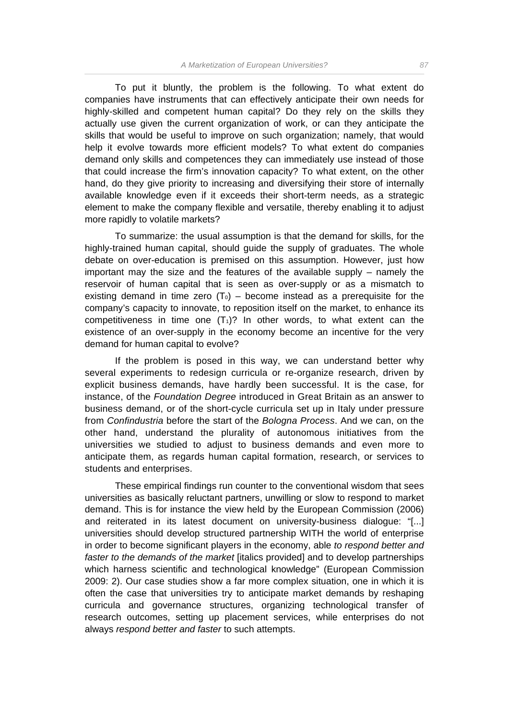To put it bluntly, the problem is the following. To what extent do companies have instruments that can effectively anticipate their own needs for highly-skilled and competent human capital? Do they rely on the skills they actually use given the current organization of work, or can they anticipate the skills that would be useful to improve on such organization; namely, that would help it evolve towards more efficient models? To what extent do companies demand only skills and competences they can immediately use instead of those that could increase the firm's innovation capacity? To what extent, on the other hand, do they give priority to increasing and diversifying their store of internally available knowledge even if it exceeds their short-term needs, as a strategic element to make the company flexible and versatile, thereby enabling it to adjust more rapidly to volatile markets?

To summarize: the usual assumption is that the demand for skills, for the highly-trained human capital, should guide the supply of graduates. The whole debate on over-education is premised on this assumption. However, just how important may the size and the features of the available supply – namely the reservoir of human capital that is seen as over-supply or as a mismatch to existing demand in time zero  $(T_0)$  – become instead as a prerequisite for the company's capacity to innovate, to reposition itself on the market, to enhance its competitiveness in time one  $(T_1)$ ? In other words, to what extent can the existence of an over-supply in the economy become an incentive for the very demand for human capital to evolve?

If the problem is posed in this way, we can understand better why several experiments to redesign curricula or re-organize research, driven by explicit business demands, have hardly been successful. It is the case, for instance, of the *Foundation Degree* introduced in Great Britain as an answer to business demand, or of the short-cycle curricula set up in Italy under pressure from *Confindustria* before the start of the *Bologna Process*. And we can, on the other hand, understand the plurality of autonomous initiatives from the universities we studied to adjust to business demands and even more to anticipate them, as regards human capital formation, research, or services to students and enterprises.

These empirical findings run counter to the conventional wisdom that sees universities as basically reluctant partners, unwilling or slow to respond to market demand. This is for instance the view held by the European Commission (2006) and reiterated in its latest document on university-business dialogue: "[...] universities should develop structured partnership WITH the world of enterprise in order to become significant players in the economy, able *to respond better and faster to the demands of the market* [italics provided] and to develop partnerships which harness scientific and technological knowledge" (European Commission 2009: 2). Our case studies show a far more complex situation, one in which it is often the case that universities try to anticipate market demands by reshaping curricula and governance structures, organizing technological transfer of research outcomes, setting up placement services, while enterprises do not always *respond better and faster* to such attempts.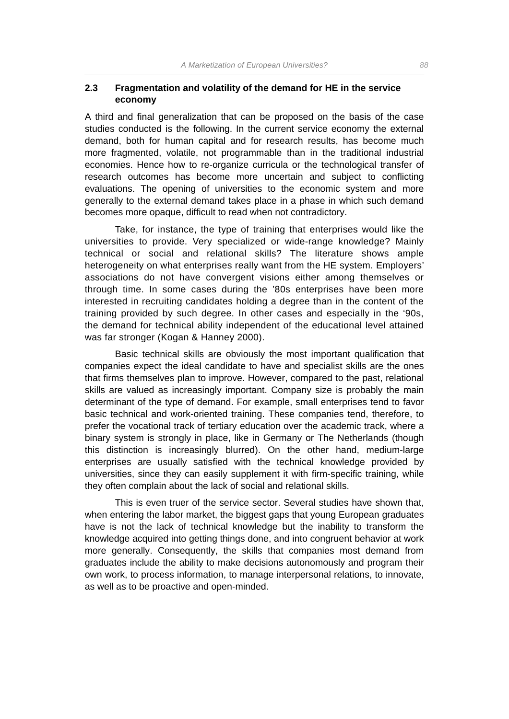# **2.3 Fragmentation and volatility of the demand for HE in the service economy**

A third and final generalization that can be proposed on the basis of the case studies conducted is the following. In the current service economy the external demand, both for human capital and for research results, has become much more fragmented, volatile, not programmable than in the traditional industrial economies. Hence how to re-organize curricula or the technological transfer of research outcomes has become more uncertain and subject to conflicting evaluations. The opening of universities to the economic system and more generally to the external demand takes place in a phase in which such demand becomes more opaque, difficult to read when not contradictory.

Take, for instance, the type of training that enterprises would like the universities to provide. Very specialized or wide-range knowledge? Mainly technical or social and relational skills? The literature shows ample heterogeneity on what enterprises really want from the HE system. Employers' associations do not have convergent visions either among themselves or through time. In some cases during the '80s enterprises have been more interested in recruiting candidates holding a degree than in the content of the training provided by such degree. In other cases and especially in the '90s, the demand for technical ability independent of the educational level attained was far stronger (Kogan & Hanney 2000).

Basic technical skills are obviously the most important qualification that companies expect the ideal candidate to have and specialist skills are the ones that firms themselves plan to improve. However, compared to the past, relational skills are valued as increasingly important. Company size is probably the main determinant of the type of demand. For example, small enterprises tend to favor basic technical and work-oriented training. These companies tend, therefore, to prefer the vocational track of tertiary education over the academic track, where a binary system is strongly in place, like in Germany or The Netherlands (though this distinction is increasingly blurred). On the other hand, medium-large enterprises are usually satisfied with the technical knowledge provided by universities, since they can easily supplement it with firm-specific training, while they often complain about the lack of social and relational skills.

This is even truer of the service sector. Several studies have shown that, when entering the labor market, the biggest gaps that young European graduates have is not the lack of technical knowledge but the inability to transform the knowledge acquired into getting things done, and into congruent behavior at work more generally. Consequently, the skills that companies most demand from graduates include the ability to make decisions autonomously and program their own work, to process information, to manage interpersonal relations, to innovate, as well as to be proactive and open-minded.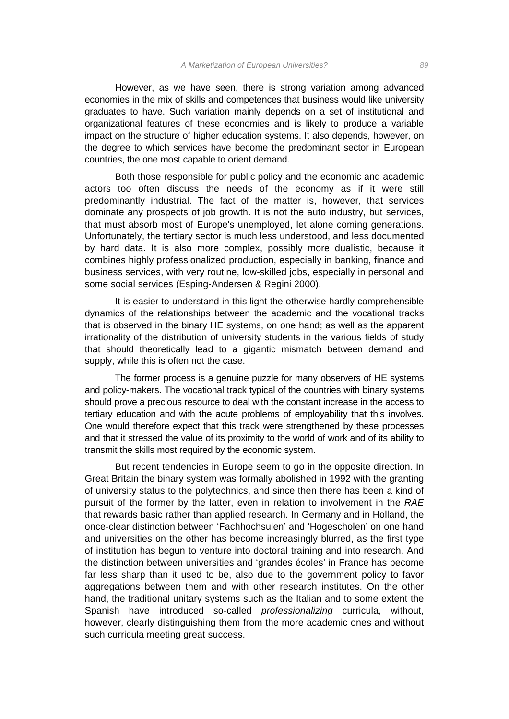However, as we have seen, there is strong variation among advanced economies in the mix of skills and competences that business would like university graduates to have. Such variation mainly depends on a set of institutional and organizational features of these economies and is likely to produce a variable impact on the structure of higher education systems. It also depends, however, on the degree to which services have become the predominant sector in European countries, the one most capable to orient demand.

Both those responsible for public policy and the economic and academic actors too often discuss the needs of the economy as if it were still predominantly industrial. The fact of the matter is, however, that services dominate any prospects of job growth. It is not the auto industry, but services, that must absorb most of Europe's unemployed, let alone coming generations. Unfortunately, the tertiary sector is much less understood, and less documented by hard data. It is also more complex, possibly more dualistic, because it combines highly professionalized production, especially in banking, finance and business services, with very routine, low-skilled jobs, especially in personal and some social services (Esping-Andersen & Regini 2000).

It is easier to understand in this light the otherwise hardly comprehensible dynamics of the relationships between the academic and the vocational tracks that is observed in the binary HE systems, on one hand; as well as the apparent irrationality of the distribution of university students in the various fields of study that should theoretically lead to a gigantic mismatch between demand and supply, while this is often not the case.

The former process is a genuine puzzle for many observers of HE systems and policy-makers. The vocational track typical of the countries with binary systems should prove a precious resource to deal with the constant increase in the access to tertiary education and with the acute problems of employability that this involves. One would therefore expect that this track were strengthened by these processes and that it stressed the value of its proximity to the world of work and of its ability to transmit the skills most required by the economic system.

But recent tendencies in Europe seem to go in the opposite direction. In Great Britain the binary system was formally abolished in 1992 with the granting of university status to the polytechnics, and since then there has been a kind of pursuit of the former by the latter, even in relation to involvement in the *RAE* that rewards basic rather than applied research. In Germany and in Holland, the once-clear distinction between 'Fachhochsulen' and 'Hogescholen' on one hand and universities on the other has become increasingly blurred, as the first type of institution has begun to venture into doctoral training and into research. And the distinction between universities and 'grandes écoles' in France has become far less sharp than it used to be, also due to the government policy to favor aggregations between them and with other research institutes. On the other hand, the traditional unitary systems such as the Italian and to some extent the Spanish have introduced so-called *professionalizing* curricula, without, however, clearly distinguishing them from the more academic ones and without such curricula meeting great success.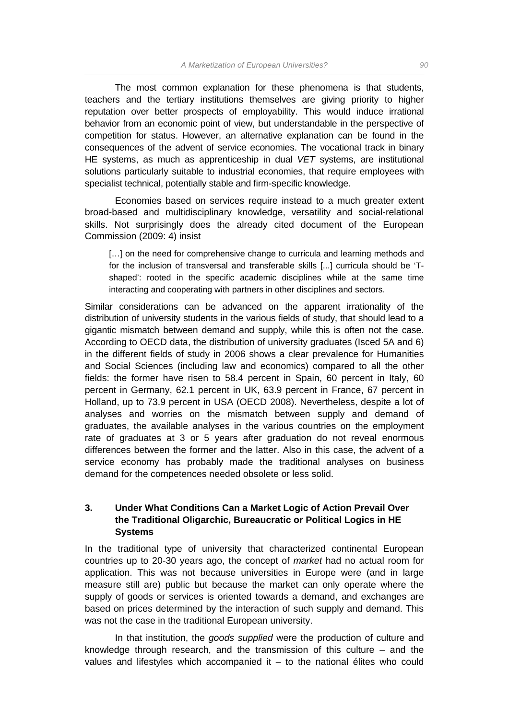The most common explanation for these phenomena is that students, teachers and the tertiary institutions themselves are giving priority to higher reputation over better prospects of employability. This would induce irrational behavior from an economic point of view, but understandable in the perspective of competition for status. However, an alternative explanation can be found in the consequences of the advent of service economies. The vocational track in binary HE systems, as much as apprenticeship in dual *VET* systems, are institutional solutions particularly suitable to industrial economies, that require employees with specialist technical, potentially stable and firm-specific knowledge.

Economies based on services require instead to a much greater extent broad-based and multidisciplinary knowledge, versatility and social-relational skills. Not surprisingly does the already cited document of the European Commission (2009: 4) insist

[...] on the need for comprehensive change to curricula and learning methods and for the inclusion of transversal and transferable skills [...] curricula should be 'Tshaped': rooted in the specific academic disciplines while at the same time interacting and cooperating with partners in other disciplines and sectors.

Similar considerations can be advanced on the apparent irrationality of the distribution of university students in the various fields of study, that should lead to a gigantic mismatch between demand and supply, while this is often not the case. According to OECD data, the distribution of university graduates (Isced 5A and 6) in the different fields of study in 2006 shows a clear prevalence for Humanities and Social Sciences (including law and economics) compared to all the other fields: the former have risen to 58.4 percent in Spain, 60 percent in Italy, 60 percent in Germany, 62.1 percent in UK, 63.9 percent in France, 67 percent in Holland, up to 73.9 percent in USA (OECD 2008). Nevertheless, despite a lot of analyses and worries on the mismatch between supply and demand of graduates, the available analyses in the various countries on the employment rate of graduates at 3 or 5 years after graduation do not reveal enormous differences between the former and the latter. Also in this case, the advent of a service economy has probably made the traditional analyses on business demand for the competences needed obsolete or less solid.

# **3. Under What Conditions Can a Market Logic of Action Prevail Over the Traditional Oligarchic, Bureaucratic or Political Logics in HE Systems**

In the traditional type of university that characterized continental European countries up to 20-30 years ago, the concept of *market* had no actual room for application. This was not because universities in Europe were (and in large measure still are) public but because the market can only operate where the supply of goods or services is oriented towards a demand, and exchanges are based on prices determined by the interaction of such supply and demand. This was not the case in the traditional European university.

In that institution, the *goods supplied* were the production of culture and knowledge through research, and the transmission of this culture – and the values and lifestyles which accompanied it  $-$  to the national élites who could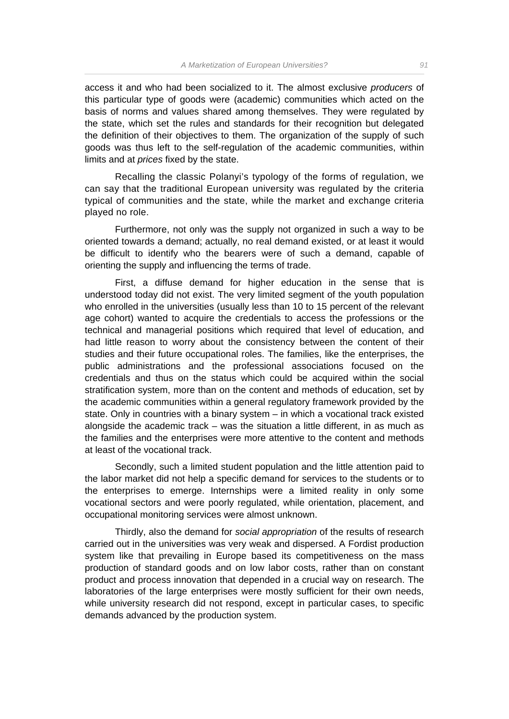access it and who had been socialized to it. The almost exclusive *producers* of this particular type of goods were (academic) communities which acted on the basis of norms and values shared among themselves. They were regulated by the state, which set the rules and standards for their recognition but delegated the definition of their objectives to them. The organization of the supply of such goods was thus left to the self-regulation of the academic communities, within limits and at *prices* fixed by the state.

Recalling the classic Polanyi's typology of the forms of regulation, we can say that the traditional European university was regulated by the criteria typical of communities and the state, while the market and exchange criteria played no role.

Furthermore, not only was the supply not organized in such a way to be oriented towards a demand; actually, no real demand existed, or at least it would be difficult to identify who the bearers were of such a demand, capable of orienting the supply and influencing the terms of trade.

First, a diffuse demand for higher education in the sense that is understood today did not exist. The very limited segment of the youth population who enrolled in the universities (usually less than 10 to 15 percent of the relevant age cohort) wanted to acquire the credentials to access the professions or the technical and managerial positions which required that level of education, and had little reason to worry about the consistency between the content of their studies and their future occupational roles. The families, like the enterprises, the public administrations and the professional associations focused on the credentials and thus on the status which could be acquired within the social stratification system, more than on the content and methods of education, set by the academic communities within a general regulatory framework provided by the state. Only in countries with a binary system – in which a vocational track existed alongside the academic track – was the situation a little different, in as much as the families and the enterprises were more attentive to the content and methods at least of the vocational track.

Secondly, such a limited student population and the little attention paid to the labor market did not help a specific demand for services to the students or to the enterprises to emerge. Internships were a limited reality in only some vocational sectors and were poorly regulated, while orientation, placement, and occupational monitoring services were almost unknown.

Thirdly, also the demand for *social appropriation* of the results of research carried out in the universities was very weak and dispersed. A Fordist production system like that prevailing in Europe based its competitiveness on the mass production of standard goods and on low labor costs, rather than on constant product and process innovation that depended in a crucial way on research. The laboratories of the large enterprises were mostly sufficient for their own needs, while university research did not respond, except in particular cases, to specific demands advanced by the production system.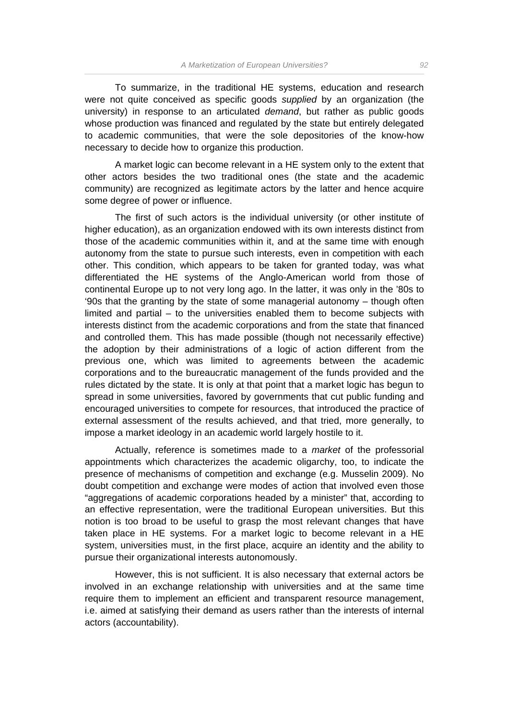To summarize, in the traditional HE systems, education and research were not quite conceived as specific goods *supplied* by an organization (the university) in response to an articulated *demand*, but rather as public goods whose production was financed and regulated by the state but entirely delegated to academic communities, that were the sole depositories of the know-how necessary to decide how to organize this production.

A market logic can become relevant in a HE system only to the extent that other actors besides the two traditional ones (the state and the academic community) are recognized as legitimate actors by the latter and hence acquire some degree of power or influence.

The first of such actors is the individual university (or other institute of higher education), as an organization endowed with its own interests distinct from those of the academic communities within it, and at the same time with enough autonomy from the state to pursue such interests, even in competition with each other. This condition, which appears to be taken for granted today, was what differentiated the HE systems of the Anglo-American world from those of continental Europe up to not very long ago. In the latter, it was only in the '80s to '90s that the granting by the state of some managerial autonomy – though often limited and partial – to the universities enabled them to become subjects with interests distinct from the academic corporations and from the state that financed and controlled them. This has made possible (though not necessarily effective) the adoption by their administrations of a logic of action different from the previous one, which was limited to agreements between the academic corporations and to the bureaucratic management of the funds provided and the rules dictated by the state. It is only at that point that a market logic has begun to spread in some universities, favored by governments that cut public funding and encouraged universities to compete for resources, that introduced the practice of external assessment of the results achieved, and that tried, more generally, to impose a market ideology in an academic world largely hostile to it.

Actually, reference is sometimes made to a *market* of the professorial appointments which characterizes the academic oligarchy, too, to indicate the presence of mechanisms of competition and exchange (e.g. Musselin 2009). No doubt competition and exchange were modes of action that involved even those "aggregations of academic corporations headed by a minister" that, according to an effective representation, were the traditional European universities. But this notion is too broad to be useful to grasp the most relevant changes that have taken place in HE systems. For a market logic to become relevant in a HE system, universities must, in the first place, acquire an identity and the ability to pursue their organizational interests autonomously.

However, this is not sufficient. It is also necessary that external actors be involved in an exchange relationship with universities and at the same time require them to implement an efficient and transparent resource management, i.e. aimed at satisfying their demand as users rather than the interests of internal actors (accountability).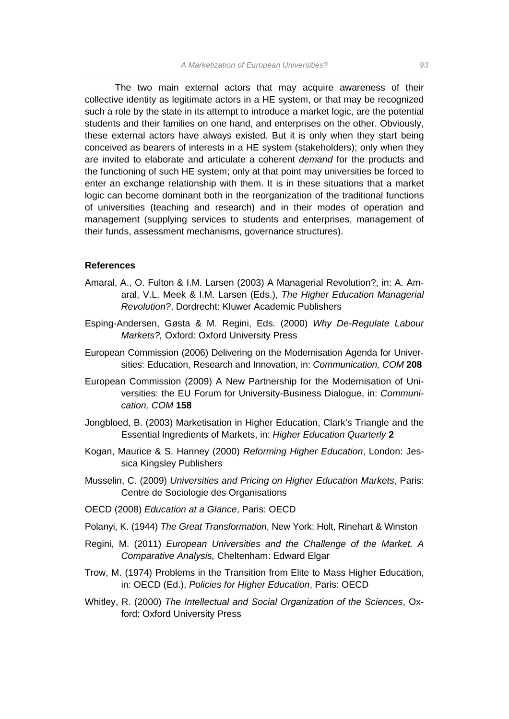The two main external actors that may acquire awareness of their collective identity as legitimate actors in a HE system, or that may be recognized such a role by the state in its attempt to introduce a market logic, are the potential students and their families on one hand, and enterprises on the other. Obviously, these external actors have always existed. But it is only when they start being conceived as bearers of interests in a HE system (stakeholders); only when they are invited to elaborate and articulate a coherent *demand* for the products and the functioning of such HE system; only at that point may universities be forced to enter an exchange relationship with them. It is in these situations that a market logic can become dominant both in the reorganization of the traditional functions of universities (teaching and research) and in their modes of operation and management (supplying services to students and enterprises, management of their funds, assessment mechanisms, governance structures).

### **References**

- Amaral, A., O. Fulton & I.M. Larsen (2003) A Managerial Revolution?, in: A. Amaral, V.L. Meek & I.M. Larsen (Eds.), *The Higher Education Managerial Revolution?*, Dordrecht: Kluwer Academic Publishers
- Esping-Andersen, Gøsta & M. Regini, Eds. (2000) *Why De-Regulate Labour Markets?,* Oxford: Oxford University Press
- European Commission (2006) Delivering on the Modernisation Agenda for Universities: Education, Research and Innovation*,* in: *Communication, COM* **208**
- European Commission (2009) A New Partnership for the Modernisation of Universities: the EU Forum for University-Business Dialogue, in: *Communication, COM* **158**
- Jongbloed, B. (2003) Marketisation in Higher Education, Clark's Triangle and the Essential Ingredients of Markets, in: *Higher Education Quarterly* **2**
- Kogan, Maurice & S. Hanney (2000) *Reforming Higher Education*, London: Jessica Kingsley Publishers
- Musselin, C. (2009) *Universities and Pricing on Higher Education Markets*, Paris: Centre de Sociologie des Organisations
- OECD (2008) *Education at a Glance*, Paris: OECD
- Polanyi, K. (1944) *The Great Transformation*, New York: Holt, Rinehart & Winston
- Regini, M. (2011) *European Universities and the Challenge of the Market. A Comparative Analysis,* Cheltenham: Edward Elgar
- Trow, M. (1974) Problems in the Transition from Elite to Mass Higher Education, in: OECD (Ed.), *Policies for Higher Education*, Paris: OECD
- Whitley, R. (2000) *The Intellectual and Social Organization of the Sciences*, Oxford: Oxford University Press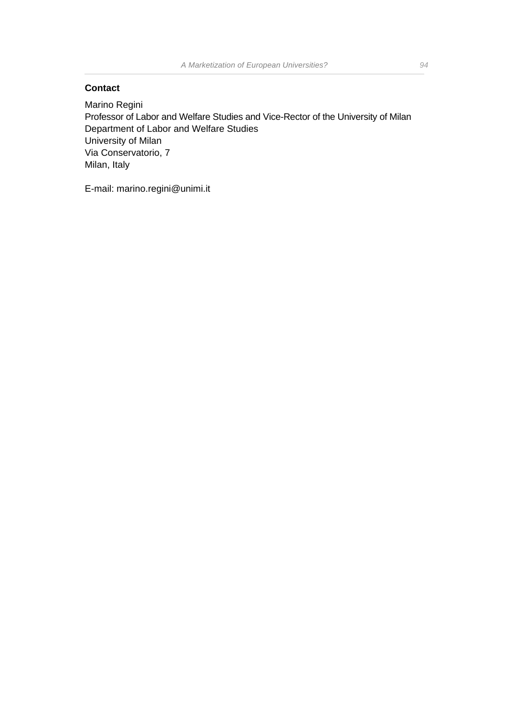# **Contact**

Marino Regini Professor of Labor and Welfare Studies and Vice-Rector of the University of Milan Department of Labor and Welfare Studies University of Milan Via Conservatorio, 7 Milan, Italy

E-mail: marino.regini@unimi.it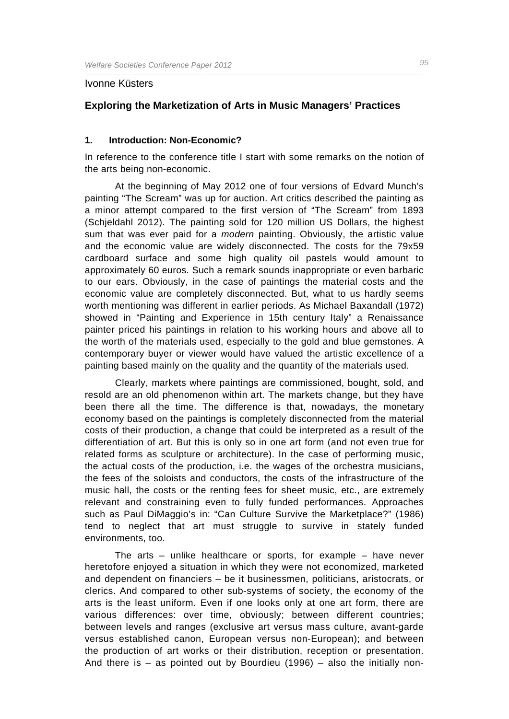#### Ivonne Küsters

### **Exploring the Marketization of Arts in Music Managers' Practices**

### **1. Introduction: Non-Economic?**

In reference to the conference title I start with some remarks on the notion of the arts being non-economic.

At the beginning of May 2012 one of four versions of Edvard Munch's painting "The Scream" was up for auction. Art critics described the painting as a minor attempt compared to the first version of "The Scream" from 1893 (Schjeldahl 2012). The painting sold for 120 million US Dollars, the highest sum that was ever paid for a *modern* painting. Obviously, the artistic value and the economic value are widely disconnected. The costs for the 79x59 cardboard surface and some high quality oil pastels would amount to approximately 60 euros. Such a remark sounds inappropriate or even barbaric to our ears. Obviously, in the case of paintings the material costs and the economic value are completely disconnected. But, what to us hardly seems worth mentioning was different in earlier periods. As Michael Baxandall (1972) showed in "Painting and Experience in 15th century Italy" a Renaissance painter priced his paintings in relation to his working hours and above all to the worth of the materials used, especially to the gold and blue gemstones. A contemporary buyer or viewer would have valued the artistic excellence of a painting based mainly on the quality and the quantity of the materials used.

Clearly, markets where paintings are commissioned, bought, sold, and resold are an old phenomenon within art. The markets change, but they have been there all the time. The difference is that, nowadays, the monetary economy based on the paintings is completely disconnected from the material costs of their production, a change that could be interpreted as a result of the differentiation of art. But this is only so in one art form (and not even true for related forms as sculpture or architecture). In the case of performing music, the actual costs of the production, i.e. the wages of the orchestra musicians, the fees of the soloists and conductors, the costs of the infrastructure of the music hall, the costs or the renting fees for sheet music, etc., are extremely relevant and constraining even to fully funded performances. Approaches such as Paul DiMaggio's in: "Can Culture Survive the Marketplace?" (1986) tend to neglect that art must struggle to survive in stately funded environments, too.

The arts – unlike healthcare or sports, for example – have never heretofore enjoyed a situation in which they were not economized, marketed and dependent on financiers – be it businessmen, politicians, aristocrats, or clerics. And compared to other sub-systems of society, the economy of the arts is the least uniform. Even if one looks only at one art form, there are various differences: over time, obviously; between different countries; between levels and ranges (exclusive art versus mass culture, avant-garde versus established canon, European versus non-European); and between the production of art works or their distribution, reception or presentation. And there is  $-$  as pointed out by Bourdieu (1996)  $-$  also the initially non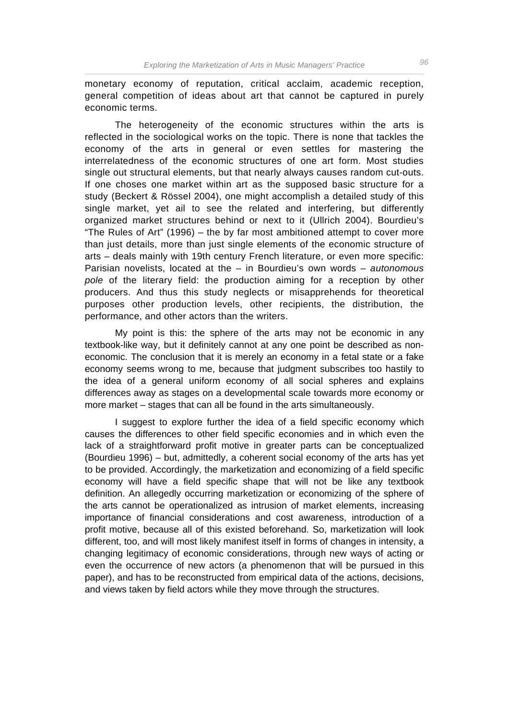monetary economy of reputation, critical acclaim, academic reception, general competition of ideas about art that cannot be captured in purely economic terms.

The heterogeneity of the economic structures within the arts is reflected in the sociological works on the topic. There is none that tackles the economy of the arts in general or even settles for mastering the interrelatedness of the economic structures of one art form. Most studies single out structural elements, but that nearly always causes random cut-outs. If one choses one market within art as the supposed basic structure for a study (Beckert & Rössel 2004), one might accomplish a detailed study of this single market, yet ail to see the related and interfering, but differently organized market structures behind or next to it (Ullrich 2004). Bourdieu's "The Rules of Art" (1996) – the by far most ambitioned attempt to cover more than just details, more than just single elements of the economic structure of arts – deals mainly with 19th century French literature, or even more specific: Parisian novelists, located at the – in Bourdieu's own words – *autonomous pole* of the literary field: the production aiming for a reception by other producers. And thus this study neglects or misapprehends for theoretical purposes other production levels, other recipients, the distribution, the performance, and other actors than the writers.

My point is this: the sphere of the arts may not be economic in any textbook-like way, but it definitely cannot at any one point be described as noneconomic. The conclusion that it is merely an economy in a fetal state or a fake economy seems wrong to me, because that judgment subscribes too hastily to the idea of a general uniform economy of all social spheres and explains differences away as stages on a developmental scale towards more economy or more market – stages that can all be found in the arts simultaneously.

I suggest to explore further the idea of a field specific economy which causes the differences to other field specific economies and in which even the lack of a straightforward profit motive in greater parts can be conceptualized (Bourdieu 1996) – but, admittedly, a coherent social economy of the arts has yet to be provided. Accordingly, the marketization and economizing of a field specific economy will have a field specific shape that will not be like any textbook definition. An allegedly occurring marketization or economizing of the sphere of the arts cannot be operationalized as intrusion of market elements, increasing importance of financial considerations and cost awareness, introduction of a profit motive, because all of this existed beforehand. So, marketization will look different, too, and will most likely manifest itself in forms of changes in intensity, a changing legitimacy of economic considerations, through new ways of acting or even the occurrence of new actors (a phenomenon that will be pursued in this paper), and has to be reconstructed from empirical data of the actions, decisions, and views taken by field actors while they move through the structures.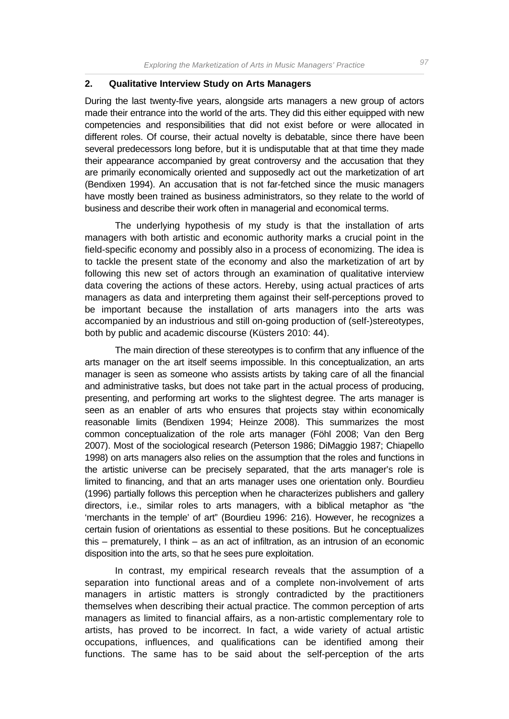#### **2. Qualitative Interview Study on Arts Managers**

During the last twenty-five years, alongside arts managers a new group of actors made their entrance into the world of the arts. They did this either equipped with new competencies and responsibilities that did not exist before or were allocated in different roles. Of course, their actual novelty is debatable, since there have been several predecessors long before, but it is undisputable that at that time they made their appearance accompanied by great controversy and the accusation that they are primarily economically oriented and supposedly act out the marketization of art (Bendixen 1994). An accusation that is not far-fetched since the music managers have mostly been trained as business administrators, so they relate to the world of business and describe their work often in managerial and economical terms.

The underlying hypothesis of my study is that the installation of arts managers with both artistic and economic authority marks a crucial point in the field-specific economy and possibly also in a process of economizing. The idea is to tackle the present state of the economy and also the marketization of art by following this new set of actors through an examination of qualitative interview data covering the actions of these actors. Hereby, using actual practices of arts managers as data and interpreting them against their self-perceptions proved to be important because the installation of arts managers into the arts was accompanied by an industrious and still on-going production of (self-)stereotypes, both by public and academic discourse (Küsters 2010: 44).

The main direction of these stereotypes is to confirm that any influence of the arts manager on the art itself seems impossible. In this conceptualization, an arts manager is seen as someone who assists artists by taking care of all the financial and administrative tasks, but does not take part in the actual process of producing, presenting, and performing art works to the slightest degree. The arts manager is seen as an enabler of arts who ensures that projects stay within economically reasonable limits (Bendixen 1994; Heinze 2008). This summarizes the most common conceptualization of the role arts manager (Föhl 2008; Van den Berg 2007). Most of the sociological research (Peterson 1986; DiMaggio 1987; Chiapello 1998) on arts managers also relies on the assumption that the roles and functions in the artistic universe can be precisely separated, that the arts manager's role is limited to financing, and that an arts manager uses one orientation only. Bourdieu (1996) partially follows this perception when he characterizes publishers and gallery directors, i.e., similar roles to arts managers, with a biblical metaphor as "the 'merchants in the temple' of art" (Bourdieu 1996: 216). However, he recognizes a certain fusion of orientations as essential to these positions. But he conceptualizes this – prematurely, I think – as an act of infiltration, as an intrusion of an economic disposition into the arts, so that he sees pure exploitation.

In contrast, my empirical research reveals that the assumption of a separation into functional areas and of a complete non-involvement of arts managers in artistic matters is strongly contradicted by the practitioners themselves when describing their actual practice. The common perception of arts managers as limited to financial affairs, as a non-artistic complementary role to artists, has proved to be incorrect. In fact, a wide variety of actual artistic occupations, influences, and qualifications can be identified among their functions. The same has to be said about the self-perception of the arts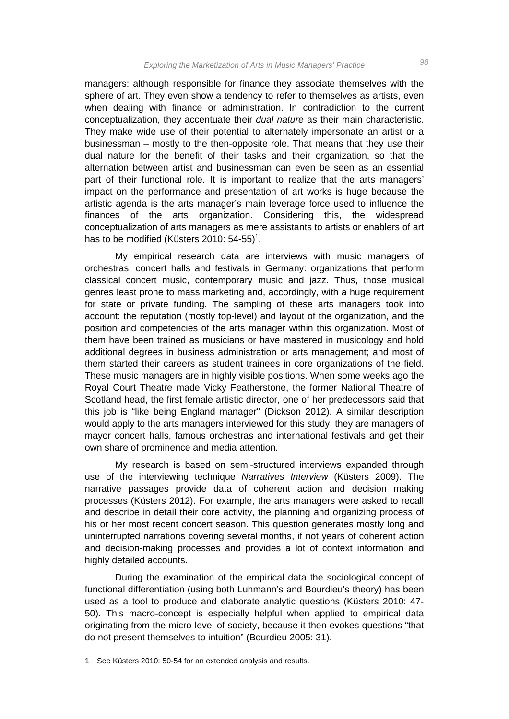managers: although responsible for finance they associate themselves with the sphere of art. They even show a tendency to refer to themselves as artists, even when dealing with finance or administration. In contradiction to the current conceptualization, they accentuate their *dual nature* as their main characteristic. They make wide use of their potential to alternately impersonate an artist or a businessman – mostly to the then-opposite role. That means that they use their dual nature for the benefit of their tasks and their organization, so that the alternation between artist and businessman can even be seen as an essential part of their functional role. It is important to realize that the arts managers' impact on the performance and presentation of art works is huge because the artistic agenda is the arts manager's main leverage force used to influence the finances of the arts organization. Considering this, the widespread conceptualization of arts managers as mere assistants to artists or enablers of art has to be modified (Küsters 2010:  $54-55$ )<sup>1</sup>.

My empirical research data are interviews with music managers of orchestras, concert halls and festivals in Germany: organizations that perform classical concert music, contemporary music and jazz. Thus, those musical genres least prone to mass marketing and, accordingly, with a huge requirement for state or private funding. The sampling of these arts managers took into account: the reputation (mostly top-level) and layout of the organization, and the position and competencies of the arts manager within this organization. Most of them have been trained as musicians or have mastered in musicology and hold additional degrees in business administration or arts management; and most of them started their careers as student trainees in core organizations of the field. These music managers are in highly visible positions. When some weeks ago the Royal Court Theatre made Vicky Featherstone, the former National Theatre of Scotland head, the first female artistic director, one of her predecessors said that this job is "like being England manager" (Dickson 2012). A similar description would apply to the arts managers interviewed for this study; they are managers of mayor concert halls, famous orchestras and international festivals and get their own share of prominence and media attention.

My research is based on semi-structured interviews expanded through use of the interviewing technique *Narratives Interview* (Küsters 2009). The narrative passages provide data of coherent action and decision making processes (Küsters 2012). For example, the arts managers were asked to recall and describe in detail their core activity, the planning and organizing process of his or her most recent concert season. This question generates mostly long and uninterrupted narrations covering several months, if not years of coherent action and decision-making processes and provides a lot of context information and highly detailed accounts.

During the examination of the empirical data the sociological concept of functional differentiation (using both Luhmann's and Bourdieu's theory) has been used as a tool to produce and elaborate analytic questions (Küsters 2010: 47- 50). This macro-concept is especially helpful when applied to empirical data originating from the micro-level of society, because it then evokes questions "that do not present themselves to intuition" (Bourdieu 2005: 31).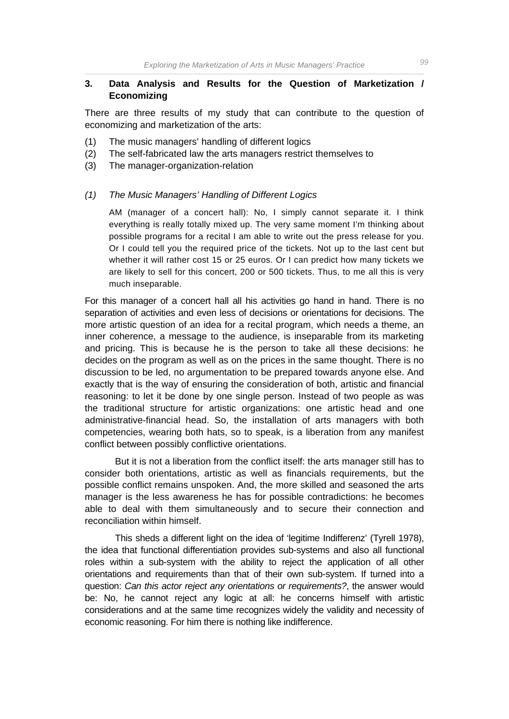# **3. Data Analysis and Results for the Question of Marketization / Economizing**

There are three results of my study that can contribute to the question of economizing and marketization of the arts:

- (1) The music managers' handling of different logics
- (2) The self-fabricated law the arts managers restrict themselves to
- (3) The manager-organization-relation

### *(1) The Music Managers' Handling of Different Logics*

AM (manager of a concert hall): No, I simply cannot separate it. I think everything is really totally mixed up. The very same moment I'm thinking about possible programs for a recital I am able to write out the press release for you. Or I could tell you the required price of the tickets. Not up to the last cent but whether it will rather cost 15 or 25 euros. Or I can predict how many tickets we are likely to sell for this concert, 200 or 500 tickets. Thus, to me all this is very much inseparable.

For this manager of a concert hall all his activities go hand in hand. There is no separation of activities and even less of decisions or orientations for decisions. The more artistic question of an idea for a recital program, which needs a theme, an inner coherence, a message to the audience, is inseparable from its marketing and pricing. This is because he is the person to take all these decisions: he decides on the program as well as on the prices in the same thought. There is no discussion to be led, no argumentation to be prepared towards anyone else. And exactly that is the way of ensuring the consideration of both, artistic and financial reasoning: to let it be done by one single person. Instead of two people as was the traditional structure for artistic organizations: one artistic head and one administrative-financial head. So, the installation of arts managers with both competencies, wearing both hats, so to speak, is a liberation from any manifest conflict between possibly conflictive orientations.

But it is not a liberation from the conflict itself: the arts manager still has to consider both orientations, artistic as well as financials requirements, but the possible conflict remains unspoken. And, the more skilled and seasoned the arts manager is the less awareness he has for possible contradictions: he becomes able to deal with them simultaneously and to secure their connection and reconciliation within himself.

This sheds a different light on the idea of 'legitime Indifferenz' (Tyrell 1978), the idea that functional differentiation provides sub-systems and also all functional roles within a sub-system with the ability to reject the application of all other orientations and requirements than that of their own sub-system. If turned into a question: *Can this actor reject any orientations or requirements?*, the answer would be: No, he cannot reject any logic at all: he concerns himself with artistic considerations and at the same time recognizes widely the validity and necessity of economic reasoning. For him there is nothing like indifference.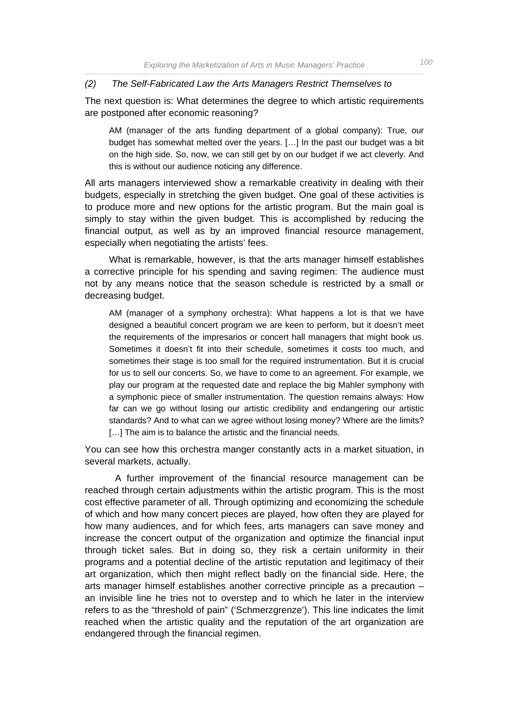### *(2) The Self-Fabricated Law the Arts Managers Restrict Themselves to*

The next question is: What determines the degree to which artistic requirements are postponed after economic reasoning?

AM (manager of the arts funding department of a global company): True, our budget has somewhat melted over the years. […] In the past our budget was a bit on the high side. So, now, we can still get by on our budget if we act cleverly. And this is without our audience noticing any difference.

All arts managers interviewed show a remarkable creativity in dealing with their budgets, especially in stretching the given budget. One goal of these activities is to produce more and new options for the artistic program. But the main goal is simply to stay within the given budget. This is accomplished by reducing the financial output, as well as by an improved financial resource management, especially when negotiating the artists' fees.

What is remarkable, however, is that the arts manager himself establishes a corrective principle for his spending and saving regimen: The audience must not by any means notice that the season schedule is restricted by a small or decreasing budget.

AM (manager of a symphony orchestra): What happens a lot is that we have designed a beautiful concert program we are keen to perform, but it doesn't meet the requirements of the impresarios or concert hall managers that might book us. Sometimes it doesn't fit into their schedule, sometimes it costs too much, and sometimes their stage is too small for the required instrumentation. But it is crucial for us to sell our concerts. So, we have to come to an agreement. For example, we play our program at the requested date and replace the big Mahler symphony with a symphonic piece of smaller instrumentation. The question remains always: How far can we go without losing our artistic credibility and endangering our artistic standards? And to what can we agree without losing money? Where are the limits? [...] The aim is to balance the artistic and the financial needs.

You can see how this orchestra manger constantly acts in a market situation, in several markets, actually.

A further improvement of the financial resource management can be reached through certain adjustments within the artistic program. This is the most cost effective parameter of all. Through optimizing and economizing the schedule of which and how many concert pieces are played, how often they are played for how many audiences, and for which fees, arts managers can save money and increase the concert output of the organization and optimize the financial input through ticket sales. But in doing so, they risk a certain uniformity in their programs and a potential decline of the artistic reputation and legitimacy of their art organization, which then might reflect badly on the financial side. Here, the arts manager himself establishes another corrective principle as a precaution – an invisible line he tries not to overstep and to which he later in the interview refers to as the "threshold of pain" ('Schmerzgrenze'). This line indicates the limit reached when the artistic quality and the reputation of the art organization are endangered through the financial regimen.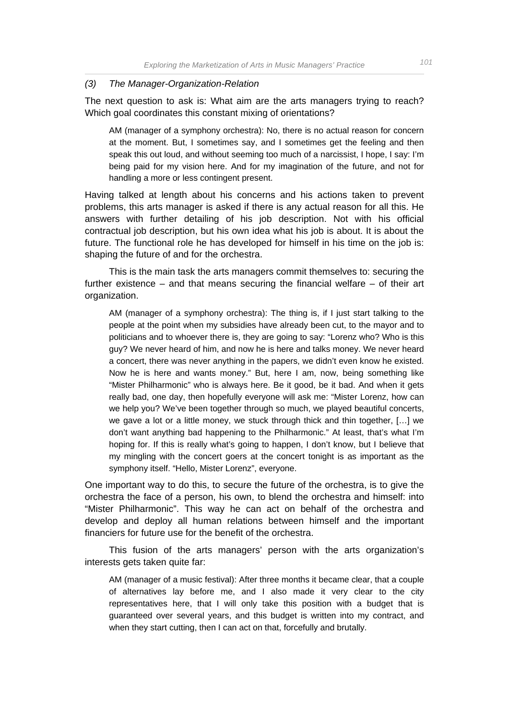### *(3) The Manager-Organization-Relation*

The next question to ask is: What aim are the arts managers trying to reach? Which goal coordinates this constant mixing of orientations?

AM (manager of a symphony orchestra): No, there is no actual reason for concern at the moment. But, I sometimes say, and I sometimes get the feeling and then speak this out loud, and without seeming too much of a narcissist, I hope, I say: I'm being paid for my vision here. And for my imagination of the future, and not for handling a more or less contingent present.

Having talked at length about his concerns and his actions taken to prevent problems, this arts manager is asked if there is any actual reason for all this. He answers with further detailing of his job description. Not with his official contractual job description, but his own idea what his job is about. It is about the future. The functional role he has developed for himself in his time on the job is: shaping the future of and for the orchestra.

This is the main task the arts managers commit themselves to: securing the further existence – and that means securing the financial welfare – of their art organization.

AM (manager of a symphony orchestra): The thing is, if I just start talking to the people at the point when my subsidies have already been cut, to the mayor and to politicians and to whoever there is, they are going to say: "Lorenz who? Who is this guy? We never heard of him, and now he is here and talks money. We never heard a concert, there was never anything in the papers, we didn't even know he existed. Now he is here and wants money." But, here I am, now, being something like "Mister Philharmonic" who is always here. Be it good, be it bad. And when it gets really bad, one day, then hopefully everyone will ask me: "Mister Lorenz, how can we help you? We've been together through so much, we played beautiful concerts, we gave a lot or a little money, we stuck through thick and thin together, […] we don't want anything bad happening to the Philharmonic." At least, that's what I'm hoping for. If this is really what's going to happen, I don't know, but I believe that my mingling with the concert goers at the concert tonight is as important as the symphony itself. "Hello, Mister Lorenz", everyone.

One important way to do this, to secure the future of the orchestra, is to give the orchestra the face of a person, his own, to blend the orchestra and himself: into "Mister Philharmonic". This way he can act on behalf of the orchestra and develop and deploy all human relations between himself and the important financiers for future use for the benefit of the orchestra.

This fusion of the arts managers' person with the arts organization's interests gets taken quite far:

AM (manager of a music festival): After three months it became clear, that a couple of alternatives lay before me, and I also made it very clear to the city representatives here, that I will only take this position with a budget that is guaranteed over several years, and this budget is written into my contract, and when they start cutting, then I can act on that, forcefully and brutally.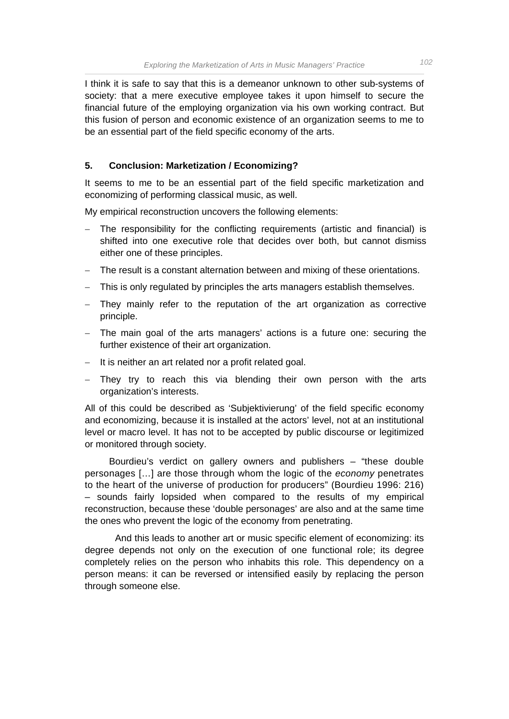I think it is safe to say that this is a demeanor unknown to other sub-systems of society: that a mere executive employee takes it upon himself to secure the financial future of the employing organization via his own working contract. But this fusion of person and economic existence of an organization seems to me to be an essential part of the field specific economy of the arts.

## **5. Conclusion: Marketization / Economizing?**

It seems to me to be an essential part of the field specific marketization and economizing of performing classical music, as well.

My empirical reconstruction uncovers the following elements:

- The responsibility for the conflicting requirements (artistic and financial) is shifted into one executive role that decides over both, but cannot dismiss either one of these principles.
- The result is a constant alternation between and mixing of these orientations.
- This is only regulated by principles the arts managers establish themselves.
- They mainly refer to the reputation of the art organization as corrective principle.
- The main goal of the arts managers' actions is a future one: securing the further existence of their art organization.
- $-$  It is neither an art related nor a profit related goal.
- They try to reach this via blending their own person with the arts organization's interests.

All of this could be described as 'Subjektivierung' of the field specific economy and economizing, because it is installed at the actors' level, not at an institutional level or macro level. It has not to be accepted by public discourse or legitimized or monitored through society.

Bourdieu's verdict on gallery owners and publishers – "these double personages […] are those through whom the logic of the *economy* penetrates to the heart of the universe of production for producers" (Bourdieu 1996: 216) – sounds fairly lopsided when compared to the results of my empirical reconstruction, because these 'double personages' are also and at the same time the ones who prevent the logic of the economy from penetrating.

And this leads to another art or music specific element of economizing: its degree depends not only on the execution of one functional role; its degree completely relies on the person who inhabits this role. This dependency on a person means: it can be reversed or intensified easily by replacing the person through someone else.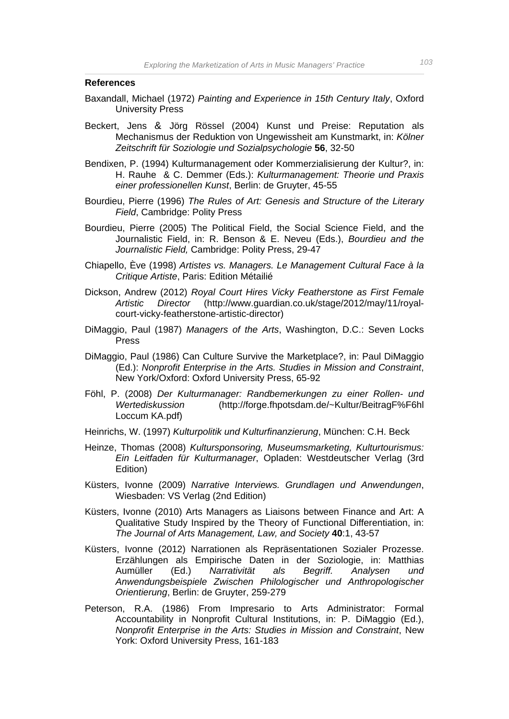# **References**

- Baxandall, Michael (1972) *Painting and Experience in 15th Century Italy*, Oxford University Press
- Beckert, Jens & Jörg Rössel (2004) Kunst und Preise: Reputation als Mechanismus der Reduktion von Ungewissheit am Kunstmarkt, in: *Kölner Zeitschrift für Soziologie und Sozialpsychologie* **56**, 32-50
- Bendixen, P. (1994) Kulturmanagement oder Kommerzialisierung der Kultur?, in: H. Rauhe & C. Demmer (Eds.): *Kulturmanagement: Theorie und Praxis einer professionellen Kunst*, Berlin: de Gruyter, 45-55
- Bourdieu, Pierre (1996) *The Rules of Art: Genesis and Structure of the Literary Field*, Cambridge: Polity Press
- Bourdieu, Pierre (2005) The Political Field, the Social Science Field, and the Journalistic Field, in: R. Benson & E. Neveu (Eds.), *Bourdieu and the Journalistic Field,* Cambridge: Polity Press, 29-47
- Chiapello, Ève (1998) *Artistes vs. Managers. Le Management Cultural Face à la Critique Artiste*, Paris: Edition Métailié
- Dickson, Andrew (2012) *Royal Court Hires Vicky Featherstone as First Female Artistic Director* (http://www.guardian.co.uk/stage/2012/may/11/royalcourt-vicky-featherstone-artistic-director)
- DiMaggio, Paul (1987) *Managers of the Arts*, Washington, D.C.: Seven Locks Press
- DiMaggio, Paul (1986) Can Culture Survive the Marketplace?, in: Paul DiMaggio (Ed.): *Nonprofit Enterprise in the Arts. Studies in Mission and Constraint*, New York/Oxford: Oxford University Press, 65-92
- Föhl, P. (2008) *Der Kulturmanager: Randbemerkungen zu einer Rollen- und Wertediskussion* (http://forge.fhpotsdam.de/~Kultur/BeitragF%F6hl Loccum KA.pdf)
- Heinrichs, W. (1997) *Kulturpolitik und Kulturfinanzierung*, München: C.H. Beck
- Heinze, Thomas (2008) *Kultursponsoring, Museumsmarketing, Kulturtourismus: Ein Leitfaden für Kulturmanager*, Opladen: Westdeutscher Verlag (3rd Edition)
- Küsters, Ivonne (2009) *Narrative Interviews. Grundlagen und Anwendungen*, Wiesbaden: VS Verlag (2nd Edition)
- Küsters, Ivonne (2010) Arts Managers as Liaisons between Finance and Art: A Qualitative Study Inspired by the Theory of Functional Differentiation, in: *The Journal of Arts Management, Law, and Society* **40**:1, 43-57
- Küsters, Ivonne (2012) Narrationen als Repräsentationen Sozialer Prozesse. Erzählungen als Empirische Daten in der Soziologie, in: Matthias Aumüller (Ed.) *Narrativität als Begriff. Analysen und Anwendungsbeispiele Zwischen Philologischer und Anthropologischer Orientierung*, Berlin: de Gruyter, 259-279
- Peterson, R.A. (1986) From Impresario to Arts Administrator: Formal Accountability in Nonprofit Cultural Institutions, in: P. DiMaggio (Ed.), *Nonprofit Enterprise in the Arts: Studies in Mission and Constraint*, New York: Oxford University Press, 161-183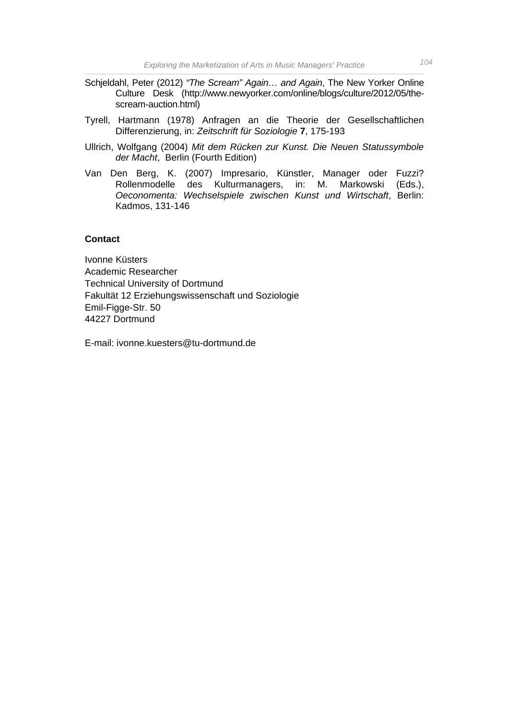- Schjeldahl, Peter (2012) *"The Scream" Again… and Again*, The New Yorker Online Culture Desk (http://www.newyorker.com/online/blogs/culture/2012/05/thescream-auction.html)
- Tyrell, Hartmann (1978) Anfragen an die Theorie der Gesellschaftlichen Differenzierung, in: *Zeitschrift für Soziologie* **7**, 175-193
- Ullrich, Wolfgang (2004) *Mit dem Rücken zur Kunst. Die Neuen Statussymbole der Macht*, Berlin (Fourth Edition)
- Van Den Berg, K. (2007) Impresario, Künstler, Manager oder Fuzzi? Rollenmodelle des Kulturmanagers, in: M. Markowski (Eds.), *Oeconomenta: Wechselspiele zwischen Kunst und Wirtschaft*, Berlin: Kadmos, 131-146

## **Contact**

Ivonne Küsters Academic Researcher Technical University of Dortmund Fakultät 12 Erziehungswissenschaft und Soziologie Emil-Figge-Str. 50 44227 Dortmund

E-mail: ivonne.kuesters@tu-dortmund.de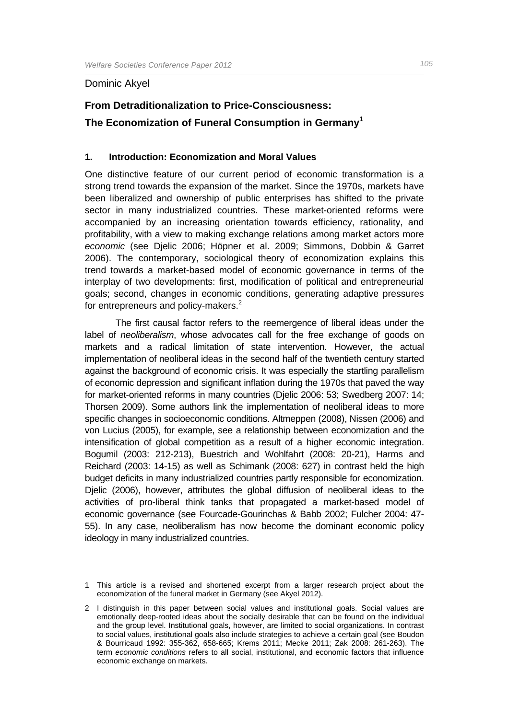#### Dominic Akyel

# **From Detraditionalization to Price-Consciousness:**

## **The Economization of Funeral Consumption in Germany1**

#### **1. Introduction: Economization and Moral Values**

One distinctive feature of our current period of economic transformation is a strong trend towards the expansion of the market. Since the 1970s, markets have been liberalized and ownership of public enterprises has shifted to the private sector in many industrialized countries. These market-oriented reforms were accompanied by an increasing orientation towards efficiency, rationality, and profitability, with a view to making exchange relations among market actors more *economic* (see Djelic 2006; Höpner et al. 2009; Simmons, Dobbin & Garret 2006). The contemporary, sociological theory of economization explains this trend towards a market-based model of economic governance in terms of the interplay of two developments: first, modification of political and entrepreneurial goals; second, changes in economic conditions, generating adaptive pressures for entrepreneurs and policy-makers. $2^2$ 

The first causal factor refers to the reemergence of liberal ideas under the label of *neoliberalism*, whose advocates call for the free exchange of goods on markets and a radical limitation of state intervention. However, the actual implementation of neoliberal ideas in the second half of the twentieth century started against the background of economic crisis. It was especially the startling parallelism of economic depression and significant inflation during the 1970s that paved the way for market-oriented reforms in many countries (Djelic 2006: 53; Swedberg 2007: 14; Thorsen 2009). Some authors link the implementation of neoliberal ideas to more specific changes in socioeconomic conditions. Altmeppen (2008), Nissen (2006) and von Lucius (2005), for example, see a relationship between economization and the intensification of global competition as a result of a higher economic integration. Bogumil (2003: 212-213), Buestrich and Wohlfahrt (2008: 20-21), Harms and Reichard (2003: 14-15) as well as Schimank (2008: 627) in contrast held the high budget deficits in many industrialized countries partly responsible for economization. Djelic (2006), however, attributes the global diffusion of neoliberal ideas to the activities of pro-liberal think tanks that propagated a market-based model of economic governance (see Fourcade-Gourinchas & Babb 2002; Fulcher 2004: 47- 55). In any case, neoliberalism has now become the dominant economic policy ideology in many industrialized countries.

<sup>1</sup> This article is a revised and shortened excerpt from a larger research project about the economization of the funeral market in Germany (see Akyel 2012).

<sup>2</sup> I distinguish in this paper between social values and institutional goals. Social values are emotionally deep-rooted ideas about the socially desirable that can be found on the individual and the group level. Institutional goals, however, are limited to social organizations. In contrast to social values, institutional goals also include strategies to achieve a certain goal (see Boudon & Bourricaud 1992: 355-362, 658-665; Krems 2011; Mecke 2011; Zak 2008: 261-263). The term *economic conditions* refers to all social, institutional, and economic factors that influence economic exchange on markets.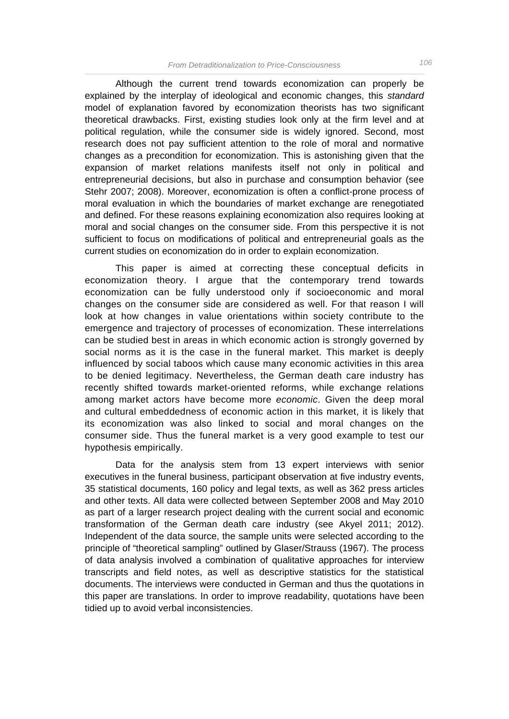Although the current trend towards economization can properly be explained by the interplay of ideological and economic changes, this *standard* model of explanation favored by economization theorists has two significant theoretical drawbacks. First, existing studies look only at the firm level and at political regulation, while the consumer side is widely ignored. Second, most research does not pay sufficient attention to the role of moral and normative changes as a precondition for economization. This is astonishing given that the expansion of market relations manifests itself not only in political and entrepreneurial decisions, but also in purchase and consumption behavior (see Stehr 2007; 2008). Moreover, economization is often a conflict-prone process of moral evaluation in which the boundaries of market exchange are renegotiated and defined. For these reasons explaining economization also requires looking at moral and social changes on the consumer side. From this perspective it is not sufficient to focus on modifications of political and entrepreneurial goals as the current studies on economization do in order to explain economization.

This paper is aimed at correcting these conceptual deficits in economization theory. I argue that the contemporary trend towards economization can be fully understood only if socioeconomic and moral changes on the consumer side are considered as well. For that reason I will look at how changes in value orientations within society contribute to the emergence and trajectory of processes of economization. These interrelations can be studied best in areas in which economic action is strongly governed by social norms as it is the case in the funeral market. This market is deeply influenced by social taboos which cause many economic activities in this area to be denied legitimacy. Nevertheless, the German death care industry has recently shifted towards market-oriented reforms, while exchange relations among market actors have become more *economic*. Given the deep moral and cultural embeddedness of economic action in this market, it is likely that its economization was also linked to social and moral changes on the consumer side. Thus the funeral market is a very good example to test our hypothesis empirically.

Data for the analysis stem from 13 expert interviews with senior executives in the funeral business, participant observation at five industry events, 35 statistical documents, 160 policy and legal texts, as well as 362 press articles and other texts. All data were collected between September 2008 and May 2010 as part of a larger research project dealing with the current social and economic transformation of the German death care industry (see Akyel 2011; 2012). Independent of the data source, the sample units were selected according to the principle of "theoretical sampling" outlined by Glaser/Strauss (1967). The process of data analysis involved a combination of qualitative approaches for interview transcripts and field notes, as well as descriptive statistics for the statistical documents. The interviews were conducted in German and thus the quotations in this paper are translations. In order to improve readability, quotations have been tidied up to avoid verbal inconsistencies.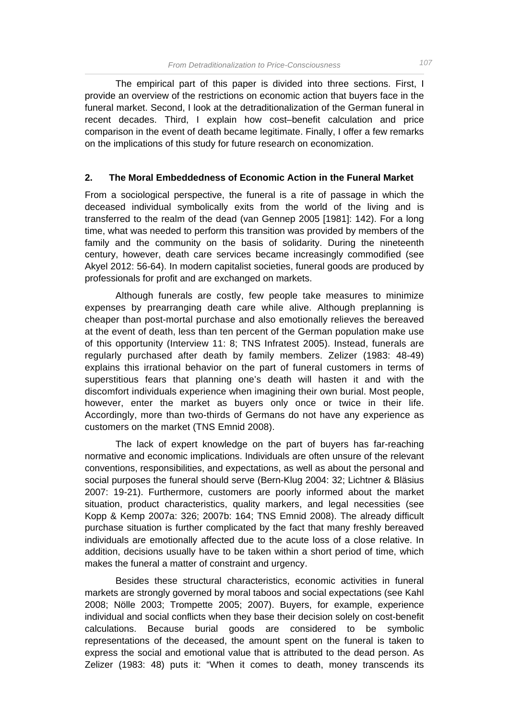The empirical part of this paper is divided into three sections. First, I provide an overview of the restrictions on economic action that buyers face in the funeral market. Second, I look at the detraditionalization of the German funeral in recent decades. Third, I explain how cost–benefit calculation and price comparison in the event of death became legitimate. Finally, I offer a few remarks on the implications of this study for future research on economization.

### **2. The Moral Embeddedness of Economic Action in the Funeral Market**

From a sociological perspective, the funeral is a rite of passage in which the deceased individual symbolically exits from the world of the living and is transferred to the realm of the dead (van Gennep 2005 [1981]: 142). For a long time, what was needed to perform this transition was provided by members of the family and the community on the basis of solidarity. During the nineteenth century, however, death care services became increasingly commodified (see Akyel 2012: 56-64). In modern capitalist societies, funeral goods are produced by professionals for profit and are exchanged on markets.

Although funerals are costly, few people take measures to minimize expenses by prearranging death care while alive. Although preplanning is cheaper than post-mortal purchase and also emotionally relieves the bereaved at the event of death, less than ten percent of the German population make use of this opportunity (Interview 11: 8; TNS Infratest 2005). Instead, funerals are regularly purchased after death by family members. Zelizer (1983: 48-49) explains this irrational behavior on the part of funeral customers in terms of superstitious fears that planning one's death will hasten it and with the discomfort individuals experience when imagining their own burial. Most people, however, enter the market as buyers only once or twice in their life. Accordingly, more than two-thirds of Germans do not have any experience as customers on the market (TNS Emnid 2008).

The lack of expert knowledge on the part of buyers has far-reaching normative and economic implications. Individuals are often unsure of the relevant conventions, responsibilities, and expectations, as well as about the personal and social purposes the funeral should serve (Bern-Klug 2004: 32; Lichtner & Bläsius 2007: 19-21). Furthermore, customers are poorly informed about the market situation, product characteristics, quality markers, and legal necessities (see Kopp & Kemp 2007a: 326; 2007b: 164; TNS Emnid 2008). The already difficult purchase situation is further complicated by the fact that many freshly bereaved individuals are emotionally affected due to the acute loss of a close relative. In addition, decisions usually have to be taken within a short period of time, which makes the funeral a matter of constraint and urgency.

Besides these structural characteristics, economic activities in funeral markets are strongly governed by moral taboos and social expectations (see Kahl 2008; Nölle 2003; Trompette 2005; 2007). Buyers, for example, experience individual and social conflicts when they base their decision solely on cost-benefit calculations. Because burial goods are considered to be symbolic representations of the deceased, the amount spent on the funeral is taken to express the social and emotional value that is attributed to the dead person. As Zelizer (1983: 48) puts it: "When it comes to death, money transcends its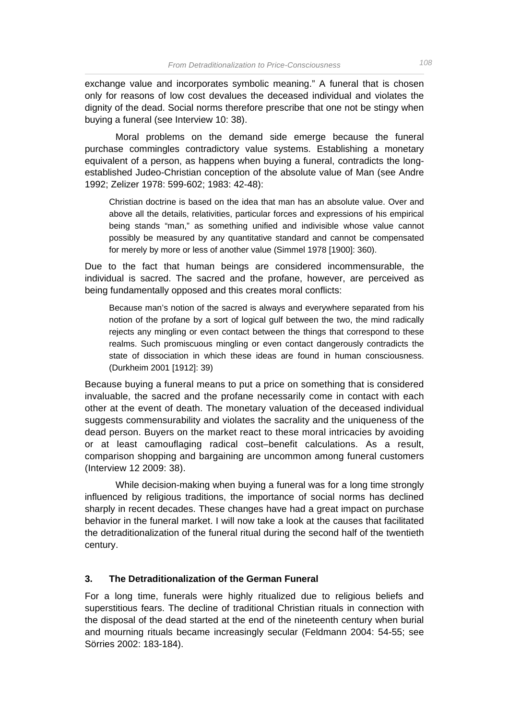exchange value and incorporates symbolic meaning." A funeral that is chosen only for reasons of low cost devalues the deceased individual and violates the dignity of the dead. Social norms therefore prescribe that one not be stingy when buying a funeral (see Interview 10: 38).

Moral problems on the demand side emerge because the funeral purchase commingles contradictory value systems. Establishing a monetary equivalent of a person, as happens when buying a funeral, contradicts the longestablished Judeo-Christian conception of the absolute value of Man (see Andre 1992; Zelizer 1978: 599-602; 1983: 42-48):

Christian doctrine is based on the idea that man has an absolute value. Over and above all the details, relativities, particular forces and expressions of his empirical being stands "man," as something unified and indivisible whose value cannot possibly be measured by any quantitative standard and cannot be compensated for merely by more or less of another value (Simmel 1978 [1900]: 360).

Due to the fact that human beings are considered incommensurable, the individual is sacred. The sacred and the profane, however, are perceived as being fundamentally opposed and this creates moral conflicts:

Because man's notion of the sacred is always and everywhere separated from his notion of the profane by a sort of logical gulf between the two, the mind radically rejects any mingling or even contact between the things that correspond to these realms. Such promiscuous mingling or even contact dangerously contradicts the state of dissociation in which these ideas are found in human consciousness. (Durkheim 2001 [1912]: 39)

Because buying a funeral means to put a price on something that is considered invaluable, the sacred and the profane necessarily come in contact with each other at the event of death. The monetary valuation of the deceased individual suggests commensurability and violates the sacrality and the uniqueness of the dead person. Buyers on the market react to these moral intricacies by avoiding or at least camouflaging radical cost–benefit calculations. As a result, comparison shopping and bargaining are uncommon among funeral customers (Interview 12 2009: 38).

While decision-making when buying a funeral was for a long time strongly influenced by religious traditions, the importance of social norms has declined sharply in recent decades. These changes have had a great impact on purchase behavior in the funeral market. I will now take a look at the causes that facilitated the detraditionalization of the funeral ritual during the second half of the twentieth century.

## **3. The Detraditionalization of the German Funeral**

For a long time, funerals were highly ritualized due to religious beliefs and superstitious fears. The decline of traditional Christian rituals in connection with the disposal of the dead started at the end of the nineteenth century when burial and mourning rituals became increasingly secular (Feldmann 2004: 54-55; see Sörries 2002: 183-184).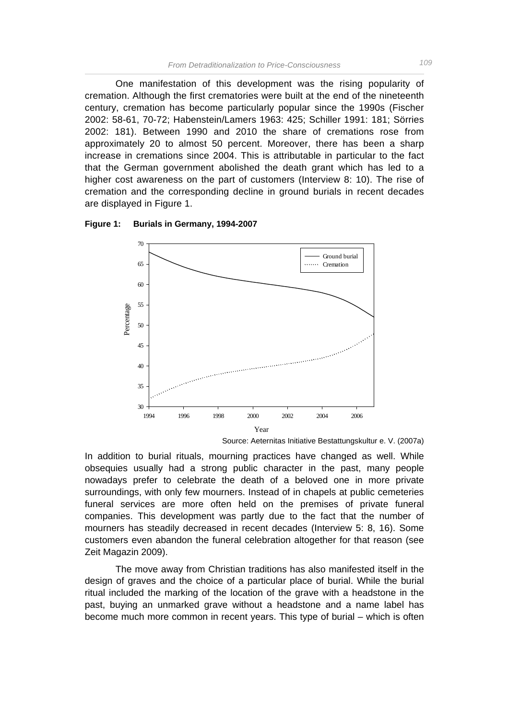One manifestation of this development was the rising popularity of cremation. Although the first crematories were built at the end of the nineteenth century, cremation has become particularly popular since the 1990s (Fischer 2002: 58-61, 70-72; Habenstein/Lamers 1963: 425; Schiller 1991: 181; Sörries 2002: 181). Between 1990 and 2010 the share of cremations rose from approximately 20 to almost 50 percent. Moreover, there has been a sharp increase in cremations since 2004. This is attributable in particular to the fact that the German government abolished the death grant which has led to a higher cost awareness on the part of customers (Interview 8: 10). The rise of cremation and the corresponding decline in ground burials in recent decades are displayed in Figure 1.





Source: Aeternitas Initiative Bestattungskultur e. V. (2007a)

In addition to burial rituals, mourning practices have changed as well. While obsequies usually had a strong public character in the past, many people nowadays prefer to celebrate the death of a beloved one in more private surroundings, with only few mourners. Instead of in chapels at public cemeteries funeral services are more often held on the premises of private funeral companies. This development was partly due to the fact that the number of mourners has steadily decreased in recent decades (Interview 5: 8, 16). Some customers even abandon the funeral celebration altogether for that reason (see Zeit Magazin 2009).

The move away from Christian traditions has also manifested itself in the design of graves and the choice of a particular place of burial. While the burial ritual included the marking of the location of the grave with a headstone in the past, buying an unmarked grave without a headstone and a name label has become much more common in recent years. This type of burial – which is often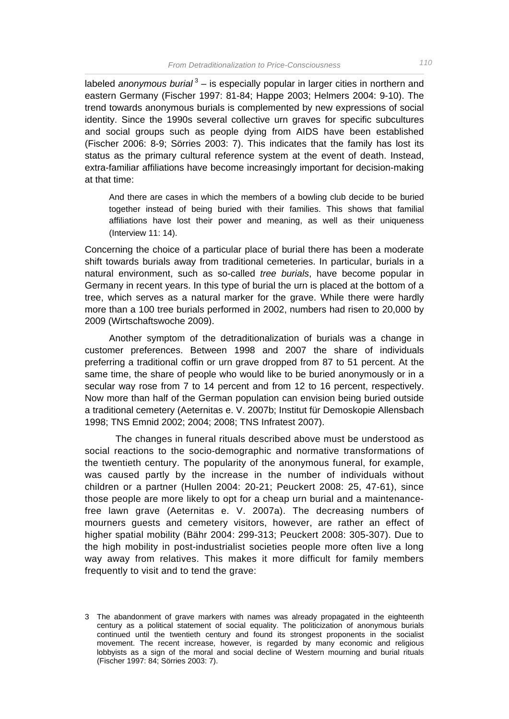labeled *anonymous burial*<sup>3</sup> – is especially popular in larger cities in northern and eastern Germany (Fischer 1997: 81-84; Happe 2003; Helmers 2004: 9-10). The trend towards anonymous burials is complemented by new expressions of social identity. Since the 1990s several collective urn graves for specific subcultures and social groups such as people dying from AIDS have been established (Fischer 2006: 8-9; Sörries 2003: 7). This indicates that the family has lost its status as the primary cultural reference system at the event of death. Instead, extra-familiar affiliations have become increasingly important for decision-making at that time:

And there are cases in which the members of a bowling club decide to be buried together instead of being buried with their families. This shows that familial affiliations have lost their power and meaning, as well as their uniqueness (Interview 11: 14).

Concerning the choice of a particular place of burial there has been a moderate shift towards burials away from traditional cemeteries. In particular, burials in a natural environment, such as so-called *tree burials*, have become popular in Germany in recent years. In this type of burial the urn is placed at the bottom of a tree, which serves as a natural marker for the grave. While there were hardly more than a 100 tree burials performed in 2002, numbers had risen to 20,000 by 2009 (Wirtschaftswoche 2009).

Another symptom of the detraditionalization of burials was a change in customer preferences. Between 1998 and 2007 the share of individuals preferring a traditional coffin or urn grave dropped from 87 to 51 percent. At the same time, the share of people who would like to be buried anonymously or in a secular way rose from 7 to 14 percent and from 12 to 16 percent, respectively. Now more than half of the German population can envision being buried outside a traditional cemetery (Aeternitas e. V. 2007b; Institut für Demoskopie Allensbach 1998; TNS Emnid 2002; 2004; 2008; TNS Infratest 2007).

The changes in funeral rituals described above must be understood as social reactions to the socio-demographic and normative transformations of the twentieth century. The popularity of the anonymous funeral, for example, was caused partly by the increase in the number of individuals without children or a partner (Hullen 2004: 20-21; Peuckert 2008: 25, 47-61), since those people are more likely to opt for a cheap urn burial and a maintenancefree lawn grave (Aeternitas e. V. 2007a). The decreasing numbers of mourners guests and cemetery visitors, however, are rather an effect of higher spatial mobility (Bähr 2004: 299-313; Peuckert 2008: 305-307). Due to the high mobility in post-industrialist societies people more often live a long way away from relatives. This makes it more difficult for family members frequently to visit and to tend the grave:

<sup>3</sup> The abandonment of grave markers with names was already propagated in the eighteenth century as a political statement of social equality. The politicization of anonymous burials continued until the twentieth century and found its strongest proponents in the socialist movement. The recent increase, however, is regarded by many economic and religious lobbyists as a sign of the moral and social decline of Western mourning and burial rituals (Fischer 1997: 84; Sörries 2003: 7).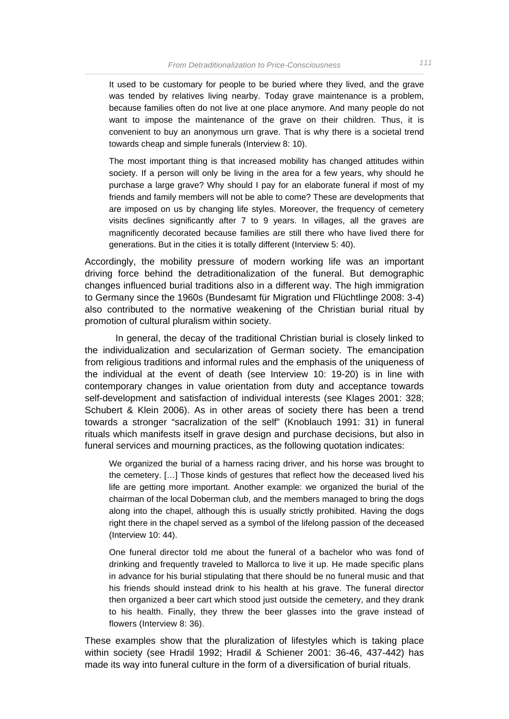It used to be customary for people to be buried where they lived, and the grave was tended by relatives living nearby. Today grave maintenance is a problem, because families often do not live at one place anymore. And many people do not want to impose the maintenance of the grave on their children. Thus, it is convenient to buy an anonymous urn grave. That is why there is a societal trend towards cheap and simple funerals (Interview 8: 10).

The most important thing is that increased mobility has changed attitudes within society. If a person will only be living in the area for a few years, why should he purchase a large grave? Why should I pay for an elaborate funeral if most of my friends and family members will not be able to come? These are developments that are imposed on us by changing life styles. Moreover, the frequency of cemetery visits declines significantly after 7 to 9 years. In villages, all the graves are magnificently decorated because families are still there who have lived there for generations. But in the cities it is totally different (Interview 5: 40).

Accordingly, the mobility pressure of modern working life was an important driving force behind the detraditionalization of the funeral. But demographic changes influenced burial traditions also in a different way. The high immigration to Germany since the 1960s (Bundesamt für Migration und Flüchtlinge 2008: 3-4) also contributed to the normative weakening of the Christian burial ritual by promotion of cultural pluralism within society.

In general, the decay of the traditional Christian burial is closely linked to the individualization and secularization of German society. The emancipation from religious traditions and informal rules and the emphasis of the uniqueness of the individual at the event of death (see Interview 10: 19-20) is in line with contemporary changes in value orientation from duty and acceptance towards self-development and satisfaction of individual interests (see Klages 2001: 328; Schubert & Klein 2006). As in other areas of society there has been a trend towards a stronger "sacralization of the self" (Knoblauch 1991: 31) in funeral rituals which manifests itself in grave design and purchase decisions, but also in funeral services and mourning practices, as the following quotation indicates:

We organized the burial of a harness racing driver, and his horse was brought to the cemetery. […] Those kinds of gestures that reflect how the deceased lived his life are getting more important. Another example: we organized the burial of the chairman of the local Doberman club, and the members managed to bring the dogs along into the chapel, although this is usually strictly prohibited. Having the dogs right there in the chapel served as a symbol of the lifelong passion of the deceased (Interview 10: 44).

One funeral director told me about the funeral of a bachelor who was fond of drinking and frequently traveled to Mallorca to live it up. He made specific plans in advance for his burial stipulating that there should be no funeral music and that his friends should instead drink to his health at his grave. The funeral director then organized a beer cart which stood just outside the cemetery, and they drank to his health. Finally, they threw the beer glasses into the grave instead of flowers (Interview 8: 36).

These examples show that the pluralization of lifestyles which is taking place within society (see Hradil 1992; Hradil & Schiener 2001: 36-46, 437-442) has made its way into funeral culture in the form of a diversification of burial rituals.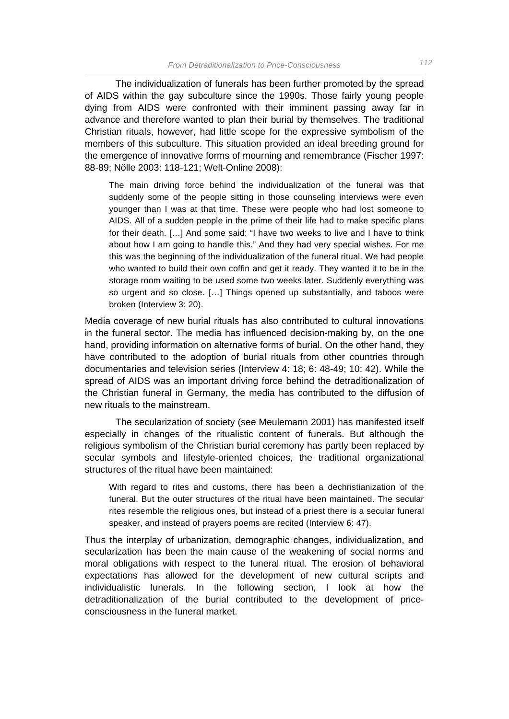The individualization of funerals has been further promoted by the spread of AIDS within the gay subculture since the 1990s. Those fairly young people dying from AIDS were confronted with their imminent passing away far in advance and therefore wanted to plan their burial by themselves. The traditional Christian rituals, however, had little scope for the expressive symbolism of the members of this subculture. This situation provided an ideal breeding ground for the emergence of innovative forms of mourning and remembrance (Fischer 1997: 88-89; Nölle 2003: 118-121; Welt-Online 2008):

The main driving force behind the individualization of the funeral was that suddenly some of the people sitting in those counseling interviews were even younger than I was at that time. These were people who had lost someone to AIDS. All of a sudden people in the prime of their life had to make specific plans for their death. […] And some said: "I have two weeks to live and I have to think about how I am going to handle this." And they had very special wishes. For me this was the beginning of the individualization of the funeral ritual. We had people who wanted to build their own coffin and get it ready. They wanted it to be in the storage room waiting to be used some two weeks later. Suddenly everything was so urgent and so close. […] Things opened up substantially, and taboos were broken (Interview 3: 20).

Media coverage of new burial rituals has also contributed to cultural innovations in the funeral sector. The media has influenced decision-making by, on the one hand, providing information on alternative forms of burial. On the other hand, they have contributed to the adoption of burial rituals from other countries through documentaries and television series (Interview 4: 18; 6: 48-49; 10: 42). While the spread of AIDS was an important driving force behind the detraditionalization of the Christian funeral in Germany, the media has contributed to the diffusion of new rituals to the mainstream.

The secularization of society (see Meulemann 2001) has manifested itself especially in changes of the ritualistic content of funerals. But although the religious symbolism of the Christian burial ceremony has partly been replaced by secular symbols and lifestyle-oriented choices, the traditional organizational structures of the ritual have been maintained:

With regard to rites and customs, there has been a dechristianization of the funeral. But the outer structures of the ritual have been maintained. The secular rites resemble the religious ones, but instead of a priest there is a secular funeral speaker, and instead of prayers poems are recited (Interview 6: 47).

Thus the interplay of urbanization, demographic changes, individualization, and secularization has been the main cause of the weakening of social norms and moral obligations with respect to the funeral ritual. The erosion of behavioral expectations has allowed for the development of new cultural scripts and individualistic funerals. In the following section, I look at how the detraditionalization of the burial contributed to the development of priceconsciousness in the funeral market.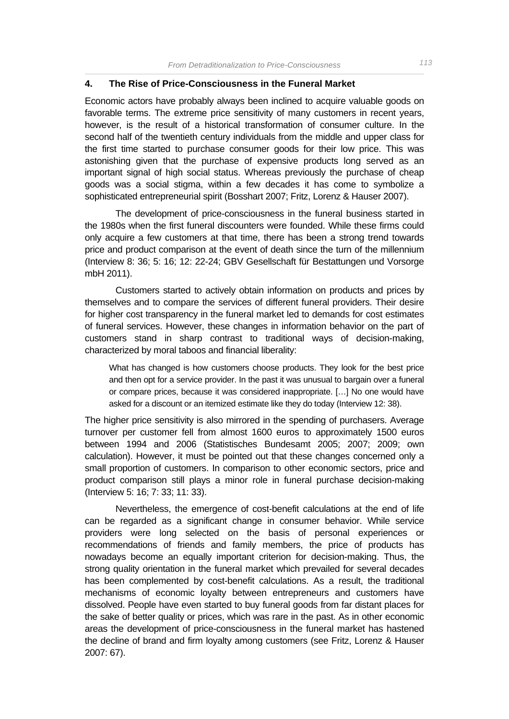#### **4. The Rise of Price-Consciousness in the Funeral Market**

Economic actors have probably always been inclined to acquire valuable goods on favorable terms. The extreme price sensitivity of many customers in recent years, however, is the result of a historical transformation of consumer culture. In the second half of the twentieth century individuals from the middle and upper class for the first time started to purchase consumer goods for their low price. This was astonishing given that the purchase of expensive products long served as an important signal of high social status. Whereas previously the purchase of cheap goods was a social stigma, within a few decades it has come to symbolize a sophisticated entrepreneurial spirit (Bosshart 2007; Fritz, Lorenz & Hauser 2007).

The development of price-consciousness in the funeral business started in the 1980s when the first funeral discounters were founded. While these firms could only acquire a few customers at that time, there has been a strong trend towards price and product comparison at the event of death since the turn of the millennium (Interview 8: 36; 5: 16; 12: 22-24; GBV Gesellschaft für Bestattungen und Vorsorge mbH 2011).

Customers started to actively obtain information on products and prices by themselves and to compare the services of different funeral providers. Their desire for higher cost transparency in the funeral market led to demands for cost estimates of funeral services. However, these changes in information behavior on the part of customers stand in sharp contrast to traditional ways of decision-making, characterized by moral taboos and financial liberality:

What has changed is how customers choose products. They look for the best price and then opt for a service provider. In the past it was unusual to bargain over a funeral or compare prices, because it was considered inappropriate. […] No one would have asked for a discount or an itemized estimate like they do today (Interview 12: 38).

The higher price sensitivity is also mirrored in the spending of purchasers. Average turnover per customer fell from almost 1600 euros to approximately 1500 euros between 1994 and 2006 (Statistisches Bundesamt 2005; 2007; 2009; own calculation). However, it must be pointed out that these changes concerned only a small proportion of customers. In comparison to other economic sectors, price and product comparison still plays a minor role in funeral purchase decision-making (Interview 5: 16; 7: 33; 11: 33).

Nevertheless, the emergence of cost-benefit calculations at the end of life can be regarded as a significant change in consumer behavior. While service providers were long selected on the basis of personal experiences or recommendations of friends and family members, the price of products has nowadays become an equally important criterion for decision-making. Thus, the strong quality orientation in the funeral market which prevailed for several decades has been complemented by cost-benefit calculations. As a result, the traditional mechanisms of economic loyalty between entrepreneurs and customers have dissolved. People have even started to buy funeral goods from far distant places for the sake of better quality or prices, which was rare in the past. As in other economic areas the development of price-consciousness in the funeral market has hastened the decline of brand and firm loyalty among customers (see Fritz, Lorenz & Hauser 2007: 67).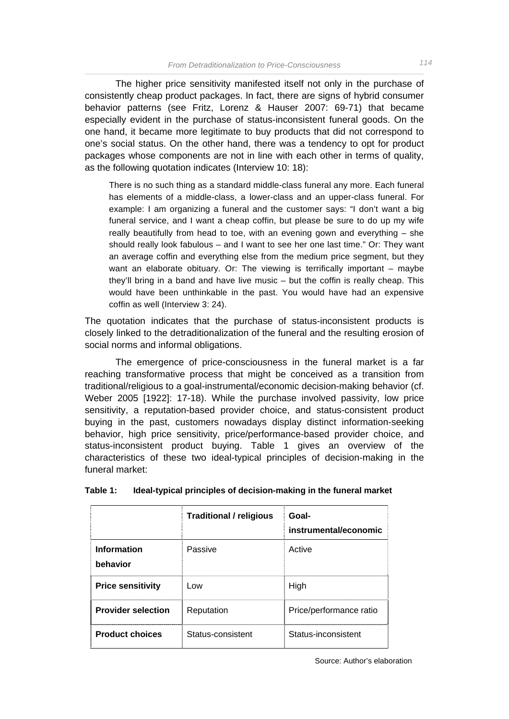The higher price sensitivity manifested itself not only in the purchase of consistently cheap product packages. In fact, there are signs of hybrid consumer behavior patterns (see Fritz, Lorenz & Hauser 2007: 69-71) that became especially evident in the purchase of status-inconsistent funeral goods. On the one hand, it became more legitimate to buy products that did not correspond to one's social status. On the other hand, there was a tendency to opt for product packages whose components are not in line with each other in terms of quality, as the following quotation indicates (Interview 10: 18):

There is no such thing as a standard middle-class funeral any more. Each funeral has elements of a middle-class, a lower-class and an upper-class funeral. For example: I am organizing a funeral and the customer says: "I don't want a big funeral service, and I want a cheap coffin, but please be sure to do up my wife really beautifully from head to toe, with an evening gown and everything – she should really look fabulous – and I want to see her one last time." Or: They want an average coffin and everything else from the medium price segment, but they want an elaborate obituary. Or: The viewing is terrifically important – maybe they'll bring in a band and have live music – but the coffin is really cheap. This would have been unthinkable in the past. You would have had an expensive coffin as well (Interview 3: 24).

The quotation indicates that the purchase of status-inconsistent products is closely linked to the detraditionalization of the funeral and the resulting erosion of social norms and informal obligations.

The emergence of price-consciousness in the funeral market is a far reaching transformative process that might be conceived as a transition from traditional/religious to a goal-instrumental/economic decision-making behavior (cf. Weber 2005 [1922]: 17-18). While the purchase involved passivity, low price sensitivity, a reputation-based provider choice, and status-consistent product buying in the past, customers nowadays display distinct information-seeking behavior, high price sensitivity, price/performance-based provider choice, and status-inconsistent product buying. Table 1 gives an overview of the characteristics of these two ideal-typical principles of decision-making in the funeral market:

|                                | <b>Traditional / religious</b> | Goal-<br>instrumental/economic |
|--------------------------------|--------------------------------|--------------------------------|
| <b>Information</b><br>behavior | Passive                        | Active                         |
| <b>Price sensitivity</b>       | Low                            | High                           |
| <b>Provider selection</b>      | Reputation                     | Price/performance ratio        |
| <b>Product choices</b>         | Status-consistent              | Status-inconsistent            |

| Table 1: |  | Ideal-typical principles of decision-making in the funeral market |
|----------|--|-------------------------------------------------------------------|
|----------|--|-------------------------------------------------------------------|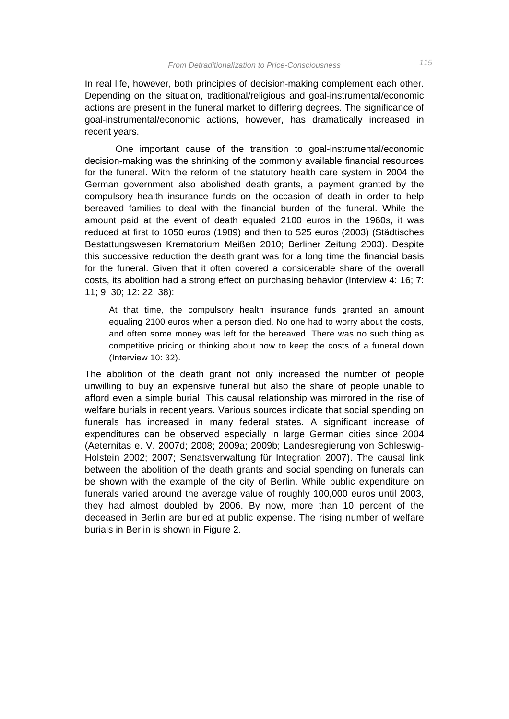In real life, however, both principles of decision-making complement each other. Depending on the situation, traditional/religious and goal-instrumental/economic actions are present in the funeral market to differing degrees. The significance of goal-instrumental/economic actions, however, has dramatically increased in recent years.

One important cause of the transition to goal-instrumental/economic decision-making was the shrinking of the commonly available financial resources for the funeral. With the reform of the statutory health care system in 2004 the German government also abolished death grants, a payment granted by the compulsory health insurance funds on the occasion of death in order to help bereaved families to deal with the financial burden of the funeral. While the amount paid at the event of death equaled 2100 euros in the 1960s, it was reduced at first to 1050 euros (1989) and then to 525 euros (2003) (Städtisches Bestattungswesen Krematorium Meißen 2010; Berliner Zeitung 2003). Despite this successive reduction the death grant was for a long time the financial basis for the funeral. Given that it often covered a considerable share of the overall costs, its abolition had a strong effect on purchasing behavior (Interview 4: 16; 7: 11; 9: 30; 12: 22, 38):

At that time, the compulsory health insurance funds granted an amount equaling 2100 euros when a person died. No one had to worry about the costs, and often some money was left for the bereaved. There was no such thing as competitive pricing or thinking about how to keep the costs of a funeral down (Interview 10: 32).

The abolition of the death grant not only increased the number of people unwilling to buy an expensive funeral but also the share of people unable to afford even a simple burial. This causal relationship was mirrored in the rise of welfare burials in recent years. Various sources indicate that social spending on funerals has increased in many federal states. A significant increase of expenditures can be observed especially in large German cities since 2004 (Aeternitas e. V. 2007d; 2008; 2009a; 2009b; Landesregierung von Schleswig-Holstein 2002; 2007; Senatsverwaltung für Integration 2007). The causal link between the abolition of the death grants and social spending on funerals can be shown with the example of the city of Berlin. While public expenditure on funerals varied around the average value of roughly 100,000 euros until 2003, they had almost doubled by 2006. By now, more than 10 percent of the deceased in Berlin are buried at public expense. The rising number of welfare burials in Berlin is shown in Figure 2.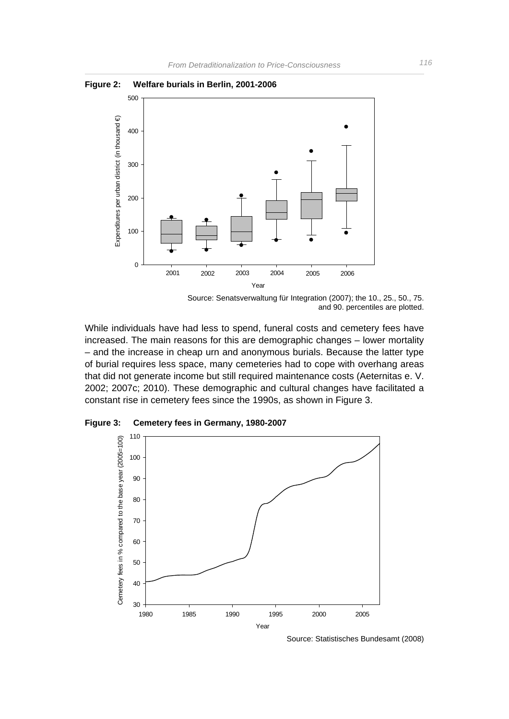

**Figure 2: Welfare burials in Berlin, 2001-2006** 



While individuals have had less to spend, funeral costs and cemetery fees have increased. The main reasons for this are demographic changes – lower mortality – and the increase in cheap urn and anonymous burials. Because the latter type of burial requires less space, many cemeteries had to cope with overhang areas that did not generate income but still required maintenance costs (Aeternitas e. V. 2002; 2007c; 2010). These demographic and cultural changes have facilitated a constant rise in cemetery fees since the 1990s, as shown in Figure 3.

**Figure 3: Cemetery fees in Germany, 1980-2007** 



Source: Statistisches Bundesamt (2008)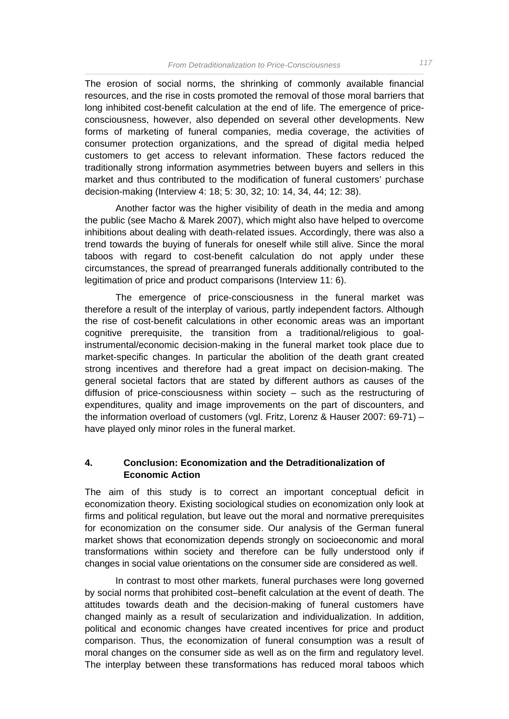The erosion of social norms, the shrinking of commonly available financial resources, and the rise in costs promoted the removal of those moral barriers that long inhibited cost-benefit calculation at the end of life. The emergence of priceconsciousness, however, also depended on several other developments. New forms of marketing of funeral companies, media coverage, the activities of consumer protection organizations, and the spread of digital media helped customers to get access to relevant information. These factors reduced the traditionally strong information asymmetries between buyers and sellers in this market and thus contributed to the modification of funeral customers' purchase decision-making (Interview 4: 18; 5: 30, 32; 10: 14, 34, 44; 12: 38).

Another factor was the higher visibility of death in the media and among the public (see Macho & Marek 2007), which might also have helped to overcome inhibitions about dealing with death-related issues. Accordingly, there was also a trend towards the buying of funerals for oneself while still alive. Since the moral taboos with regard to cost-benefit calculation do not apply under these circumstances, the spread of prearranged funerals additionally contributed to the legitimation of price and product comparisons (Interview 11: 6).

The emergence of price-consciousness in the funeral market was therefore a result of the interplay of various, partly independent factors. Although the rise of cost-benefit calculations in other economic areas was an important cognitive prerequisite, the transition from a traditional/religious to goalinstrumental/economic decision-making in the funeral market took place due to market-specific changes. In particular the abolition of the death grant created strong incentives and therefore had a great impact on decision-making. The general societal factors that are stated by different authors as causes of the diffusion of price-consciousness within society – such as the restructuring of expenditures, quality and image improvements on the part of discounters, and the information overload of customers (vgl. Fritz, Lorenz & Hauser 2007: 69-71) – have played only minor roles in the funeral market.

## **4. Conclusion: Economization and the Detraditionalization of Economic Action**

The aim of this study is to correct an important conceptual deficit in economization theory. Existing sociological studies on economization only look at firms and political regulation, but leave out the moral and normative prerequisites for economization on the consumer side. Our analysis of the German funeral market shows that economization depends strongly on socioeconomic and moral transformations within society and therefore can be fully understood only if changes in social value orientations on the consumer side are considered as well.

In contrast to most other markets, funeral purchases were long governed by social norms that prohibited cost–benefit calculation at the event of death. The attitudes towards death and the decision-making of funeral customers have changed mainly as a result of secularization and individualization. In addition, political and economic changes have created incentives for price and product comparison. Thus, the economization of funeral consumption was a result of moral changes on the consumer side as well as on the firm and regulatory level. The interplay between these transformations has reduced moral taboos which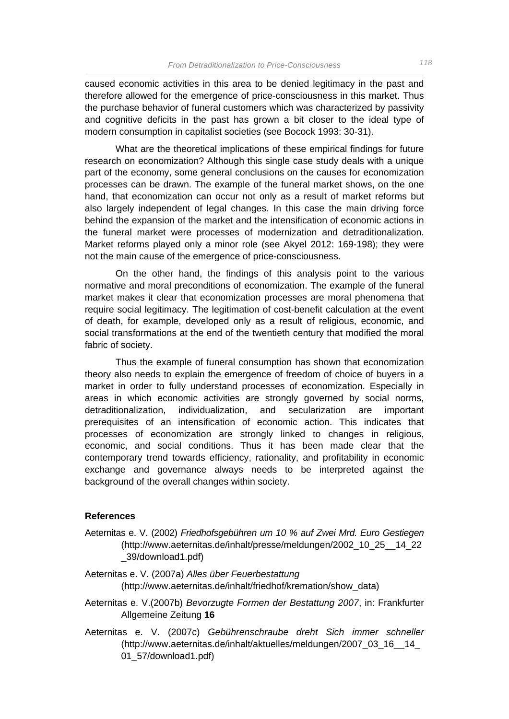caused economic activities in this area to be denied legitimacy in the past and therefore allowed for the emergence of price-consciousness in this market. Thus the purchase behavior of funeral customers which was characterized by passivity and cognitive deficits in the past has grown a bit closer to the ideal type of modern consumption in capitalist societies (see Bocock 1993: 30-31).

What are the theoretical implications of these empirical findings for future research on economization? Although this single case study deals with a unique part of the economy, some general conclusions on the causes for economization processes can be drawn. The example of the funeral market shows, on the one hand, that economization can occur not only as a result of market reforms but also largely independent of legal changes. In this case the main driving force behind the expansion of the market and the intensification of economic actions in the funeral market were processes of modernization and detraditionalization. Market reforms played only a minor role (see Akyel 2012: 169-198); they were not the main cause of the emergence of price-consciousness.

On the other hand, the findings of this analysis point to the various normative and moral preconditions of economization. The example of the funeral market makes it clear that economization processes are moral phenomena that require social legitimacy. The legitimation of cost-benefit calculation at the event of death, for example, developed only as a result of religious, economic, and social transformations at the end of the twentieth century that modified the moral fabric of society.

Thus the example of funeral consumption has shown that economization theory also needs to explain the emergence of freedom of choice of buyers in a market in order to fully understand processes of economization. Especially in areas in which economic activities are strongly governed by social norms, detraditionalization, individualization, and secularization are important prerequisites of an intensification of economic action. This indicates that processes of economization are strongly linked to changes in religious, economic, and social conditions. Thus it has been made clear that the contemporary trend towards efficiency, rationality, and profitability in economic exchange and governance always needs to be interpreted against the background of the overall changes within society.

#### **References**

- Aeternitas e. V. (2002) *Friedhofsgebühren um 10 % auf Zwei Mrd. Euro Gestiegen* (http://www.aeternitas.de/inhalt/presse/meldungen/2002\_10\_25\_\_14\_22 \_39/download1.pdf)
- Aeternitas e. V. (2007a) *Alles über Feuerbestattung* (http://www.aeternitas.de/inhalt/friedhof/kremation/show\_data)
- Aeternitas e. V.(2007b) *Bevorzugte Formen der Bestattung 2007*, in: Frankfurter Allgemeine Zeitung **16**
- Aeternitas e. V. (2007c) *Gebührenschraube dreht Sich immer schneller* (http://www.aeternitas.de/inhalt/aktuelles/meldungen/2007\_03\_16\_\_14\_ 01\_57/download1.pdf)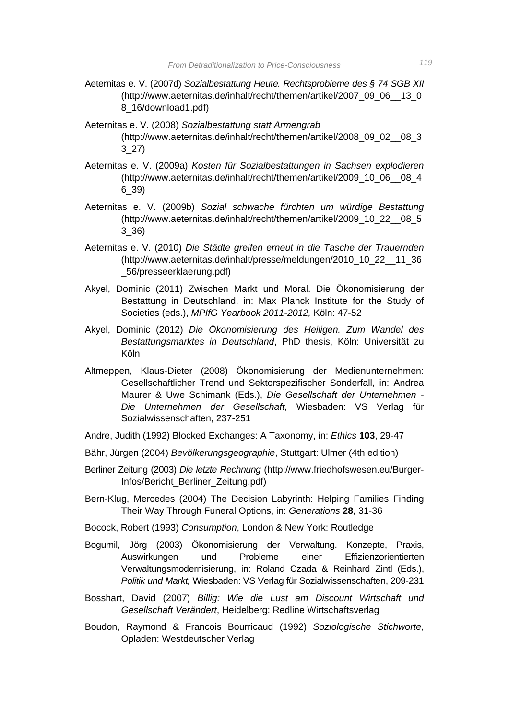- Aeternitas e. V. (2007d) *Sozialbestattung Heute. Rechtsprobleme des § 74 SGB XII* (http://www.aeternitas.de/inhalt/recht/themen/artikel/2007\_09\_06\_\_13\_0 8\_16/download1.pdf)
- Aeternitas e. V. (2008) *Sozialbestattung statt Armengrab* (http://www.aeternitas.de/inhalt/recht/themen/artikel/2008\_09\_02\_\_08\_3 3\_27)
- Aeternitas e. V. (2009a) *Kosten für Sozialbestattungen in Sachsen explodieren* (http://www.aeternitas.de/inhalt/recht/themen/artikel/2009\_10\_06\_\_08\_4 6\_39)
- Aeternitas e. V. (2009b) *Sozial schwache fürchten um würdige Bestattung* (http://www.aeternitas.de/inhalt/recht/themen/artikel/2009\_10\_22\_\_08\_5 3\_36)
- Aeternitas e. V. (2010) *Die Städte greifen erneut in die Tasche der Trauernden* (http://www.aeternitas.de/inhalt/presse/meldungen/2010\_10\_22\_\_11\_36 \_56/presseerklaerung.pdf)
- Akyel, Dominic (2011) Zwischen Markt und Moral. Die Ökonomisierung der Bestattung in Deutschland, in: Max Planck Institute for the Study of Societies (eds.), *MPIfG Yearbook 2011-2012,* Köln: 47-52
- Akyel, Dominic (2012) *Die Ökonomisierung des Heiligen. Zum Wandel des Bestattungsmarktes in Deutschland*, PhD thesis, Köln: Universität zu Köln
- Altmeppen, Klaus-Dieter (2008) Ökonomisierung der Medienunternehmen: Gesellschaftlicher Trend und Sektorspezifischer Sonderfall, in: Andrea Maurer & Uwe Schimank (Eds.), *Die Gesellschaft der Unternehmen - Die Unternehmen der Gesellschaft,* Wiesbaden: VS Verlag für Sozialwissenschaften, 237-251
- Andre, Judith (1992) Blocked Exchanges: A Taxonomy, in: *Ethics* **103**, 29-47
- Bähr, Jürgen (2004) *Bevölkerungsgeographie*, Stuttgart: Ulmer (4th edition)
- Berliner Zeitung (2003) *Die letzte Rechnung* (http://www.friedhofswesen.eu/Burger-Infos/Bericht\_Berliner\_Zeitung.pdf)
- Bern-Klug, Mercedes (2004) The Decision Labyrinth: Helping Families Finding Their Way Through Funeral Options, in: *Generations* **28**, 31-36
- Bocock, Robert (1993) *Consumption*, London & New York: Routledge
- Bogumil, Jörg (2003) Ökonomisierung der Verwaltung. Konzepte, Praxis, Auswirkungen und Probleme einer Effizienzorientierten Verwaltungsmodernisierung, in: Roland Czada & Reinhard Zintl (Eds.), *Politik und Markt,* Wiesbaden: VS Verlag für Sozialwissenschaften, 209-231
- Bosshart, David (2007) *Billig: Wie die Lust am Discount Wirtschaft und Gesellschaft Verändert*, Heidelberg: Redline Wirtschaftsverlag
- Boudon, Raymond & Francois Bourricaud (1992) *Soziologische Stichworte*, Opladen: Westdeutscher Verlag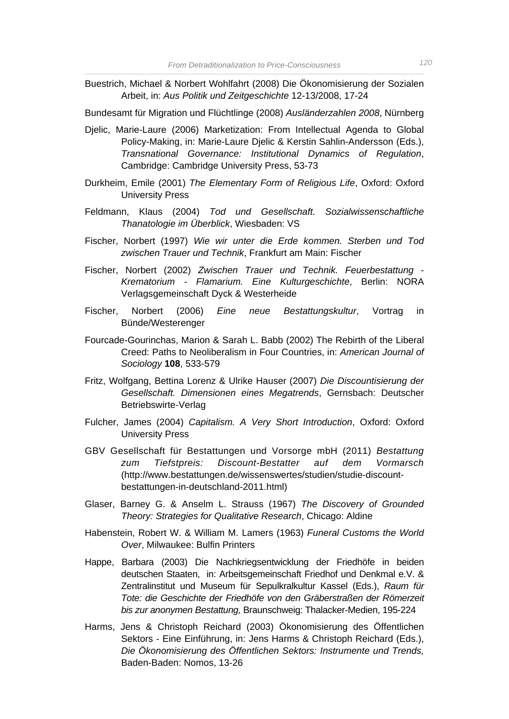Buestrich, Michael & Norbert Wohlfahrt (2008) Die Ökonomisierung der Sozialen Arbeit, in: *Aus Politik und Zeitgeschichte* 12-13/2008, 17-24

Bundesamt für Migration und Flüchtlinge (2008) *Ausländerzahlen 2008*, Nürnberg

- Djelic, Marie-Laure (2006) Marketization: From Intellectual Agenda to Global Policy-Making, in: Marie-Laure Djelic & Kerstin Sahlin-Andersson (Eds.), *Transnational Governance: Institutional Dynamics of Regulation*, Cambridge: Cambridge University Press, 53-73
- Durkheim, Emile (2001) *The Elementary Form of Religious Life*, Oxford: Oxford University Press
- Feldmann, Klaus (2004) *Tod und Gesellschaft. Sozialwissenschaftliche Thanatologie im Überblick*, Wiesbaden: VS
- Fischer, Norbert (1997) *Wie wir unter die Erde kommen. Sterben und Tod zwischen Trauer und Technik*, Frankfurt am Main: Fischer
- Fischer, Norbert (2002) *Zwischen Trauer und Technik. Feuerbestattung Krematorium - Flamarium. Eine Kulturgeschichte*, Berlin: NORA Verlagsgemeinschaft Dyck & Westerheide
- Fischer, Norbert (2006) *Eine neue Bestattungskultur*, Vortrag in Bünde/Westerenger
- Fourcade-Gourinchas, Marion & Sarah L. Babb (2002) The Rebirth of the Liberal Creed: Paths to Neoliberalism in Four Countries, in: *American Journal of Sociology* **108**, 533-579
- Fritz, Wolfgang, Bettina Lorenz & Ulrike Hauser (2007) *Die Discountisierung der Gesellschaft. Dimensionen eines Megatrends*, Gernsbach: Deutscher Betriebswirte-Verlag
- Fulcher, James (2004) *Capitalism. A Very Short Introduction*, Oxford: Oxford University Press
- GBV Gesellschaft für Bestattungen und Vorsorge mbH (2011) *Bestattung zum Tiefstpreis: Discount-Bestatter auf dem Vormarsch* (http://www.bestattungen.de/wissenswertes/studien/studie-discountbestattungen-in-deutschland-2011.html)
- Glaser, Barney G. & Anselm L. Strauss (1967) *The Discovery of Grounded Theory: Strategies for Qualitative Research*, Chicago: Aldine
- Habenstein, Robert W. & William M. Lamers (1963) *Funeral Customs the World Over*, Milwaukee: Bulfin Printers
- Happe, Barbara (2003) Die Nachkriegsentwicklung der Friedhöfe in beiden deutschen Staaten, in: Arbeitsgemeinschaft Friedhof und Denkmal e.V. & Zentralinstitut und Museum für Sepulkralkultur Kassel (Eds.), *Raum für Tote: die Geschichte der Friedhöfe von den Gräberstraßen der Römerzeit bis zur anonymen Bestattung,* Braunschweig: Thalacker-Medien, 195-224
- Harms, Jens & Christoph Reichard (2003) Ökonomisierung des Öffentlichen Sektors - Eine Einführung, in: Jens Harms & Christoph Reichard (Eds.), *Die Ökonomisierung des Öffentlichen Sektors: Instrumente und Trends,*  Baden-Baden: Nomos, 13-26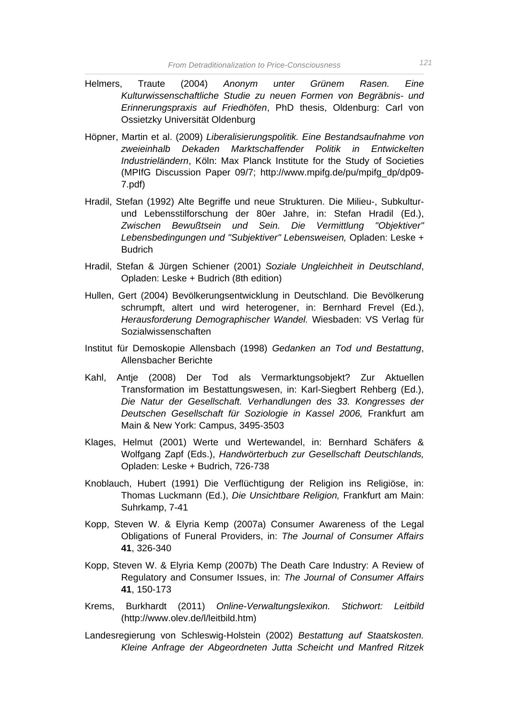- Helmers, Traute (2004) *Anonym unter Grünem Rasen. Eine Kulturwissenschaftliche Studie zu neuen Formen von Begräbnis- und Erinnerungspraxis auf Friedhöfen*, PhD thesis, Oldenburg: Carl von Ossietzky Universität Oldenburg
- Höpner, Martin et al. (2009) *Liberalisierungspolitik. Eine Bestandsaufnahme von zweieinhalb Dekaden Marktschaffender Politik in Entwickelten Industrieländern*, Köln: Max Planck Institute for the Study of Societies (MPIfG Discussion Paper 09/7; http://www.mpifg.de/pu/mpifg\_dp/dp09- 7.pdf)
- Hradil, Stefan (1992) Alte Begriffe und neue Strukturen. Die Milieu-, Subkulturund Lebensstilforschung der 80er Jahre, in: Stefan Hradil (Ed.), *Zwischen Bewußtsein und Sein. Die Vermittlung "Objektiver" Lebensbedingungen und "Subjektiver" Lebensweisen,* Opladen: Leske + **Budrich**
- Hradil, Stefan & Jürgen Schiener (2001) *Soziale Ungleichheit in Deutschland*, Opladen: Leske + Budrich (8th edition)
- Hullen, Gert (2004) Bevölkerungsentwicklung in Deutschland. Die Bevölkerung schrumpft, altert und wird heterogener, in: Bernhard Frevel (Ed.), *Herausforderung Demographischer Wandel.* Wiesbaden: VS Verlag für Sozialwissenschaften
- Institut für Demoskopie Allensbach (1998) *Gedanken an Tod und Bestattung*, Allensbacher Berichte
- Kahl, Antje (2008) Der Tod als Vermarktungsobjekt? Zur Aktuellen Transformation im Bestattungswesen, in: Karl-Siegbert Rehberg (Ed.), *Die Natur der Gesellschaft. Verhandlungen des 33. Kongresses der Deutschen Gesellschaft für Soziologie in Kassel 2006,* Frankfurt am Main & New York: Campus, 3495-3503
- Klages, Helmut (2001) Werte und Wertewandel, in: Bernhard Schäfers & Wolfgang Zapf (Eds.), *Handwörterbuch zur Gesellschaft Deutschlands,*  Opladen: Leske + Budrich, 726-738
- Knoblauch, Hubert (1991) Die Verflüchtigung der Religion ins Religiöse, in: Thomas Luckmann (Ed.), *Die Unsichtbare Religion,* Frankfurt am Main: Suhrkamp, 7-41
- Kopp, Steven W. & Elyria Kemp (2007a) Consumer Awareness of the Legal Obligations of Funeral Providers, in: *The Journal of Consumer Affairs* **41**, 326-340
- Kopp, Steven W. & Elyria Kemp (2007b) The Death Care Industry: A Review of Regulatory and Consumer Issues, in: *The Journal of Consumer Affairs* **41**, 150-173
- Krems, Burkhardt (2011) *Online-Verwaltungslexikon. Stichwort: Leitbild* (http://www.olev.de/l/leitbild.htm)
- Landesregierung von Schleswig-Holstein (2002) *Bestattung auf Staatskosten. Kleine Anfrage der Abgeordneten Jutta Scheicht und Manfred Ritzek*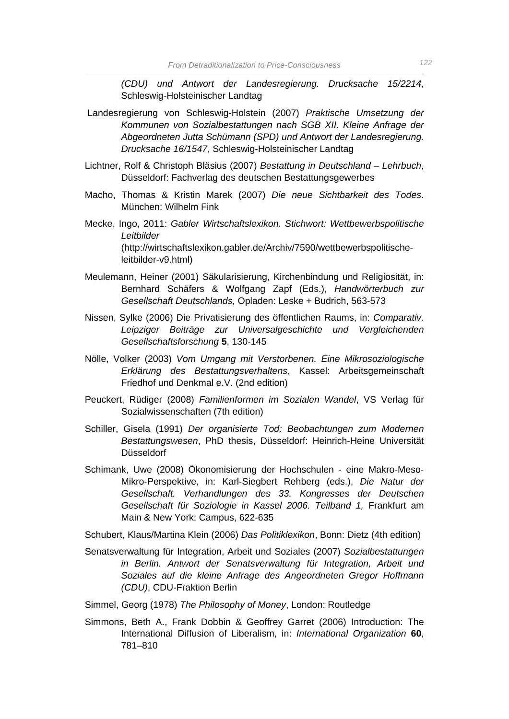*(CDU) und Antwort der Landesregierung. Drucksache 15/2214*, Schleswig-Holsteinischer Landtag

- Landesregierung von Schleswig-Holstein (2007) *Praktische Umsetzung der Kommunen von Sozialbestattungen nach SGB XII. Kleine Anfrage der Abgeordneten Jutta Schümann (SPD) und Antwort der Landesregierung. Drucksache 16/1547*, Schleswig-Holsteinischer Landtag
- Lichtner, Rolf & Christoph Bläsius (2007) *Bestattung in Deutschland Lehrbuch*, Düsseldorf: Fachverlag des deutschen Bestattungsgewerbes
- Macho, Thomas & Kristin Marek (2007) *Die neue Sichtbarkeit des Todes*. München: Wilhelm Fink
- Mecke, Ingo, 2011: *Gabler Wirtschaftslexikon. Stichwort: Wettbewerbspolitische Leitbilder* (http://wirtschaftslexikon.gabler.de/Archiv/7590/wettbewerbspolitischeleitbilder-v9.html)
- Meulemann, Heiner (2001) Säkularisierung, Kirchenbindung und Religiosität, in: Bernhard Schäfers & Wolfgang Zapf (Eds.), *Handwörterbuch zur Gesellschaft Deutschlands,* Opladen: Leske + Budrich, 563-573
- Nissen, Sylke (2006) Die Privatisierung des öffentlichen Raums, in: *Comparativ. Leipziger Beiträge zur Universalgeschichte und Vergleichenden Gesellschaftsforschung* **5**, 130-145
- Nölle, Volker (2003) *Vom Umgang mit Verstorbenen. Eine Mikrosoziologische Erklärung des Bestattungsverhaltens*, Kassel: Arbeitsgemeinschaft Friedhof und Denkmal e.V. (2nd edition)
- Peuckert, Rüdiger (2008) *Familienformen im Sozialen Wandel*, VS Verlag für Sozialwissenschaften (7th edition)
- Schiller, Gisela (1991) *Der organisierte Tod: Beobachtungen zum Modernen Bestattungswesen*, PhD thesis, Düsseldorf: Heinrich-Heine Universität Düsseldorf
- Schimank, Uwe (2008) Ökonomisierung der Hochschulen eine Makro-Meso-Mikro-Perspektive, in: Karl-Siegbert Rehberg (eds.), *Die Natur der Gesellschaft. Verhandlungen des 33. Kongresses der Deutschen Gesellschaft für Soziologie in Kassel 2006. Teilband 1,* Frankfurt am Main & New York: Campus, 622-635
- Schubert, Klaus/Martina Klein (2006) *Das Politiklexikon*, Bonn: Dietz (4th edition)
- Senatsverwaltung für Integration, Arbeit und Soziales (2007) *Sozialbestattungen in Berlin. Antwort der Senatsverwaltung für Integration, Arbeit und Soziales auf die kleine Anfrage des Angeordneten Gregor Hoffmann (CDU)*, CDU-Fraktion Berlin
- Simmel, Georg (1978) *The Philosophy of Money*, London: Routledge
- Simmons, Beth A., Frank Dobbin & Geoffrey Garret (2006) Introduction: The International Diffusion of Liberalism, in: *International Organization* **60**, 781–810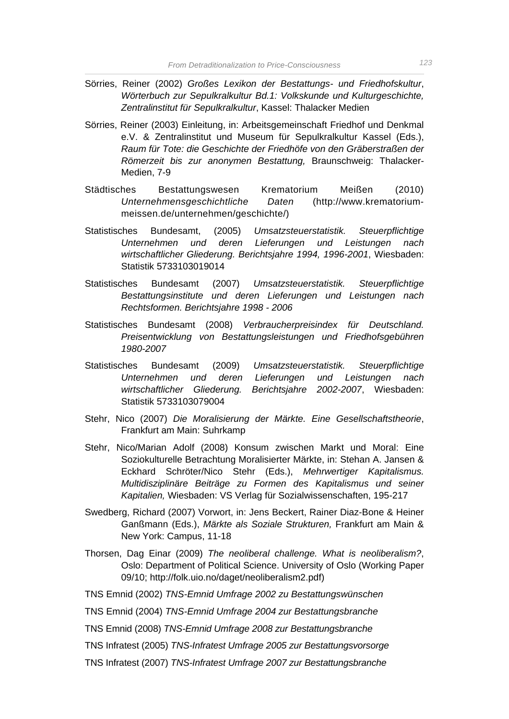- Sörries, Reiner (2002) *Großes Lexikon der Bestattungs- und Friedhofskultur*, *Wörterbuch zur Sepulkralkultur Bd.1: Volkskunde und Kulturgeschichte, Zentralinstitut für Sepulkralkultur*, Kassel: Thalacker Medien
- Sörries, Reiner (2003) Einleitung, in: Arbeitsgemeinschaft Friedhof und Denkmal e.V. & Zentralinstitut und Museum für Sepulkralkultur Kassel (Eds.), *Raum für Tote: die Geschichte der Friedhöfe von den Gräberstraßen der Römerzeit bis zur anonymen Bestattung,* Braunschweig: Thalacker-Medien, 7-9
- Städtisches Bestattungswesen Krematorium Meißen (2010) *Unternehmensgeschichtliche Daten* (http://www.krematoriummeissen.de/unternehmen/geschichte/)
- Statistisches Bundesamt, (2005) *Umsatzsteuerstatistik. Steuerpflichtige Unternehmen und deren Lieferungen und Leistungen nach wirtschaftlicher Gliederung. Berichtsjahre 1994, 1996-2001*, Wiesbaden: Statistik 5733103019014
- Statistisches Bundesamt (2007) *Umsatzsteuerstatistik. Steuerpflichtige Bestattungsinstitute und deren Lieferungen und Leistungen nach Rechtsformen. Berichtsjahre 1998 - 2006*
- Statistisches Bundesamt (2008) *Verbraucherpreisindex für Deutschland. Preisentwicklung von Bestattungsleistungen und Friedhofsgebühren 1980-2007*
- Statistisches Bundesamt (2009) *Umsatzsteuerstatistik. Steuerpflichtige Unternehmen und deren Lieferungen und Leistungen nach wirtschaftlicher Gliederung. Berichtsjahre 2002-2007*, Wiesbaden: Statistik 5733103079004
- Stehr, Nico (2007) *Die Moralisierung der Märkte. Eine Gesellschaftstheorie*, Frankfurt am Main: Suhrkamp
- Stehr, Nico/Marian Adolf (2008) Konsum zwischen Markt und Moral: Eine Soziokulturelle Betrachtung Moralisierter Märkte, in: Stehan A. Jansen & Eckhard Schröter/Nico Stehr (Eds.), *Mehrwertiger Kapitalismus. Multidisziplinäre Beiträge zu Formen des Kapitalismus und seiner Kapitalien,* Wiesbaden: VS Verlag für Sozialwissenschaften, 195-217
- Swedberg, Richard (2007) Vorwort, in: Jens Beckert, Rainer Diaz-Bone & Heiner Ganßmann (Eds.), *Märkte als Soziale Strukturen,* Frankfurt am Main & New York: Campus, 11-18
- Thorsen, Dag Einar (2009) *The neoliberal challenge. What is neoliberalism?*, Oslo: Department of Political Science. University of Oslo (Working Paper 09/10; http://folk.uio.no/daget/neoliberalism2.pdf)
- TNS Emnid (2002) *TNS-Emnid Umfrage 2002 zu Bestattungswünschen*
- TNS Emnid (2004) *TNS-Emnid Umfrage 2004 zur Bestattungsbranche*
- TNS Emnid (2008) *TNS-Emnid Umfrage 2008 zur Bestattungsbranche*
- TNS Infratest (2005) *TNS-Infratest Umfrage 2005 zur Bestattungsvorsorge*
- TNS Infratest (2007) *TNS-Infratest Umfrage 2007 zur Bestattungsbranche*